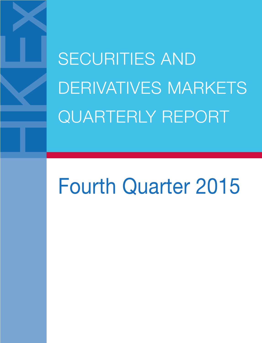SECURITIES AND DERIVATIVES MARKETS QUARTERLY REPORT

# Fourth Quarter 2015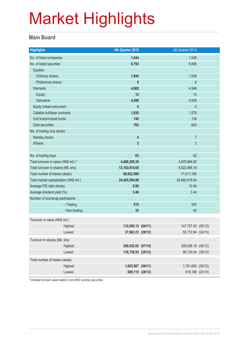#### **Main Board**

| <b>Highlights</b>                       |               | 4th Quarter 2015   | 4th Quarter 2014   |  |
|-----------------------------------------|---------------|--------------------|--------------------|--|
| No. of listed companies                 |               | 1,644              | 1,548              |  |
| No. of listed securities                |               | 8,792              | 8,856              |  |
| <b>Equities</b>                         |               |                    |                    |  |
| Ordinary shares                         |               | 1,645              | 1,549              |  |
| Preference shares                       |               | 8                  | $6\phantom{1}$     |  |
| <b>Warrants</b>                         |               | 4,602              | 4,948              |  |
| Equity                                  |               | 12                 | 10                 |  |
| Derivative                              |               | 4,590              | 4,938              |  |
| Equity linked instrument                |               | $\mathbf{0}$       | $\mathbf{0}$       |  |
| Callable bull/bear contracts            |               | 1,630              | 1,579              |  |
| Unit trusts/mutual funds                |               | 145                | 134                |  |
| Debt securities                         |               | 762                | 640                |  |
| No. of trading only stocks              |               |                    |                    |  |
| Nasdaq stocks                           |               | $\boldsymbol{6}$   | $\overline{7}$     |  |
| <b>iShares</b>                          |               | $\overline{2}$     | $\overline{2}$     |  |
|                                         |               |                    |                    |  |
| No. of trading days                     |               | 63                 | 62                 |  |
| Total turnover in value (HK\$ mil.) *   |               | 4,489,395.39       | 4,970,894.65       |  |
| Total turnover in shares (Mil. shs)     |               | 13, 163, 614. 65   | 9,522,466.16       |  |
| Total number of trades (deals)          |               | 69,922,588         | 71,011,185         |  |
| Total market capitalisation (HK\$ mil.) |               | 24,425,554.96      | 24,892,419.04      |  |
| Average P/E ratio (times)               |               | 9.90               | 10.94              |  |
| Average dividend yield (%)              |               | 3.46               | 3.44               |  |
| Number of exchange participants         |               |                    |                    |  |
|                                         | $-$ Trading   | 515                | 500                |  |
|                                         | - Non-trading | 35                 | 40                 |  |
| Turnover in value (HK\$ mil.)           |               |                    |                    |  |
|                                         | Highest       | 112,095.13 (04/11) | 147,757.45 (05/12) |  |
|                                         | Lowest        | 37,862.23 (29/12)  | 50,172.64 (24/10)  |  |
| Turnover in shares (Mil. shs)           |               |                    |                    |  |
|                                         | Highest       | 289,932.02 (07/10) | 209,008.19 (09/12) |  |
|                                         | Lowest        | 116,738.93 (29/12) | 96,730.04 (29/12)  |  |
| Total number of trades (deals)          |               |                    |                    |  |
|                                         | Highest       | 1,625,567 (04/11)  | 1,791,690 (09/12)  |  |
|                                         | Lowest        | 699,115 (28/12)    | 818,188 (23/10)    |  |
|                                         |               |                    |                    |  |

\* Included turnover value traded in non-HKD currency securities.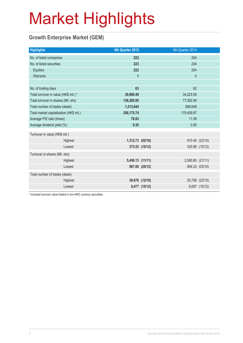### **Growth Enterprise Market (GEM)**

| 4th Quarter 2015 |         | 4th Quarter 2014                                                                                            |                                          |
|------------------|---------|-------------------------------------------------------------------------------------------------------------|------------------------------------------|
| 222              |         | 204                                                                                                         |                                          |
| 223              |         | 204                                                                                                         |                                          |
| 222              |         | 204                                                                                                         |                                          |
| 1                |         | $\mathbf{0}$                                                                                                |                                          |
|                  |         |                                                                                                             |                                          |
|                  |         |                                                                                                             |                                          |
| 39,890.49        |         | 34,223.56                                                                                                   |                                          |
| 136,365.95       |         | 77,002.94                                                                                                   |                                          |
| 1,213,644        | 888,648 |                                                                                                             |                                          |
| 258, 175.74      |         | 179,409.87                                                                                                  |                                          |
| 76.93            |         | 11.59                                                                                                       |                                          |
| 0.30             |         | 0.65                                                                                                        |                                          |
|                  |         |                                                                                                             |                                          |
|                  |         |                                                                                                             |                                          |
|                  |         |                                                                                                             | 325.66 (15/12)                           |
|                  |         |                                                                                                             |                                          |
|                  |         |                                                                                                             |                                          |
|                  |         |                                                                                                             | 804.23 (03/10)                           |
|                  |         |                                                                                                             |                                          |
|                  |         |                                                                                                             | 20,758 (23/10)                           |
|                  |         |                                                                                                             | 9,087 (15/12)                            |
|                  | 63      | 1,312.73 (02/10)<br>373.52 (15/12)<br>5,456.13 (11/11)<br>967.00 (29/12)<br>39,676 (12/10)<br>9,477 (15/12) | 62<br>810.40 (23/10)<br>2,580.80 (21/11) |

\* Included turnover value traded in non-HKD currency securities.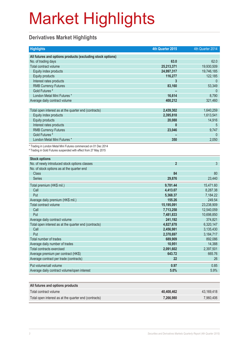### **Derivatives Market Highlights**

| <b>Highlights</b>                                                                                                                   | 4th Quarter 2015 | 4th Quarter 2014 |
|-------------------------------------------------------------------------------------------------------------------------------------|------------------|------------------|
| All futures and options products (excluding stock options)                                                                          |                  |                  |
| No. of trading days                                                                                                                 | 63.0             | 62.0             |
| Total contract volume                                                                                                               | 25,213,371       | 19,930,509       |
| Equity index products                                                                                                               | 24,997,317       | 19,746,185       |
| <b>Equity products</b>                                                                                                              | 116,277          | 122,185          |
| Interest rates products                                                                                                             | 3                | $\mathbf{0}$     |
| <b>RMB Currency Futures</b>                                                                                                         | 83,160           | 53,349           |
| Gold Futures <sup>#</sup>                                                                                                           |                  | $\Omega$         |
| London Metal Mini Futures *                                                                                                         | 16,614           | 8,790            |
| Average daily contract volume                                                                                                       | 400,212          | 321,460          |
|                                                                                                                                     |                  |                  |
| Total open interest as at the quarter end (contracts)                                                                               | 2,439,302        | 1,640,259        |
| Equity index products                                                                                                               | 2,395,818        | 1,613,541        |
| <b>Equity products</b>                                                                                                              | 20,088           | 14,916           |
| Interest rates products                                                                                                             | $\mathbf{0}$     | 5                |
| <b>RMB Currency Futures</b>                                                                                                         | 23,046           | 9,747            |
| Gold Futures <sup>#</sup>                                                                                                           |                  | $\mathbf{0}$     |
| London Metal Mini Futures *                                                                                                         | 350              | 2,050            |
| * Trading in London Metal Mini Futures commenced on 01 Dec 2014<br># Trading in Gold Futures suspended with effect from 27 May 2015 |                  |                  |
| <b>Stock options</b>                                                                                                                |                  |                  |
| No. of newly introduced stock options classes                                                                                       | $\overline{2}$   | 3                |
| No. of stock options as at the quarter end                                                                                          |                  |                  |
| <b>Class</b>                                                                                                                        | 84               | 80               |
| <b>Series</b>                                                                                                                       | 29,876           | 23,440           |
| Total premium (HK\$ mil.)                                                                                                           | 9,781.44         | 15,471.60        |
| Call                                                                                                                                | 4,413.07         | 8,287.38         |
| Put                                                                                                                                 | 5,368.37         | 7,184.22         |
| Average daily premium (HK\$ mil.)                                                                                                   | 155.26           | 249.54           |
| Total contract volume                                                                                                               | 15,195,091       | 23,238,909       |
| Call                                                                                                                                | 7,713,258        | 12,540,059       |
| Put                                                                                                                                 | 7,481,833        | 10,698,850       |
| Average daily contract volume                                                                                                       | 241,192          | 374,821          |
| Total open interest as at the quarter end (contracts)                                                                               | 4,827,678        | 6,320,147        |
| Call                                                                                                                                | 2,456,981        | 3,135,430        |
| Put                                                                                                                                 | 2,370,697        | 3,184,717        |
| Total number of trades                                                                                                              | 689,909          | 892,086          |
| Average daily number of trades                                                                                                      | 10,951           | 14,388           |
| Total contracts exercised                                                                                                           | 2,091,602        | 2,397,501        |
| Average premium per contract (HK\$)                                                                                                 | 643.72           | 665.76           |
| Average contract per trade (contracts)                                                                                              | 22               | 26               |
| Put volume/call volume                                                                                                              | 0.97             | 0.85             |
| Average daily contract volume/open interest                                                                                         | 5.0%             | 5.9%             |
|                                                                                                                                     |                  |                  |
| All futures and options products                                                                                                    |                  |                  |
| Total contract volume                                                                                                               | 40,408,462       | 43,169,418       |
| Total open interest as at the quarter end (contracts)                                                                               | 7,266,980        | 7,960,406        |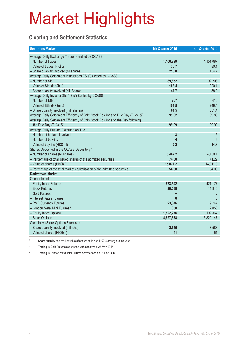### **Clearing and Settlement Statistics**

| <b>Securities Market</b>                                                        | 4th Quarter 2015        | 4th Quarter 2014 |
|---------------------------------------------------------------------------------|-------------------------|------------------|
| Average Daily Exchange Trades Handled by CCASS                                  |                         |                  |
| - Number of trades                                                              | 1,106,299               | 1,151,087        |
| - Value of trades (HK\$bil.)                                                    | 70.7                    | 80.1             |
| - Share quantity Involved (bil shares)                                          | 210.8                   | 154.7            |
| Average Daily Settlement Instructions ("SIs") Settled by CCASS                  |                         |                  |
| - Number of SIs                                                                 | 89,652                  | 92,208           |
| - Value of SIs (HK\$bil.)                                                       | 188.4                   | 220.1            |
| - Share quantity involved (bil. Shares)                                         | 47.7                    | 58.2             |
| Average Daily Investor SIs ("ISIs") Settled by CCASS                            |                         |                  |
| - Number of ISIs                                                                | 267                     | 415              |
| - Value of ISIs (HK\$mil.)                                                      | 101.5                   | 249.4            |
| - Share quantity involved (mil. shares)                                         | 61.5                    | 651.4            |
| Average Daily Settlement Efficiency of CNS Stock Positions on Due Day (T+2) (%) | 99.92                   | 99.88            |
| Average Daily Settlement Efficiency of CNS Stock Positions on the Day following |                         |                  |
| the Due Day $(T+3)$ (%)                                                         | 99.99                   | 99.99            |
| Average Daily Buy-ins Executed on T+3                                           |                         |                  |
| - Number of brokers involved                                                    | $\overline{3}$          | 5                |
| - Number of buy-ins                                                             | $\overline{\mathbf{4}}$ | 8                |
| - Value of buy-ins (HK\$mil)                                                    | 2.2                     | 14.3             |
| Shares Deposited in the CCASS Depository *                                      |                         |                  |
| - Number of shares (bil shares)                                                 | 5,467.2                 | 4,450.1          |
| - Percentage of total issued shares of the admitted securities                  | 74.50                   | 71.29            |
| - Value of shares (HK\$bil)                                                     | 15,071.2                | 14,911.9         |
| - Percentage of the total market capitalisation of the admitted securities      | 56.58                   | 54.09            |
| <b>Derivatives Market</b>                                                       |                         |                  |
| Open Interest                                                                   |                         |                  |
| - Equity Index Futures                                                          | 573,542                 | 421,177          |
| - Stock Futures                                                                 | 20,088                  | 14,916           |
| - Gold Futures ^                                                                |                         | $\theta$         |
| - Interest Rates Futures                                                        | $\mathbf{0}$            | 5                |
| - RMB Currency Futures                                                          | 23,046                  | 9,747            |
| - London Metal Mini Futures #                                                   | 350                     | 2,050            |
| - Equity Index Options                                                          | 1,822,276               | 1,192,364        |
| - Stock Options                                                                 | 4,827,678               | 6,320,147        |
| <b>Cumulative Stock Options Exercised</b>                                       |                         |                  |
| - Share quantity involved (mil. shs)                                            | 2,555                   | 3,583            |
| - Value of shares (HK\$bil.)                                                    | 41                      | 51               |

\* Share quantity and market value of securities in non-HKD currency are included

^ Trading in Gold Futures suspended with effect from 27 May 2015

# Trading in London Metal Mini Futures commenced on 01 Dec 2014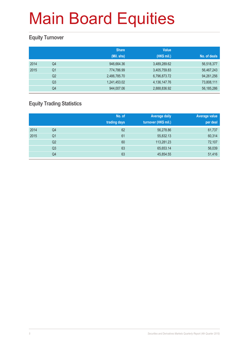### **Equity Turnover**

|      |                | <b>Share</b><br>(Mil. shs) | <b>Value</b><br>(HK\$ mil.) | No. of deals |
|------|----------------|----------------------------|-----------------------------|--------------|
|      |                |                            |                             |              |
| 2014 | Q4             | 946,664.36                 | 3,489,289.62                | 56,518,377   |
| 2015 | Q <sub>1</sub> | 774,786.99                 | 3,405,759.83                | 56,467,243   |
|      | Q <sub>2</sub> | 2,486,785.70               | 6,796,873.72                | 94,261,256   |
|      | Q <sub>3</sub> | 1,241,453.02               | 4,136,147.76                | 73,808,111   |
|      | Q4             | 944,007.06                 | 2,888,836.92                | 56, 185, 286 |

### **Equity Trading Statistics**

|      |                | No. of<br>trading days | <b>Average daily</b><br>turnover (HK\$ mil.) | Average value<br>per deal |
|------|----------------|------------------------|----------------------------------------------|---------------------------|
| 2014 | Q4             | 62                     | 56,278.86                                    | 61,737                    |
| 2015 | Q <sub>1</sub> | 61                     | 55,832.13                                    | 60,314                    |
|      | Q2             | 60                     | 113,281.23                                   | 72,107                    |
|      | Q <sub>3</sub> | 63                     | 65,653.14                                    | 56,039                    |
|      | Q4             | 63                     | 45,854.55                                    | 51,416                    |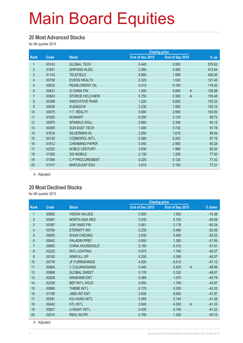#### **20 Most Advanced Stocks**

for 4th quarter 2015

|                |       |                        |                 | <b>Closing price</b>    |                  |
|----------------|-------|------------------------|-----------------|-------------------------|------------------|
| Rank           | Code  | <b>Stock</b>           | End of Dec 2015 | End of Sep 2015         | $\frac{9}{6}$ up |
| 1              | 00143 | <b>GLOBAL TECH</b>     | 0.440           | 0.065                   | 576.92           |
| $\overline{2}$ | 01831 | <b>SHIFANG HLDG</b>    | 2.360           | 0.460                   | 413.04           |
| 3              | 01143 | <b>TELEFIELD</b>       | 9.950           | 1.990                   | 400.00           |
| 4              | 00708 | <b>EVERG HEALTH</b>    | 2.320           | 1.020                   | 127.45           |
| $\overline{5}$ | 00632 | PEARLORIENT OIL        | 0.415           | 0.190                   | 118.42           |
| $6\phantom{.}$ | 00431 | <b>G CHINA FIN</b>     | 1.400           | 0.680<br>$\overline{A}$ | 105.88           |
| $\overline{7}$ | 00943 | <b>EFORCE HOLD-NEW</b> | 0.750           | $\overline{A}$<br>0.365 | 105.48           |
| $\bf 8$        | 00399 | <b>INNOVATIVE PHAR</b> | 1.220           | 0.600                   | 103.33           |
| 9              | 00439 | <b>KUANGCHI</b>        | 3.230           | 1.590                   | 103.14           |
| 10             | 00075 | Y.T. REALTY            | 5.900           | 2.950                   | 100.00           |
| 11             | 01025 | <b>WUMART</b>          | 6.200           | 3.120                   | 98.72            |
| 12             | 00970 | <b>SPARKLE ROLL</b>    | 0.660           | 0.340                   | 94.12            |
| 13             | 00365 | <b>SUN EAST TECH</b>   | 1.400           | 0.730                   | 91.78            |
| 14             | 01616 | <b>SILVERMAN HL</b>    | 3.050           | 1.610                   | 89.44            |
| 15             | 00120 | <b>COSMOPOL INT'L</b>  | 0.380           | 0.203                   | 87.19            |
| 16             | 01812 | <b>CHENMING PAPER</b>  | 5.540           | 2.990                   | 85.28            |
| 17             | 02322 | <b>NOBLE CENTURY</b>   | 3.630           | 1.960                   | 85.20            |
| 18             | 01362 | <b>SIS MOBILE</b>      | 2.130           | 1.200                   | 77.50            |
| 19             | 01094 | C P PROCUREMENT        | 0.220           | 0.124                   | 77.42            |
| 20             | 01317 | <b>MAPLELEAF EDU</b>   | 3.810           | 2.150                   | 77.21            |

A Adjusted

#### **20 Most Declined Stocks**

for 4th quarter 2015

|                |             |                        | <b>Closing price</b> |                         |          |
|----------------|-------------|------------------------|----------------------|-------------------------|----------|
| <b>Rank</b>    | <b>Code</b> | <b>Stock</b>           | End of Dec 2015      | End of Sep 2015         | % down   |
| 1              | 00862       | <b>VISION VALUES</b>   | 0.500                | 1.950                   | $-74.36$ |
| $\overline{2}$ | 00061       | <b>NORTH ASIA RES</b>  | 0.035                | 0.102                   | $-65.69$ |
| 3              | 00397       | <b>JUN YANG FIN</b>    | 0.061                | 0.176                   | $-65.34$ |
| 4              | 00764       | <b>ETERNITY INV</b>    | 0.230                | 0.480                   | $-52.08$ |
| 5              | 00650       | <b>SHUN CHEONG</b>     | 2.830                | 5.900                   | $-52.03$ |
| $6\phantom{.}$ | 00642       | <b>PALADIN PREF</b>    | 0.650                | 1.350                   | $-51.85$ |
| $\overline{7}$ | 00692       | <b>CHINA HOUSEHOLD</b> | 0.150                | 0.310                   | $-51.61$ |
| $\bf 8$        | 02222       | <b>NVC LIGHTING</b>    | 0.870                | 1.760                   | $-50.57$ |
| 9              | 00183       | <b>WINFULL GP</b>      | 0.200                | 0.395                   | $-49.37$ |
| 10             | 00776       | <b>JF FURNISHINGS</b>  | 4.500                | 8.510                   | $-47.12$ |
| 11             | 00904       | C CULIANGWANG          | 0.440                | 0.830<br>$\overline{A}$ | $-46.99$ |
| 12             | 03889       | <b>GLOBAL SWEET</b>    | 0.176                | 0.330                   | $-46.67$ |
| 13             | 00209       | <b>WINSHINE ENT</b>    | 0.580                | 1.070                   | $-45.79$ |
| 14             | 02326       | <b>BEP INT'L HOLD</b>  | 0.650                | 1.160                   | $-43.97$ |
| 15             | 00990       | THEME INT'L            | 0.170                | 0.300                   | $-43.33$ |
| 16             | 01159       | <b>JIMEI INT ENT</b>   | 3.830                | 6.600                   | $-41.97$ |
| 17             | 00381       | KIU HUNG INT'L         | 0.085                | 0.145                   | $-41.38$ |
| 18             | 00442       | <b>KTL INT'L</b>       | 2.640                | 4.500<br>$\mathsf{A}$   | $-41.33$ |
| 19             | 00627       | <b>U-RIGHT INT'L</b>   | 0.435                | 0.740                   | $-41.22$ |
| 20             | 02010       | <b>REAL NUTRI</b>      | 0.790                | 1.320                   | $-40.15$ |

A Adjusted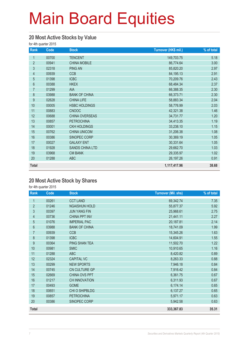#### **20 Most Active Stocks by Value**

for 4th quarter 2015

| Rank             | Code  | <b>Stock</b>           | Turnover (HK\$ mil.) | % of total |
|------------------|-------|------------------------|----------------------|------------|
| 1                | 00700 | <b>TENCENT</b>         | 149,703.75           | 5.18       |
| $\overline{2}$   | 00941 | <b>CHINA MOBILE</b>    | 86,774.64            | 3.00       |
| 3                | 02318 | <b>PING AN</b>         | 85,820.20            | 2.97       |
| $\overline{4}$   | 00939 | <b>CCB</b>             | 84,195.13            | 2.91       |
| 5                | 01398 | <b>ICBC</b>            | 70,209.76            | 2.43       |
| $\,6\,$          | 00388 | <b>HKEX</b>            | 68,484.34            | 2.37       |
| $\overline{7}$   | 01299 | AIA                    | 66,388.35            | 2.30       |
| 8                | 03988 | <b>BANK OF CHINA</b>   | 66,373.71            | 2.30       |
| $\boldsymbol{9}$ | 02628 | <b>CHINA LIFE</b>      | 58,883.34            | 2.04       |
| 10               | 00005 | <b>HSBC HOLDINGS</b>   | 58,776.99            | 2.03       |
| 11               | 00883 | <b>CNOOC</b>           | 42,321.38            | 1.46       |
| 12               | 00688 | CHINA OVERSEAS         | 34,731.77            | 1.20       |
| 13               | 00857 | <b>PETROCHINA</b>      | 34,413.35            | 1.19       |
| 14               | 00001 | <b>CKH HOLDINGS</b>    | 33,238.10            | 1.15       |
| 15               | 00762 | <b>CHINA UNICOM</b>    | 31,206.38            | 1.08       |
| 16               | 00386 | SINOPEC CORP           | 30,369.19            | 1.05       |
| 17               | 00027 | <b>GALAXY ENT</b>      | 30,331.64            | 1.05       |
| 18               | 01928 | <b>SANDS CHINA LTD</b> | 29,662.70            | 1.03       |
| 19               | 03968 | <b>CM BANK</b>         | 29,335.97            | 1.02       |
| 20               | 01288 | <b>ABC</b>             | 26, 197. 26          | 0.91       |
| <b>Total</b>     |       |                        | 1,117,417.96         | 38.68      |

#### **20 Most Active Stock by Shares**

| Rank           | Code  | <b>Stock</b>         | <b>Turnover (Mil. shs)</b> | % of total |
|----------------|-------|----------------------|----------------------------|------------|
| 1              | 00261 | <b>CCT LAND</b>      | 69,342.74                  | 7.35       |
| $\overline{2}$ | 01246 | <b>NGAISHUN HOLD</b> | 55,877.37                  | 5.92       |
| 3              | 00397 | <b>JUN YANG FIN</b>  | 25,968.61                  | 2.75       |
| $\overline{4}$ | 00736 | <b>CHINA PPT INV</b> | 21,441.11                  | 2.27       |
| $\overline{5}$ | 01076 | <b>IMPERIAL PAC</b>  | 20,187.81                  | 2.14       |
| 6              | 03988 | <b>BANK OF CHINA</b> | 18,741.09                  | 1.99       |
| 7              | 00939 | <b>CCB</b>           | 15,345.26                  | 1.63       |
| 8              | 01398 | <b>ICBC</b>          | 14,604.91                  | 1.55       |
| 9              | 00364 | PING SHAN TEA        | 11,502.70                  | 1.22       |
| 10             | 00981 | <b>SMIC</b>          | 10,910.65                  | 1.16       |
| 11             | 01288 | <b>ABC</b>           | 8,420.82                   | 0.89       |
| 12             | 02324 | <b>CAPITAL VC</b>    | 8,263.33                   | 0.88       |
| 13             | 00299 | <b>NEW SPORTS</b>    | 7,946.18                   | 0.84       |
| 14             | 00745 | CN CULTURE GP        | 7,916.42                   | 0.84       |
| 15             | 02669 | CHINA OVS PPT        | 6,361.75                   | 0.67       |
| 16             | 01217 | <b>CH INNOVATION</b> | 6,311.93                   | 0.67       |
| 17             | 00493 | <b>GOME</b>          | 6,174.14                   | 0.65       |
| 18             | 00651 | CHI O SHIPBLDG       | 6,137.27                   | 0.65       |
| 19             | 00857 | <b>PETROCHINA</b>    | 5,971.17                   | 0.63       |
| 20             | 00386 | SINOPEC CORP         | 5,942.58                   | 0.63       |
| <b>Total</b>   |       |                      | 333,367.83                 | 35.31      |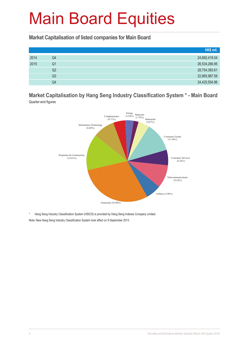#### **Market Capitalisation of listed companies for Main Board**

|      |                | HK\$ mil.     |
|------|----------------|---------------|
| 2014 | Q4             | 24,892,419.04 |
| 2015 | Q <sub>1</sub> | 26,534,266.95 |
|      | Q2             | 28,754,383.61 |
|      | Q3             | 22,965,987.58 |
|      | Q4             | 24,425,554.96 |

#### **Market Capitalisation by Hang Seng Industry Classification System \* - Main Board**  Quarter-end figures



\* Hang Seng Industry Classification System (HSICS) is provided by Hang Seng Indexes Company Limited.

Note: New Hang Seng Industry Classification System took effect on 9 September 2013.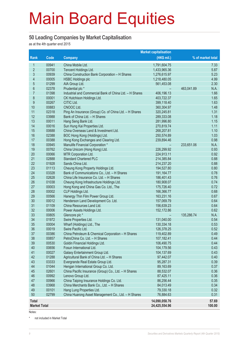#### **50 Leading Companies by Market Capitalisation**

as at the 4th quarter end 2015

|                     |                |                                                                                     | <b>Market capitalisation</b> |                    |
|---------------------|----------------|-------------------------------------------------------------------------------------|------------------------------|--------------------|
| Rank                | Code           | <b>Company</b>                                                                      | (HK\$ mil.)                  | % of market total  |
| 1                   | 00941          | China Mobile Ltd.                                                                   | 1,791,604.75                 | 7.33               |
| $\overline{2}$      | 00700          | Tencent Holdings Ltd.                                                               | 1,433,965.36                 | 5.87               |
| 3                   | 00939          | China Construction Bank Corporation - H Shares                                      | 1,276,615.97                 | 5.23               |
| 4                   | 00005          | <b>HSBC Holdings plc</b>                                                            | 1,218,480.05                 | 4.99               |
| 5                   | 01299          | AIA Group Ltd.                                                                      | 561,453.08                   | 2.30               |
| $6\phantom{a}$      | 02378          | Prudential plc *                                                                    |                              | 463,041.89<br>N.A. |
| 7                   | 01398          | Industrial and Commercial Bank of China Ltd. - H Shares                             | 406,196.13                   | 1.66               |
| 8                   | 00001          | CK Hutchison Holdings Ltd.                                                          | 403,722.37                   | 1.65               |
| 9                   | 00267          | CITIC Ltd.                                                                          | 399,118.40                   | 1.63               |
| 10                  | 00883          | CNOOC Ltd.                                                                          | 360,304.97                   | 1.48               |
| 11                  | 02318          | Ping An Insurance (Group) Co. of China Ltd. - H Shares                              | 320,245.81                   | 1.31               |
| 12                  | 03988          | Bank of China Ltd. - H Shares                                                       | 289,333.08                   | 1.18               |
| 13                  | 00011          | Hang Seng Bank Ltd.                                                                 | 281,996.80                   | 1.15               |
| 14                  | 00016          | Sun Hung Kai Properties Ltd.                                                        | 270,819.74                   | 1.11               |
| 15                  | 00688          | China Overseas Land & Investment Ltd.                                               | 268,207.81                   | 1.10               |
| 16                  | 02388          | BOC Hong Kong (Holdings) Ltd.                                                       | 250,574.89                   | 1.03               |
| 17                  | 00388          | Hong Kong Exchanges and Clearing Ltd.                                               | 239,894.46                   | 0.98               |
| 18                  | 00945          | Manulife Financial Corporation *                                                    |                              | N.A.<br>233,651.06 |
| 19                  | 00762          | China Unicom (Hong Kong) Ltd.                                                       | 226,299.92                   | 0.93               |
| 20                  | 00066          | MTR Corporation Ltd.                                                                | 224,913.11                   | 0.92               |
| 21                  | 02888          | <b>Standard Chartered PLC</b>                                                       | 214,385.84                   | 0.88               |
| 22                  | 01928          | Sands China Ltd.                                                                    | 214,237.20                   | 0.88               |
| 23                  | 01113          | Cheung Kong Property Holdings Ltd.                                                  | 194,527.80                   | 0.80               |
| 24                  | 03328          | Bank of Communications Co., Ltd. - H Shares                                         | 191, 164. 77                 | 0.78               |
| 25                  | 02628          | China Life Insurance Co. Ltd. - H Shares                                            | 186,401.43                   | 0.76               |
| 26                  | 01038          | Cheung Kong Infrastructure Holdings Ltd.                                            | 180,908.07                   | 0.74               |
| 27                  | 00003          | Hong Kong and China Gas Co. Ltd., The                                               | 175,726.40                   | 0.72               |
| 28                  | 00002          | CLP Holdings Ltd.                                                                   | 166,366.77                   | 0.68               |
| 29                  | 00566          | Hanergy Thin Film Power Group Ltd.                                                  | 163,231.16                   | 0.67               |
| 30                  | 00012          | Henderson Land Development Co. Ltd.                                                 | 157,069.79                   | 0.64               |
| 31                  | 01109          | China Resources Land Ltd.                                                           | 156,639.23                   | 0.64               |
| 32                  | 00006          | Power Assets Holdings Ltd.                                                          | 152,172.86                   | 0.62               |
| 33                  | 00805          | Glencore plc *                                                                      |                              | 135,286.74<br>N.A. |
| 34                  | 01972          | Swire Properties Ltd.                                                               | 131,040.00                   | 0.54               |
| 35                  | 00004          | Wharf (Holdings) Ltd., The                                                          | 130,334.18                   | 0.53               |
| 36                  | 00019<br>00386 | Swire Pacific Ltd.                                                                  | 126,378.25                   | 0.52               |
| 37<br>38            | 00857          | China Petroleum & Chemical Corporation - H Shares<br>PetroChina Co. Ltd. - H Shares | 119,402.89<br>107,182.41     | 0.49<br>0.44       |
| 39                  | 00530          | Goldin Financial Holdings Ltd.                                                      | 106,490.75                   | 0.44               |
| 40                  | 00656          | Fosun International Ltd.                                                            | 104,179.56                   | 0.43               |
| 41                  | 00027          | Galaxy Entertainment Group Ltd.                                                     | 104,137.69                   | 0.43               |
| 42                  | 01288          | Agricultural Bank of China Ltd. - H Shares                                          | 97,442.07                    | 0.40               |
| 43                  | 03333          | Evergrande Real Estate Group Ltd.                                                   | 95,287.31                    | 0.39               |
| 44                  | 01044          | Hengan International Group Co. Ltd.                                                 | 89,163.69                    | 0.37               |
| 45                  | 02601          | China Pacific Insurance (Group) Co., Ltd. - H Shares                                | 88,532.07                    | 0.36               |
| 46                  | 00992          | Lenovo Group Ltd.                                                                   | 87,425.11                    | 0.36               |
| 47                  | 00966          | China Taiping Insurance Holdings Co. Ltd.                                           | 86,256.44                    | 0.35               |
| 48                  | 03968          | China Merchants Bank Co., Ltd. - H Shares                                           | 84,013.49                    | 0.34               |
| 49                  | 00101          | Hang Lung Properties Ltd.                                                           | 79,330.18                    | 0.32               |
| 50                  | 02799          | China Huarong Asset Management Co., Ltd. - H Shares                                 | 76,884.63                    | 0.31               |
|                     |                |                                                                                     |                              |                    |
| <b>Total</b>        |                |                                                                                     | 14,090,058.76                | 57.69              |
| <b>Market Total</b> |                |                                                                                     | 24,425,554.96                | 100.00             |

Notes:

\* not included in Market Total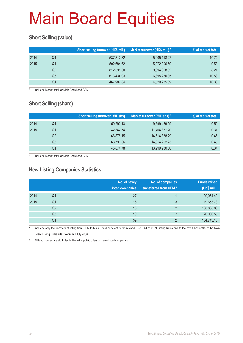### **Short Selling (value)**

|      |    | Short selling turnover (HK\$ mil.) | Market turnover (HK\$ mil.) * | % of market total |
|------|----|------------------------------------|-------------------------------|-------------------|
| 2014 | Q4 | 537,312.82                         | 5,005,118.22                  | 10.74             |
| 2015 | Q1 | 502.684.62                         | 5,272,006.50                  | 9.53              |
|      | Q2 | 812.595.30                         | 9,894,068.82                  | 8.21              |
|      | Q3 | 673,434.03                         | 6,395,260.35                  | 10.53             |
|      | Q4 | 467,982.84                         | 4,529,285.89                  | 10.33             |

Included Market total for Main Board and GEM

### **Short Selling (share)**

|      |    | <b>Short selling turnover (Mil. shs)</b> | Market turnover (Mil. shs) * | % of market total |
|------|----|------------------------------------------|------------------------------|-------------------|
| 2014 | Q4 | 50,290.13                                | 9,599,469.09                 | 0.52              |
| 2015 | Q1 | 42,342.54                                | 11,464,887.20                | 0.37              |
|      | Q2 | 66,878.15                                | 14,614,838.29                | 0.46              |
|      | Q3 | 63,796.36                                | 14,314,202.23                | 0.45              |
|      | Q4 | 45,874.78                                | 13,299,980.60                | 0.34              |

Included Market total for Main Board and GEM

#### **New Listing Companies Statistics**

|      |    | No. of newly<br>listed companies | No. of companies<br>transferred from GEM* | <b>Funds raised</b><br>(HK\$ mil.) # |
|------|----|----------------------------------|-------------------------------------------|--------------------------------------|
| 2014 | Q4 | 27                               |                                           | 100,054.42                           |
| 2015 | Q1 | 16                               | 3                                         | 19,653.73                            |
|      | Q2 | 16                               | 2                                         | 108,838.86                           |
|      | Q3 | 19                               |                                           | 26,086.55                            |
|      | Q4 | 39                               | C                                         | 104,743.10                           |

Included only the transfers of listing from GEM to Main Board pursuant to the revised Rule 9.24 of GEM Listing Rules and to the new Chapter 9A of the Main Board Listing Rules effective from 1 July 2008

# All funds raised are attributed to the initial public offers of newly listed companies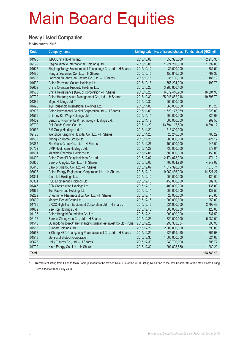#### **Newly Listed Companies**

for 4th quarter 2015

| Code         | <b>Company name</b>                                          |            |                | Listing date No. of issued shares Funds raised (HK\$ mil.) |
|--------------|--------------------------------------------------------------|------------|----------------|------------------------------------------------------------|
| 01970        | IMAX China Holding, Inc.                                     | 2015/10/08 | 355,325,000    | 2,210.30                                                   |
| 02199        | Regina Miracle International (Holdings) Ltd.                 | 2015/10/08 | 1,224,250,000  | 1,899.80                                                   |
| 01527        | Zhejiang Tengy Environmental Technology Co., Ltd. - H Shares | 2015/10/12 | 35,000,000     | 381.50                                                     |
| 01476        | Hengtai Securities Co., Ltd. - H Shares                      | 2015/10/15 | 450,846,000    | 1,767.32                                                   |
| 01533        | Lanzhou Zhuangyuan Pasture Co., Ltd. - H Shares              | 2015/10/15 | 35,130,000     | 186.19                                                     |
| 01532        | China Partytime Culture Holdings Ltd.                        | 2015/10/16 | 756,234,000    | 193.73                                                     |
| 02669        | China Overseas Property Holdings Ltd.                        | 2015/10/23 | 3,286,860,460  |                                                            |
| 01508        | China Reinsurance (Group) Corporation - H Shares             | 2015/10/26 | 6,679,416,700  | 16,394.93                                                  |
| 02799        | China Huarong Asset Management Co., Ltd. - H Shares          | 2015/10/30 | 25,043,852,918 | 19,696.70                                                  |
| 01389        | Major Holdings Ltd. *                                        | 2015/10/30 | 960,000,000    |                                                            |
| 01495        | Jiyi Household International Holdings Ltd.                   | 2015/11/06 | 360,000,000    | 115.20                                                     |
| 03908        | China International Capital Corporation Ltd. - H Shares      | 2015/11/09 | 1,520,177,369  | 7,228.03                                                   |
| 01556        | Chinney Kin Wing Holdings Ltd.                               | 2015/11/11 | 1,500,000,000  | 225.68                                                     |
| 01452        | Denox Environmental & Technology Holdings Ltd.               | 2015/11/12 | 500,000,000    | 262.50                                                     |
| 03799        | Dali Foods Group Co. Ltd.                                    | 2015/11/20 | 13,694,117,500 | 8,894.12                                                   |
| 00932        | RM Group Holdings Ltd. *                                     | 2015/11/20 | 516,300,000    |                                                            |
| 02120        | Wenzhou Kangning Hospital Co., Ltd. - H Shares               | 2015/11/20 | 20,240,000     | 783.29                                                     |
| 01538        | Zhong Ao Home Group Ltd.                                     | 2015/11/25 | 800,000,000    | 421.12                                                     |
| 06865        | Flat Glass Group Co., Ltd. - H Shares                        | 2015/11/26 | 450,000,000    | 945.00                                                     |
| 00722        | UMP Healthcare Holdings Ltd.                                 | 2015/11/27 | 736,000,000    | 379.04                                                     |
| 01561        | Manfield Chemical Holdings Ltd.                              | 2015/12/01 | 600,000,000    | 150.00                                                     |
| 01492        | China ZhongDi Dairy Holdings Co. Ltd.                        | 2015/12/02 | 2,174,078,000  | 471.12                                                     |
| 03866        | Bank of Qingdao Co., Ltd. - H Shares                         | 2015/12/03 | 1,763,034,980  | 4,949.02                                                   |
| 00416        | Bank of Jinzhou Co., Ltd. - H Shares                         | 2015/12/07 | 1,517,320,000  | 7,070.71                                                   |
| 03996        | China Energy Engineering Corporation Ltd. - H Shares         | 2015/12/10 | 9,262,436,000  | 14,727.27                                                  |
| 01341        | Clear Lift Holdings Ltd.                                     | 2015/12/10 | 1,000,000,000  | 120.00                                                     |
| 00331        | FSE Engineering Holdings Ltd.                                | 2015/12/10 | 450,000,000    | 309.38                                                     |
| 01447        | SFK Construction Holdings Ltd.                               | 2015/12/10 | 400,000,000    | 135.00                                                     |
| 01979        | Ten Pao Group Holdings Ltd.                                  | 2015/12/11 | 1,000,000,000  | 137.50                                                     |
| 02289        | Chuangmei Pharmaceutical Co., Ltd. - H Shares                | 2015/12/14 | 28,000,000     | 240.80                                                     |
| 03600        | Modern Dental Group Ltd.                                     | 2015/12/15 | 1,000,000,000  | 1,050.00                                                   |
| 01786        | CRCC High-Tech Equipment Corporation Ltd. - H Shares         | 2015/12/16 | 531,900,000    | 2,792.48                                                   |
| 01662        | Yee Hop Holdings Ltd.                                        | 2015/12/18 | 500,000,000    | 125.00                                                     |
| 01197        | China Hengshi Foundation Co. Ltd.                            | 2015/12/21 | 1,000,000,000  | 537.50                                                     |
| 06196        | Bank of Zhengzhou Co., Ltd. - H Shares                       | 2015/12/23 | 1,320,000,000  | 5,082.00                                                   |
| 01543        | Guangdong Join-Share Financing Guarantee Invest Co Ltd-H Shs | 2015/12/23 | 293,333,334    | 398.93                                                     |
| 01568        | Sundart Holdings Ltd.                                        | 2015/12/29 | 2,000,000,000  | 690.00                                                     |
| 01558        | YiChang HEC ChangJiang Pharmaceutical Co., Ltd. - H Shares   | 2015/12/29 | 225,659,450    | 1,351.98                                                   |
| 01548        | <b>Genscript Biotech Corporation</b>                         | 2015/12/30 | 1,600,000,000  | 524.00                                                     |
| 03678        | Holly Futures Co., Ltd. - H Shares                           | 2015/12/30 | 249,700,000    | 606.77                                                     |
| 01799        | Xinte Energy Co., Ltd. - H Shares                            | 2015/12/30 | 292,698,830    | 1,289.20                                                   |
| <b>Total</b> |                                                              |            |                | 104,743.10                                                 |

\* Transfers of listing from GEM to Main Board pursuant to the revised Rule 9.24 of the GEM Listing Rules and to the new Chapter 9A of the Main Board Listing Rules effective from 1 July 2008.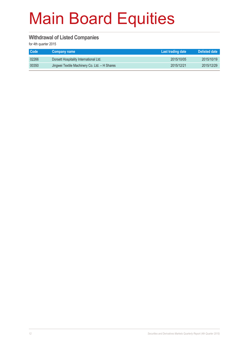#### **Withdrawal of Listed Companies**

| <b>Code</b> | Company name                                  | Last trading date | Delisted date |
|-------------|-----------------------------------------------|-------------------|---------------|
| 02266       | Dorsett Hospitality International Ltd.        | 2015/10/05        | 2015/10/19    |
| 00350       | Jingwei Textile Machinery Co. Ltd. - H Shares | 2015/12/21        | 2015/12/29    |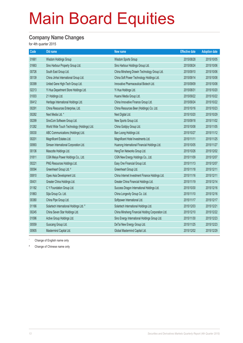#### **Company Name Changes**

for 4th quarter 2015

| Code  | Old name                                    | New name                                          | <b>Effective date</b> | <b>Adoption date</b> |
|-------|---------------------------------------------|---------------------------------------------------|-----------------------|----------------------|
| 01661 | Wisdom Holdings Group                       | Wisdom Sports Group                               | 2015/08/28            | 2015/10/05           |
| 01663 | Sino Harbour Property Group Ltd.            | Sino Harbour Holdings Group Ltd.                  | 2015/08/24            | 2015/10/06           |
| 00726 | South East Group Ltd.                       | China Minsheng Drawin Technology Group Ltd.       | 2015/09/10            | 2015/10/06           |
| 00139 | China Jinhai International Group Ltd.       | China Soft Power Technology Holdings Ltd.         | 2015/09/14            | 2015/10/08           |
| 00399 | United Gene High-Tech Group Ltd.            | Innovative Pharmaceutical Biotech Ltd.            | 2015/09/09            | 2015/10/08           |
| 02213 | Yi Hua Department Store Holdings Ltd.       | Yi Hua Holdings Ltd.                              | 2015/08/31            | 2015/10/20           |
| 01003 | 21 Holdings Ltd.                            | Huanxi Media Group Ltd.                           | 2015/09/22            | 2015/10/22           |
| 00412 | Heritage International Holdings Ltd.        | China Innovative Finance Group Ltd.               | 2015/09/24            | 2015/10/22           |
| 00291 | China Resources Enterprise, Ltd.            | China Resources Beer (Holdings) Co. Ltd.          | 2015/10/16            | 2015/10/23           |
| 00282 | Next Media Ltd. *                           | Next Digital Ltd.                                 | 2015/10/20            | 2015/10/29           |
| 00299 | SinoCom Software Group Ltd.                 | New Sports Group Ltd.                             | 2015/09/18            | 2015/11/02           |
| 01282 | World Wide Touch Technology (Holdings) Ltd. | China Goldjoy Group Ltd.                          | 2015/10/08            | 2015/11/05           |
| 00030 | ABC Communications (Holdings) Ltd.          | Ban Loong Holdings Ltd.                           | 2015/10/27            | 2015/11/12           |
| 00201 | Magnificent Estates Ltd.                    | Magnificent Hotel Investments Ltd.                | 2015/11/11            | 2015/11/25           |
| 00993 | Simsen International Corporation Ltd.       | Huarong International Financial Holdings Ltd.     | 2015/10/05            | 2015/11/27           |
| 00136 | Mascotte Holdings Ltd.                      | HengTen Networks Group Ltd.                       | 2015/10/26            | 2015/12/02           |
| 01811 | CGN Meiya Power Holdings Co., Ltd.          | CGN New Energy Holdings Co., Ltd.                 | 2015/11/09            | 2015/12/07           |
| 00221 | PNG Resources Holdings Ltd.                 | Easy One Financial Group Ltd.                     | 2015/11/13            | 2015/12/07           |
| 00094 | Greenheart Group Ltd. #                     | Greenheart Group Ltd.                             | 2015/11/18            | 2015/12/11           |
| 00810 | Opes Asia Development Ltd.                  | China Internet Investment Finance Holdings Ltd.   | 2015/11/16            | 2015/12/11           |
| 00431 | Greater China Holdings Ltd.                 | Greater China Financial Holdings Ltd.             | 2015/11/19            | 2015/12/14           |
| 01182 | C Y Foundation Group Ltd.                   | Success Dragon International Holdings Ltd.        | 2015/10/30            | 2015/12/16           |
| 01863 | Sijia Group Co. Ltd.                        | China Longevity Group Co. Ltd.                    | 2015/11/10            | 2015/12/16           |
| 00380 | China Pipe Group Ltd.                       | Softpower International Ltd.                      | 2015/11/17            | 2015/12/17           |
| 01166 | Solartech International Holdings Ltd. #     | Solartech International Holdings Ltd.             | 2015/12/03            | 2015/12/21           |
| 00245 | China Seven Star Holdings Ltd.              | China Minsheng Financial Holding Corporation Ltd. | 2015/12/10            | 2015/12/22           |
| 01096 | Active Group Holdings Ltd.                  | Sino Energy International Holdings Group Ltd.     | 2015/11/30            | 2015/12/23           |
| 00559 | Guocang Group Ltd.                          | DeTai New Energy Group Ltd.                       | 2015/11/25            | 2015/12/23           |
| 00905 | Mastermind Capital Ltd.                     | Global Mastermind Capital Ltd.                    | 2015/12/02            | 2015/12/29           |
|       |                                             |                                                   |                       |                      |

Change of English name only

# Change of Chinese name only

\*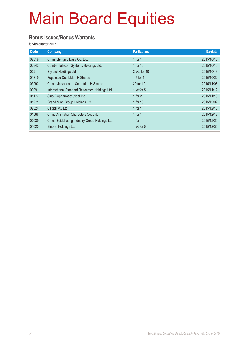#### **Bonus Issues/Bonus Warrants**

| Code  | Company                                        | <b>Particulars</b> | Ex-date    |
|-------|------------------------------------------------|--------------------|------------|
| 02319 | China Mengniu Dairy Co. Ltd.                   | 1 for $1$          | 2015/10/13 |
| 02342 | Comba Telecom Systems Holdings Ltd.            | 1 for 10           | 2015/10/15 |
| 00211 | Styland Holdings Ltd.                          | 2 wts for 10       | 2015/10/16 |
| 01819 | Fuguiniao Co., Ltd. - H Shares                 | $1.5$ for 1        | 2015/10/22 |
| 03993 | China Molybdenum Co., Ltd. - H Shares          | 20 for 10          | 2015/11/03 |
| 00091 | International Standard Resources Holdings Ltd. | 1 wt for 5         | 2015/11/12 |
| 01177 | Sino Biopharmaceutical Ltd.                    | 1 for $2$          | 2015/11/13 |
| 01271 | Grand Ming Group Holdings Ltd.                 | 1 for 10           | 2015/12/02 |
| 02324 | Capital VC Ltd.                                | 1 for $1$          | 2015/12/15 |
| 01566 | China Animation Characters Co. Ltd.            | 1 for $1$          | 2015/12/18 |
| 00039 | China Beidahuang Industry Group Holdings Ltd.  | 1 for $1$          | 2015/12/29 |
| 01020 | Sinoref Holdings Ltd.                          | 1 wt for 5         | 2015/12/30 |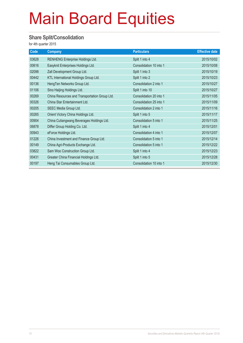#### **Share Split/Consolidation**

| Code  | <b>Company</b>                                | <b>Particulars</b>      | <b>Effective date</b> |
|-------|-----------------------------------------------|-------------------------|-----------------------|
| 03628 | RENHENG Enterprise Holdings Ltd.              | Split 1 into 4          | 2015/10/02            |
| 00616 | Easyknit Enterprises Holdings Ltd.            | Consolidation 10 into 1 | 2015/10/08            |
| 02098 | Zall Development Group Ltd.                   | Split 1 into 3          | 2015/10/19            |
| 00442 | KTL International Holdings Group Ltd.         | Split 1 into 2          | 2015/10/23            |
| 00136 | HengTen Networks Group Ltd.                   | Consolidation 2 into 1  | 2015/10/27            |
| 01106 | Sino Haijing Holdings Ltd.                    | Split 1 into 10         | 2015/10/27            |
| 00269 | China Resources and Transportation Group Ltd. | Consolidation 20 into 1 | 2015/11/05            |
| 00326 | China Star Entertainment Ltd.                 | Consolidation 25 into 1 | 2015/11/09            |
| 00205 | SEEC Media Group Ltd.                         | Consolidation 2 into 1  | 2015/11/16            |
| 00265 | Orient Victory China Holdings Ltd.            | Split 1 into 5          | 2015/11/17            |
| 00904 | China Culiangwang Beverages Holdings Ltd.     | Consolidation 5 into 1  | 2015/11/25            |
| 06878 | Differ Group Holding Co. Ltd.                 | Split 1 into 4          | 2015/12/01            |
| 00943 | eForce Holdings Ltd.                          | Consolidation 4 into 1  | 2015/12/07            |
| 01226 | China Investment and Finance Group Ltd.       | Consolidation 5 into 1  | 2015/12/14            |
| 00149 | China Agri-Products Exchange Ltd.             | Consolidation 5 into 1  | 2015/12/22            |
| 03822 | Sam Woo Construction Group Ltd.               | Split 1 into 4          | 2015/12/23            |
| 00431 | Greater China Financial Holdings Ltd.         | Split 1 into 5          | 2015/12/28            |
| 00197 | Heng Tai Consumables Group Ltd.               | Consolidation 10 into 1 | 2015/12/30            |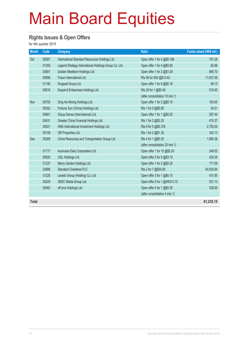#### **Rights Issues & Open Offers**

| <b>Month</b> | Code  | <b>Company</b>                                        | Ratio                           | Funds raised (HK\$ mil.) |
|--------------|-------|-------------------------------------------------------|---------------------------------|--------------------------|
| Oct          | 00091 | International Standard Resources Holdings Ltd.        | Open offer 1 for 4 @\$0.168     | 191.28                   |
|              | 01355 | Legend Strategy International Holdings Group Co. Ltd. | Open offer 1 for 4 $@$0.80$     | 62.96                    |
|              | 00801 | Golden Meditech Holdings Ltd.                         | Open offer 1 for 2 @\$1.00      | 985.70                   |
|              | 00656 | Fosun International Ltd.                              | Rts 56 for 500 @\$13.42         | 11,637.59                |
|              | 01195 | Kingwell Group Ltd.                                   | Open offer 1 for 9 @\$0.16      | 46.15                    |
|              | 00616 | Easyknit Enterprises Holdings Ltd.                    | Rts 20 for 1 @\$0.48            | 510.45                   |
|              |       |                                                       | (after consolidation 10 into 1) |                          |
| Nov          | 00705 | Ding He Mining Holdings Ltd.                          | Open offer 1 for 2 @\$0.10      | 183.65                   |
|              | 00352 | Fortune Sun (China) Holdings Ltd.                     | Rts 1 for 5 @\$0.85             | 34.51                    |
|              | 00601 | Group Sense (International) Ltd.                      | Open offer 1 for 1 @\$0.20      | 287.44                   |
|              | 00431 | Greater China Financial Holdings Ltd.                 | Rts 1 for 2 @\$2.20             | 474.37                   |
|              | 00521 | HNA International Investment Holdings Ltd.            | Rts 9 for 5 @\$0.376            | 2,755.54                 |
|              | 00108 | GR Properties Ltd.                                    | Rts 1 for 2 @\$1.30             | 343.13                   |
| Dec          | 00269 | China Resources and Transportation Group Ltd.         | Rts 4 for 1 @\$0.20             | 1,080.38                 |
|              |       |                                                       | (after consolidation 20 into 1) |                          |
|              | 01717 | Ausnutria Dairy Corporation Ltd.                      | Open offer 1 for 10 @\$2.20     | 249.55                   |
|              | 00620 | UDL Holdings Ltd.                                     | Open offer 2 for 5 @\$3.10      | 420.39                   |
|              | 01237 | Merry Garden Holdings Ltd.                            | Open offer 1 for 2 @\$0.20      | 171.59                   |
|              | 02888 | <b>Standard Chartered PLC</b>                         | Rts 2 for 7 @\$55.60            | 40,500.84                |
|              | 01225 | Lerado Group (Holding) Co. Ltd.                       | Open offer 3 for 1 @\$0.15      | 431.85                   |
|              | 00205 | SEEC Media Group Ltd.                                 | Open offer 5 for 1 @HKD 0.10    | 531.13                   |
|              | 00943 | eForce Holdings Ltd.                                  | Open offer 4 for 1 @\$0.35      | 336.65                   |
|              |       |                                                       | (after consolidation 4 into 1)  |                          |
| <b>Total</b> |       |                                                       |                                 | 61,235.15                |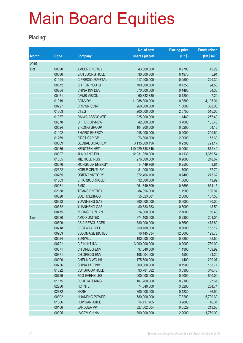### **Placing\***

|              |       |                        | No. of new      | <b>Placing price</b> | <b>Funds raised</b> |
|--------------|-------|------------------------|-----------------|----------------------|---------------------|
| <b>Month</b> | Code  | <b>Company</b>         | shares placed   | (HKS)                | (HK\$ mil.)         |
| 2015         |       |                        |                 |                      |                     |
| Oct          | 00090 | <b>AMBER ENERGY</b>    | 43,600,000      | 0.9700               | 42.29               |
|              | 00030 | <b>BAN LOONG HOLD</b>  | 30,000,000      | 0.1970               | 5.91                |
|              | 01194 | C PRECIOUSMETAL        | 917,200,000     | 0.2500               | 229.30              |
|              | 00572 | CH FOR YOU GP          | 700,000,000     | 0.1350               | 94.50               |
|              | 00204 | CHINA INV DEV          | 570,000,000     | 0.1480               | 84.36               |
|              | 00471 | <b>CMMB VISION</b>     | 60,332,830      | 0.1200               | 7.24                |
|              | 01019 | <b>CONVOY</b>          | 11,988,300,000  | 0.3500               | 4,195.91            |
|              | 00727 | <b>CROWNICORP</b>      | 260,000,000     | 1.3000               | 338.00              |
|              | 01363 | <b>CTEG</b>            | 200,000,000     | 2.5750               | 515.00              |
|              | 01037 | <b>DAIWA ASSOCIATE</b> | 225,000,000     | 1.1440               | 257.40              |
|              | 06878 | <b>DIFFER GP-NEW</b>   | 42,000,000      | 3.7000               | 155.40              |
|              | 00524 | <b>E-KONG GROUP</b>    | 104,200,000     | 0.5200               | 54.18               |
|              | 01102 | <b>ENVIRO ENERGY</b>   | 1,048,000,000   | 0.2000               | 209.60              |
|              | 01269 | <b>FIRST CAP GP</b>    | 76,800,000      | 2.0000               | 153.60              |
|              | 00809 | <b>GLOBAL BIO-CHEM</b> | 3,135,509,196   | 0.2300               | 721.17              |
|              | 00136 | <b>HENGTEN NET</b>     | 110,229,738,846 | 0.0061               | 672.40              |
|              | 00397 | <b>JUN YANG FIN</b>    | 12,031,350,000  | 0.1130               | 1,359.54            |
|              | 01555 | <b>MIE HOLDINGS</b>    | 276,300,000     | 0.9000               | 248.67              |
|              | 00276 | MONGOLIA ENERGY        | 14,449,760      | 0.2500               | 3.61                |
|              | 02322 | <b>NOBLE CENTURY</b>   | 81,000,000      | 1.7000               | 137.70              |
|              | 00265 | ORIENT VICTORY         | 372,466,100     | 0.7400               | 275.62              |
|              | 01663 | S HARBOURHOLD          | 32,000,000      | 1.5600               | 49.92               |
|              | 00981 | <b>SMIC</b>            | 961,849,809     | 0.6593               | 634.15              |
|              | 02188 | <b>TITANS ENERGY</b>   | 84,096,000      | 1.1900               | 100.07              |
|              | 00620 | <b>UDL HOLDINGS</b>    | 55,023,081      | 2.5000               | 137.56              |
|              | 00332 | YUANHENG GAS           | 300,000,000     | 0.6000               | 180.00              |
|              | 00332 | YUANHENG GAS           | 80,833,333      | 0.6000               | 48.50               |
|              | 00475 | <b>ZHONG FA ZHAN</b>   | 24,000,000      | 2.1000               | 50.40               |
| Nov          | 00630 | <b>AMCO UNITED</b>     | 874,100,000     | 0.2300               | 201.04              |
|              | 00899 | <b>ASIA RESOURCES</b>  | 1,330,000,000   | 0.3600               | 478.80              |
|              | 00718 | <b>BESTWAY INT'L</b>   | 250,180,000     | 0.6600               | 165.12              |
|              | 00963 | <b>BLOOMAGE BIOTEC</b> | 16, 145, 834    | 12.0000              | 193.75              |
|              | 00024 | <b>BURWILL</b>         | 100,000,000     | 0.3250               | 32.50               |
|              | 00721 | C FIN INT INV          | 3,900,000,000   | 0.2000               | 780.00              |
|              | 00871 | CH DREDG ENV           | 97,340,000      | 1.1300               | 109.99              |
|              | 00871 | CH DREDG ENV           | 108,004,000     | 1.1500               | 124.20              |
|              | 00009 | CHEUNG WO IHL          | 175,500,000     | 1.1400               | 200.07              |
|              | 00736 | <b>CHINA PPT INV</b>   | 809,000,000     | 0.1900               | 153.71              |
|              | 01322 | <b>CW GROUP HOLD</b>   | 93,781,682      | 3.6300               | 340.43              |
|              | 00729 | <b>FDG EVEHICLES</b>   | 1,000,000,000   | 0.5000               | 500.00              |
|              | 01175 | FU JI CATERING         | 107,260,000     | 0.9100               | 97.61               |
|              | 02280 | HC INTL                | 74,540,000      | 3.8200               | 284.74              |
|              | 02882 | <b>HKRH</b>            | 300,000,000     | 0.1230               | 36.90               |
|              | 00902 | <b>HUANENG POWER</b>   | 780,000,000     | 7.3200               | 5,709.60            |
|              | 01886 | <b>HUIYUAN JUICE</b>   | 14, 117, 705    | 3.2800               | 46.31               |
|              | 00106 | <b>LANDSEA PPT</b>     | 327,002,604     | 0.6529               | 213.50              |
|              | 00095 | <b>LVGEM CHINA</b>     | 800,000,000     | 2.2000               | 1,760.00            |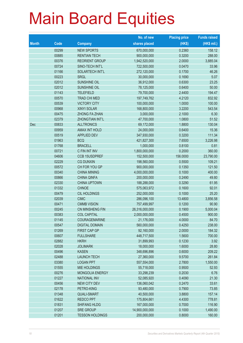|              |                |                                            | No. of new                | <b>Placing price</b> | <b>Funds raised</b> |
|--------------|----------------|--------------------------------------------|---------------------------|----------------------|---------------------|
| <b>Month</b> | Code           | <b>Company</b>                             | shares placed             | (HKS)                | (HK\$ mil.)         |
|              | 00299          | <b>NEW SPORTS</b>                          | 670,000,000               | 0.2360               | 158.12              |
|              | 00885          | <b>RENTIAN TECH</b>                        | 900,000,000               | 0.3200               | 288.00              |
|              | 00376          | <b>REORIENT GROUP</b>                      | 1,942,520,000             | 2.0000               | 3,885.04            |
|              | 00724          | SINO-TECH INT'L                            | 722,500,000               | 0.0470               | 33.96               |
|              | 01166          | SOLARTECH INT'L                            | 272,120,000               | 0.1700               | 46.26               |
|              | 00223          | <b>SRGL</b>                                | 30,000,000                | 0.1690               | 5.07                |
|              | 02012          | SUNSHINE OIL                               | 36,912,000                | 0.6300               | 23.25               |
|              | 02012          | <b>SUNSHINE OIL</b>                        | 78,125,000                | 0.6400               | 50.00               |
|              | 01143          | <b>TELEFIELD</b>                           | 79,700,000                | 2.4400               | 194.47              |
|              | 00570          | <b>TRAD CHI MED</b>                        | 197,749,762               | 4.2120               | 832.92              |
|              | 00539          | <b>VICTORY CITY</b>                        | 100,000,000               | 1.0000               | 100.00              |
|              | 00968          | <b>XINYI SOLAR</b>                         | 168,800,000               | 3.2200               | 543.54              |
|              | 00475          | ZHONG FA ZHAN                              | 3,000,000                 | 2.1000               | 6.30                |
|              | 02379          | ZHONGTIAN INT'L                            | 47,700,000                | 1.0800               | 51.52               |
| Dec          | 00833          | <b>ALLTRONICS</b>                          | 69,172,000                | 1.8800               | 130.04              |
|              | 00959          | <b>AMAX INT HOLD</b>                       | 24,000,000                | 0.6400               | 15.36               |
|              | 00519          | <b>APPLIED DEV</b>                         | 347,930,000               | 0.3200               | 111.34              |
|              | 01963          | <b>BCQ</b>                                 | 421,827,300               | 7.6500               | 3,226.98            |
|              | 01768          | <b>BRACELL</b>                             | 1,000,000                 | 0.8100               | 0.81                |
|              | 00721          | C FIN INT INV                              | 1,800,000,000             | 0.2000               | 360.00              |
|              | 04606          | <b>CCB 15USDPREF</b>                       | 152,500,000               | 156.0000             | 23,790.00           |
|              | 02229          | <b>CG DUNXIN</b>                           | 198,560,000               | 0.5500               | 109.21              |
|              | 00572          | CH FOR YOU GP                              | 900,000,000               | 0.1350               | 121.50              |
|              | 00340          | <b>CHINA MINING</b>                        | 4,000,000,000             | 0.1000               | 400.00              |
|              | 00866          | <b>CHINA QINFA</b>                         | 200,000,000               | 0.2490               | 49.80               |
|              | 02330          | <b>CHINA UPTOWN</b>                        | 188,288,000               | 0.3290               | 61.95               |
|              | 01332          | <b>CHNOE</b>                               | 575,063,972               | 0.1600               | 92.01               |
|              | 00479          | CIL HOLDINGS                               | 252,000,000               | 0.1000               | 25.20               |
|              | 02039          | <b>CIMC</b>                                | 286,096,100               | 13.4800              | 3,856.58            |
|              | 00471          | <b>CMMB VISION</b>                         | 757,499,997               | 0.1200               | 90.90               |
|              | 00245          | CN MINSHENG FIN                            | 26,316,000,000            | 0.1900               | 5,000.04            |
|              | 00383          | <b>COL CAPITAL</b>                         | 2,000,000,000             | 0.4500               | 900.00              |
|              | 01145          | <b>COURAGEMARINE</b>                       | 21,176,000                | 4.0000               | 84.70               |
|              | 00547          | <b>DIGITAL DOMAIN</b>                      | 560,000,000               | 0.4250               | 238.00              |
|              | 01269          | FIRST CAP GP                               | 92,160,000                | 2.0000               | 184.32              |
|              | 00607          | <b>FULLSHARE</b>                           | 448,717,500               | 1.5600               | 700.00              |
|              | 02882          | <b>HKRH</b>                                | 31,899,993                | 0.1230               | 3.92                |
|              | 02028          | <b>JOLIMARK</b><br><b>KASEN</b>            | 18,000,000                | 1.6000               | 28.80               |
|              | 00496          | <b>LAUNCH TECH</b>                         | 348,696,896               | 0.6000               | 209.22              |
|              | 02488          |                                            | 27,360,000                | 9.5700               | 261.84              |
|              | 03380          | <b>LOGAN PPT</b>                           | 557,554,000               | 2.7800               | 1,550.00            |
|              | 01555          | <b>MIE HOLDINGS</b>                        | 55,718,000                | 0.9500               | 52.93               |
|              | 00276          | MONGOLIA ENERGY                            | 33,298,239                | 0.2030               | 6.76                |
|              | 01227<br>00456 | <b>NATIONAL INV</b><br><b>NEW CITY DEV</b> | 52,085,920                | 0.4090<br>0.2470     | 21.30<br>33.61      |
|              | 02178          | PETRO-KING                                 | 136,060,042<br>93,480,000 | 0.7900               | 73.85               |
|              | 01348          | <b>QUALI-SMART</b>                         | 40,500,000                | 3.8800               | 157.14              |
|              | 01622          | <b>REDCO PPT</b>                           | 175,804,661               | 4.4300               | 778.81              |
|              | 01831          | <b>SHIFANG HLDG</b>                        | 167,000,000               | 0.7000               | 116.90              |
|              | 01207          | <b>SRE GROUP</b>                           | 14,900,000,000            | 0.1000               | 1,490.00            |
|              | 01201          | <b>TESSON HOLDINGS</b>                     | 200,000,000               | 0.8000               | 160.00              |
|              |                |                                            |                           |                      |                     |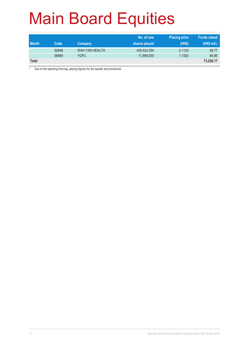| <b>Month</b> | Code  | Company        | No. of new<br>shares placed | <b>Placing price</b><br>(HKS) | <b>Funds raised</b><br>(HK\$ mil.) |
|--------------|-------|----------------|-----------------------------|-------------------------------|------------------------------------|
|              | 00648 | WAH YAN HEALTH | 435,424,554                 | 0.1120                        | 48.77                              |
|              | 06869 | YOFC           | 11,869,000                  | 7.1500                        | 84.86                              |
| <b>Total</b> |       |                |                             |                               | 73,236.17                          |

\* Due to the reporting time-lag, placing figures for the quarter are provisional.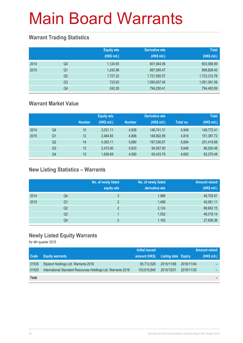### **Warrant Trading Statistics**

|      |                | <b>Equity wts</b><br>(HK\$ mil.) | <b>Derivative wts</b><br>(HK\$ mil.) | <b>Total</b><br>(HK\$ mil.) |
|------|----------------|----------------------------------|--------------------------------------|-----------------------------|
| 2014 | Q <sub>4</sub> | 1,124.93                         | 601,944.06                           | 603,068.99                  |
| 2015 | Q <sub>1</sub> | 1.242.98                         | 897,585.47                           | 898,828.45                  |
|      | Q <sub>2</sub> | 1.727.22                         | 1,721,585.57                         | 1,723,312.78                |
|      | Q3             | 723.63                           | 1,090,657.45                         | 1,091,381.08                |
|      | Q4             | 242.28                           | 794,250.41                           | 794,492.69                  |

### **Warrant Market Value**

|      |                |               | <b>Equity wts</b> |               | <b>Derivative wts</b> |           | <b>Total</b> |
|------|----------------|---------------|-------------------|---------------|-----------------------|-----------|--------------|
|      |                | <b>Number</b> | (HK\$ mil.)       | <b>Number</b> | (HK\$ mil.)           | Total no. | (HK\$ mil.)  |
| 2014 | Q4             | 10            | 3,031.11          | 4.938         | 146,741.31            | 4,948     | 149,772.41   |
| 2015 | Q1             | 12            | 2.484.83          | 4.806         | 148.902.89            | 4.818     | 151,387.72   |
|      | Q <sub>2</sub> | 14            | 4,383.11          | 5.680         | 197,036.57            | 5,694     | 201,419.68   |
|      | Q <sub>3</sub> | 13            | 2.472.60          | 5.633         | 84,057.90             | 5,646     | 86,530.49    |
|      | Q4             | 12            | 1,836.69          | 4,590         | 60,433.79             | 4,602     | 62,270.48    |

### **New Listing Statistics – Warrants**

|      |                | No. of newly listed<br>equity wts | No. of newly listed<br>derivative wts | <b>Amount raised</b><br>(HK\$ mil.) |
|------|----------------|-----------------------------------|---------------------------------------|-------------------------------------|
| 2014 | Q4             | 3                                 | 1,986                                 | 48,705.91                           |
| 2015 | Q1             | 2                                 | 1,498                                 | 40,081.11                           |
|      | Q <sub>2</sub> | っ                                 | 2,124                                 | 68,662.15                           |
|      | Q <sub>3</sub> |                                   | 1,552                                 | 46,018.14                           |
|      | Q4             | C                                 | 1,162                                 | 27,608.36                           |

### **Newly Listed Equity Warrants**

|              |                                                              | Initial issued |                            |            | <b>Amount raised</b> |
|--------------|--------------------------------------------------------------|----------------|----------------------------|------------|----------------------|
| Code         | <b>Equity warrants</b>                                       | amount (HK\$)  | <b>Listing date Expiry</b> |            | (HK\$ mil.)          |
| 01535        | Styland Holdings Ltd. Warrants 2016                          | 85,712,528     | 2015/11/06                 | 2016/11/04 |                      |
| 01425        | International Standard Resources Holdings Ltd. Warrants 2016 | 103,615,845    | 2015/12/01                 | 2016/11/30 |                      |
| <b>Total</b> |                                                              |                |                            |            |                      |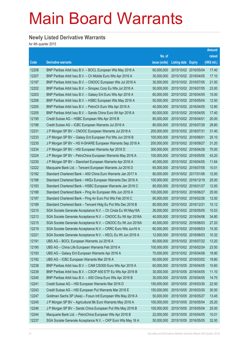#### **Newly Listed Derivative Warrants**

|                   |                                                              |               |                       | <b>Amount</b> |
|-------------------|--------------------------------------------------------------|---------------|-----------------------|---------------|
|                   |                                                              | No. of        |                       | raised        |
| $\overline{Code}$ | <b>Derivative warrants</b>                                   | issue (units) | Listing date Expiry   | (HK\$ mil.)   |
| 12208             | BNP Paribas Arbit Issu B.V. - BOCL European Wts May 2016 A   | 60,000,000    | 2015/10/02 2016/05/04 | 17.40         |
| 12207             | BNP Paribas Arbit Issu B.V. - Ch Mobile Euro Wts Apr 2016 A  | 30,000,000    | 2015/10/02 2016/04/05 | 17.10         |
| 12197             | BNP Paribas Arbit Issu B.V. - CNOOC European Wts Jul 2016 A  | 30,000,000    | 2015/10/02 2016/07/05 | 21.00         |
| 12202             | BNP Paribas Arbit Issu B.V. - Sinopec Corp Eu Wts Jul 2016 A | 50,000,000    | 2015/10/02 2016/07/05 | 23.00         |
| 12203             | BNP Paribas Arbit Issu B.V. - Galaxy Ent Euro Wts Apr 2016 A | 60,000,000    | 2015/10/02 2016/04/05 | 15.00         |
| 12206             | BNP Paribas Arbit Issu B.V. - HSBC European Wts May 2016 A   | 50,000,000    | 2015/10/02 2016/05/04 | 12.50         |
| 12200             | BNP Paribas Arbit Issu B.V. - PetroCh Euro Wts Apr 2016 A    | 40,000,000    | 2015/10/02 2016/04/05 | 12.80         |
| 12205             | BNP Paribas Arbit Issu B.V. - Sands China Euro Wt Apr 2016 A | 60,000,000    | 2015/10/02 2016/04/05 | 17.40         |
| 12195             | Credit Suisse AG - HSBC European Wts Apr 2016 B              | 80,000,000    | 2015/10/02 2016/04/01 | 20.00         |
| 12196             | Credit Suisse AG - ICBC European Warrants Jul 2016 A         | 80,000,000    | 2015/10/02 2016/07/29 | 28.80         |
| 12231             | J P Morgan SP BV - CNOOC European Warrants Jul 2018 A        | 200,000,000   | 2015/10/02 2018/07/31 | 31.40         |
| 12233             | J P Morgan SP BV - Galaxy Ent European Put Wts Jun 2016 B    | 100,000,000   | 2015/10/02 2016/06/01 | 25.10         |
| 12235             | J P Morgan SP BV - HS H-SHARE European Warrants Sep 2018 A   | 200,000,000   | 2015/10/02 2018/09/27 | 31.20         |
| 12234             | J P Morgan SP BV - HSI European Warrants Apr 2016 D          | 300,000,000   | 2015/10/02 2016/04/28 | 75.00         |
| 12224             | J P Morgan SP BV - PetroChina European Warrants May 2016 A   | 100,000,000   | 2015/10/02 2016/05/05 | 43.20         |
| 12230             | J P Morgan SP BV - Stanchart European Warrants Apr 2016 A    | 40,000,000    | 2015/10/02 2016/04/05 | 11.64         |
| 12222             | Macquarie Bank Ltd. - Tencent European Warrants Jul 2016 D   | 65,000,000    | 2015/10/02 2016/07/05 | 10.01         |
| 12182             | Standard Chartered Bank - A50 China Euro Warrants Jan 2017 A | 80,000,000    | 2015/10/02 2017/01/06 | 12.00         |
| 12186             | Standard Chartered Bank - HKEx European Warrants Dec 2016 A  | 100,000,000   | 2015/10/02 2016/12/19 | 25.00         |
| 12183             | Standard Chartered Bank – HSBC European Warrants Jan 2016 C  | 80,000,000    | 2015/10/02 2016/01/27 | 12.00         |
| 12188             | Standard Chartered Bank - Ping An European Wts Jun 2016 A    | 100,000,000   | 2015/10/02 2016/06/27 | 25.00         |
| 12187             | Standard Chartered Bank - Ping An Euro Put Wts Feb 2016 C    | 80,000,000    | 2015/10/02 2016/02/26 | 12.00         |
| 12189             | Standard Chartered Bank - Tencent Hidg Eu Put Wts Dec 2016 B | 80,000,000    | 2015/10/02 2016/12/21 | 15.12         |
| 12210             | SGA Societe Generale Acceptance N.V. - Ch Cinda Eu Wt May16A | 26,000,000    | 2015/10/02 2016/05/05 | 10.53         |
| 12213             | SGA Societe Generale Acceptance N.V. - CNOOC Eu Wt Apr 2016A | 40,000,000    | 2015/10/02 2016/04/06 | 34.80         |
| 12215             | SGA Societe Generale Acceptance N.V. - CNOOC Eu Wt Jun 2016A | 40,000,000    | 2015/10/02 2016/06/03 | 27.20         |
| 12219             | SGA Societe Generale Acceptance N.V. - CRRC Euro Wts Jun16 A | 60,000,000    | 2015/10/02 2016/06/03 | 15.30         |
| 12221             | SGA Societe Generale Acceptance N.V. - KECL Eu Wt Jun 2016 A | 12,000,000    | 2015/10/02 2016/06/03 | 10.32         |
| 12191             | UBS AG - BOCL European Warrants Jul 2016 A                   | 60,000,000    | 2015/10/02 2016/07/22 | 13.20         |
| 12190             | UBS AG - China Life European Warrants Feb 2016 A             | 100,000,000   | 2015/10/02 2016/02/24 | 23.50         |
| 12193             | UBS AG - Galaxy Ent European Warrants Apr 2016 A             | 70,000,000    | 2015/10/02 2016/04/08 | 18.90         |
| 12192             | UBS AG - ICBC European Warrants Mar 2016 A                   | 60,000,000    | 2015/10/02 2016/03/02 | 19.80         |
| 12238             | BNP Paribas Arbit Issu B.V. - CAM CSI300 Euro Wts Apr 2016 A | 60,000,000    | 2015/10/05 2016/04/05 | 15.60         |
| 12239             | BNP Paribas Arbit Issu B.V. - CSOP A50 ETF Eu Wts Apr 2016 B | 30,000,000    | 2015/10/05 2016/04/05 | 11.10         |
| 12240             | BNP Paribas Arbit Issu B.V. - A50 China Euro Wts Apr 2016 B  | 30,000,000    | 2015/10/05 2016/04/05 | 14.70         |
| 12241             | Credit Suisse AG - HSI European Warrants Mar 2016 D          | 150,000,000   | 2015/10/05 2016/03/30 | 22.50         |
| 12243             | Credit Suisse AG - HSI European Put Warrants Mar 2016 E      | 150,000,000   | 2015/10/05 2016/03/30 | 30.00         |
| 12247             | Goldman Sachs SP (Asia) - Fosun Intl European Wts May 2016 A | 50,000,000    | 2015/10/05 2016/05/27 | 13.45         |
| 12245             | J P Morgan SP BV - Agricultural Bk Euro Warrants May 2016 A  | 100,000,000   | 2015/10/05 2016/05/04 | 25.20         |
| 12246             | J P Morgan SP BV - Sands China European Put Wts May 2016 B   | 100,000,000   | 2015/10/05 2016/05/04 | 25.00         |
| 12244             | Macquarie Bank Ltd. - PetroChina European Wts Apr 2016 B     | 22,000,000    | 2015/10/05 2016/04/05 | 10.01         |
| 12237             | SGA Societe Generale Acceptance N.V. - CKP Euro Wts May 16 A | 50,000,000    | 2015/10/05 2016/05/05 | 32.00         |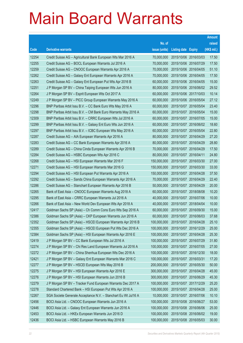|       |                                                                |               |                            |            | <b>Amount</b> |
|-------|----------------------------------------------------------------|---------------|----------------------------|------------|---------------|
|       |                                                                | No. of        |                            |            | raised        |
| Code  | <b>Derivative warrants</b>                                     | issue (units) | <b>Listing date Expiry</b> |            | (HK\$ mil.)   |
| 12254 | Credit Suisse AG - Agricultural Bank European Wts Mar 2016 A   | 70,000,000    | 2015/10/06 2016/03/03      |            | 17.50         |
| 12255 | Credit Suisse AG - BOCL European Warrants Jul 2016 A           | 70,000,000    | 2015/10/06 2016/07/29      |            | 17.50         |
| 12259 | Credit Suisse AG - CNOOC European Warrants Apr 2016 A          | 70,000,000    | 2015/10/06 2016/04/05      |            | 51.10         |
| 12262 | Credit Suisse AG - Galaxy Ent European Warrants Apr 2016 A     | 70,000,000    | 2015/10/06 2016/04/05      |            | 17.50         |
| 12263 | Credit Suisse AG - Galaxy Ent European Put Wts Apr 2016 B      | 60,000,000    | 2015/10/06 2016/04/05      |            | 15.00         |
| 12251 | J P Morgan SP BV - China Taiping European Wts Jun 2016 A       | 80,000,000    | 2015/10/06 2016/06/02      |            | 29.52         |
| 12264 | J P Morgan SP BV - Esprit European Wts Oct 2017 A              | 60,000,000    | 2015/10/06 2017/10/03      |            | 10.14         |
| 12249 | J P Morgan SP BV - PICC Group European Warrants May 2016 A     | 60,000,000    | 2015/10/06 2016/05/04      |            | 27.12         |
| 12296 | BNP Paribas Arbit Issu B.V. - CC Bank Euro Wts May 2016 A      | 60,000,000    | 2015/10/07 2016/05/04      |            | 23.40         |
| 12298 | BNP Paribas Arbit Issu B.V. - CM Bank Euro Warrants May 2016 A | 60,000,000    | 2015/10/07 2016/05/04      |            | 15.00         |
| 12309 | BNP Paribas Arbit Issu B.V. - CRRC European Wts Jul 2016 A     | 60,000,000    | 2015/10/07 2016/07/05      |            | 15.00         |
| 12299 | BNP Paribas Arbit Issu B.V. - Galaxy Ent Euro Wts Jun 2016 A   | 60,000,000    | 2015/10/07 2016/06/02      |            | 18.60         |
| 12297 | BNP Paribas Arbit Issu B.V. - ICBC European Wts May 2016 A     | 60,000,000    | 2015/10/07 2016/05/04      |            | 22.80         |
| 12287 | Credit Suisse AG - AIA European Warrants Apr 2016 A            | 80,000,000    | 2015/10/07 2016/04/29      |            | 27.20         |
| 12283 | Credit Suisse AG - CC Bank European Warrants Apr 2016 A        | 80,000,000    | 2015/10/07 2016/04/29      |            | 28.80         |
| 12289 | Credit Suisse AG - China Cinda European Warrants Apr 2016 B    | 70,000,000    | 2015/10/07 2016/04/29      |            | 17.50         |
| 12284 | Credit Suisse AG - HSBC European Wts Apr 2016 C                | 80,000,000    | 2015/10/07 2016/04/11      |            | 24.80         |
| 12268 | Credit Suisse AG - HSI European Warrants Mar 2016 F            | 150,000,000   | 2015/10/07 2016/03/30      |            | 27.00         |
| 12271 | Credit Suisse AG - HSI European Warrants Mar 2016 G            | 150,000,000   | 2015/10/07                 | 2016/03/30 | 33.00         |
| 12294 | Credit Suisse AG - HSI European Put Warrants Apr 2016 A        | 150,000,000   | 2015/10/07 2016/04/28      |            | 37.50         |
| 12292 | Credit Suisse AG - Sands China European Warrants Apr 2016 A    | 70,000,000    | 2015/10/07 2016/04/29      |            | 22.40         |
| 12286 | Credit Suisse AG - Stanchart European Warrants Apr 2016 B      | 50,000,000    | 2015/10/07 2016/04/29      |            | 20.00         |
| 12265 | Bank of East Asia - CNOOC European Warrants Aug 2018 A         | 60,000,000    | 2015/10/07 2018/08/08      |            | 10.20         |
| 12295 | Bank of East Asia – CRRC European Warrants Jul 2016 A          | 40,000,000    | 2015/10/07 2016/07/06      |            | 10.00         |
| 12266 | Bank of East Asia - New World Dev European Wts Apr 2018 A      | 40,000,000    | 2015/10/07 2018/04/04      |            | 10.00         |
| 12417 | Goldman Sachs SP (Asia) - Ch Comm Cons Euro Wts Sep 2016 A     | 60,000,000    | 2015/10/07 2016/09/30      |            | 15.00         |
| 12386 | Goldman Sachs SP (Asia) - CKP European Warrants Jun 2016 A     | 60,000,000    | 2015/10/07 2016/06/03      |            | 37.68         |
| 12352 | Goldman Sachs SP (Asia) - HSCEI European Warrants Apr 2016 B   | 100,000,000   | 2015/10/07 2016/04/28      |            | 25.10         |
| 12355 | Goldman Sachs SP (Asia) - HSCEI European Put Wts Dec 2016 A    | 100,000,000   | 2015/10/07 2016/12/29      |            | 25.00         |
| 12384 | Goldman Sachs SP (Asia) - HSI European Warrants Apr 2016 E     | 100,000,000   | 2015/10/07 2016/04/28      |            | 25.30         |
| 12419 | J P Morgan SP BV - CC Bank European Wts Jul 2016 A             | 100,000,000   | 2015/10/07 2016/07/29      |            | 31.80         |
| 12274 | J P Morgan SP BV - Chi Res Land European Warrants Jul 2016 A   | 100,000,000   | 2015/10/07 2016/07/05      |            | 27.00         |
| 12272 | J P Morgan SP BV - China Shenhua European Wts Dec 2016 A       | 100,000,000   | 2015/10/07 2016/12/30      |            | 18.00         |
| 12421 | J P Morgan SP BV - Galaxy Ent European Warrants Mar 2016 C     | 100,000,000   | 2015/10/07 2016/03/31      |            | 17.20         |
| 12277 | J P Morgan SP BV - HSCEI European Wts May 2016 B               | 200,000,000   | 2015/10/07 2016/05/30      |            | 50.00         |
| 12275 | J P Morgan SP BV - HSI European Warrants Apr 2016 E            | 300,000,000   | 2015/10/07 2016/04/28      |            | 45.00         |
| 12276 | J P Morgan SP BV - HSI European Warrants Jun 2016 B            | 300,000,000   | 2015/10/07 2016/06/29      |            | 45.30         |
| 12279 | J P Morgan SP BV - Tracker Fund European Warrants Dec 2017 A   | 100,000,000   | 2015/10/07 2017/12/29      |            | 25.20         |
| 12278 | Standard Chartered Bank - HSI European Put Wts Apr 2016 A      | 100,000,000   | 2015/10/07 2016/04/28      |            | 25.00         |
| 12267 | SGA Societe Generale Acceptance N.V. - Stanchart Eu Wt Jul16 A | 10,000,000    | 2015/10/07 2016/07/06      |            | 10.10         |
| 12456 | BOCI Asia Ltd. - CNOOC European Warrants Jun 2016 A            | 100,000,000   | 2015/10/08 2016/06/27      |            | 53.00         |
| 12446 | BOCI Asia Ltd. - Galaxy Ent European Warrants Jun 2016 A       | 100,000,000   | 2015/10/08 2016/06/06      |            | 25.00         |
| 12453 | BOCI Asia Ltd. - HKEx European Warrants Jun 2016 D             | 100,000,000   | 2015/10/08 2016/06/02      |            | 19.00         |
| 12436 | BOCI Asia Ltd. - HSBC European Warrants May 2016 B             | 100,000,000   | 2015/10/08 2016/05/03      |            | 30.00         |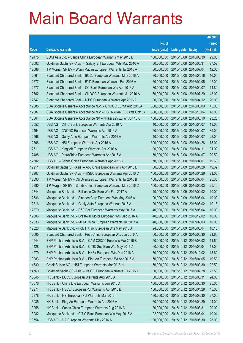|       |                                                                |               |                            | <b>Amount</b> |
|-------|----------------------------------------------------------------|---------------|----------------------------|---------------|
|       |                                                                | No. of        |                            | raised        |
| Code  | <b>Derivative warrants</b>                                     | issue (units) | <b>Listing date Expiry</b> | (HK\$ mil.)   |
| 12475 | BOCI Asia Ltd. - Sands China European Warrants May 2016 B      | 100,000,000   | 2015/10/08 2016/05/30      | 29.00         |
| 12692 | Goldman Sachs SP (Asia) - Galaxy Ent European Wts May 2016 A   | 80,000,000    | 2015/10/08 2016/05/31      | 27.52         |
| 12688 | J P Morgan SP BV - Wynn Macau European Warrants Jul 2016 A     | 80,000,000    | 2015/10/08 2016/07/04      | 12.08         |
| 12661 | Standard Chartered Bank - BOCL European Warrants May 2016 A    | 80,000,000    | 2015/10/08 2016/05/16      | 16.00         |
| 12677 | Standard Chartered Bank - BYD European Warrants Feb 2016 A     | 60,000,000    | 2015/10/08 2016/02/05      | 42.00         |
| 12577 | Standard Chartered Bank - CC Bank European Wts Apr 2016 A      | 80,000,000    | 2015/10/08 2016/04/07      | 14.80         |
| 12662 | Standard Chartered Bank - CNOOC European Warrants Jul 2016 A   | 60,000,000    | 2015/10/08 2016/07/29      | 48.00         |
| 12647 | Standard Chartered Bank - ICBC European Warrants Apr 2016 A    | 80,000,000    | 2015/10/08 2016/04/12      | 20.00         |
| 12685 | SGA Societe Generale Acceptance N.V. - CNOOC Eu Wt Aug 2018A   | 300,000,000   | 2015/10/08 2018/08/03      | 45.00         |
| 12687 | SGA Societe Generale Acceptance N.V - HS H-SHARE Eu Wts Oct18A | 300,000,000   | 2015/10/08 2018/10/04      | 48.00         |
| 10364 | SGA Societe Generale Acceptance NV - Nikkei 225 Eu Wt Jun 16 C | 150,000,000   | 2015/10/08 2016/06/10      | 23.25         |
| 12552 | UBS AG - CITIC Bank European Warrants Apr 2016 A               | 40,000,000    | 2015/10/08 2016/04/07      | 18.00         |
| 12494 | UBS AG - CNOOC European Warrants Apr 2016 A                    | 50,000,000    | 2015/10/08 2016/04/07      | 39.00         |
| 12568 | UBS AG - Geely Auto European Warrants Apr 2016 A               | 40,000,000    | 2015/10/08 2016/04/07      | 22.00         |
| 12508 | UBS AG - HSI European Warrants Apr 2016 A                      | 300,000,000   | 2015/10/08 2016/04/28      | 75.00         |
| 12511 | UBS AG - Kingsoft European Warrants Apr 2016 A                 | 100,000,000   | 2015/10/08 2016/04/11      | 31.00         |
| 12488 | UBS AG - PetroChina European Warrants Apr 2016 A               | 50,000,000    | 2015/10/08 2016/04/07      | 20.50         |
| 12502 | UBS AG - Sands China European Warrants Apr 2016 A              | 70,000,000    | 2015/10/08 2016/04/07      | 19.60         |
| 12911 | Goldman Sachs SP (Asia) - A50 China European Wts Apr 2016 B    | 60,000,000    | 2015/10/09 2016/04/28      | 49.32         |
| 12907 | Goldman Sachs SP (Asia) - HSBC European Warrants Apr 2016 C    | 100,000,000   | 2015/10/09 2016/04/26      | 21.00         |
| 12893 | J P Morgan SP BV - Ch Overseas European Warrants Jul 2016 B    | 100,000,000   | 2015/10/09 2016/07/04      | 25.30         |
| 12880 | J P Morgan SP BV - Sands China European Warrants May 2016 C    | 100,000,000   | 2015/10/09 2016/05/03      | 25.10         |
| 12744 | Macquarie Bank Ltd. - Brilliance Chi Euro Wts Feb 2017 A       | 40,000,000    | 2015/10/09 2017/02/02      | 10.00         |
| 12736 | Macquarie Bank Ltd. - Sinopec Corp European Wts May 2016 A     | 20,000,000    | 2015/10/09 2016/05/04      | 10.00         |
| 12816 | Macquarie Bank Ltd. - Geely Auto European Wts Aug 2016 A       | 20,000,000    | 2015/10/09 2016/08/02      | 10.18         |
| 12879 | Macquarie Bank Ltd. - R&F Ppt European Warrants May 2017 A     | 40,000,000    | 2015/10/09 2017/05/04      | 10.00         |
| 12806 | Macquarie Bank Ltd. - Greatwall Motor European Wts Dec 2016 A  | 40,000,000    | 2015/10/09 2016/12/02      | 10.00         |
| 12833 | Macquarie Bank Ltd. - MGM China European Warrants Jul 2017 A   | 40,000,000    | 2015/10/09 2017/07/03      | 10.00         |
| 12823 | Macquarie Bank Ltd. - Poly HK Inv European Wts May 2016 A      | 24,000,000    | 2015/10/09 2016/05/04      | 10.10         |
| 12695 | Standard Chartered Bank - PetroChina European Wts Jun 2016 A   | 60,000,000    | 2015/10/09 2016/06/30      | 21.60         |
| 14544 | BNP Paribas Arbit Issu B.V. - CAM CSI300 Euro Wts Mar 2016 B   | 50,000,000    | 2015/10/12 2016/03/02      | 11.50         |
| 14428 | BNP Paribas Arbit Issu B.V. - CITIC Sec Euro Wts May 2016 A    | 60,000,000    | 2015/10/12 2016/05/04      | 18.00         |
| 14279 | BNP Paribas Arbit Issu B.V. - HKEx European Wts Dec 2016 A     | 60,000,000    | 2015/10/12 2016/12/02      | 15.60         |
| 13983 | BNP Paribas Arbit Issu B.V. - Ping An European Wt Apr 2016 A   | 50,000,000    | 2015/10/12 2016/04/05      | 10.50         |
| 14630 | Credit Suisse AG - HSI European Warrants Mar 2016 H            | 150,000,000   | 2015/10/12 2016/03/30      | 22.50         |
| 14760 | Goldman Sachs SP (Asia) - HSCEI European Warrants Jul 2016 A   | 100,000,000   | 2015/10/12 2016/07/28      | 25.50         |
| 13045 | HK Bank - BOCL European Warrants Aug 2016 A                    | 80,000,000    | 2015/10/12 2016/08/31      | 24.00         |
| 13076 | HK Bank - China Life European Warrants Jun 2016 A              | 100,000,000   | 2015/10/12 2016/06/30      | 25.00         |
| 12974 | HK Bank - HSCEI European Put Warrants Apr 2016 B               | 180,000,000   | 2015/10/12 2016/04/28      | 45.00         |
| 12978 | HK Bank - HSI European Put Warrants Mar 2016 I                 | 180,000,000   | 2015/10/12 2016/03/30      | 27.00         |
| 13035 | HK Bank - Ping An European Warrants Apr 2016 A                 | 60,000,000    | 2015/10/12 2016/04/29      | 24.00         |
| 13258 | HK Bank - Sands China European Warrants Aug 2016 A             | 80,000,000    | 2015/10/12 2016/08/31      | 20.00         |
| 13982 | Macquarie Bank Ltd. - CITIC Bank European Wts May 2016 A       | 22,000,000    | 2015/10/12 2016/05/04      | 10.01         |
| 13754 | UBS AG - AIA European Warrants May 2016 A                      | 100,000,000   | 2015/10/12 2016/05/30      | 23.00         |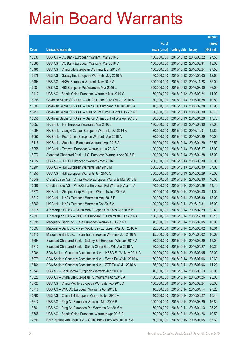|       |                                                              |               |                            |            | <b>Amount</b> |
|-------|--------------------------------------------------------------|---------------|----------------------------|------------|---------------|
|       |                                                              | No. of        |                            |            | raised        |
| Code  | <b>Derivative warrants</b>                                   | issue (units) | <b>Listing date Expiry</b> |            | (HK\$ mil.)   |
| 13530 | UBS AG – CC Bank European Warrants Mar 2016 B                | 100,000,000   | 2015/10/12 2016/03/22      |            | 27.50         |
| 13560 | UBS AG – CC Bank European Warrants Mar 2016 C                | 100,000,000   | 2015/10/12 2016/03/31      |            | 18.00         |
| 13495 | UBS AG - China Life European Warrants Mar 2016 A             | 100,000,000   | 2015/10/12 2016/03/24      |            | 27.50         |
| 13378 | UBS AG - Galaxy Ent European Warrants May 2016 A             | 70,000,000    | 2015/10/12 2016/05/03      |            | 12.60         |
| 13494 | UBS AG - HKEx European Warrants Nov 2016 A                   | 300,000,000   | 2015/10/12 2016/11/28      |            | 75.00         |
| 13981 | UBS AG - HSI European Put Warrants Mar 2016 L                | 300,000,000   | 2015/10/12 2016/03/30      |            | 66.00         |
| 13417 | UBS AG - Sands China European Warrants Mar 2016 C            | 70,000,000    | 2015/10/12 2016/03/24      |            | 11.90         |
| 15295 | Goldman Sachs SP (Asia) – Chi Res Land Euro Wts Jul 2016 A   | 30,000,000    | 2015/10/13 2016/07/28      |            | 10.80         |
| 15303 | Goldman Sachs SP (Asia) - China Tel European Wts Jul 2016 A  | 40,000,000    | 2015/10/13 2016/07/28      |            | 13.96         |
| 15410 | Goldman Sachs SP (Asia) - Galaxy Ent Euro Put Wts May 2016 B | 50,000,000    | 2015/10/13 2016/05/30      |            | 18.75         |
| 15358 | Goldman Sachs SP (Asia) - Sands China Eur Put Wts Apr 2016 B | 50,000,000    | 2015/10/13 2016/04/28      |            | 17.70         |
| 15057 | HK Bank – HSI European Warrants Mar 2016 J                   | 180,000,000   | 2015/10/13 2016/03/30      |            | 27.00         |
| 14994 | HK Bank - Jiangxi Copper European Warrants Oct 2016 A        | 80,000,000    | 2015/10/13 2016/10/31      |            | 12.80         |
| 15053 | HK Bank - PetroChina European Warrants Apr 2016 A            | 80,000,000    | 2015/10/13 2016/04/29      |            | 40.00         |
| 15115 | HK Bank - Stanchart European Warrants Apr 2016 A             | 50,000,000    | 2015/10/13 2016/04/29      |            | 22.50         |
| 15058 | HK Bank - Tencent European Warrants Jun 2016 E               | 100,000,000   | 2015/10/13 2016/06/27      |            | 15.00         |
| 15276 | Standard Chartered Bank - HSI European Warrants Apr 2016 B   | 100,000,000   | 2015/10/13 2016/04/28      |            | 15.00         |
| 14922 | UBS AG - HSCEI European Warrants Mar 2016 I                  | 200,000,000   | 2015/10/13 2016/03/30      |            | 30.00         |
| 15201 | UBS AG - HSI European Warrants Mar 2016 M                    | 300,000,000   | 2015/10/13 2016/03/30      |            | 57.00         |
| 14950 | UBS AG - HSI European Warrants Jun 2016 C                    | 300,000,000   | 2015/10/13 2016/06/29      |            | 75.00         |
| 16549 | Credit Suisse AG - China Mobile European Warrants Mar 2016 B | 80,000,000    | 2015/10/14 2016/03/30      |            | 40.00         |
| 16596 | Credit Suisse AG - PetroChina European Put Warrants Apr 16 A | 70,000,000    | 2015/10/14 2016/04/29      |            | 44.10         |
| 15773 | HK Bank - Sinopec Corp European Warrants Jun 2016 A          | 60,000,000    | 2015/10/14 2016/06/30      |            | 21.00         |
| 15817 | HK Bank – HKEx European Warrants May 2016 B                  | 100,000,000   | 2015/10/14 2016/05/30      |            | 18.00         |
| 15869 | HK Bank – HKEx European Warrants Oct 2016 A                  | 100,000,000   | 2015/10/14 2016/10/31      |            | 16.00         |
| 16878 | J P Morgan SP BV - China Mob European Put Wts Apr 2016 B     | 100,000,000   | 2015/10/14 2016/04/29      |            | 32.40         |
| 17092 | J P Morgan SP BV - CNOOC European Put Warrants Dec 2016 A    | 100,000,000   | 2015/10/14 2016/12/30      |            | 15.10         |
| 16298 | Macquarie Bank Ltd. - AIA European Warrants Jul 2016 A       | 40,000,000    | 2015/10/14 2016/07/05      |            | 10.00         |
| 15597 | Macquarie Bank Ltd. - New World Dev European Wts Jun 2016 A  | 22,000,000    | 2015/10/14 2016/06/02      |            | 10.01         |
| 15415 | Macquarie Bank Ltd. - Stanchart European Warrants Jun 2016 A | 15,000,000    | 2015/10/14 2016/06/02      |            | 10.02         |
| 15694 | Standard Chartered Bank - Galaxy Ent European Wts Jun 2016 A | 60,000,000    | 2015/10/14 2016/06/29      |            | 15.00         |
| 15713 | Standard Chartered Bank - Sands China Euro Wts Apr 2016 A    | 60,000,000    | 2015/10/14 2016/04/27      |            | 10.20         |
| 15904 | SGA Societe Generale Acceptance N.V. - HSBC Eu Wt May 2016 C | 100,000,000   | 2015/10/14                 | 2016/05/05 | 25.00         |
| 15979 | SGA Societe Generale Acceptance N.V. - Wynn Eu Wt Jul 2016 A | 60,000,000    | 2015/10/14 2016/07/06      |            | 12.60         |
| 16164 | SGA Societe Generale Acceptance N.V. - ZTE Eu Wt Jul 2016 A  | 35,000,000    | 2015/10/14 2016/07/06      |            | 11.20         |
| 16746 | UBS AG - BankComm European Warrants Jun 2016 A               | 40,000,000    | 2015/10/14 2016/06/13      |            | 20.00         |
| 16822 | UBS AG - China Life European Put Warrants Apr 2016 A         | 100,000,000   | 2015/10/14                 | 2016/04/26 | 25.00         |
| 16722 | UBS AG - China Mobile European Warrants Feb 2016 A           | 100,000,000   | 2015/10/14 2016/02/24      |            | 30.00         |
| 16710 | UBS AG - CNOOC European Warrants Apr 2016 B                  | 40,000,000    | 2015/10/14 2016/04/14      |            | 27.20         |
| 16793 | UBS AG - China Tel European Warrants Jun 2016 A              | 40,000,000    | 2015/10/14 2016/06/27      |            | 15.40         |
| 16612 | UBS AG - Ping An European Warrants Mar 2016 B                | 100,000,000   | 2015/10/14                 | 2016/03/29 | 16.80         |
| 16661 | UBS AG - Ping An European Put Warrants Apr 2016 A            | 70,000,000    | 2015/10/14 2016/04/13      |            | 25.20         |
| 16765 | UBS AG - Sands China European Warrants Apr 2016 B            | 70,000,000    | 2015/10/14 2016/04/26      |            | 10.50         |
| 17396 | BNP Paribas Arbit Issu B.V. - CITIC Bank Euro Wts Jul 2016 A | 60,000,000    | 2015/10/15 2016/07/05      |            | 33.60         |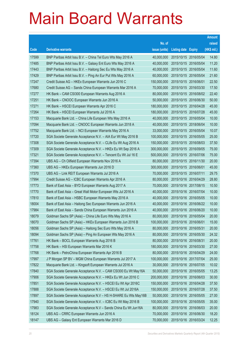|       |                                                                |               |                            |                       | <b>Amount</b> |
|-------|----------------------------------------------------------------|---------------|----------------------------|-----------------------|---------------|
|       |                                                                | No. of        |                            |                       | raised        |
| Code  | <b>Derivative warrants</b>                                     | issue (units) | <b>Listing date Expiry</b> |                       | (HK\$ mil.)   |
| 17599 | BNP Paribas Arbit Issu B.V. - China Tel Euro Wts May 2016 A    | 40,000,000    | 2015/10/15 2016/05/04      |                       | 14.80         |
| 17485 | BNP Paribas Arbit Issu B.V. - Galaxy Ent Euro Wts May 2016 A   | 40,000,000    | 2015/10/15 2016/05/04      |                       | 11.20         |
| 17443 | BNP Paribas Arbit Issu B.V. - Haitong Sec Eu Wts May 2016 A    | 40,000,000    | 2015/10/15 2016/05/04      |                       | 11.60         |
| 17429 | BNP Paribas Arbit Issu B.V. - Ping An Eur Put Wts May 2016 A   | 60,000,000    | 2015/10/15 2016/05/04      |                       | 21.60         |
| 17247 | Credit Suisse AG - HKEx European Warrants Jun 2016 C           | 150,000,000   | 2015/10/15 2016/06/01      |                       | 22.50         |
| 17680 | Credit Suisse AG - Sands China European Warrants Mar 2016 A    | 70,000,000    |                            | 2015/10/15 2016/03/30 | 17.50         |
| 17277 | HK Bank - CAM CSI300 European Warrants Aug 2016 A              | 80,000,000    | 2015/10/15 2016/08/02      |                       | 22.40         |
| 17251 | HK Bank - CNOOC European Warrants Jun 2016 A                   | 50,000,000    | 2015/10/15 2016/06/30      |                       | 50.00         |
| 17271 | HK Bank - HSCEI European Warrants Apr 2016 C                   | 180,000,000   | 2015/10/15 2016/04/28      |                       | 45.00         |
| 17264 | HK Bank - HSCEI European Warrants Jul 2016 A                   | 180,000,000   | 2015/10/15 2016/07/28      |                       | 45.00         |
| 17153 | Macquarie Bank Ltd. - China Life European Wts May 2016 A       | 40,000,000    | 2015/10/15 2016/05/04      |                       | 10.00         |
| 17094 | Macquarie Bank Ltd. - CNOOC European Warrants Jun 2018 A       | 40,000,000    | 2015/10/15 2018/06/04      |                       | 10.00         |
| 17752 | Macquarie Bank Ltd. - NCI European Warrants May 2016 A         | 33,000,000    |                            | 2015/10/15 2016/05/04 | 10.07         |
| 17720 | SGA Societe Generale Acceptance N.V. - AIA Eur Wt May 2016 B   | 100,000,000   | 2015/10/15 2016/05/05      |                       | 25.00         |
| 17308 | SGA Societe Generale Acceptance N.V. - CLife Eu Wt Aug 2016 A  | 150,000,000   | 2015/10/15 2016/08/03      |                       | 37.50         |
| 17309 | SGA Societe Generale Acceptance N.V. - HKEx Eu Wt Sep 2016 A   | 300,000,000   | 2015/10/15 2016/09/05      |                       | 75.00         |
| 17321 | SGA Societe Generale Acceptance N.V. - Tencent Eu Wt Jul 16 E  | 500,000,000   |                            | 2015/10/15 2016/07/06 | 75.00         |
| 17394 | UBS AG - Ch Oilfield European Warrants Nov 2016 A              | 80,000,000    | 2015/10/15 2016/11/30      |                       | 20.00         |
| 17360 | UBS AG - HKEx European Warrants Jun 2016 D                     | 300,000,000   | 2015/10/15 2016/06/01      |                       | 45.00         |
| 17370 | UBS AG - Link REIT European Warrants Jul 2016 A                | 70,000,000    | 2015/10/15 2016/07/11      |                       | 29.75         |
| 17994 | Credit Suisse AG - ICBC European Warrants Apr 2016 A           | 80,000,000    | 2015/10/16 2016/04/29      |                       | 28.80         |
| 17773 | Bank of East Asia - BYD European Warrants Aug 2017 A           | 70,000,000    | 2015/10/16 2017/08/15      |                       | 10.50         |
| 17770 | Bank of East Asia - Great Wall Motor European Wts Jul 2016 A   | 40,000,000    | 2015/10/16 2016/07/04      |                       | 10.00         |
| 17810 | Bank of East Asia - HSBC European Warrants May 2016 A          | 40,000,000    |                            | 2015/10/16 2016/05/05 | 10.00         |
| 18004 | Bank of East Asia – Haitong Sec European Warrants Jun 2016 A   | 40,000,000    |                            | 2015/10/16 2016/06/22 | 10.00         |
| 17984 | Bank of East Asia - Sands China European Warrants Jun 2016 A   | 40,000,000    | 2015/10/16 2016/06/20      |                       | 10.00         |
| 18079 | Goldman Sachs SP (Asia) - China Life Euro Wts May 2016 A       | 80,000,000    | 2015/10/16 2016/05/04      |                       | 20.00         |
| 18070 | Goldman Sachs SP (Asia) - HKEx European Warrants Jun 2016 B    | 100,000,000   | 2015/10/16 2016/06/01      |                       | 15.00         |
| 18056 | Goldman Sachs SP (Asia) - Haitong Sec Euro Wts May 2016 A      | 80,000,000    | 2015/10/16 2016/05/31      |                       | 20.00         |
| 18094 | Goldman Sachs SP (Asia) - Ping An European Wts May 2016 A      | 80,000,000    | 2015/10/16 2016/05/30      |                       | 24.32         |
| 17761 | HK Bank - BOCL European Warrants Aug 2016 B                    | 80,000,000    | 2015/10/16 2016/08/31      |                       | 20.00         |
| 17758 | HK Bank - HSI European Warrants Mar 2016 K                     | 180,000,000   | 2015/10/16 2016/03/30      |                       | 27.00         |
| 17768 | HK Bank - PetroChina European Warrants Apr 2016 B              | 80,000,000    | 2015/10/16 2016/04/29      |                       | 24.00         |
| 17997 | J P Morgan SP BV - MGM China European Warrants Jul 2017 A      | 100,000,000   | 2015/10/16 2017/07/04      |                       | 25.00         |
| 17822 | Macquarie Bank Ltd. - Kingsoft European Warrants Jul 2016 A    | 30,000,000    | 2015/10/16 2016/07/05      |                       | 10.02         |
| 17840 | SGA Societe Generale Acceptance N.V. - CAM CSI300 Eu Wt May16A | 50,000,000    | 2015/10/16 2016/05/05      |                       | 13.25         |
| 17906 | SGA Societe Generale Acceptance N.V. - HKEx Eu Wt Jun 2016 C   | 200,000,000   | 2015/10/16 2016/06/03      |                       | 30.00         |
| 17851 | SGA Societe Generale Acceptance N.V. - HSCEI Eu Wt Apr 2016C   | 150,000,000   | 2015/10/16 2016/04/28      |                       | 37.50         |
| 17888 | SGA Societe Generale Acceptance N.V. - HSCEI Eu Wt Jul 2016A   | 150,000,000   | 2015/10/16 2016/07/28      |                       | 37.50         |
| 17897 | SGA Societe Generale Acceptance N.V - HS H-SHARE Eu Wts May16B | 50,000,000    | 2015/10/16 2016/05/05      |                       | 27.00         |
| 17940 | SGA Societe Generale Acceptance N.V. - ICBC Eu Wt May 2016 B   | 100,000,000   | 2015/10/16 2016/05/05      |                       | 35.00         |
| 17983 | SGA Societe Generale Acceptance N.V - Sands China Eu Wt Jun16A | 80,000,000    | 2015/10/16 2016/06/03      |                       | 20.00         |
| 18124 | UBS AG - CRRC European Warrants Jun 2016 A                     | 70,000,000    | 2015/10/16 2016/06/30      |                       | 18.20         |
| 18147 | UBS AG - Galaxy Ent European Warrants Mar 2016 D               | 70,000,000    | 2015/10/16 2016/03/24      |                       | 12.25         |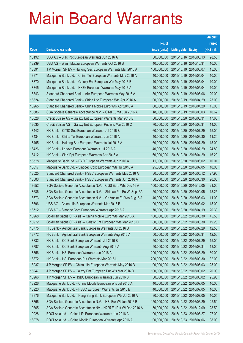|       |                                                                |               |                            |                       | <b>Amount</b> |
|-------|----------------------------------------------------------------|---------------|----------------------------|-----------------------|---------------|
|       |                                                                | No. of        |                            |                       | raised        |
| Code  | <b>Derivative warrants</b>                                     | issue (units) | <b>Listing date Expiry</b> |                       | (HK\$ mil.)   |
| 18192 | UBS AG - SHK Ppt European Warrants Jun 2016 A                  | 50,000,000    | 2015/10/16 2016/06/13      |                       | 28.50         |
| 18239 | UBS AG - Wynn Macau European Warrants Oct 2016 B               | 40,000,000    | 2015/10/16 2016/10/31      |                       | 10.00         |
| 18391 | J P Morgan SP BV - Haitong Sec European Warrants Mar 2016 A    | 100,000,000   | 2015/10/19                 | 2016/03/07            | 15.00         |
| 18371 | Macquarie Bank Ltd. - China Tel European Warrants May 2016 A   | 40,000,000    | 2015/10/19 2016/05/04      |                       | 10.00         |
| 18370 | Macquarie Bank Ltd. - Galaxy Ent European Wts May 2016 B       | 40,000,000    |                            | 2015/10/19 2016/05/04 | 10.00         |
| 18345 | Macquarie Bank Ltd. - HKEx European Warrants May 2016 A        | 40,000,000    | 2015/10/19 2016/05/04      |                       | 10.00         |
| 18343 | Standard Chartered Bank - AIA European Warrants May 2016 A     | 80,000,000    | 2015/10/19                 | 2016/05/06            | 20.00         |
| 18324 | Standard Chartered Bank - China Life European Wts Apr 2016 A   | 100,000,000   | 2015/10/19 2016/04/29      |                       | 25.00         |
| 18265 | Standard Chartered Bank - China Mobile Euro Wts Apr 2016 A     | 60,000,000    | 2015/10/19 2016/04/29      |                       | 15.00         |
| 18386 | SGA Societe Generale Acceptance N.V. - CTel Eu Wt Jun 2016 A   | 18,000,000    |                            | 2015/10/19 2016/06/03 | 10.62         |
| 18628 | Credit Suisse AG - Galaxy Ent European Warrants Mar 2016 B     | 80,000,000    | 2015/10/20 2016/03/31      |                       | 17.60         |
| 18635 | Credit Suisse AG - Galaxy Ent European Put Wts Mar 2016 C      | 70,000,000    | 2015/10/20 2016/03/31      |                       | 14.00         |
| 18442 | HK Bank - CITIC Sec European Warrants Jul 2016 B               | 60,000,000    | 2015/10/20 2016/07/29      |                       | 15.00         |
| 18434 | HK Bank - China Tel European Warrants Jun 2016 A               | 40,000,000    |                            | 2015/10/20 2016/06/30 | 11.20         |
| 18465 | HK Bank - Haitong Sec European Warrants Jul 2016 A             | 60,000,000    | 2015/10/20 2016/07/29      |                       | 15.00         |
| 18426 | HK Bank - Lenovo European Warrants Jul 2016 A                  | 40,000,000    | 2015/10/20 2016/07/29      |                       | 24.80         |
| 18412 | HK Bank – SHK Ppt European Warrants Apr 2016 A                 | 60,000,000    | 2015/10/20 2016/04/29      |                       | 16.20         |
| 18578 | Macquarie Bank Ltd. - BYD European Warrants Jun 2016 A         | 11,000,000    |                            | 2015/10/20 2016/06/02 | 10.01         |
| 18617 | Macquarie Bank Ltd. - Sinopec Corp European Wts Jul 2016 A     | 25,000,000    | 2015/10/20 2016/07/05      |                       | 10.00         |
| 18525 | Standard Chartered Bank - HSBC European Warrants May 2016 A    | 30,000,000    | 2015/10/20 2016/05/12      |                       | 27.90         |
| 18503 | Standard Chartered Bank - HSBC European Warrants Jun 2016 A    | 80,000,000    |                            | 2015/10/20 2016/06/30 | 20.00         |
| 18652 | SGA Societe Generale Acceptance N.V. - CGS Euro Wts Dec 16 A   | 100,000,000   | 2015/10/20 2016/12/05      |                       | 21.00         |
| 18686 | SGA Societe Generale Acceptance N.V. - Shimao Ppt Eu Wt Sep16A | 50,000,000    |                            | 2015/10/20 2016/09/05 | 13.25         |
| 18673 | SGA Societe Generale Acceptance N.V. - Ch Vanke Eu Wts Aug16 A | 40,000,000    |                            | 2015/10/20 2016/08/03 | 11.00         |
| 18696 | UBS AG - China Life European Warrants Mar 2016 B               | 100,000,000   |                            | 2015/10/20 2016/03/02 | 15.00         |
| 18712 | UBS AG - Sinopec Corp European Warrants Apr 2016 A             | 70,000,000    | 2015/10/20 2016/04/19      |                       | 20.30         |
| 18968 | Goldman Sachs SP (Asia) - China Mobile Euro Wts Mar 2016 A     | 100,000,000   | 2015/10/22 2016/03/30      |                       | 45.50         |
| 18972 | Goldman Sachs SP (Asia) - Galaxy Ent European Wts Mar 2016 D   | 80,000,000    | 2015/10/22 2016/03/30      |                       | 19.20         |
| 18775 | HK Bank - Agricultural Bank European Warrants Jul 2016 B       | 50,000,000    | 2015/10/22 2016/07/29      |                       | 12.50         |
| 18772 | HK Bank - Agricultural Bank European Warrants Aug 2016 A       | 50,000,000    | 2015/10/22 2016/08/31      |                       | 12.50         |
| 18832 | HK Bank - CC Bank European Warrants Jul 2016 B                 | 50,000,000    | 2015/10/22 2016/07/29      |                       | 15.00         |
| 18787 | HK Bank - CC Bank European Warrants Aug 2016 A                 | 50,000,000    | 2015/10/22 2016/08/31      |                       | 13.00         |
| 18856 | HK Bank - HSI European Warrants Jun 2016 A                     | 200,000,000   | 2015/10/22 2016/06/29      |                       | 30.00         |
| 18872 | HK Bank - HSI European Put Warrants Mar 2016 L                 | 200,000,000   | 2015/10/22 2016/03/30      |                       | 32.00         |
| 18937 | J P Morgan SP BV - China Life European Warrants May 2016 B     | 100,000,000   | 2015/10/22 2016/05/03      |                       | 25.00         |
| 18947 | J P Morgan SP BV - Galaxy Ent European Put Wts Mar 2016 D      | 100,000,000   | 2015/10/22 2016/03/02      |                       | 20.90         |
| 18966 | J P Morgan SP BV - HSBC European Warrants Jun 2016 B           | 50,000,000    | 2015/10/22 2016/06/02      |                       | 25.90         |
| 18926 | Macquarie Bank Ltd. - China Mobile European Wts Jul 2016 A     | 40,000,000    | 2015/10/22 2016/07/05      |                       | 10.00         |
| 18920 | Macquarie Bank Ltd. - HSBC European Warrants Jul 2016 B        | 40,000,000    |                            | 2015/10/22 2016/07/05 | 10.00         |
| 18876 | Macquarie Bank Ltd. - Hang Seng Bank European Wts Jul 2016 A   | 30,000,000    | 2015/10/22 2016/07/05      |                       | 10.05         |
| 18766 | SGA Societe Generale Acceptance N.V. - HSI Eur Wt Jun 2016 B   | 150,000,000   | 2015/10/22 2016/06/29      |                       | 22.50         |
| 10365 | SGA Societe Generale Acceptance NV - N225 Eu Put Wt Dec 2016 A | 150,000,000   | 2015/10/22 2016/12/09      |                       | 28.50         |
| 19028 | BOCI Asia Ltd. - China Life European Warrants Jun 2016 A       | 100,000,000   | 2015/10/23 2016/06/27      |                       | 27.00         |
| 18978 | BOCI Asia Ltd. - China Mobile European Warrants Apr 2016 A     | 100,000,000   | 2015/10/23 2016/04/06      |                       | 38.00         |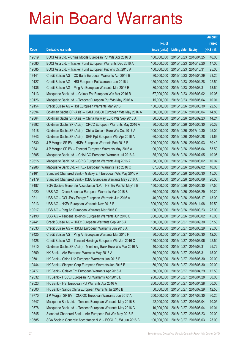|       |                                                              |               |                            |                       | <b>Amount</b> |
|-------|--------------------------------------------------------------|---------------|----------------------------|-----------------------|---------------|
|       |                                                              | No. of        |                            |                       | raised        |
| Code  | <b>Derivative warrants</b>                                   | issue (units) | <b>Listing date Expiry</b> |                       | (HK\$ mil.)   |
| 19019 | BOCI Asia Ltd. - China Mobile European Put Wts Apr 2016 B    | 100,000,000   | 2015/10/23 2016/04/25      |                       | 46.00         |
| 19080 | BOCI Asia Ltd. - Tracker Fund European Warrants Dec 2016 A   | 100,000,000   |                            | 2015/10/23 2016/12/20 | 17.00         |
| 19085 | BOCI Asia Ltd. - Tracker Fund European Put Wts Oct 2016 A    | 100,000,000   | 2015/10/23 2016/10/31      |                       | 25.00         |
| 19141 | Credit Suisse AG - CC Bank European Warrants Apr 2016 B      | 80,000,000    |                            | 2015/10/23 2016/04/29 | 23.20         |
| 19127 | Credit Suisse AG - HSI European Put Warrants Jan 2016 J      | 150,000,000   |                            | 2015/10/23 2016/01/28 | 22.50         |
| 19136 | Credit Suisse AG - Ping An European Warrants Mar 2016 E      | 80,000,000    | 2015/10/23 2016/03/31      |                       | 13.60         |
| 19113 | Macquarie Bank Ltd. - Galaxy Ent European Wts Mar 2016 B     | 67,000,000    |                            | 2015/10/23 2016/03/02 | 10.05         |
| 19126 | Macquarie Bank Ltd. - Tencent European Put Wts May 2016 A    | 15,000,000    |                            | 2015/10/23 2016/05/04 | 10.01         |
| 19154 | Credit Suisse AG - HSI European Warrants Mar 2016 I          | 150,000,000   |                            | 2015/10/26 2016/03/30 | 22.50         |
| 19394 | Goldman Sachs SP (Asia) - CAM CSI300 European Wts May 2016 A | 50,000,000    | 2015/10/26 2016/05/04      |                       | 14.80         |
| 19364 | Goldman Sachs SP (Asia) - China Railway Euro Wts Sep 2016 A  | 80,000,000    | 2015/10/26 2016/09/23      |                       | 14.24         |
| 19392 | Goldman Sachs SP (Asia) - CRCC European Warrants May 2016 A  | 80,000,000    | 2015/10/26 2016/05/30      |                       | 20.32         |
| 19418 | Goldman Sachs SP (Asia) - China Unicom Euro Wts Oct 2017 A   | 100,000,000   |                            | 2015/10/26 2017/10/30 | 25.00         |
| 19343 | Goldman Sachs SP (Asia) - SHK Ppt European Wts Apr 2016 A    | 60,000,000    |                            | 2015/10/26 2016/04/28 | 21.66         |
| 19330 | J P Morgan SP BV - HKEx European Warrants Feb 2016 E         | 200,000,000   | 2015/10/26 2016/02/03      |                       | 30.40         |
| 19341 | J P Morgan SP BV - Tencent European Warrants May 2016 A      | 100,000,000   |                            | 2015/10/26 2016/05/04 | 65.50         |
| 19305 | Macquarie Bank Ltd. - CHALCO European Warrants Jul 2016 A    | 35,000,000    |                            | 2015/10/26 2016/07/05 | 10.05         |
| 19315 | Macquarie Bank Ltd. - CPIC European Warrants Aug 2016 A      | 38,000,000    |                            | 2015/10/26 2016/08/02 | 10.07         |
| 19286 | Macquarie Bank Ltd. - HKEx European Warrants Feb 2016 C      | 67,000,000    |                            | 2015/10/26 2016/02/02 | 10.05         |
| 19161 | Standard Chartered Bank - Galaxy Ent European Wts May 2016 A | 60,000,000    |                            | 2015/10/26 2016/05/30 | 15.00         |
| 19179 | Standard Chartered Bank - ICBC European Warrants May 2016 A  | 80,000,000    |                            | 2015/10/26 2016/05/09 | 20.00         |
| 19187 | SGA Societe Generale Acceptance N.V. - HSI Eu Put Wt May16 B | 150,000,000   |                            | 2015/10/26 2016/05/30 | 37.50         |
| 19220 | UBS AG - China Shenhua European Warrants Mar 2016 B          | 60,000,000    | 2015/10/26 2016/03/29      |                       | 10.20         |
| 19211 | UBS AG - GCL-Poly Energy European Warrants Jun 2016 A        | 40,000,000    |                            | 2015/10/26 2016/06/17 | 13.00         |
| 19213 | UBS AG - HKEx European Warrants Nov 2016 B                   | 300,000,000   |                            | 2015/10/26 2016/11/08 | 79.50         |
| 19217 | UBS AG - Ping An European Warrants Mar 2016 C                | 100,000,000   | 2015/10/26 2016/03/23      |                       | 25.00         |
| 19190 | UBS AG - Tencent Holdings European Warrants Jun 2016 C       | 300,000,000   | 2015/10/26 2016/06/02      |                       | 45.00         |
| 19441 | Credit Suisse AG - HKEx European Warrants Sep 2016 A         | 150,000,000   | 2015/10/27 2016/09/30      |                       | 37.50         |
| 19533 | Credit Suisse AG - HSCEI European Warrants Jun 2016 A        | 100,000,000   | 2015/10/27 2016/06/29      |                       | 25.00         |
| 19425 | Credit Suisse AG - Ping An European Warrants Mar 2016 F      | 80,000,000    |                            | 2015/10/27 2016/03/30 | 12.00         |
| 19428 | Credit Suisse AG - Tencent Holdings European Wts Jun 2016 C  | 150,000,000   | 2015/10/27 2016/06/06      |                       | 22.50         |
| 19810 | Goldman Sachs SP (Asia) - Minsheng Bank Euro Wts Mar 2016 A  | 40,000,000    | 2015/10/27 2016/03/31      |                       | 25.72         |
| 19509 | HK Bank - AIA European Warrants May 2016 A                   | 60,000,000    | 2015/10/27                 | 2016/05/31            | 15.00         |
| 19501 | HK Bank - China Life European Warrants Jun 2016 B            | 80,000,000    | 2015/10/27 2016/06/30      |                       | 20.00         |
| 19444 | HK Bank - Sinopec Corp European Warrants Jun 2016 B          | 50,000,000    | 2015/10/27 2016/06/30      |                       | 20.00         |
| 19477 | HK Bank - Galaxy Ent European Warrants Apr 2016 A            | 50,000,000    | 2015/10/27 2016/04/29      |                       | 12.50         |
| 19532 | HK Bank - HSCEI European Put Warrants Apr 2016 D             | 200,000,000   | 2015/10/27                 | 2016/04/28            | 50.00         |
| 19523 | HK Bank - HSI European Put Warrants Apr 2016 A               | 200,000,000   | 2015/10/27 2016/04/28      |                       | 50.00         |
| 19500 | HK Bank - Sands China European Warrants Jul 2016 B           | 50,000,000    | 2015/10/27 2016/07/29      |                       | 12.50         |
| 19770 | J P Morgan SP BV - CNOOC European Warrants Jun 2017 A        | 200,000,000   | 2015/10/27 2017/06/30      |                       | 30.20         |
| 19547 | Macquarie Bank Ltd. - Tencent European Warrants May 2016 B   | 22,000,000    | 2015/10/27                 | 2016/05/04            | 10.05         |
| 19578 | Macquarie Bank Ltd. - Tencent European Warrants May 2016 C   | 10,000,000    | 2015/10/27 2016/05/04      |                       | 10.01         |
| 19545 | Standard Chartered Bank - AIA European Put Wts May 2016 B    | 80,000,000    | 2015/10/27 2016/05/23      |                       | 20.00         |
| 19585 | SGA Societe Generale Acceptance N.V. - BOCL Eu Wt Jun 2016 B | 100,000,000   | 2015/10/27 2016/06/03      |                       | 25.00         |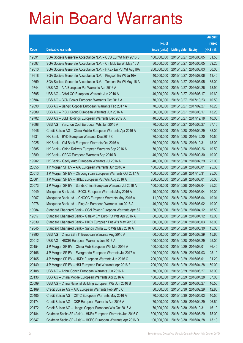|       |                                                               |               |                            |                       | <b>Amount</b> |
|-------|---------------------------------------------------------------|---------------|----------------------------|-----------------------|---------------|
|       |                                                               | No. of        |                            |                       | raised        |
| Code  | <b>Derivative warrants</b>                                    | issue (units) | <b>Listing date Expiry</b> |                       | (HK\$ mil.)   |
| 19591 | SGA Societe Generale Acceptance N.V. - CCB Eur Wt May 2016 B  | 100,000,000   | 2015/10/27 2016/05/05      |                       | 31.50         |
| 19597 | SGA Societe Generale Acceptance N.V. - Ch Mob Eu Wt May 16 A  | 80,000,000    |                            | 2015/10/27 2016/05/05 | 39.20         |
| 19610 | SGA Societe Generale Acceptance N.V. - HKEx Eu Put Wt Aug16A  | 200,000,000   | 2015/10/27 2016/08/03      |                       | 50.00         |
| 19618 | SGA Societe Generale Acceptance N.V. - Kingsoft Eu Wt Jul16A  | 40,000,000    | 2015/10/27 2016/07/06      |                       | 13.40         |
| 19669 | SGA Societe Generale Acceptance N.V. - Tencent Eu Wt May 16 A | 50,000,000    |                            | 2015/10/27 2016/05/05 | 35.00         |
| 19744 | UBS AG - AIA European Put Warrants Apr 2016 A                 | 70,000,000    | 2015/10/27 2016/04/26      |                       | 18.90         |
| 19695 | UBS AG - CHALCO European Warrants Jun 2016 A                  | 40,000,000    |                            | 2015/10/27 2016/06/17 | 19.60         |
| 19704 | UBS AG - CGN Power European Warrants Oct 2017 A               | 70,000,000    | 2015/10/27 2017/10/23      |                       | 10.50         |
| 19690 | UBS AG - Jiangxi Copper European Warrants Feb 2017 A          | 70,000,000    | 2015/10/27 2017/02/27      |                       | 18.20         |
| 19689 | UBS AG - PICC Group European Warrants Jun 2016 A              | 30,000,000    | 2015/10/27 2016/06/17      |                       | 13.20         |
| 19702 | UBS AG - SJM Holdings European Warrants Dec 2017 A            | 40,000,000    | 2015/10/27 2017/12/18      |                       | 10.00         |
| 19698 | UBS AG - Yanzhou Coal European Wts Jun 2016 A                 | 70,000,000    | 2015/10/27 2016/06/27      |                       | 37.10         |
| 19946 | Credit Suisse AG - China Mobile European Warrants Apr 2016 A  | 100,000,000   | 2015/10/28 2016/04/29      |                       | 38.00         |
| 19931 | HK Bank - BYD European Warrants Dec 2016 C                    | 70,000,000    | 2015/10/28 2016/12/20      |                       | 10.50         |
| 19925 | HK Bank - CM Bank European Warrants Oct 2016 A                | 60,000,000    | 2015/10/28 2016/10/31      |                       | 15.00         |
| 19885 | HK Bank - China Railway European Warrants Sep 2016 A          | 70,000,000    | 2015/10/28 2016/09/26      |                       | 10.50         |
| 19889 | HK Bank - CRCC European Warrants Sep 2016 B                   | 40,000,000    |                            | 2015/10/28 2016/09/30 | 10.00         |
| 19902 | HK Bank - Geely Auto European Warrants Jul 2016 A             | 40,000,000    | 2015/10/28 2016/07/29      |                       | 22.00         |
| 20055 | J P Morgan SP BV - AIA European Warrants Jun 2016 A           | 100,000,000   | 2015/10/28 2016/06/01      |                       | 25.30         |
| 20013 | J P Morgan SP BV - Ch LongYuan European Warrants Oct 2017 A   | 100,000,000   | 2015/10/28 2017/10/31      |                       | 25.00         |
| 20061 | J P Morgan SP BV - HKEx European Put Wts Aug 2016 A           | 200,000,000   | 2015/10/28 2016/08/01      |                       | 50.00         |
| 20073 | J P Morgan SP BV - Sands China European Warrants Jul 2016 A   | 100,000,000   | 2015/10/28 2016/07/04      |                       | 25.30         |
| 19949 | Macquarie Bank Ltd. - BOCL European Warrants May 2016 A       | 40,000,000    | 2015/10/28 2016/05/04      |                       | 10.00         |
| 19967 | Macquarie Bank Ltd. - CNOOC European Warrants May 2016 A      | 11,000,000    | 2015/10/28 2016/05/04      |                       | 10.01         |
| 19978 | Macquarie Bank Ltd. - Ping An European Warrants Jun 2016 A    | 40,000,000    | 2015/10/28 2016/06/02      |                       | 10.00         |
| 19984 | Standard Chartered Bank - CGN Power European Warrants Apr16A  | 30,000,000    | 2015/10/28 2016/04/12      |                       | 16.50         |
| 19817 | Standard Chartered Bank - Galaxy Ent Euro Put Wts Apr 2016 A  | 80,000,000    | 2015/10/28 2016/04/12      |                       | 12.00         |
| 19839 | Standard Chartered Bank - HKEx European Put Wts May 2016 B    | 60,000,000    | 2015/10/28 2016/05/03      |                       | 18.00         |
| 19845 | Standard Chartered Bank - Sands China Euro Wts May 2016 A     | 60,000,000    |                            | 2015/10/28 2016/05/30 | 15.00         |
| 19990 | UBS AG - China EB Int'l European Warrants Aug 2016 A          | 60,000,000    | 2015/10/28 2016/08/29      |                       | 15.60         |
| 20012 | UBS AG - HSCEI European Warrants Jun 2016 A                   | 100,000,000   | 2015/10/28 2016/06/29      |                       | 25.00         |
| 20154 | J P Morgan SP BV - China Mob European Wts Mar 2016 A          | 100,000,000   | 2015/10/29 2016/03/01      |                       | 36.40         |
| 20166 | J P Morgan SP BV - Evergrande European Warrants Jul 2017 A    | 100,000,000   | 2015/10/29 2017/07/03      |                       | 25.10         |
| 20165 | J P Morgan SP BV - HKEx European Warrants Jun 2016 C          | 200,000,000   | 2015/10/29 2016/06/01      |                       | 31.20         |
| 20149 | J P Morgan SP BV - HSI European Put Warrants Apr 2016 F       | 200,000,000   | 2015/10/29 2016/04/28      |                       | 50.00         |
| 20108 | UBS AG - Anhui Conch European Warrants Jun 2016 A             | 70,000,000    | 2015/10/29 2016/06/27      |                       | 18.90         |
| 20136 | UBS AG - China Mobile European Warrants Apr 2016 A            | 100,000,000   | 2015/10/29 2016/04/28      |                       | 67.00         |
| 20099 | UBS AG - China National Building European Wts Jun 2016 B      | 30,000,000    | 2015/10/29 2016/06/27      |                       | 16.50         |
| 20169 | Credit Suisse AG - AIA European Warrants Feb 2016 C           | 80,000,000    | 2015/10/30 2016/02/29      |                       | 12.80         |
| 20405 | Credit Suisse AG - CITIC European Warrants May 2016 A         | 70,000,000    | 2015/10/30 2016/05/03      |                       | 10.50         |
| 20174 | Credit Suisse AG - CKP European Warrants Apr 2016 A           | 70,000,000    | 2015/10/30 2016/04/29      |                       | 26.60         |
| 20172 | Credit Suisse AG - Jiangxi Copper European Wts Oct 2016 A     | 70,000,000    | 2015/10/30 2016/10/31      |                       | 16.10         |
| 20184 | Goldman Sachs SP (Asia) - HKEx European Warrants Jun 2016 C   | 300,000,000   | 2015/10/30 2016/06/29      |                       | 75.00         |
| 20347 | Goldman Sachs SP (Asia) - HSBC European Warrants Apr 2016 D   | 100,000,000   | 2015/10/30 2016/04/28      |                       | 15.10         |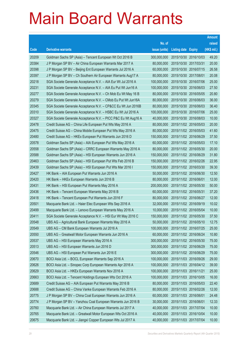|       |                                                               |               |                            | <b>Amount</b> |
|-------|---------------------------------------------------------------|---------------|----------------------------|---------------|
|       |                                                               | No. of        |                            | raised        |
| Code  | <b>Derivative warrants</b>                                    | issue (units) | <b>Listing date Expiry</b> | (HK\$ mil.)   |
| 20209 | Goldman Sachs SP (Asia) – Tencent European Wt Oct 2016 B      | 300,000,000   | 2015/10/30 2016/10/03      | 49.20         |
| 20384 | J P Morgan SP BV - Air China European Warrants Mar 2017 A     | 80,000,000    | 2015/10/30 2017/03/31      | 20.00         |
| 20398 | J P Morgan SP BV - Beijing Ent European Warrants Jul 2016 A   | 60,000,000    | 2015/10/30 2016/07/15      | 26.58         |
| 20397 | J P Morgan SP BV – Ch Southern Air European Warrants Aug17 A  | 80,000,000    | 2015/10/30 2017/08/01      | 20.08         |
| 20218 | SGA Societe Generale Acceptance N.V. - AIA Eur Wt Jul 2016 A  | 100,000,000   | 2015/10/30 2016/07/06      | 25.00         |
| 20231 | SGA Societe Generale Acceptance N.V. - AIA Eu Put Wt Jun16 A  | 100,000,000   | 2015/10/30 2016/06/03      | 27.50         |
| 20277 | SGA Societe Generale Acceptance N.V. - Ch Mob Eu Wt May 16 B  | 80,000,000    | 2015/10/30 2016/05/05      | 20.80         |
| 20279 | SGA Societe Generale Acceptance N.V. - CMob Eu Put Wt Jun16A  | 80,000,000    | 2015/10/30 2016/06/03      | 36.00         |
| 20345 | SGA Societe Generale Acceptance N.V. - CP&CC Eu Wt Jun 2016B  | 80,000,000    | 2015/10/30 2016/06/03      | 36.40         |
| 20310 | SGA Societe Generale Acceptance N.V. - HSBC Eu Wt Jul 2016 A  | 100,000,000   | 2015/10/30 2016/07/06      | 25.00         |
| 20327 | SGA Societe Generale Acceptance N.V. - PICC P&C Eu Wt Aug16 A | 40,000,000    | 2015/10/30 2016/08/03      | 10.00         |
| 20478 | Credit Suisse AG - China Life European Put Wts May 2016 A     | 80,000,000    | 2015/11/02 2016/05/03      | 20.00         |
| 20475 | Credit Suisse AG - China Mobile European Put Wts May 2016 A   | 80,000,000    | 2015/11/02 2016/05/03      | 41.60         |
| 20480 | Credit Suisse AG - HKEx European Put Warrants Jun 2016 D      | 150,000,000   | 2015/11/02 2016/06/29      | 37.50         |
| 20578 | Goldman Sachs SP (Asia) - AIA European Put Wts May 2016 A     | 60,000,000    | 2015/11/02 2016/05/03      | 17.10         |
| 20558 | Goldman Sachs SP (Asia) – CRRC European Warrants May 2016 A   | 80,000,000    | 2015/11/02 2016/05/30      | 20.00         |
| 20588 | Goldman Sachs SP (Asia) – HSI European Warrants Jun 2016 A    | 150,000,000   | 2015/11/02 2016/06/29      | 31.80         |
| 20463 | Goldman Sachs SP (Asia) - HSI European Put Wts Feb 2016 B     | 150,000,000   | 2015/11/02 2016/02/26      | 22.95         |
| 20439 | Goldman Sachs SP (Asia) - HSI European Put Wts Mar 2016 I     | 150,000,000   | 2015/11/02 2016/03/30      | 39.30         |
| 20427 | HK Bank - AIA European Put Warrants Jun 2016 A                | 50,000,000    | 2015/11/02 2016/06/30      | 12.50         |
| 20420 | HK Bank – HKEx European Warrants Jun 2016 B                   | 80,000,000    | 2015/11/02 2016/06/01      | 12.00         |
| 20431 | HK Bank - HSI European Put Warrants May 2016 A                | 200,000,000   | 2015/11/02 2016/05/30      | 50.00         |
| 20436 | HK Bank - Tencent European Warrants May 2016 B                | 60,000,000    | 2015/11/02 2016/05/31      | 37.20         |
| 20418 | HK Bank - Tencent European Put Warrants Jun 2016 F            | 80,000,000    | 2015/11/02 2016/06/27      | 12.00         |
| 20501 | Macquarie Bank Ltd. - Haier Elec European Wts Sep 2016 A      | 32,000,000    | 2015/11/02 2016/09/19      | 10.02         |
| 20499 | Macquarie Bank Ltd. - Lenovo European Warrants May 2016 A     | 10,000,000    | 2015/11/02 2016/05/04      | 10.00         |
| 20411 | SGA Societe Generale Acceptance N.V. - HSI Eur Wt May 2016 C  | 150,000,000   | 2015/11/02 2016/05/30      | 37.50         |
| 20548 | UBS AG - Agricultural Bank European Warrants May 2016 A       | 50,000,000    | 2015/11/02 2016/05/10      | 12.75         |
| 20549 | UBS AG - CM Bank European Warrants Jul 2016 A                 | 100,000,000   | 2015/11/02 2016/07/25      | 25.00         |
| 20550 | UBS AG - Greatwall Motor European Warrants Jun 2016 A         | 60,000,000    | 2015/11/02 2016/06/24      | 10.80         |
| 20537 | UBS AG - HSI European Warrants May 2016 A                     | 300,000,000   | 2015/11/02 2016/05/30      | 75.00         |
| 20513 | UBS AG - HSI European Warrants Jun 2016 D                     | 300,000,000   | 2015/11/02 2016/06/29      | 75.00         |
| 20546 | UBS AG - HSI European Put Warrants Jun 2016 E                 | 300,000,000   | 2015/11/02 2016/06/29      | 75.00         |
| 20670 | BOCI Asia Ltd. - BOCL European Warrants Sep 2016 A            | 100,000,000   | 2015/11/03 2016/09/26      | 29.00         |
| 20626 | BOCI Asia Ltd. - Sinopec Corp European Warrants Apr 2016 A    | 100,000,000   | 2015/11/03 2016/04/12      | 39.00         |
| 20629 | BOCI Asia Ltd. - HKEx European Warrants Nov 2016 A            | 100,000,000   | 2015/11/03 2016/11/21      | 25.00         |
| 20663 | BOCI Asia Ltd. - Tencent Holdings European Wts Oct 2016 A     | 100,000,000   | 2015/11/03 2016/10/05      | 16.00         |
| 20689 | Credit Suisse AG - AIA European Put Warrants May 2016 B       | 80,000,000    | 2015/11/03 2016/05/03      | 22.40         |
| 20688 | Credit Suisse AG - China Vanke European Warrants Feb 2016 A   | 80,000,000    | 2015/11/03 2016/02/26      | 12.00         |
| 20775 | J P Morgan SP BV - China Coal European Warrants Jun 2016 A    | 60,000,000    | 2015/11/03 2016/06/01      | 24.48         |
| 20774 | J P Morgan SP BV - Yanzhou Coal European Warrants Jun 2016 B  | 30,000,000    | 2015/11/03 2016/06/01      | 12.33         |
| 20760 | Macquarie Bank Ltd. - Air China European Warrants Jul 2017 A  | 40,000,000    | 2015/11/03 2017/07/04      | 10.00         |
| 20765 | Macquarie Bank Ltd. - Greatwall Motor European Wts Oct 2016 A | 40,000,000    | 2015/11/03 2016/10/04      | 10.00         |
| 20675 | Macquarie Bank Ltd. - Jiangxi Copper European Wts Jul 2017 A  | 40,000,000    | 2015/11/03 2017/07/04      | 10.00         |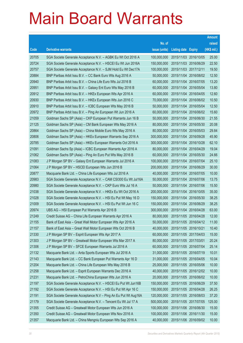|       |                                                                |               |                            |            | <b>Amount</b> |
|-------|----------------------------------------------------------------|---------------|----------------------------|------------|---------------|
|       |                                                                | No. of        |                            |            | raised        |
| Code  | <b>Derivative warrants</b>                                     | issue (units) | <b>Listing date Expiry</b> |            | (HK\$ mil.)   |
| 20705 | SGA Societe Generale Acceptance N.V. - AGBK Eu Wt Oct 2016 A   | 100,000,000   | 2015/11/03 2016/10/05      |            | 25.00         |
| 20724 | SGA Societe Generale Acceptance N.V. - HSCEI Eu Wt Jun 2016A   | 150,000,000   | 2015/11/03 2016/06/29      |            | 22.50         |
| 20757 | SGA Societe Generale Acceptance N.V. - SJM Hold Eu Wt Dec17A   | 100,000,000   | 2015/11/03 2017/12/11      |            | 19.50         |
| 20884 | BNP Paribas Arbit Issu B.V. - CC Bank Euro Wts Aug 2016 A      | 50,000,000    | 2015/11/04 2016/08/02      |            | 12.50         |
| 20940 | BNP Paribas Arbit Issu B.V. - China Life Euro Wts Jul 2016 B   | 60,000,000    | 2015/11/04 2016/07/05      |            | 13.20         |
| 20951 | BNP Paribas Arbit Issu B.V. - Galaxy Ent Euro Wts May 2016 B   | 60,000,000    | 2015/11/04 2016/05/04      |            | 13.80         |
| 20912 | BNP Paribas Arbit Issu B.V. - HKEx European Wts Apr 2016 A     | 60,000,000    | 2015/11/04 2016/04/05      |            | 12.60         |
| 20930 | BNP Paribas Arbit Issu B.V. - HKEx European Wts Jun 2016 C     | 70,000,000    | 2015/11/04 2016/06/02      |            | 10.50         |
| 20910 | BNP Paribas Arbit Issu B.V. - ICBC European Wts May 2016 B     | 50,000,000    | 2015/11/04 2016/05/04      |            | 12.50         |
| 20972 | BNP Paribas Arbit Issu B.V. - Ping An European Wt Jun 2016 A   | 60,000,000    | 2015/11/04 2016/06/02      |            | 15.60         |
| 21059 | Goldman Sachs SP (Asia) - CKP European Put Warrants Jun 16 B   | 50,000,000    | 2015/11/04 2016/06/30      |            | 21.55         |
| 21125 | Goldman Sachs SP (Asia) – CM Bank European Wts May 2016 A      | 80,000,000    | 2015/11/04 2016/05/30      |            | 20.08         |
| 20864 | Goldman Sachs SP (Asia) - China Mobile Euro Wts May 2016 A     | 80,000,000    | 2015/11/04 2016/05/03      |            | 29.84         |
| 20806 | Goldman Sachs SP (Asia) - HKEx European Warrants Sep 2016 A    | 300,000,000   | 2015/11/04 2016/09/28      |            | 45.90         |
| 20785 | Goldman Sachs SP (Asia) - HKEx European Warrants Oct 2016 A    | 300,000,000   | 2015/11/04 2016/10/28      |            | 62.10         |
| 21091 | Goldman Sachs Sp (Asia) - ICBC European Warrants Apr 2016 A    | 80,000,000    | 2015/11/04 2016/04/29      |            | 19.04         |
| 21062 | Goldman Sachs SP (Asia) – Ping An Euro Put Wts May 2016 B      | 60,000,000    | 2015/11/04 2016/05/30      |            | 24.66         |
| 21083 | J P Morgan SP BV - Galaxy Ent European Warrants Jul 2016 A     | 100,000,000   | 2015/11/04 2016/07/04      |            | 25.10         |
| 21064 | J P Morgan SP BV - HSCEI European Wts Jun 2016 B               | 200,000,000   | 2015/11/04 2016/06/29      |            | 30.00         |
| 20877 | Macquarie Bank Ltd. - China Life European Wts Jul 2016 A       | 40,000,000    | 2015/11/04 2016/07/05      |            | 10.00         |
| 20983 | SGA Societe Generale Acceptance N.V. - CAM CSI300 Eu Wt Jul16A | 50,000,000    | 2015/11/04 2016/07/06      |            | 13.75         |
| 20980 | SGA Societe Generale Acceptance N.V. - CKP Euro Wts Jul 16 A   | 50,000,000    | 2015/11/04 2016/07/06      |            | 15.50         |
| 21038 | SGA Societe Generale Acceptance N.V. - HKEx Eu Wt Oct 2016 A   | 200,000,000   | 2015/11/04                 | 2016/10/05 | 35.00         |
| 21028 | SGA Societe Generale Acceptance N.V. - HSI Eu Put Wt May 16 D  | 150,000,000   | 2015/11/04 2016/05/30      |            | 38.25         |
| 21009 | SGA Societe Generale Acceptance N.V. - HSI Eu Put Wt Jun 16 C  | 150,000,000   | 2015/11/04 2016/06/29      |            | 38.25         |
| 20974 | UBS AG - HSI European Put Warrants Apr 2016 B                  | 300,000,000   | 2015/11/04 2016/04/28      |            | 63.00         |
| 21249 | Credit Suisse AG - China Life European Warrants Apr 2016 A     | 80,000,000    | 2015/11/05 2016/04/28      |            | 12.00         |
| 21155 | Bank of East Asia - Great Wall Motor European Wts Apr 2016 A   | 50,000,000    | 2015/11/05 2016/04/12      |            | 11.00         |
| 21157 | Bank of East Asia - Great Wall Motor European Wts Oct 2016 B   | 40,000,000    | 2015/11/05 2016/10/21      |            | 10.40         |
| 21330 | J P Morgan SP BV - Esprit European Wts Apr 2017 A              | 60,000,000    | 2015/11/05 2017/04/03      |            | 15.00         |
| 21303 | J P Morgan SP BV - Greatwall Motor European Wts Mar 2017 A     | 80,000,000    | 2015/11/05 2017/03/01      |            | 20.24         |
| 21306 | J P Morgan SP BV - SFCE European Warrants Jul 2016 A           | 60,000,000    | 2015/11/05 2016/07/04      |            | 25.14         |
| 21132 | Macquarie Bank Ltd. - Anta Sports European Wts Jul 2016 A      | 31,000,000    | 2015/11/05 2016/07/19      |            | 10.01         |
| 21143 | Macquarie Bank Ltd. - CC Bank European Put Warrants Apr 16 D   | 31,000,000    | 2015/11/05 2016/04/05      |            | 10.04         |
| 21204 | Macquarie Bank Ltd. - China Life European Wts May 2016 B       | 25,000,000    | 2015/11/05 2016/05/06      |            | 10.00         |
| 21258 | Macquarie Bank Ltd. - Esprit European Warrants Dec 2016 A      | 40,000,000    | 2015/11/05 2016/12/02      |            | 10.00         |
| 21231 | Macquarie Bank Ltd. - PetroChina European Wts Jun 2016 A       | 20,000,000    | 2015/11/05 2016/06/02      |            | 10.00         |
| 21197 | SGA Societe Generale Acceptance N.V. - HSCEI Eu Put Wt Jun16B  | 150,000,000   | 2015/11/05 2016/06/29      |            | 37.50         |
| 21192 | SGA Societe Generale Acceptance N.V. - HSI Eu Put Wt Apr 16 C  | 150,000,000   | 2015/11/05 2016/04/28      |            | 26.25         |
| 21191 | SGA Societe Generale Acceptance N.V - Ping An Eu Put Wt Aug16A | 120,000,000   | 2015/11/05 2016/08/03      |            | 37.20         |
| 21179 | SGA Societe Generale Acceptance N.V. - Tencent Eu Wt Jul 17 A  | 500,000,000   | 2015/11/05 2017/07/05      |            | 125.00        |
| 21355 | Credit Suisse AG - Greatwall Motor European Wts Jun 2016 A     | 100,000,000   | 2015/11/06 2016/06/30      |            | 15.00         |
| 21350 | Credit Suisse AG - Greatwall Motor European Wts Nov 2016 A     | 100,000,000   | 2015/11/06 2016/11/30      |            | 15.00         |
| 21357 | Macquarie Bank Ltd. - China Mengniu European Wts Sep 2016 A    | 40,000,000    | 2015/11/06 2016/09/02      |            | 10.00         |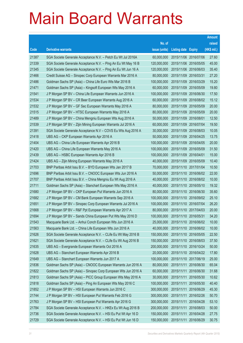|       |                                                                |               |                            |            | <b>Amount</b> |
|-------|----------------------------------------------------------------|---------------|----------------------------|------------|---------------|
|       |                                                                | No. of        |                            |            | raised        |
| Code  | <b>Derivative warrants</b>                                     | issue (units) | <b>Listing date Expiry</b> |            | (HK\$ mil.)   |
| 21387 | SGA Societe Generale Acceptance N.V. - Petch Eu Wt Jul 2016A   | 60,000,000    | 2015/11/06 2016/07/06      |            | 27.60         |
| 21339 | SGA Societe Generale Acceptance N.V. - Ping An Eu Wt May 16 B  | 120,000,000   | 2015/11/06 2016/05/05      |            | 45.00         |
| 21345 | SGA Societe Generale Acceptance N.V. - Ping An Eu Wt Jun 16 A  | 120,000,000   | 2015/11/06 2016/06/03      |            | 35.40         |
| 21466 | Credit Suisse AG - Sinopec Corp European Warrants Mar 2016 A   | 80,000,000    | 2015/11/09 2016/03/31      |            | 27.20         |
| 21486 | Goldman Sachs SP (Asia) - China Life Euro Wts Mar 2016 B       | 100,000,000   | 2015/11/09 2016/03/29      |            | 15.20         |
| 21471 | Goldman Sachs SP (Asia) - Kingsoft European Wts May 2016 A     | 60,000,000    | 2015/11/09 2016/05/09      |            | 19.80         |
| 21541 | J P Morgan SP BV - China Life European Warrants Jun 2016 A     | 100,000,000   | 2015/11/09 2016/06/30      |            | 17.50         |
| 21534 | J P Morgan SP BV - CR Beer European Warrants Aug 2016 A        | 60,000,000    | 2015/11/09 2016/08/02      |            | 15.12         |
| 21532 | J P Morgan SP BV - GF Sec European Warrants May 2016 A         | 80,000,000    | 2015/11/09 2016/05/09      |            | 20.00         |
| 21515 | J P Morgan SP BV - HTSC European Warrants May 2016 A           | 80,000,000    | 2015/11/09 2016/05/09      |            | 20.00         |
| 21489 | J P Morgan SP BV - China Mengniu European Wts Aug 2016 A       | 50,000,000    | 2015/11/09 2016/08/01      |            | 12.50         |
| 21539 | J P Morgan SP BV - Zijin Mining European Warrants Jul 2016 A   | 60,000,000    | 2015/11/09 2016/07/04      |            | 19.50         |
| 21391 | SGA Societe Generale Acceptance N.V - COVS Eu Wts Aug 2016 A   | 30,000,000    | 2015/11/09 2016/08/03      |            | 10.05         |
| 21418 | UBS AG - CKP European Warrants Apr 2016 A                      | 50,000,000    | 2015/11/09 2016/04/25      |            | 13.75         |
| 21404 | UBS AG - China Life European Warrants Apr 2016 B               | 100,000,000   | 2015/11/09 2016/04/05      |            | 20.00         |
| 21420 | UBS AG - China Life European Warrants May 2016 A               | 100,000,000   | 2015/11/09 2016/05/09      |            | 31.50         |
| 21439 | UBS AG - HSBC European Warrants Apr 2016 B                     | 100,000,000   | 2015/11/09 2016/04/01      |            | 15.00         |
| 21424 | UBS AG - Zijin Mining European Warrants May 2016 A             | 40,000,000    | 2015/11/09 2016/05/09      |            | 10.40         |
| 21703 | BNP Paribas Arbit Issu B.V. - BYD European Wts Jan 2017 B      | 70,000,000    | 2015/11/10 2017/01/04      |            | 10.50         |
| 21696 | BNP Paribas Arbit Issu B.V. - CNOOC European Wts Jun 2016 A    | 50,000,000    | 2015/11/10 2016/06/02      |            | 22.00         |
| 21707 | BNP Paribas Arbit Issu B.V. - China Mengniu Eu Wt Aug 2016 A   | 40,000,000    | 2015/11/10 2016/08/02      |            | 10.00         |
| 21711 | Goldman Sachs SP (Asia) - Stanchart European Wts May 2016 A    | 40,000,000    | 2015/11/10 2016/05/10      |            | 19.32         |
| 21680 | J P Morgan SP BV - CKP European Put Warrants Jun 2016 A        | 80,000,000    | 2015/11/10 2016/06/30      |            | 35.60         |
| 21682 | J P Morgan SP BV - CM Bank European Warrants Sep 2016 A        | 100,000,000   | 2015/11/10 2016/09/02      |            | 25.10         |
| 21651 | J P Morgan SP BV - Sinopec Corp European Warrants Jul 2016 A   | 100,000,000   | 2015/11/10 2016/07/04      |            | 26.20         |
| 21668 | J P Morgan SP BV - R&F Ppt European Warrants Apr 2017 A        | 80,000,000    | 2015/11/10 2017/04/03      |            | 20.00         |
| 21694 | J P Morgan SP BV - Sands China European Put Wts May 2016 D     | 100,000,000   | 2015/11/10 2016/05/31      |            | 34.20         |
| 21543 | Macquarie Bank Ltd. - Anhui Conch European Wts Jun 2016 A      | 25,000,000    | 2015/11/10 2016/06/02      |            | 10.00         |
| 21563 | Macquarie Bank Ltd. - China Life European Wts Jun 2016 A       | 40,000,000    | 2015/11/10 2016/06/02      |            | 10.00         |
| 21626 | SGA Societe Generale Acceptance N.V. - CLife Eu Wt May 2016 B  | 150,000,000   | 2015/11/10 2016/05/05      |            | 22.50         |
| 21621 | SGA Societe Generale Acceptance N.V. - CLife Eu Wt Aug 2016 B  | 150,000,000   | 2015/11/10 2016/08/03      |            | 37.50         |
| 21635 | UBS AG - Evergrande European Warrants Oct 2016 A               | 200,000,000   | 2015/11/10 2016/10/24      |            | 50.00         |
| 21628 | UBS AG - Stanchart European Warrants Apr 2016 B                | 20,000,000    | 2015/11/10 2016/04/22      |            | 17.80         |
| 21649 | UBS AG - Stanchart European Warrants Jun 2017 A                | 100,000,000   | 2015/11/10 2017/06/19      |            | 25.00         |
| 21836 | Goldman Sachs SP (Asia) - CNOOC European Warrants Jun 2016 A   | 80,000,000    | 2015/11/11                 | 2016/06/30 | 65.04         |
| 21822 | Goldman Sachs SP (Asia) - Sinopec Corp European Wts Jun 2016 A | 60,000,000    | 2015/11/11                 | 2016/06/30 | 31.68         |
| 21813 | Goldman Sachs SP (Asia) - PICC Group European Wts May 2016 A   | 30,000,000    | 2015/11/11                 | 2016/05/30 | 10.62         |
| 21818 | Goldman Sachs SP (Asia) - Ping An European Wts May 2016 C      | 100,000,000   | 2015/11/11                 | 2016/05/30 | 40.40         |
| 21852 | J P Morgan SP BV - HSI European Warrants Jun 2016 C            | 300,000,000   | 2015/11/11                 | 2016/06/29 | 45.30         |
| 21744 | J P Morgan SP BV - HSI European Put Warrants Feb 2016 G        | 300,000,000   | 2015/11/11                 | 2016/02/26 | 50.70         |
| 21763 | J P Morgan SP BV - HSI European Put Warrants Apr 2016 G        | 300,000,000   | 2015/11/11                 | 2016/04/28 | 53.10         |
| 21784 | SGA Societe Generale Acceptance N.V. - HKEx Eu Wt Aug 2016 B   | 200,000,000   | 2015/11/11                 | 2016/08/03 | 50.00         |
| 21736 | SGA Societe Generale Acceptance N.V. - HSI Eu Put Wt Apr 16 D  | 150,000,000   | 2015/11/11                 | 2016/04/28 | 27.75         |
| 21729 | SGA Societe Generale Acceptance N.V. - HSI Eu Put Wt Jun 16 D  | 150,000,000   | 2015/11/11                 | 2016/06/29 | 30.75         |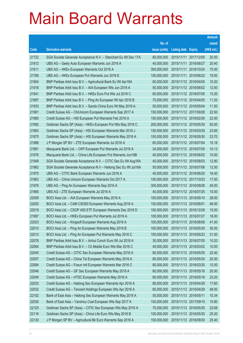|       |                                                                |               |                       |                       | <b>Amount</b> |
|-------|----------------------------------------------------------------|---------------|-----------------------|-----------------------|---------------|
|       |                                                                | No. of        |                       |                       | raised        |
| Code  | <b>Derivative warrants</b>                                     | issue (units) | Listing date Expiry   |                       | (HK\$ mil.)   |
| 21722 | SGA Societe Generale Acceptance N.V. - Stanchart Eu Wt Dec 17A | 80,000,000    |                       | 2015/11/11 2017/12/05 | 20.00         |
| 21812 | UBS AG - Geely Auto European Warrants Jun 2016 A               | 40,000,000    | 2015/11/11 2016/06/27 |                       | 20.40         |
| 21811 | UBS AG - HKEx European Warrants Oct 2016 A                     | 300,000,000   | 2015/11/11            | 2016/10/24            | 75.00         |
| 21785 | UBS AG - HKEx European Put Warrants Jun 2016 E                 | 100,000,000   | 2015/11/11 2016/06/22 |                       | 19.00         |
| 21904 | BNP Paribas Arbit Issu B.V. - Agricultural Bank Eu Wt Apr16A   | 60,000,000    |                       | 2015/11/12 2016/04/05 | 10.20         |
| 21918 | BNP Paribas Arbit Issu B.V. - AIA European Wts Jun 2016 A      | 50,000,000    | 2015/11/12 2016/06/02 |                       | 12.50         |
| 21941 | BNP Paribas Arbit Issu B.V. - HKEx Euro Put Wts Jul 2016 C     | 60,000,000    | 2015/11/12 2016/07/05 |                       | 13.20         |
| 21897 | BNP Paribas Arbit Issu B.V. - Ping An European Wt Apr 2016 B   | 70,000,000    | 2015/11/12 2016/04/05 |                       | 11.20         |
| 21933 | BNP Paribas Arbit Issu B.V. - Sands China Euro Wt May 2016 A   | 50,000,000    |                       | 2015/11/12 2016/05/04 | 11.50         |
| 21981 | Credit Suisse AG - ChiUnicom European Warrants Sep 2017 A      | 150,000,000   | 2015/11/12 2017/09/28 |                       | 22.50         |
| 21980 | Credit Suisse AG - HSI European Put Warrants Feb 2016 A        | 150,000,000   | 2015/11/12 2016/02/26 |                       | 22.50         |
| 21992 | Goldman Sachs SP (Asia) - HKEx European Put Wts May 2016 C     | 200,000,000   | 2015/11/12 2016/05/30 |                       | 50.00         |
| 21863 | Goldman Sachs SP (Asia) - HSI European Warrants Mar 2016 J     | 150,000,000   |                       | 2015/11/12 2016/03/30 | 23.85         |
| 21875 | Goldman Sachs SP (Asia) - HSI European Warrants May 2016 A     | 150,000,000   | 2015/11/12 2016/05/30 |                       | 23.70         |
| 21986 | J P Morgan SP BV - ZTE European Warrants Jul 2016 A            | 60,000,000    | 2015/11/12 2016/07/04 |                       | 15.18         |
| 21881 | Macquarie Bank Ltd. - CKP European Put Warrants Jul 2016 A     | 24,000,000    | 2015/11/12 2016/07/05 |                       | 10.13         |
| 21876 | Macquarie Bank Ltd. - China Life European Put Warrants Jun16B  | 40,000,000    |                       | 2015/11/12 2016/06/02 | 10.00         |
| 21949 | SGA Societe Generale Acceptance N.V. - CITIC Sec Eu Wt Aug16A  | 40,000,000    | 2015/11/12 2016/08/03 |                       | 12.80         |
| 21962 | SGA Societe Generale Acceptance N.V - Haitong Sec Eu Wt Jul16A | 50,000,000    |                       | 2015/11/12 2016/07/06 | 12.50         |
| 21970 | UBS AG - CITIC Bank European Warrants Jun 2016 A               | 40,000,000    | 2015/11/12 2016/06/20 |                       | 16.40         |
| 21963 | UBS AG - China Unicom European Warrants Oct 2017 A             | 100,000,000   |                       | 2015/11/12 2017/10/23 | 17.00         |
| 21976 | UBS AG - Ping An European Warrants Sep 2016 A                  | 300,000,000   | 2015/11/12 2016/09/26 |                       | 45.00         |
| 21965 | UBS AG - ZTE European Warrants Jul 2016 A                      | 40,000,000    | 2015/11/12 2016/07/25 |                       | 10.00         |
| 22009 | BOCI Asia Ltd. - AIA European Warrants May 2016 A              | 100,000,000   | 2015/11/13 2016/05/10 |                       | 28.00         |
| 22020 | BOCI Asia Ltd. - CAM CSI300 European Warrants Aug 2016 A       | 100,000,000   | 2015/11/13 2016/08/01 |                       | 46.00         |
| 22019 | BOCI Asia Ltd. - CSOP A50 ETF European Warrants Dec 2016 D     | 100,000,000   | 2015/11/13 2016/12/28 |                       | 15.00         |
| 21997 | BOCI Asia Ltd. - HKEx European Put Warrants Jul 2016 A         | 100,000,000   | 2015/11/13 2016/07/27 |                       | 18.00         |
| 22023 | BOCI Asia Ltd. - Kingsoft European Warrants Aug 2016 A         | 100,000,000   | 2015/11/13 2016/08/08 |                       | 41.00         |
| 22010 | BOCI Asia Ltd. - Ping An European Warrants May 2016 B          | 100,000,000   |                       | 2015/11/13 2016/05/30 | 30.00         |
| 22013 | BOCI Asia Ltd. - Ping An European Put Warrants May 2016 C      | 100,000,000   | 2015/11/13 2016/05/23 |                       | 31.00         |
| 22078 | BNP Paribas Arbit Issu B.V. - Anhui Conch Euro Wt Jul 2016 A   | 30,000,000    | 2015/11/13 2016/07/05 |                       | 10.20         |
| 22064 | BNP Paribas Arbit Issu B.V. - Ch Mobile Euro Wts Mar 2016 C    | 40,000,000    |                       | 2015/11/13 2016/03/02 | 10.00         |
| 22045 | Credit Suisse AG - CITIC Sec European Warrants May 2016 A      | 80,000,000    | 2015/11/13 2016/05/30 |                       | 22.40         |
| 22057 | Credit Suisse AG - China Tel European Warrants May 2016 A      | 80,000,000    | 2015/11/13 2016/05/30 |                       | 20.00         |
| 22084 | Credit Suisse AG - Fosun Intl European Warrants Mar 2016 C     | 80,000,000    | 2015/11/13 2016/03/30 |                       | 12.00         |
| 22046 | Credit Suisse AG - GF Sec European Warrants May 2016 A         | 80,000,000    | 2015/11/13 2016/05/16 |                       | 20.00         |
| 22049 | Credit Suisse AG - HTSC European Warrants May 2016 A           | 80,000,000    | 2015/11/13 2016/05/16 |                       | 23.20         |
| 22033 | Credit Suisse AG - Haitong Sec European Warrants Apr 2016 A    | 80,000,000    | 2015/11/13 2016/04/29 |                       | 17.60         |
| 22032 | Credit Suisse AG - Tencent Holdings European Wts Apr 2016 A    | 60,000,000    | 2015/11/13 2016/04/29 |                       | 48.00         |
| 22102 | Bank of East Asia - Haitong Sec European Warrants May 2016 A   | 55,000,000    | 2015/11/13 2016/05/11 |                       | 10.34         |
| 22030 | Bank of East Asia - Yanzhou Coal European Wts Sep 2017 A       | 100,000,000   | 2015/11/13 2017/09/15 |                       | 15.80         |
| 22125 | Goldman Sachs SP (Asia) - CITIC Sec European Wts May 2016 A    | 70,000,000    | 2015/11/13 2016/05/30 |                       | 22.68         |
| 22116 | Goldman Sachs SP (Asia) - China Life Euro Wts May 2016 B       | 100,000,000   | 2015/11/13 2016/05/30 |                       | 25.20         |
| 22130 | J P Morgan SP BV - Agricultural Bk Euro Warrants Sep 2016 A    | 100,000,000   | 2015/11/13 2016/09/30 |                       | 25.40         |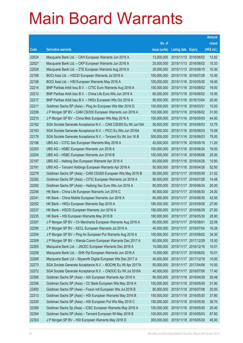|       |                                                                |                                   |                       |            | <b>Amount</b> |
|-------|----------------------------------------------------------------|-----------------------------------|-----------------------|------------|---------------|
|       |                                                                | No. of                            |                       |            | raised        |
| Code  | <b>Derivative warrants</b>                                     | issue (units)                     | Listing date Expiry   |            | $(HK$$ mil.)  |
| 22024 | Macquarie Bank Ltd. - CKH European Warrants Jun 2016 A         | 13,000,000                        | 2015/11/13 2016/06/02 |            | 12.82         |
| 22027 | Macquarie Bank Ltd. - CKP European Warrants Jun 2016 A         | 25,000,000                        | 2015/11/13 2016/06/02 |            | 10.33         |
| 22028 | Macquarie Bank Ltd. - ZTE European Warrants Aug 2016 A         | 29,000,000                        | 2015/11/13 2016/08/15 |            | 10.30         |
| 22158 | BOCI Asia Ltd. - HSCEI European Warrants Jul 2016 A            | 100,000,000                       | 2015/11/16 2016/07/28 |            | 15.00         |
| 22156 | BOCI Asia Ltd. - HSI European Warrants May 2016 A              | 100,000,000                       | 2015/11/16 2016/05/30 |            | 16.00         |
| 22214 | BNP Paribas Arbit Issu B.V. - CITIC Euro Warrants Aug 2016 A   | 100,000,000                       | 2015/11/16 2016/08/02 |            | 19.00         |
| 22212 | BNP Paribas Arbit Issu B.V. - China Life Euro Wts Jun 2016 A   | 60,000,000                        | 2015/11/16 2016/06/02 |            | 15.00         |
| 22217 | BNP Paribas Arbit Issu B.V. - HKEx European Wts Oct 2016 A     | 80,000,000                        | 2015/11/16 2016/10/04 |            | 20.00         |
| 22211 | Goldman Sachs SP (Asia) - Ping An European Wts Mar 2016 D      | 100,000,000                       | 2015/11/16 2016/03/31 |            | 15.00         |
| 22209 | J P Morgan SP BV - CAM CSI300 European Warrants Jun 2016 A     | 100,000,000                       | 2015/11/16 2016/06/02 |            | 31.60         |
| 22210 | J P Morgan SP BV - China Mob European Wts May 2016 A           | 100,000,000                       | 2015/11/16 2016/05/03 |            | 44.00         |
| 22162 | SGA Societe Generale Acceptance N.V. - CAM CSI300 Eu Wt Jun16A | 50,000,000                        | 2015/11/16 2016/06/03 |            | 12.75         |
| 22163 | SGA Societe Generale Acceptance N.V. - PICC Eu Wts Jun 2016A   | 18,000,000                        | 2015/11/16 2016/06/03 |            | 10.08         |
| 22178 | SGA Societe Generale Acceptance N.V. - Tencent Eu Wt Jun 16 B  | 500,000,000                       | 2015/11/16 2016/06/03 |            | 75.00         |
| 22196 | UBS AG – CITIC Sec European Warrants May 2016 A                | 40,000,000                        | 2015/11/16 2016/05/16 |            | 11.20         |
| 22203 | UBS AG - HSBC European Warrants Jun 2016 A                     | 100,000,000                       | 2015/11/16 2016/06/24 |            | 19.00         |
| 22204 | UBS AG - HSBC European Warrants Jun 2016 B                     | 100,000,000                       | 2015/11/16 2016/06/08 |            | 25.00         |
| 22197 | UBS AG - Haitong Sec European Warrants Apr 2016 A              | 60,000,000                        | 2015/11/16 2016/04/26 |            | 10.80         |
| 22181 | UBS AG - Tencent Holdings European Warrants Apr 2016 A         | 50,000,000                        | 2015/11/16 2016/04/26 |            | 52.50         |
| 22279 | Goldman Sachs SP (Asia) – CAM CSI300 European Wts May 2016 B   | 80,000,000                        | 2015/11/17 2016/05/30 |            | 21.52         |
| 22282 | Goldman Sachs SP (Asia) – CITIC European Warrants Jul 2016 A   | 80,000,000                        | 2015/11/17 2016/07/29 |            | 14.48         |
| 22292 | Goldman Sachs SP (Asia) - Haitong Sec Euro Wts Jun 2016 A      | 80,000,000                        | 2015/11/17 2016/06/24 |            | 20.00         |
| 22256 | HK Bank - China Life European Warrants Jun 2016 C              | 80,000,000                        | 2015/11/17            | 2016/06/30 | 24.00         |
| 22241 | HK Bank – China Mobile European Warrants Jun 2016 A            | 60,000,000                        | 2015/11/17 2016/06/30 |            | 42.00         |
| 22252 | HK Bank - HKEx European Warrants Sep 2016 A                    | 180,000,000                       | 2015/11/17 2016/09/26 |            | 27.00         |
| 22237 | HK Bank – HSCEI European Warrants Jun 2016 A                   | 180,000,000                       | 2015/11/17 2016/06/29 |            | 27.00         |
| 22235 | HK Bank – HSI European Warrants May 2016 B                     | 180,000,000 2015/11/17 2016/05/30 |                       |            | 28.80         |
| 22307 | J P Morgan SP BV - Ch Merchants European Warrants Aug 2016 A   | 60,000,000                        | 2015/11/17 2016/08/01 |            | 22.08         |
| 22295 | J P Morgan SP BV - KECL European Warrants Jul 2016 A           | 40,000,000                        | 2015/11/17 2016/07/04 |            | 16.28         |
| 22304 | J P Morgan SP BV - Ping An European Put Warrants Aug 2016 A    | 100,000,000                       | 2015/11/17 2016/08/02 |            | 34.30         |
| 22309 | J P Morgan SP BV - Wanda Comm European Warrants Dec 2017 A     | 60,000,000                        | 2015/11/17 2017/12/29 |            | 15.00         |
| 22265 | Macquarie Bank Ltd. - JNCEC European Warrants Dec 2016 A       | 15,000,000                        | 2015/11/17 2016/12/16 |            | 10.01         |
| 22258 | Macquarie Bank Ltd. - SHK Ppt European Warrants Jun 2016 A     | 15,000,000                        | 2015/11/17            | 2016/06/02 | 10.01         |
| 22268 | Macquarie Bank Ltd - Skyworth Digital European Wts Dec 2017 A  | 40,000,000                        | 2015/11/17 2017/12/18 |            | 10.00         |
| 22273 | SGA Societe Generale Acceptance N.V. - BOCHK Eu Wt Apr 2017A   | 50,000,000                        | 2015/11/17            | 2017/04/06 | 10.00         |
| 22272 | SGA Societe Generale Acceptance N.V. - CNOOC Eu Wt Jul 2016A   | 40,000,000                        | 2015/11/17 2016/07/06 |            | 17.40         |
| 22366 | Goldman Sachs SP (Asia) - AIA European Warrants Apr 2016 A     | 80,000,000                        | 2015/11/18            | 2016/04/29 | 20.48         |
| 22356 | Goldman Sachs SP (Asia) - CC Bank European Wts May 2016 A      | 100,000,000                       | 2015/11/18 2016/05/30 |            | 31.90         |
| 22400 | Goldman Sachs SP (Asia) - Fosun Intl European Wts Jul 2016 B   | 80,000,000                        | 2015/11/18 2016/07/08 |            | 20.00         |
| 22313 | Goldman Sachs SP (Asia) - HSI European Warrants May 2016 B     | 150,000,000                       | 2015/11/18 2016/05/30 |            | 37.80         |
| 22320 | Goldman Sachs SP (Asia) - HSI European Put Wts May 2016 C      | 150,000,000                       | 2015/11/18            | 2016/05/30 | 38.70         |
| 22369 | Goldman Sachs Sp (Asia) - ICBC European Warrants May 2016 A    | 100,000,000                       | 2015/11/18 2016/05/30 |            | 25.40         |
| 22354 | Goldman Sachs SP (Asia) - Tencent European Wt May 2016 B       | 100,000,000                       | 2015/11/18 2016/05/03 |            | 67.60         |
| 22353 | J P Morgan SP BV - HSI European Warrants May 2016 D            | 300,000,000                       | 2015/11/18 2016/05/30 |            | 45.00         |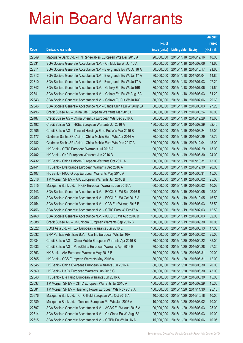|         |                                                                |               |                            |                       | <b>Amount</b> |
|---------|----------------------------------------------------------------|---------------|----------------------------|-----------------------|---------------|
|         |                                                                | No. of        |                            |                       | raised        |
| Code    | <b>Derivative warrants</b>                                     | issue (units) | <b>Listing date Expiry</b> |                       | (HK\$ mil.)   |
| 22349   | Macquarie Bank Ltd. - HN Renewables European Wts Dec 2016 A    | 20,000,000    | 2015/11/18 2016/12/16      |                       | 10.00         |
| 22331   | SGA Societe Generale Acceptance N.V. - Ch Mob Eu Wt Jul 16 A   | 80,000,000    |                            | 2015/11/18 2016/07/06 | 41.60         |
| 22311   | SGA Societe Generale Acceptance N.V - Evergrande Eu Wt Oct16 A | 80,000,000    | 2015/11/18 2016/10/17      |                       | 21.60         |
| 22312   | SGA Societe Generale Acceptance N.V - Evergrande Eu Wt Jan17 A | 80,000,000    |                            | 2015/11/18 2017/01/04 | 14.80         |
| 22310   | SGA Societe Generale Acceptance N.V - Evergrande Eu Wt Jul17 A | 80,000,000    |                            | 2015/11/18 2017/07/03 | 27.20         |
| 22342   | SGA Societe Generale Acceptance N.V. - Galaxy Ent Eu Wt Jul16B | 80,000,000    |                            | 2015/11/18 2016/07/06 | 21.60         |
| 22341   | SGA Societe Generale Acceptance N.V. - Galaxy Ent Eu Wt Aug16A | 80,000,000    | 2015/11/18 2016/08/03      |                       | 31.20         |
| 22343   | SGA Societe Generale Acceptance N.V. - Galaxy Eu Put Wt Jul16C | 80,000,000    |                            | 2015/11/18 2016/07/06 | 29.60         |
| 22346   | SGA Societe Generale Acceptance N.V - Sands China Eu Wt Aug16A | 80,000,000    |                            | 2015/11/18 2016/08/03 | 27.20         |
| 22496   | Credit Suisse AG - China Life European Warrants Mar 2016 B     | 80,000,000    | 2015/11/19 2016/03/24      |                       | 16.00         |
| 22487   | Credit Suisse AG - China Shenhua European Wts Dec 2016 A       | 80,000,000    | 2015/11/19 2016/12/29      |                       | 13.60         |
| 22492   | Credit Suisse AG - HKEx European Warrants Jul 2016 A           | 180,000,000   | 2015/11/19 2016/07/29      |                       | 32.40         |
| 22505   | Credit Suisse AG - Tencent Holdings Euro Put Wts Mar 2016 B    | 80,000,000    |                            | 2015/11/19 2016/03/24 | 12.00         |
| 22477   | Goldman Sachs SP (Asia) - China Mobile Euro Wts Apr 2016 A     | 80,000,000    |                            | 2015/11/19 2016/04/29 | 42.72         |
| 22482   | Goldman Sachs SP (Asia) - China Mobile Euro Wts Dec 2017 A     | 300,000,000   | 2015/11/19 2017/12/04      |                       | 45.00         |
| 22409   | HK Bank - CITIC European Warrants Jul 2016 A                   | 100,000,000   | 2015/11/19 2016/07/29      |                       | 15.00         |
| 22402   | HK Bank - CKP European Warrants Jun 2016 B                     | 80,000,000    |                            | 2015/11/19 2016/06/30 | 24.00         |
| 22432   | HK Bank - China Unicom European Warrants Oct 2017 A            | 100,000,000   | 2015/11/19 2017/10/31      |                       | 15.00         |
| 22441   | HK Bank - Evergrande European Warrants Dec 2016 A              | 80,000,000    |                            | 2015/11/19 2016/12/30 | 20.00         |
| 22407   | HK Bank - PICC Group European Warrants May 2016 A              | 50,000,000    | 2015/11/19 2016/05/31      |                       | 15.00         |
| 22516   | J P Morgan SP BV - AIA European Warrants Jun 2016 B            | 100,000,000   |                            | 2015/11/19 2016/06/02 | 25.00         |
| 22515   | Macquarie Bank Ltd. - HKEx European Warrants Jun 2016 A        | 60,000,000    |                            | 2015/11/19 2016/06/02 | 10.02         |
| 22443   | SGA Societe Generale Acceptance N.V. - BOCL Eu Wt Sep 2016 B   | 100,000,000   | 2015/11/19 2016/09/05      |                       | 25.00         |
| 22450   | SGA Societe Generale Acceptance N.V. - BOCL Eu Wt Oct 2016 A   | 100,000,000   |                            | 2015/11/19 2016/10/05 | 16.50         |
| 22454   | SGA Societe Generale Acceptance N.V. - CCB Eur Wt Aug 2016 B   | 100,000,000   |                            | 2015/11/19 2016/08/03 | 33.50         |
| 22456   | SGA Societe Generale Acceptance N.V. - CITIC Euro Wt Feb17 A   | 50,000,000    | 2015/11/19 2017/02/03      |                       | 12.50         |
| 22460   | SGA Societe Generale Acceptance N.V. - ICBC Eu Wt Aug 2016 B   | 100,000,000   | 2015/11/19 2016/08/03      |                       | 32.00         |
| 25088 # | Credit Suisse AG - ChiUnicom European Warrants Sep 2016 B      | 150,000,000   | 2015/11/19 2016/09/30      |                       | 10.05         |
| 22522   | BOCI Asia Ltd. - HKEx European Warrants Jun 2016 E             | 100,000,000   | 2015/11/20 2016/06/13      |                       | 17.00         |
| 22632   | BNP Paribas Arbit Issu B.V. - Car Inc European Wts Jun16A      | 100,000,000   |                            | 2015/11/20 2016/06/02 | 25.00         |
| 22634   | Credit Suisse AG - China Mobile European Warrants Apr 2016 B   | 80,000,000    |                            | 2015/11/20 2016/04/22 | 32.00         |
| 22633   | Credit Suisse AG - PetroChina European Warrants Apr 2016 B     | 70,000,000    | 2015/11/20 2016/04/28      |                       | 27.30         |
| 22563   | HK Bank - AIA European Warrants May 2016 B                     | 80,000,000    | 2015/11/20 2016/05/31      |                       | 20.00         |
| 22565   | HK Bank - CGS European Warrants May 2016 A                     | 80,000,000    | 2015/11/20 2016/05/31      |                       | 12.00         |
| 22545   | HK Bank - China Overseas European Warrants Jun 2016 A          | 80,000,000    | 2015/11/20 2016/06/30      |                       | 20.00         |
| 22569   | HK Bank - HKEx European Warrants Jun 2016 C                    | 180,000,000   |                            | 2015/11/20 2016/06/30 | 45.00         |
| 22543   | HK Bank - Li & Fung European Warrants Jun 2016 A               | 50,000,000    | 2015/11/20 2016/06/30      |                       | 15.00         |
| 22637   | J P Morgan SP BV - CITIC European Warrants Jul 2016 A          | 100,000,000   | 2015/11/20 2016/07/29      |                       | 15.30         |
| 22581   | J P Morgan SP BV - Huaneng Power European Wts Nov 2017 A       | 100,000,000   | 2015/11/20 2017/11/30      |                       | 25.10         |
| 22676   | Macquarie Bank Ltd. - Ch Oilfield European Wts Oct 2016 A      | 40,000,000    | 2015/11/20 2016/10/18      |                       | 10.00         |
| 22589   | Macquarie Bank Ltd. - Tencent European Put Wts Jun 2016 A      | 10,000,000    | 2015/11/20 2016/06/02      |                       | 10.00         |
| 22597   | SGA Societe Generale Acceptance N.V. - AGBK Eu Wt Aug 2016 A   | 100,000,000   | 2015/11/20 2016/08/03      |                       | 25.00         |
| 22614   | SGA Societe Generale Acceptance N.V. - Ch Cinda Eu Wt Aug16A   | 25,000,000    | 2015/11/20 2016/08/03      |                       | 10.00         |
| 22615   | SGA Societe Generale Acceptance N.V. - CITBK Eu Wt Jul 16 A    | 15,000,000    | 2015/11/20 2016/07/06      |                       | 10.05         |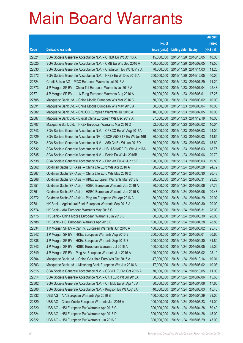|       |                                                                |               |                            |                       | <b>Amount</b> |
|-------|----------------------------------------------------------------|---------------|----------------------------|-----------------------|---------------|
|       |                                                                | No. of        |                            |                       | raised        |
| Code  | <b>Derivative warrants</b>                                     | issue (units) | <b>Listing date Expiry</b> |                       | (HK\$ mil.)   |
| 22621 | SGA Societe Generale Acceptance N.V. - CITBK Eu Wt Oct 16 A    | 15,000,000    |                            | 2015/11/20 2016/10/05 | 10.05         |
| 22625 | SGA Societe Generale Acceptance N.V. - CMB Eu Wts Sep 2016 A   | 100,000,000   |                            | 2015/11/20 2016/09/05 | 19.50         |
| 22630 | SGA Societe Generale Acceptance N.V. - ChiUnicom Eu Wt Nov17 A | 70,000,000    |                            | 2015/11/20 2017/11/03 | 11.20         |
| 22572 | SGA Societe Generale Acceptance N.V. - HKEx Eu Wt Dec 2016 A   | 200,000,000   |                            | 2015/11/20 2016/12/05 | 50.00         |
| 22724 | Credit Suisse AG - PICC European Warrants Jul 2016 A           | 70,000,000    |                            | 2015/11/23 2016/07/29 | 11.20         |
| 22773 | J P Morgan SP BV - China Tel European Warrants Jul 2016 A      | 80,000,000    |                            | 2015/11/23 2016/07/04 | 22.48         |
| 22771 | J P Morgan SP BV - Li & Fung European Warrants Aug 2016 A      | 50,000,000    | 2015/11/23 2016/08/01      |                       | 17.25         |
| 22705 | Macquarie Bank Ltd. - China Mobile European Wts Mar 2016 C     | 50,000,000    |                            | 2015/11/23 2016/03/02 | 10.00         |
| 22691 | Macquarie Bank Ltd. - China Mobile European Wts May 2016 A     | 50,000,000    |                            | 2015/11/23 2016/05/04 | 10.05         |
| 22682 | Macquarie Bank Ltd. - CNOOC European Warrants Jul 2016 A       | 10,000,000    |                            | 2015/11/23 2016/07/05 | 10.00         |
| 22687 | Macquarie Bank Ltd. - Digital China European Wts Dec 2017 A    | 37,000,000    |                            | 2015/11/23 2017/12/18 | 10.03         |
| 22707 | Macquarie Bank Ltd. - HKEx European Warrants Mar 2016 D        | 52,000,000    |                            | 2015/11/23 2016/03/02 | 10.04         |
| 22743 | SGA Societe Generale Acceptance N.V. - CP&CC Eu Wt Aug 2016A   | 80,000,000    |                            | 2015/11/23 2016/08/03 | 24.00         |
| 22729 | SGA Societe Generale Acceptance NV - CSOP A50 ETF Eu Wt Jun16B | 30,000,000    |                            | 2015/11/23 2016/06/03 | 14.85         |
| 22734 | SGA Societe Generale Acceptance N.V. - A50 Ch Eu Wt Jun 2016D  | 30,000,000    |                            | 2015/11/23 2016/06/03 | 15.60         |
| 22732 | SGA Societe Generale Acceptance N.V - HS H-SHARE Eu Wts Jun16A | 50,000,000    |                            | 2015/11/23 2016/06/03 | 18.75         |
| 22735 | SGA Societe Generale Acceptance N.V. - Petch Eu Wt Jul 2016B   | 60,000,000    |                            | 2015/11/23 2016/07/06 | 29.70         |
| 22738 | SGA Societe Generale Acceptance N.V. - Ping An Eu Wt Jun 16 B  | 120,000,000   |                            | 2015/11/23 2016/06/03 | 19.80         |
| 22862 | Goldman Sachs SP (Asia) - China Life Euro Wts Apr 2016 A       | 80,000,000    |                            | 2015/11/24 2016/04/28 | 24.72         |
| 22867 | Goldman Sachs SP (Asia) - China Life Euro Wts May 2016 C       | 80,000,000    |                            | 2015/11/24 2016/05/30 | 20.48         |
| 22868 | Goldman Sachs SP (Asia) - HKEx European Warrants Mar 2016 B    | 80,000,000    |                            | 2015/11/24 2016/03/31 | 23.28         |
| 22851 | Goldman Sachs SP (Asia) - HSBC European Warrants Jun 2016 A    | 80,000,000    |                            | 2015/11/24 2016/06/06 | 27.76         |
| 22861 | Goldman Sachs SP (Asia) - HSBC European Warrants Jun 2016 B    | 80,000,000    |                            | 2015/11/24 2016/06/06 | 20.48         |
| 22872 | Goldman Sachs SP (Asia) - Ping An European Wts Apr 2016 A      | 80,000,000    |                            | 2015/11/24 2016/04/29 | 29.92         |
| 22781 | HK Bank - Agricultural Bank European Warrants Sep 2016 A       | 80,000,000    |                            | 2015/11/24 2016/09/30 | 20.00         |
| 22774 | HK Bank - AIA European Warrants May 2016 C                     | 80,000,000    | 2015/11/24 2016/05/31      |                       | 28.00         |
| 22775 | HK Bank - China Mobile European Warrants Jun 2016 B            | 80,000,000    |                            | 2015/11/24 2016/06/30 | 28.00         |
| 22788 | HK Bank - HSI European Warrants Apr 2016 B                     | 180,000,000   | 2015/11/24 2016/04/28      |                       | 28.80         |
| 22834 | J P Morgan SP BV - Car Inc European Warrants Jun 2016 A        | 100,000,000   |                            | 2015/11/24 2016/06/02 | 25.40         |
| 22842 | J P Morgan SP BV - HKEx European Warrants Aug 2016 B           | 200,000,000   | 2015/11/24 2016/08/01      |                       | 30.60         |
| 22838 | J P Morgan SP BV - HKEx European Warrants Sep 2016 B           | 200,000,000   |                            | 2015/11/24 2016/09/30 | 31.80         |
| 22843 | J P Morgan SP BV - HSBC European Warrants Jul 2016 A           | 100,000,000   |                            | 2015/11/24 2016/07/05 | 25.00         |
| 22849 | J P Morgan SP BV - Ping An European Warrants Jun 2016 A        | 100,000,000   |                            | 2015/11/24 2016/06/02 | 25.10         |
| 22804 | Macquarie Bank Ltd. - China Gas Hold Euro Wts Oct 2016 A       | 47,000,000    |                            | 2015/11/24 2016/10/14 | 10.01         |
| 22803 | Macquarie Bank Ltd. - Minsheng Bank European Wts Jun 2016 A    | 17,000,000    |                            | 2015/11/24 2016/06/02 | 10.08         |
| 22815 | SGA Societe Generale Acceptance N.V. - CCCCL Eu Wt Oct 2016 A  | 70,000,000    |                            | 2015/11/24 2016/10/05 | 11.90         |
| 22814 | SGA Societe Generale Acceptance N.V. - CKH Euro Wt Jul 2016A   | 30,000,000    |                            | 2015/11/24 2016/07/06 | 15.60         |
| 22802 | SGA Societe Generale Acceptance N.V. - Ch Mob Eu Wt Apr 16 A   | 80,000,000    |                            | 2015/11/24 2016/04/06 | 17.60         |
| 22806 | SGA Societe Generale Acceptance N.V. - Kingsoft Eu Wt Aug16A   | 40,000,000    |                            | 2015/11/24 2016/08/03 | 15.40         |
| 22832 | UBS AG - AIA European Warrants Apr 2016 B                      | 100,000,000   |                            | 2015/11/24 2016/04/29 | 29.00         |
| 22829 | UBS AG - China Mobile European Warrants Jun 2016 A             | 100,000,000   |                            | 2015/11/24 2016/06/23 | 61.00         |
| 22820 | UBS AG - HSI European Put Warrants Apr 2016 C                  | 300,000,000   |                            | 2015/11/24 2016/04/28 | 50.40         |
| 22824 | UBS AG - HSI European Put Warrants Apr 2016 D                  | 300,000,000   |                            | 2015/11/24 2016/04/28 | 45.00         |
| 22822 | UBS AG - HSI European Put Warrants Jun 2016 F                  | 300,000,000   |                            | 2015/11/24 2016/06/29 | 45.00         |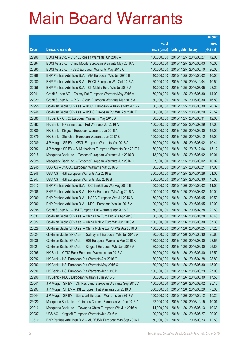|       |                                                               |               |                            | <b>Amount</b> |
|-------|---------------------------------------------------------------|---------------|----------------------------|---------------|
|       |                                                               | No. of        |                            | raised        |
| Code  | <b>Derivative warrants</b>                                    | issue (units) | <b>Listing date Expiry</b> | (HK\$ mil.)   |
| 22906 | BOCI Asia Ltd. - CKP European Warrants Jun 2016 A             | 100,000,000   | 2015/11/25 2016/06/27      | 42.00         |
| 22894 | BOCI Asia Ltd. - China Mobile European Warrants May 2016 A    | 100,000,000   | 2015/11/25 2016/05/03      | 40.00         |
| 22890 | BOCI Asia Ltd. - HSBC European Warrants May 2016 C            | 100,000,000   | 2015/11/25 2016/05/10      | 20.00         |
| 22968 | BNP Paribas Arbit Issu B.V. - AIA European Wts Jun 2016 B     | 40,000,000    | 2015/11/25 2016/06/02      | 10.00         |
| 22980 | BNP Paribas Arbit Issu B.V. - BOCL European Wts Oct 2016 A    | 70,000,000    | 2015/11/25 2016/10/04      | 10.50         |
| 22956 | BNP Paribas Arbit Issu B.V. - Ch Mobile Euro Wts Jul 2016 A   | 40,000,000    | 2015/11/25 2016/07/05      | 23.20         |
| 22941 | Credit Suisse AG - Galaxy Ent European Warrants May 2016 A    | 50,000,000    | 2015/11/25 2016/05/30      | 14.00         |
| 22929 | Credit Suisse AG - PICC Group European Warrants Mar 2016 A    | 80,000,000    | 2015/11/25 2016/03/30      | 16.80         |
| 22955 | Goldman Sachs SP (Asia) – BOCL European Warrants May 2016 A   | 80,000,000    | 2015/11/25 2016/05/30      | 20.32         |
| 22948 | Goldman Sachs SP (Asia) - HSBC European Put Wts Apr 2016 E    | 80,000,000    | 2015/11/25 2016/04/29      | 25.52         |
| 22880 | HK Bank - CRRC European Warrants May 2016 A                   | 80,000,000    | 2015/11/25 2016/05/31      | 12.00         |
| 22882 | HK Bank - HKEx European Put Warrants Jul 2016 A               | 100,000,000   | 2015/11/25 2016/07/29      | 17.00         |
| 22889 | HK Bank - Kingsoft European Warrants Jun 2016 A               | 50,000,000    | 2015/11/25 2016/06/30      | 15.00         |
| 22879 | HK Bank - Stanchart European Warrants Jun 2017 B              | 100,000,000   | 2015/11/25 2017/06/12      | 15.00         |
| 22989 | J P Morgan SP BV - KECL European Warrants Mar 2016 A          | 60,000,000    | 2015/11/25 2016/03/02      | 10.44         |
| 22982 | J P Morgan SP BV - SJM Holdings European Warrants Dec 2017 A  | 60,000,000    | 2015/11/25 2017/12/04      | 15.12         |
| 22915 | Macquarie Bank Ltd. - Tencent European Warrants Jun 2016 B    | 13,000,000    | 2015/11/25 2016/06/02      | 10.01         |
| 22925 | Macquarie Bank Ltd. - Tencent European Warrants Jun 2016 C    | 27,000,000    | 2015/11/25 2016/06/02      | 10.02         |
| 22945 | UBS AG - CNOOC European Warrants Mar 2016 B                   | 50,000,000    | 2015/11/25 2016/03/21      | 17.00         |
| 22946 | UBS AG - HSI European Warrants Apr 2016 E                     | 300,000,000   | 2015/11/25 2016/04/28      | 51.00         |
| 22947 | UBS AG - HSI European Warrants May 2016 B                     | 300,000,000   | 2015/11/25 2016/05/30      | 45.00         |
| 23013 | BNP Paribas Arbit Issu B.V. - CC Bank Euro Wts Aug 2016 B     | 50,000,000    | 2015/11/26 2016/08/02      | 11.50         |
| 23006 | BNP Paribas Arbit Issu B.V. - HKEx European Wts Aug 2016 A    | 100,000,000   | 2015/11/26 2016/08/02      | 19.00         |
| 23009 | BNP Paribas Arbit Issu B.V. - HSBC European Wts Jul 2016 A    | 50,000,000    | 2015/11/26 2016/07/05      | 10.50         |
| 23000 | BNP Paribas Arbit Issu B.V. - KECL European Wts Jul 2016 A    | 20,000,000    | 2015/11/26 2016/07/05      | 12.00         |
| 22998 | Credit Suisse AG - HSI European Put Warrants Apr 2016 B       | 150,000,000   | 2015/11/26 2016/04/28      | 22.50         |
| 23033 | Goldman Sachs SP (Asia) - China Life Euro Put Wts Apr 2016 B  | 80,000,000    | 2015/11/26 2016/04/28      | 18.48         |
| 23027 | Goldman Sachs SP (Asia) - China Mobile Euro Wts Jun 2016 A    | 100,000,000   | 2015/11/26 2016/06/30      | 67.30         |
| 23029 | Goldman Sachs SP (Asia) - China Mobile Eu Put Wts Apr 2016 B  | 100,000,000   | 2015/11/26 2016/04/25      | 37.20         |
| 23024 | Goldman Sachs SP (Asia) - Galaxy Ent European Wts Jun 2016 A  | 80,000,000    | 2015/11/26 2016/06/30      | 25.60         |
| 23035 | Goldman Sachs SP (Asia) - HSI European Warrants Mar 2016 K    | 150,000,000   | 2015/11/26 2016/03/30      | 23.55         |
| 23021 | Goldman Sachs SP (Asia) - Kingsoft European Wts Jun 2016 A    | 60,000,000    | 2015/11/26 2016/06/30      | 25.86         |
| 22995 | HK Bank - CITIC Bank European Warrants Jun 2016 A             | 50,000,000    | 2015/11/26 2016/06/30      | 12.50         |
| 22992 | HK Bank - HSI European Put Warrants Apr 2016 C                | 180,000,000   | 2015/11/26 2016/04/28      | 28.80         |
| 22993 | HK Bank - HSI European Put Warrants May 2016 C                | 180,000,000   | 2015/11/26 2016/05/30      | 45.00         |
| 22990 | HK Bank - HSI European Put Warrants Jun 2016 B                | 180,000,000   | 2015/11/26 2016/06/29      | 27.00         |
| 22996 | HK Bank - KECL European Warrants Jun 2016 B                   | 50,000,000    | 2015/11/26 2016/06/30      | 17.50         |
| 23041 | J P Morgan SP BV - Chi Res Land European Warrants Sep 2016 A  | 100,000,000   | 2015/11/26 2016/09/02      | 25.10         |
| 22997 | J P Morgan SP BV - HSI European Put Warrants Jun 2016 D       | 300,000,000   | 2015/11/26 2016/06/29      | 75.30         |
| 23044 | J P Morgan SP BV - Stanchart European Warrants Jun 2017 A     | 100,000,000   | 2015/11/26 2017/06/12      | 15.20         |
| 23020 | Macquarie Bank Ltd. - Chinares Cement European Wt Dec 2016 A  | 22,000,000    | 2015/11/26 2016/12/15      | 10.01         |
| 23016 | Macquarie Bank Ltd. - Towngas China European Wts Jun 2016 A   | 14,000,000    | 2015/11/26 2016/06/13      | 10.63         |
| 23037 | UBS AG - Kingsoft European Warrants Jun 2016 A                | 100,000,000   | 2015/11/26 2016/06/27      | 29.00         |
| 10370 | BNP Paribas Arbit Issu B.V. - AUD/USD European Wts Sep 2016 A | 50,000,000    | 2015/11/27 2016/09/23      | 12.50         |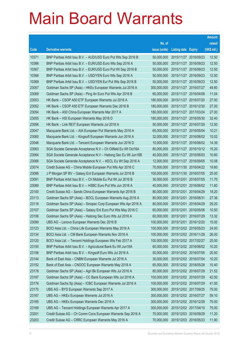|       |                                                                |               |                            |                       | <b>Amount</b> |
|-------|----------------------------------------------------------------|---------------|----------------------------|-----------------------|---------------|
|       |                                                                | No. of        |                            |                       | raised        |
| Code  | <b>Derivative warrants</b>                                     | issue (units) | <b>Listing date Expiry</b> |                       | (HK\$ mil.)   |
| 10371 | BNP Paribas Arbit Issu B.V. - AUD/USD Euro Put Wts Sep 2016 B  | 50,000,000    | 2015/11/27 2016/09/23      |                       | 12.50         |
| 10366 | BNP Paribas Arbit Issu B.V. - EUR/USD Euro Wts Sep 2016 A      | 50,000,000    | 2015/11/27 2016/09/23      |                       | 12.50         |
| 10367 | BNP Paribas Arbit Issu B.V. - EUR/USD Euro Put Wt Sep 2016 B   | 50,000,000    | 2015/11/27                 | 2016/09/23            | 12.50         |
| 10368 | BNP Paribas Arbit Issu B.V. - USD/YEN Euro Wts Sep 2016 A      | 50,000,000    | 2015/11/27 2016/09/23      |                       | 12.50         |
| 10369 | BNP Paribas Arbit Issu B.V. - USD/YEN Eur Put Wts Sep 2016 B   | 50,000,000    |                            | 2015/11/27 2016/09/23 | 12.50         |
| 23057 | Goldman Sachs SP (Asia) - HKEx European Warrants Jul 2016 A    | 300,000,000   | 2015/11/27 2016/07/27      |                       | 49.80         |
| 23069 | Goldman Sachs SP (Asia) - Ping An Euro Put Wts Apr 2016 B      | 60,000,000    | 2015/11/27 2016/04/08      |                       | 11.04         |
| 23053 | HK Bank – CSOP A50 ETF European Warrants Jul 2016 A            | 180,000,000   | 2015/11/27 2016/07/20      |                       | 27.00         |
| 23052 | HK Bank - CSOP A50 ETF European Warrants Dec 2016 B            | 180,000,000   |                            | 2015/11/27 2016/12/30 | 27.00         |
| 23054 | HK Bank - A50 China European Warrants Mar 2017 A               | 180,000,000   | 2015/11/27 2017/03/24      |                       | 27.00         |
| 23055 | HK Bank - HSI European Warrants May 2016 D                     | 180,000,000   |                            | 2015/11/27 2016/05/30 | 32.40         |
| 23056 | HK Bank - Link REIT European Warrants Jul 2016 A               | 50,000,000    | 2015/11/27 2016/07/29      |                       | 12.50         |
| 23047 | Macquarie Bank Ltd. - AIA European Put Warrants May 2016 A     | 65,000,000    |                            | 2015/11/27 2016/05/04 | 10.21         |
| 23060 | Macquarie Bank Ltd. - Kingsoft European Warrants Jun 2016 A    | 32,000,000    | 2015/11/27 2016/06/02      |                       | 10.02         |
| 23046 | Macquarie Bank Ltd. - Tencent European Warrants Jun 2016 D     | 10,000,000    | 2015/11/27                 | 2016/06/02            | 14.39         |
| 23063 | SGA Societe Generale Acceptance N.V - Ch Oilfield Eu Wt Oct16A | 80,000,000    | 2015/11/27 2016/10/12      |                       | 15.20         |
| 23064 | SGA Societe Generale Acceptance N.V - Haitong Sec Eu Wt Jun16B | 40,000,000    |                            | 2015/11/27 2016/06/03 | 10.60         |
| 23066 | SGA Societe Generale Acceptance N.V. - KECL Eu Wt Sep 2016 A   | 12,000,000    | 2015/11/27 2016/09/05      |                       | 10.08         |
| 23074 | Credit Suisse AG - China Mobile European Put Wts Apr 2016 C    | 70,000,000    | 2015/11/30 2016/04/22      |                       | 19.60         |
| 23086 | J P Morgan SP BV - Galaxy Ent European Warrants Jul 2016 B     | 100,000,000   | 2015/11/30 2016/07/05      |                       | 25.00         |
| 23091 | BNP Paribas Arbit Issu B.V. - Ch Mobile Eu Put Wt Jul 2016 B   | 30,000,000    | 2015/12/01                 | 2016/07/05            | 11.70         |
| 23089 | BNP Paribas Arbit Issu B.V. - HSBC Euro Put Wts Jun 2016 A     | 40,000,000    | 2015/12/01                 | 2016/06/02            | 11.60         |
| 23100 | Credit Suisse AG - Sands China European Warrants Apr 2016 B    | 80,000,000    | 2015/12/01                 | 2016/04/29            | 19.20         |
| 23113 | Goldman Sachs SP (Asia) - BOCL European Warrants Aug 2016 A    | 80,000,000    | 2015/12/01 2016/08/31      |                       | 27.36         |
| 23116 | Goldman Sachs SP (Asia) – Sinopec Corp European Wts Apr 2016 A | 80,000,000    | 2015/12/01                 | 2016/04/29            | 29.20         |
| 23107 | Goldman Sachs SP (Asia) - Galaxy Ent Euro Put Wts May 2016 C   | 60.000.000    | 2015/12/01                 | 2016/05/06            | 10.50         |
| 23106 | Goldman Sachs SP (Asia) - Haitong Sec Euro Wts Jul 2016 A      | 60,000,000    | 2015/12/01 2016/07/29      |                       | 13.32         |
| 23099 | UBS AG - Lenovo European Warrants Dec 2016 B                   | 100,000,000   | 2015/12/01 2016/12/20      |                       | 15.00         |
| 23123 | BOCI Asia Ltd. - China Life European Warrants May 2016 A       | 100,000,000   | 2015/12/02 2016/05/23      |                       | 24.00         |
| 23134 | BOCI Asia Ltd. - CM Bank European Warrants Nov 2016 A          | 100,000,000   | 2015/12/02 2016/11/28      |                       | 26.00         |
| 23120 | BOCI Asia Ltd. - Tencent Holdings European Wts Feb 2017 A      | 100,000,000   | 2015/12/02 2017/02/27      |                       | 25.00         |
| 23155 | BNP Paribas Arbit Issu B.V. - Agricultural Bank Eu Wt Jun16A   | 60,000,000    | 2015/12/02 2016/06/02      |                       | 10.20         |
| 23156 | BNP Paribas Arbit Issu B.V. - Kingsoft Euro Wts Jul 2016 A     | 50,000,000    | 2015/12/02 2016/07/05      |                       | 20.50         |
| 23144 | Bank of East Asia - CNBM European Warrants Jul 2016 A          | 30,000,000    | 2015/12/02 2016/07/04      |                       | 10.20         |
| 23152 | Bank of East Asia - CNOOC European Warrants May 2018 A         | 65,000,000    | 2015/12/02 2018/05/28      |                       | 10.40         |
| 23178 | Goldman Sachs SP (Asia) - Agri Bk European Wts Jul 2016 A      | 80,000,000    | 2015/12/02 2016/07/29      |                       | 21.52         |
| 23187 | Goldman Sachs SP (Asia) - CC Bank European Wts Jul 2016 A      | 100,000,000   | 2015/12/02 2016/07/29      |                       | 42.50         |
| 23176 | Goldman Sachs Sp (Asia) - ICBC European Warrants Jul 2016 A    | 100,000,000   | 2015/12/02 2016/07/29      |                       | 41.50         |
| 23170 | UBS AG - BYD European Warrants Sep 2017 A                      | 300,000,000   | 2015/12/02 2017/09/25      |                       | 75.00         |
| 23167 | UBS AG - HKEx European Warrants Jul 2016 A                     | 300,000,000   | 2015/12/02 2016/07/27      |                       | 59.10         |
| 23165 | UBS AG - HKEx European Warrants Dec 2016 A                     | 300,000,000   | 2015/12/02 2016/12/28      |                       | 75.00         |
| 23169 | UBS AG - Tencent Holdings European Warrants Apr 2017 A         | 300,000,000   | 2015/12/02 2017/04/10      |                       | 75.00         |
| 23201 | Credit Suisse AG - Ch Comm Cons European Warrants Sep 2016 A   | 70,000,000    | 2015/12/03 2016/09/29      |                       | 11.20         |
| 23203 | Credit Suisse AG - CRRC European Warrants May 2016 A           | 70,000,000    | 2015/12/03 2016/05/23      |                       | 11.90         |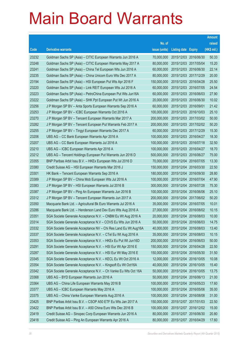|       |                                                                |               |                            |                       | <b>Amount</b> |
|-------|----------------------------------------------------------------|---------------|----------------------------|-----------------------|---------------|
|       |                                                                | No. of        |                            |                       | raised        |
| Code  | <b>Derivative warrants</b>                                     | issue (units) | <b>Listing date Expiry</b> |                       | (HK\$ mil.)   |
| 23232 | Goldman Sachs SP (Asia) - CITIC European Warrants Jun 2016 A   | 70,000,000    |                            | 2015/12/03 2016/06/30 | 50.33         |
| 23248 | Goldman Sachs SP (Asia) - CITIC European Warrants May 2017 A   | 80,000,000    |                            | 2015/12/03 2017/05/04 | 15.20         |
| 23241 | Goldman Sachs SP (Asia) - China Tel European Wts Jun 2016 A    | 60,000,000    |                            | 2015/12/03 2016/06/30 | 22.14         |
| 23235 | Goldman Sachs SP (Asia) - China Unicom Euro Wts Dec 2017 A     | 80,000,000    |                            | 2015/12/03 2017/12/29 | 20.00         |
| 23194 | Goldman Sachs SP (Asia) - HSI European Put Wts Apr 2016 F      | 150,000,000   |                            | 2015/12/03 2016/04/28 | 25.50         |
| 23220 | Goldman Sachs SP (Asia) - Link REIT European Wts Jul 2016 A    | 60,000,000    |                            | 2015/12/03 2016/07/05 | 24.54         |
| 23223 | Goldman Sachs SP (Asia) - PetroChina European Put Wts Jun16A   | 60,000,000    |                            | 2015/12/03 2016/06/03 | 27.90         |
| 23222 | Goldman Sachs SP (Asia) - SHK Ppt European Put Wt Jun 2016 A   | 20,000,000    |                            | 2015/12/03 2016/06/30 | 10.02         |
| 23256 | J P Morgan SP BV - Anta Sports European Warrants Sep 2016 A    | 60,000,000    | 2015/12/03 2016/09/01      |                       | 21.42         |
| 23253 | J P Morgan SP BV - ICBC European Warrants Oct 2016 A           | 100,000,000   |                            | 2015/12/03 2016/10/03 | 25.10         |
| 23270 | J P Morgan SP BV - Tencent European Warrants Mar 2017 A        | 200,000,000   |                            | 2015/12/03 2017/03/02 | 50.00         |
| 23282 | J P Morgan SP BV - Tencent European Put Warrants Feb 2017 A    | 200,000,000   |                            | 2015/12/03 2017/02/02 | 50.20         |
| 23255 | J P Morgan SP BV - Tingyi European Warrants Dec 2017 A         | 60,000,000    |                            | 2015/12/03 2017/12/29 | 15.30         |
| 23206 | UBS AG - CC Bank European Warrants Apr 2016 A                  | 100,000,000   |                            | 2015/12/03 2016/04/27 | 18.30         |
| 23207 | UBS AG - CC Bank European Warrants Jul 2016 A                  | 100,000,000   | 2015/12/03 2016/07/18      |                       | 32.50         |
| 23210 | UBS AG - ICBC European Warrants Apr 2016 A                     | 100,000,000   |                            | 2015/12/03 2016/04/27 | 18.70         |
| 23212 | UBS AG - Tencent Holdings European Put Warrants Jun 2016 D     | 500,000,000   |                            | 2015/12/03 2016/06/27 | 75.00         |
| 23355 | BNP Paribas Arbit Issu B.V. - HKEx European Wts Jul 2016 D     | 70,000,000    |                            | 2015/12/04 2016/07/05 | 13.30         |
| 23380 | Credit Suisse AG - HSI European Warrants Mar 2016 J            | 150,000,000   | 2015/12/04                 | 2016/03/30            | 22.50         |
| 23301 | HK Bank - Tencent European Warrants Sep 2016 A                 | 180,000,000   |                            | 2015/12/04 2016/09/30 | 28.80         |
| 23389 | J P Morgan SP BV - China Mob European Wts Jul 2016 A           | 100,000,000   |                            | 2015/12/04 2016/07/04 | 47.90         |
| 23383 | J P Morgan SP BV - HSI European Warrants Jul 2016 B            | 300,000,000   |                            | 2015/12/04 2016/07/28 | 75.30         |
| 23387 | J P Morgan SP BV - Ping An European Warrants Jun 2016 B        | 100,000,000   | 2015/12/04                 | 2016/06/06            | 25.10         |
| 23312 | J P Morgan SP BV - Tencent European Warrants Jun 2017 A        | 200,000,000   | 2015/12/04 2017/06/02      |                       | 50.20         |
| 23350 | Macquarie Bank Ltd. - Agricultural Bk Euro Warrants Jul 2016 A | 35,000,000    |                            | 2015/12/04 2016/07/05 | 10.01         |
| 23286 | Macquarie Bank Ltd. - Henderson Land Dev Euro Wts Aug 2016 A   | 27,000,000    | 2015/12/04 2016/08/02      |                       | 10.15         |
| 23351 | SGA Societe Generale Acceptance N.V. - CNBM Eu Wt Aug 2016 A   | 20,000,000    | 2015/12/04 2016/08/03      |                       | 10.00         |
| 23314 | SGA Societe Generale Acceptance N.V - COVS Eu Wts Jun 2016 A   | 50,000,000    | 2015/12/04 2016/06/03      |                       | 14.75         |
| 23332 | SGA Societe Generale Acceptance NV - Chi Res Land Eu Wt Aug16A | 40,000,000    | 2015/12/04                 | 2016/08/03            | 13.40         |
| 23337 | SGA Societe Generale Acceptance N.V. - CTel Eu Wt Aug 2016 A   | 35,000,000    |                            | 2015/12/04 2016/08/03 | 10.15         |
| 23353 | SGA Societe Generale Acceptance N.V. - HKEx Eu Put Wt Jun16D   | 200,000,000   | 2015/12/04                 | 2016/06/03            | 50.00         |
| 23291 | SGA Societe Generale Acceptance N.V. - HSI Eur Wt Apr 2016 E   | 150,000,000   | 2015/12/04 2016/04/28      |                       | 22.50         |
| 23287 | SGA Societe Generale Acceptance N.V. - HSI Eur Wt May 2016 E   | 150,000,000   | 2015/12/04                 | 2016/05/30            | 31.50         |
| 23345 | SGA Societe Generale Acceptance N.V. - KECL Eu Wt Oct 2016 A   | 12,000,000    | 2015/12/04 2016/10/05      |                       | 10.08         |
| 23354 | SGA Societe Generale Acceptance N.V. - Kingsoft Eu Wt Oct16A   | 40,000,000    | 2015/12/04                 | 2016/10/05            | 15.40         |
| 23342 | SGA Societe Generale Acceptance N.V. - Ch Vanke Eu Wts Oct 16A | 50,000,000    | 2015/12/04 2016/10/05      |                       | 13.75         |
| 23368 | UBS AG - BYD European Warrants Jun 2016 A                      | 50,000,000    | 2015/12/04                 | 2016/06/13            | 21.00         |
| 23364 | UBS AG - China Life European Warrants May 2016 B               | 100,000,000   | 2015/12/04 2016/05/23      |                       | 17.60         |
| 23377 | UBS AG - ICBC European Warrants May 2016 A                     | 100,000,000   | 2015/12/04 2016/05/06      |                       | 35.00         |
| 23375 | UBS AG - China Vanke European Warrants Aug 2016 A              | 100,000,000   | 2015/12/04 2016/08/08      |                       | 31.00         |
| 23425 | BNP Paribas Arbit Issu B.V. - CSOP A50 ETF Eu Wts Jan 2017 A   | 150,000,000   | 2015/12/07 2017/01/03      |                       | 22.50         |
| 23422 | BNP Paribas Arbit Issu B.V. - A50 China Euro Wts Dec 2016 B    | 100,000,000   |                            | 2015/12/07 2016/12/02 | 15.00         |
| 23419 | Credit Suisse AG - Sinopec Corp European Warrants Jun 2016 A   | 80,000,000    | 2015/12/07 2016/06/30      |                       | 20.80         |
| 23418 | Credit Suisse AG - Ping An European Warrants Apr 2016 A        | 80,000,000    | 2015/12/07 2016/04/29      |                       | 17.60         |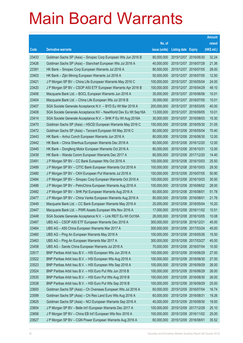|       |                                                                |               |                            |            | <b>Amount</b> |
|-------|----------------------------------------------------------------|---------------|----------------------------|------------|---------------|
|       |                                                                | No. of        |                            |            | raised        |
| Code  | <b>Derivative warrants</b>                                     | issue (units) | <b>Listing date Expiry</b> |            | (HK\$ mil.)   |
| 23433 | Goldman Sachs SP (Asia) - Sinopec Corp European Wts Jun 2016 B | 80,000,000    | 2015/12/07 2016/06/30      |            | 32.24         |
| 23426 | Goldman Sachs SP (Asia) - Stanchart European Wts Jul 2016 A    | 40,000,000    | 2015/12/07 2016/07/28      |            | 21.36         |
| 23391 | HK Bank - Sinopec Corp European Warrants Jul 2016 A            | 80,000,000    | 2015/12/07 2016/07/05      |            | 28.00         |
| 23403 | HK Bank - Zijin Mining European Warrants Jul 2016 A            | 50,000,000    | 2015/12/07 2016/07/05      |            | 12.50         |
| 23421 | J P Morgan SP BV - China Life European Warrants May 2016 C     | 100,000,000   | 2015/12/07 2016/05/04      |            | 24.00         |
| 23420 | J P Morgan SP BV - CSOP A50 ETF European Warrants Apr 2016 B   | 100,000,000   | 2015/12/07 2016/04/29      |            | 49.10         |
| 23406 | Macquarie Bank Ltd. - BOCL European Warrants Jun 2016 A        | 35,000,000    | 2015/12/07 2016/06/06      |            | 10.01         |
| 23404 | Macquarie Bank Ltd. - China Life European Wts Jul 2016 B       | 35,000,000    | 2015/12/07 2016/07/05      |            | 10.01         |
| 23407 | SGA Societe Generale Acceptance N.V. - BYD Eu Wt Mar 2018 A    | 200,000,000   | 2015/12/07 2018/03/05      |            | 40.00         |
| 23408 | SGA Societe Generale Acceptance NV - NewWorld Dev Eu Wt Sep16A | 13,000,000    | 2015/12/07 2016/09/05      |            | 10.01         |
| 23414 | SGA Societe Generale Acceptance N.V. - SHK P Eu Wt Aug 2016A   | 30,000,000    | 2015/12/07                 | 2016/08/03 | 15.30         |
| 23470 | Goldman Sachs SP (Asia) - HSCEI European Warrants May 2016 C   | 150,000,000   | 2015/12/08 2016/05/30      |            | 31.05         |
| 23472 | Goldman Sachs SP (Asia) - Tencent European Wt May 2016 C       | 80,000,000    | 2015/12/08 2016/05/04      |            | 70.40         |
| 23443 | HK Bank - Anhui Conch European Warrants Jun 2016 A             | 80,000,000    | 2015/12/08 2016/06/30      |            | 12.00         |
| 23442 | HK Bank - China Shenhua European Warrants Dec 2016 A           | 80,000,000    | 2015/12/08 2016/12/20      |            | 12.00         |
| 23445 | HK Bank - Dongfeng Motor European Warrants Oct 2016 A          | 80,000,000    | 2015/12/08 2016/10/31      |            | 12.00         |
| 23439 | HK Bank - Wanda Comm European Warrants Dec 2017 A              | 80,000,000    | 2015/12/08 2017/12/20      |            | 14.40         |
| 23491 | J P Morgan SP BV - CC Bank European Wts Oct 2016 A             | 100,000,000   | 2015/12/08 2016/10/03      |            | 25.50         |
| 23489 | J P Morgan SP BV - CITIC Bank European Warrants Oct 2016 A     | 100,000,000   | 2015/12/08 2016/10/03      |            | 29.30         |
| 23480 | J P Morgan SP BV - CKH European Put Warrants Jul 2016 A        | 100,000,000   | 2015/12/08 2016/07/05      |            | 50.90         |
| 23484 | J P Morgan SP BV - Sinopec Corp European Warrants Oct 2016 A   | 100,000,000   | 2015/12/08 2016/10/03      |            | 30.50         |
| 23488 | J P Morgan SP BV - PetroChina European Warrants Aug 2016 A     | 100,000,000   | 2015/12/08 2016/08/02      |            | 28.00         |
| 23482 | J P Morgan SP BV - SHK Ppt European Warrants Aug 2016 A        | 60,000,000    | 2015/12/08 2016/08/01      |            | 51.78         |
| 23477 | J P Morgan SP BV - China Vanke European Warrants Aug 2016 A    | 80,000,000    | 2015/12/08 2016/08/01      |            | 21.76         |
| 23449 | Macquarie Bank Ltd. - CC Bank European Warrants May 2016 A     | 25,000,000    | 2015/12/08 2016/05/04      |            | 10.20         |
| 23447 | Macquarie Bank Ltd. - PWR Assets European Wts Nov 2016 A       | 17,000,000    | 2015/12/08 2016/11/02      |            | 10.51         |
| 23448 | SGA Societe Generale Acceptance N.V. - Link REIT Eu Wt Oct16A  | 28,000,000    | 2015/12/08 2016/10/05      |            | 10.08         |
| 23467 | UBS AG - CSOP A50 ETF European Warrants Dec 2016 A             | 300,000,000   | 2015/12/08 2016/12/21      |            | 45.00         |
| 23464 | UBS AG - A50 China European Warrants Mar 2017 A                | 300,000,000   | 2015/12/08 2017/03/24      |            | 45.00         |
| 23460 | UBS AG - Ping An European Warrants May 2016 A                  | 100,000,000   | 2015/12/08 2016/05/26      |            | 15.50         |
| 23463 | UBS AG - Ping An European Warrants Mar 2017 A                  | 300,000,000   | 2015/12/08 2017/03/27      |            | 45.00         |
| 23458 | UBS AG - Sands China European Warrants Jul 2016 A              | 70,000,000    | 2015/12/08 2016/07/04      |            | 10.50         |
| 23517 | BNP Paribas Arbit Issu B.V. - HSI European Wts Jun 2016 A      | 100,000,000   | 2015/12/09                 | 2016/06/29 | 27.00         |
| 23522 | BNP Paribas Arbit Issu B.V. - HSI European Wts Aug 2016 A      | 100,000,000   | 2015/12/09 2016/08/30      |            | 27.00         |
| 23523 | BNP Paribas Arbit Issu B.V. - HSI European Wts Sep 2016 A      | 100,000,000   | 2015/12/09 2016/09/29      |            | 26.00         |
| 23524 | BNP Paribas Arbit Issu B.V. - HSI Euro Put Wts Jun 2016 B      | 100,000,000   | 2015/12/09 2016/06/29      |            | 26.00         |
| 23535 | BNP Paribas Arbit Issu B.V. - HSI Euro Put Wts Aug 2016 B      | 100,000,000   | 2015/12/09                 | 2016/08/30 | 26.00         |
| 23538 | BNP Paribas Arbit Issu B.V. - HSI Euro Put Wts Sep 2016 B      | 100,000,000   | 2015/12/09 2016/09/29      |            | 25.00         |
| 23600 | Goldman Sachs SP (Asia) - Ch Overseas European Wts Jul 2016 A  | 60,000,000    | 2015/12/09 2016/07/04      |            | 16.74         |
| 23599 | Goldman Sachs SP (Asia) - Chi Res Land Euro Wts Aug 2016 A     | 60,000,000    | 2015/12/09 2016/08/31      |            | 19.26         |
| 23625 | Goldman Sachs SP (Asia) - NCI European Warrants Sep 2016 A     | 40,000,000    | 2015/12/09                 | 2016/09/30 | 19.00         |
| 23654 | J P Morgan SP BV - Belle Int'l European Warrants Dec 2017 A    | 100,000,000   | 2015/12/09 2017/12/29      |            | 25.10         |
| 23656 | J P Morgan SP BV - China EB Int'l European Wts Nov 2016 A      | 100,000,000   | 2015/12/09 2016/11/02      |            | 25.00         |
| 23627 | J P Morgan SP BV - CGN Power European Warrants Aug 2016 A      | 60,000,000    | 2015/12/09 2016/08/01      |            | 35.52         |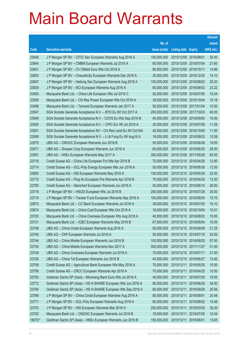|        |                                                                |               |                            |            | <b>Amount</b> |
|--------|----------------------------------------------------------------|---------------|----------------------------|------------|---------------|
|        |                                                                | No. of        |                            |            | raised        |
| Code   | <b>Derivative warrants</b>                                     | issue (units) | <b>Listing date Expiry</b> |            | (HK\$ mil.)   |
| 23646  | J P Morgan SP BV - CITIC Sec European Warrants Aug 2016 A      | 100,000,000   | 2015/12/09 2016/08/01      |            | 30.40         |
| 23644  | J P Morgan SP BV - CNBM European Warrants Jul 2016 A           | 60,000,000    | 2015/12/09                 | 2016/07/04 | 21.60         |
| 23651  | J P Morgan SP BV - Ch Oilfield Euro Wts Oct 2016 A             | 80,000,000    | 2015/12/09                 | 2016/10/11 | 14.96         |
| 23653  | J P Morgan SP BV - Chsouthcity European Warrants Dec 2016 A    | 30,000,000    | 2015/12/09 2016/12/30      |            | 14.10         |
| 23647  | J P Morgan SP BV - Haitong Sec European Warrants Aug 2016 A    | 100,000,000   | 2015/12/09                 | 2016/08/02 | 25.30         |
| 23639  | J P Morgan SP BV - NCI European Warrants Aug 2016 A            | 60,000,000    | 2015/12/09 2016/08/02      |            | 23.22         |
| 23493  | Macquarie Bank Ltd. - China Life European Wts Jul 2016 C       | 52,000,000    | 2015/12/09                 | 2016/07/05 | 10.04         |
| 23508  | Macquarie Bank Ltd. - Chi Res Power European Wts Oct 2016 A    | 39,000,000    | 2015/12/09 2016/10/04      |            | 10.18         |
| 23496  | Macquarie Bank Ltd. - Tencent European Warrants Jan 2017 A     | 50,000,000    | 2015/12/09 2017/01/04      |            | 10.00         |
| 23547  | SGA Societe Generale Acceptance N.V. - BYD Eu Wt Oct 2017 A    | 200,000,000   | 2015/12/09 2017/10/03      |            | 40.00         |
| 23549  | SGA Societe Generale Acceptance N.V - COVS Eu Wts Sep 2016 B   | 40,000,000    | 2015/12/09                 | 2016/09/05 | 10.00         |
| 23550  | SGA Societe Generale Acceptance N.V. - CPIC Eur Wt Jul 2016 A  | 30,000,000    | 2015/12/09 2016/07/06      |            | 11.55         |
| 23551  | SGA Societe Generale Acceptance NV – Chi Res Land Eu Wt Oct16A | 40,000,000    | 2015/12/09                 | 2016/10/05 | 11.00         |
| 23569  | SGA Societe Generale Acceptance N.V. - Li & Fung Eu Wt Aug16 A | 18,000,000    | 2015/12/09 2016/08/03      |            | 10.08         |
| 23579  | UBS AG - CNOOC European Warrants Jun 2016 B                    | 50,000,000    | 2015/12/09                 | 2016/06/28 | 19.50         |
| 23571  | UBS AG – Sinopec Corp European Warrants Jun 2016 A             | 60,000,000    | 2015/12/09 2016/06/20      |            | 28.50         |
| 23591  | UBS AG - HKEx European Warrants May 2017 A                     | 300,000,000   | 2015/12/09 2017/05/29      |            | 63.00         |
| 23716  | Credit Suisse AG - China Life European Put Wts Apr 2016 B      | 70,000,000    | 2015/12/10 2016/04/26      |            | 12.60         |
| 23714  | Credit Suisse AG - GCL-Poly Energy European Wts Jun 2016 A     | 50,000,000    | 2015/12/10 2016/06/30      |            | 12.50         |
| 23683  | Credit Suisse AG - HSI European Warrants May 2016 A            | 150,000,000   | 2015/12/10 2016/05/30      |            | 22.50         |
| 23715  | Credit Suisse AG – Ping An European Put Warrants Apr 2016 B    | 70,000,000    | 2015/12/10 2016/04/29      |            | 13.30         |
| 23750  | Credit Suisse AG - Stanchart European Warrants Jun 2016 A      | 50,000,000    | 2015/12/10 2016/06/10      |            | 26.50         |
| 23718  | J P Morgan SP BV - HSCEI European Wts Jul 2016 B               | 200,000,000   | 2015/12/10 2016/07/28      |            | 30.00         |
| 23719  | J P Morgan SP BV - Tracker Fund European Warrants Sep 2016 A   | 100,000,000   | 2015/12/10 2016/09/30      |            | 15.70         |
| 23673  | Macquarie Bank Ltd. - CC Bank European Warrants Jul 2016 A     | 39,000,000    | 2015/12/10 2016/07/05      |            | 10.10         |
| 23674  | Macquarie Bank Ltd. - China Coal European Wts Oct 2016 A       | 18,000,000    | 2015/12/10 2016/10/04      |            | 10.01         |
| 23720  | Macquarie Bank Ltd. - China Overseas European Wts Aug 2016 A   | 40,000,000    | 2015/12/10 2016/08/02      |            | 10.00         |
| 23721  | Macquarie Bank Ltd. - ICBC European Warrants May 2016 B        | 67,000,000    | 2015/12/10 2016/05/04      |            | 10.05         |
| 23748  | UBS AG - China Cinda European Warrants Aug 2016 A              | 50,000,000    | 2015/12/10 2016/08/08      |            | 21.25         |
| 23745  | UBS AG - CKP European Warrants Jul 2016 A                      | 50,000,000    | 2015/12/10 2016/07/18      |            | 20.50         |
| 23744  | UBS AG - China Mobile European Warrants Jun 2016 B             | 100,000,000   | 2015/12/10 2016/06/20      |            | 57.00         |
| 23734  | UBS AG - China Mobile European Warrants Nov 2017 A             | 300,000,000   | 2015/12/10 2017/11/27      |            | 51.00         |
| 23749  | UBS AG - China Overseas European Warrants Jul 2016 A           | 70,000,000    | 2015/12/10 2016/07/11      |            | 21.00         |
| 23726  | UBS AG - China Tel European Warrants Jun 2016 B                | 40,000,000    | 2015/12/10 2016/06/27      |            | 13.40         |
| 23758  | Credit Suisse AG - Agricultural Bank European Wts May 2016 A   | 70,000,000    | 2015/12/11                 | 2016/05/30 | 10.50         |
| 23756  | Credit Suisse AG - CRCC European Warrants Apr 2016 A           | 70,000,000    | 2015/12/11                 | 2016/04/25 | 10.50         |
| 23793  | Goldman Sachs SP (Asia) - Minsheng Bank Euro Wts Jul 2016 A    | 40,000,000    | 2015/12/11                 | 2016/07/29 | 19.00         |
| 23772  | Goldman Sachs SP (Asia) - HS H-SHARE European Wts Jun 2016 A   | 80,000,000    | 2015/12/11                 | 2016/06/29 | 34.00         |
| 23784  | Goldman Sachs SP (Asia) - HS H-SHARE European Wts Sep 2016 A   | 80,000,000    | 2015/12/11                 | 2016/09/29 | 20.56         |
| 23766  | J P Morgan SP BV - China Cinda European Warrants Aug 2016 A    | 80,000,000    | 2015/12/11                 | 2016/08/01 | 20.48         |
| 23771  | J P Morgan SP BV - GCL-Poly European Warrants Aug 2016 A       | 60,000,000    | 2015/12/11                 | 2016/08/02 | 15.48         |
| 23753  | J P Morgan SP BV - HSI European Warrants Mar 2016 H            | 200,000,000   | 2015/12/11                 | 2016/03/30 | 30.20         |
| 23752  | Macquarie Bank Ltd. - CNOOC European Warrants Jul 2016 B       | 18,000,000    | 2015/12/11                 | 2016/07/05 | 10.04         |
| 18070# | Goldman Sachs SP (Asia) - HKEx European Warrants Jun 2016 B    | 150,000,000   | 2015/12/11                 | 2016/06/01 | 13.65         |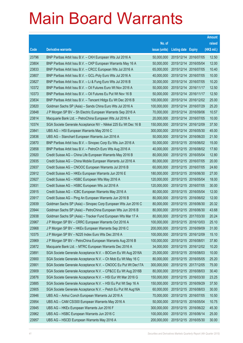|       |                                                                |               |                            |            | <b>Amount</b> |
|-------|----------------------------------------------------------------|---------------|----------------------------|------------|---------------|
|       |                                                                | No. of        |                            |            | raised        |
| Code  | <b>Derivative warrants</b>                                     | issue (units) | <b>Listing date Expiry</b> |            | (HK\$ mil.)   |
| 23796 | BNP Paribas Arbit Issu B.V. - CKH European Wts Jul 2016 A      | 50,000,000    | 2015/12/14 2016/07/05      |            | 12.50         |
| 23804 | BNP Paribas Arbit Issu B.V. - CKP European Warrants May 16 A   | 50,000,000    | 2015/12/14 2016/05/04      |            | 12.00         |
| 23833 | BNP Paribas Arbit Issu B.V. - CRCC European Wts Jul 2016 A     | 65,000,000    | 2015/12/14                 | 2016/07/05 | 10.40         |
| 23807 | BNP Paribas Arbit Issu B.V. - GCL-Poly Euro Wts Jul 2016 A     | 40,000,000    | 2015/12/14 2016/07/05      |            | 10.00         |
| 23827 | BNP Paribas Arbit Issu B.V. - Li & Fung Euro Wts Jul 2016 B    | 30,000,000    | 2015/12/14 2016/07/05      |            | 10.20         |
| 10372 | BNP Paribas Arbit Issu B.V. - Oil Futures Euro Wt Nov 2016 A   | 50,000,000    | 2015/12/14 2016/11/17      |            | 12.50         |
| 10373 | BNP Paribas Arbit Issu B.V. - Oil Futures Eu Put Wt Nov 16 B   | 50,000,000    | 2015/12/14 2016/11/17      |            | 12.50         |
| 23834 | BNP Paribas Arbit Issu B.V. - Tencent HIdgs Eu Wt Dec 2016 B   | 100,000,000   | 2015/12/14 2016/12/02      |            | 25.00         |
| 23820 | Goldman Sachs SP (Asia) - Sands China Euro Wts Jul 2016 A      | 100,000,000   | 2015/12/14 2016/07/29      |            | 25.20         |
| 23848 | J P Morgan SP BV - Sh Electric European Warrants Sep 2016 A    | 70,000,000    | 2015/12/14 2016/09/06      |            | 10.57         |
| 23814 | Macquarie Bank Ltd. - PetroChina European Wts Jul 2016 A       | 20,000,000    | 2015/12/14 2016/07/05      |            | 10.00         |
| 10374 | SGA Societe Generale Acceptance NV - Nikkei 225 Eu Wt Dec 16 B | 150,000,000   | 2015/12/14 2016/12/09      |            | 37.50         |
| 23841 | UBS AG - HSI European Warrants May 2016 C                      | 300,000,000   | 2015/12/14 2016/05/30      |            | 45.00         |
| 23836 | UBS AG - Stanchart European Warrants Jun 2016 A                | 50,000,000    | 2015/12/14 2016/06/20      |            | 21.50         |
| 23870 | BNP Paribas Arbit Issu B.V. - Sinopec Corp Eu Wts Jun 2016 A   | 50,000,000    | 2015/12/15 2016/06/02      |            | 15.00         |
| 23858 | BNP Paribas Arbit Issu B.V. - PetroCh Euro Wts Aug 2016 A      | 40,000,000    | 2015/12/15 2016/08/02      |            | 17.60         |
| 23920 | Credit Suisse AG - China Life European Warrants May 2016 B     | 80,000,000    | 2015/12/15 2016/05/04      |            | 12.80         |
| 23935 | Credit Suisse AG - China Mobile European Warrants Jul 2016 A   | 80,000,000    | 2015/12/15 2016/07/05      |            | 20.00         |
| 23937 | Credit Suisse AG - CNOOC European Warrants Jul 2016 B          | 60,000,000    | 2015/12/15 2016/07/05      |            | 24.60         |
| 23912 | Credit Suisse AG - HKEx European Warrants Jun 2016 E           | 180,000,000   | 2015/12/15 2016/06/30      |            | 27.00         |
| 23927 | Credit Suisse AG - HSBC European Wts May 2016 A                | 120,000,000   | 2015/12/15 2016/05/04      |            | 18.00         |
| 23931 | Credit Suisse AG - HSBC European Wts Jul 2016 A                | 120,000,000   | 2015/12/15 2016/07/05      |            | 30.00         |
| 23915 | Credit Suisse AG - ICBC European Warrants May 2016 A           | 80,000,000    | 2015/12/15 2016/05/04      |            | 12.00         |
| 23917 | Credit Suisse AG - Ping An European Warrants Jun 2016 B        | 80,000,000    | 2015/12/15 2016/06/02      |            | 12.00         |
| 23939 | Goldman Sachs SP (Asia) - Sinopec Corp European Wts Jun 2016 C | 80,000,000    | 2015/12/15 2016/06/30      |            | 20.32         |
| 23944 | Goldman Sachs SP (Asia) - PetroChina European Wts Jun 2016 B   | 80,000,000    | 2015/12/15 2016/06/30      |            | 43.68         |
| 23938 | Goldman Sachs SP (Asia) – Tracker Fund European Wts Mar 17 A   | 80,000,000    | 2015/12/15 2017/03/30      |            | 20.24         |
| 23967 | J P Morgan SP BV - CRRC European Warrants Oct 2016 A           | 100,000,000   | 2015/12/15 2016/10/03      |            | 25.10         |
| 23968 | J P Morgan SP BV - HKEx European Warrants Sep 2016 C           | 200,000,000   | 2015/12/15 2016/09/09      |            | 31.00         |
| 10375 | J P Morgan SP BV - N225 Index Euro Wts Dec 2016 A              | 100,000,000   | 2015/12/15 2016/12/09      |            | 15.10         |
| 23969 | J P Morgan SP BV - PetroChina European Warrants Aug 2016 B     | 100,000,000   | 2015/12/15 2016/08/01      |            | 37.80         |
| 23872 | Macquarie Bank Ltd. - MTRC European Warrants Dec 2016 A        | 34,000,000    | 2015/12/15 2016/12/02      |            | 10.20         |
| 23891 | SGA Societe Generale Acceptance N.V. - BOCom Eu Wt Aug 2016A   | 25,000,000    | 2015/12/15 2016/08/03      |            | 10.00         |
| 23900 | SGA Societe Generale Acceptance N.V. - Ch Mob Eu Wt May 16 C   | 80,000,000    | 2015/12/15 2016/05/05      |            | 25.20         |
| 23901 | SGA Societe Generale Acceptance N.V. - CNOOC Eu Put Wt Dec17A  | 300,000,000   | 2015/12/15 2017/12/05      |            | 75.00         |
| 23909 | SGA Societe Generale Acceptance N.V. - CP&CC Eu Wt Aug 2016B   | 80,000,000    | 2015/12/15 2016/08/03      |            | 30.40         |
| 23876 | SGA Societe Generale Acceptance N.V. - HSI Eur Wt Mar 2016 G   | 150,000,000   | 2015/12/15 2016/03/30      |            | 23.25         |
| 23885 | SGA Societe Generale Acceptance N.V. - HSI Eu Put Wt Sep 16 A  | 150,000,000   | 2015/12/15 2016/09/29      |            | 37.50         |
| 23905 | SGA Societe Generale Acceptance N.V. - Petch Eu Put Wt Aug16A  | 60,000,000    | 2015/12/15 2016/08/03      |            | 30.00         |
| 23946 | UBS AG - Anhui Conch European Warrants Jul 2016 A              | 70,000,000    | 2015/12/15 2016/07/05      |            | 10.50         |
| 23954 | UBS AG - CAM CSI300 European Warrants May 2016 A               | 50,000,000    | 2015/12/15 2016/05/04      |            | 10.75         |
| 23945 | UBS AG - HKEx European Warrants Jun 2016 F                     | 300,000,000   | 2015/12/15 2016/06/22      |            | 45.30         |
| 23962 | UBS AG - HSBC European Warrants Jun 2016 C                     | 100,000,000   | 2015/12/15 2016/06/14      |            | 25.00         |
| 23957 | UBS AG - HSCEI European Warrants May 2016 A                    | 200,000,000   | 2015/12/15 2016/05/30      |            | 30.00         |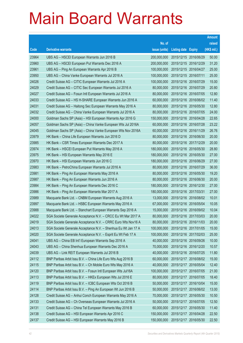|       |                                                               |               |                            |            | <b>Amount</b> |
|-------|---------------------------------------------------------------|---------------|----------------------------|------------|---------------|
|       |                                                               | No. of        |                            |            | raised        |
| Code  | <b>Derivative warrants</b>                                    | issue (units) | <b>Listing date Expiry</b> |            | (HK\$ mil.)   |
| 23964 | UBS AG - HSCEI European Warrants Jun 2016 B                   | 200,000,000   | 2015/12/15 2016/06/29      |            | 50.00         |
| 23960 | UBS AG - HSCEI European Put Warrants Dec 2016 A               | 200,000,000   | 2015/12/15 2016/12/29      |            | 31.20         |
| 23961 | UBS AG – Ping An European Warrants Apr 2016 B                 | 100,000,000   | 2015/12/15 2016/04/27      |            | 25.00         |
| 23950 | UBS AG - China Vanke European Warrants Jul 2016 A             | 100,000,000   | 2015/12/15 2016/07/11      |            | 25.00         |
| 24026 | Credit Suisse AG - CITIC European Warrants Jul 2016 A         | 100,000,000   | 2015/12/16 2016/07/29      |            | 15.00         |
| 24029 | Credit Suisse AG - CITIC Sec European Warrants Jul 2016 A     | 80,000,000    | 2015/12/16 2016/07/29      |            | 20.80         |
| 24027 | Credit Suisse AG - Fosun Intl European Warrants Jul 2016 A    | 80,000,000    | 2015/12/16 2016/07/05      |            | 12.80         |
| 24033 | Credit Suisse AG - HS H-SHARE European Warrants Jun 2016 A    | 60,000,000    | 2015/12/16 2016/06/02      |            | 11.40         |
| 24031 | Credit Suisse AG - Haitong Sec European Warrants May 2016 A   | 80,000,000    | 2015/12/16 2016/05/30      |            | 12.80         |
| 24032 | Credit Suisse AG - China Vanke European Warrants Jul 2016 A   | 80,000,000    | 2015/12/16 2016/07/05      |            | 24.00         |
| 24000 | Goldman Sachs SP (Asia) - HSI European Warrants Apr 2016 G    | 150,000,000   | 2015/12/16 2016/04/28      |            | 22.65         |
| 24057 | Goldman Sachs SP (Asia) - China Vanke European Wts Jul 2016A  | 60,000,000    | 2015/12/16 2016/07/28      |            | 23.22         |
| 24045 | Goldman Sachs SP (Asia) - China Vanke European Wts Nov 2016A  | 60,000,000    | 2015/12/16 2016/11/29      |            | 26.76         |
| 23979 | HK Bank - China Life European Warrants Jun 2016 D             | 80,000,000    | 2015/12/16 2016/06/30      |            | 20.00         |
| 23985 | HK Bank - CSR Times European Warrants Dec 2017 A              | 80,000,000    | 2015/12/16 2017/12/29      |            | 20.00         |
| 23974 | HK Bank – HSCEI European Put Warrants May 2016 A              | 180,000,000   | 2015/12/16 2016/05/30      |            | 28.80         |
| 23975 | HK Bank - HSI European Warrants May 2016 E                    | 180,000,000   | 2015/12/16 2016/05/30      |            | 27.00         |
| 23970 | HK Bank - HSI European Warrants Jun 2016 C                    | 180,000,000   | 2015/12/16 2016/06/29      |            | 27.00         |
| 23983 | HK Bank - PetroChina European Warrants Jul 2016 A             | 80,000,000    | 2015/12/16 2016/07/29      |            | 36.00         |
| 23981 | HK Bank - Ping An European Warrants May 2016 A                | 80,000,000    | 2015/12/16 2016/05/30      |            | 19.20         |
| 23987 | HK Bank – Ping An European Warrants Jun 2016 A                | 80,000,000    | 2015/12/16 2016/06/30      |            | 20.00         |
| 23984 | HK Bank - Ping An European Warrants Dec 2016 C                | 180,000,000   | 2015/12/16 2016/12/30      |            | 27.00         |
| 23986 | HK Bank - Ping An European Warrants Mar 2017 A                | 180,000,000   | 2015/12/16 2017/03/31      |            | 27.00         |
| 23989 | Macquarie Bank Ltd. - CNBM European Warrants Aug 2016 A       | 13,000,000    | 2015/12/16 2016/08/02      |            | 10.01         |
| 23997 | Macquarie Bank Ltd. - HSBC European Warrants May 2016 A       | 67,000,000    | 2015/12/16 2016/05/04      |            | 10.05         |
| 23988 | Macquarie Bank Ltd. - Stanchart European Warrants Sep 2016 A  | 15,000,000    | 2015/12/16 2016/09/02      |            | 10.04         |
| 24022 | SGA Societe Generale Acceptance N.V. - CRCC Eu Wt Mar 2017 A  | 80,000,000    | 2015/12/16 2017/03/03      |            | 20.00         |
| 24019 | SGA Societe Generale Acceptance N.V. - CRRC Euro Wts Nov16 A  | 80,000,000    | 2015/12/16 2016/11/03      |            | 20.00         |
| 24013 | SGA Societe Generale Acceptance N.V. - Shenhua Eu Wt Jan 17 A | 100,000,000   | 2015/12/16 2017/01/05      |            | 15.00         |
| 24020 | SGA Societe Generale Acceptance N.V. - Esprit Eu Wt Feb 17 A  | 100,000,000   | 2015/12/16 2017/02/03      |            | 25.00         |
| 24041 | UBS AG - China EB Int'l European Warrants Sep 2016 A          | 40,000,000    | 2015/12/16 2016/09/26      |            | 10.00         |
| 24043 | UBS AG - China Shenhua European Warrants Dec 2016 A           | 70,000,000    | 2015/12/16 2016/12/20      |            | 10.57         |
| 24039 | UBS AG - Link REIT European Warrants Jul 2016 B               | 40,000,000    | 2015/12/16 2016/07/25      |            | 11.80         |
| 24112 | BNP Paribas Arbit Issu B.V. - China Life Euro Wts Aug 2016 B  | 60,000,000    | 2015/12/17 2016/08/02      |            | 15.00         |
| 24115 | BNP Paribas Arbit Issu B.V. - Ch Mobile Euro Wts May 2016 A   | 40,000,000    | 2015/12/17 2016/05/04      |            | 12.40         |
| 24120 | BNP Paribas Arbit Issu B.V. - Fosun Intl European Wts Jul16A  | 100,000,000   | 2015/12/17 2016/07/05      |            | 21.00         |
| 24113 | BNP Paribas Arbit Issu B.V. - HKEx European Wts Jul 2016 E    | 80,000,000    | 2015/12/17                 | 2016/07/05 | 18.40         |
| 24119 | BNP Paribas Arbit Issu B.V. - ICBC European Wts Oct 2016 B    | 50,000,000    | 2015/12/17 2016/10/04      |            | 15.00         |
| 24114 | BNP Paribas Arbit Issu B.V. - Ping An European Wt Jun 2016 B  | 50,000,000    | 2015/12/17                 | 2016/06/02 | 13.00         |
| 24128 | Credit Suisse AG - Anhui Conch European Warrants May 2016 A   | 70,000,000    | 2015/12/17 2016/05/30      |            | 10.50         |
| 24133 | Credit Suisse AG - Ch Overseas European Warrants Jul 2016 A   | 50,000,000    | 2015/12/17                 | 2016/07/05 | 12.50         |
| 24131 | Credit Suisse AG - China Tel European Warrants May 2016 B     | 60,000,000    | 2015/12/17 2016/05/30      |            | 11.40         |
| 24138 | Credit Suisse AG - HSI European Warrants Apr 2016 C           | 150,000,000   | 2015/12/17                 | 2016/04/28 | 22.50         |
| 24137 | Credit Suisse AG - HSI European Warrants May 2016 B           | 150,000,000   | 2015/12/17 2016/05/30      |            | 22.50         |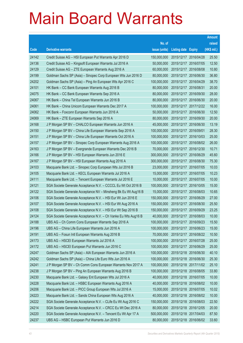|       |                                                                |               |                            |                       | <b>Amount</b> |
|-------|----------------------------------------------------------------|---------------|----------------------------|-----------------------|---------------|
|       |                                                                | No. of        |                            |                       | raised        |
| Code  | <b>Derivative warrants</b>                                     | issue (units) | <b>Listing date Expiry</b> |                       | (HK\$ mil.)   |
| 24142 | Credit Suisse AG - HSI European Put Warrants Apr 2016 D        | 150,000,000   | 2015/12/17 2016/04/28      |                       | 25.50         |
| 24136 | Credit Suisse AG - Kingsoft European Warrants Jul 2016 A       | 50,000,000    |                            | 2015/12/17 2016/07/05 | 12.50         |
| 24129 | Credit Suisse AG - ZTE European Warrants Aug 2016 A            | 60,000,000    | 2015/12/17                 | 2016/08/08            | 10.80         |
| 24199 | Goldman Sachs SP (Asia) - Sinopec Corp European Wts Jun 2016 D | 80,000,000    | 2015/12/17 2016/06/30      |                       | 36.80         |
| 24202 | Goldman Sachs SP (Asia) - Ping An European Wts Apr 2016 C      | 100,000,000   |                            | 2015/12/17 2016/04/29 | 38.70         |
| 24101 | HK Bank - CC Bank European Warrants Aug 2016 B                 | 80,000,000    | 2015/12/17 2016/08/31      |                       | 20.00         |
| 24075 | HK Bank - CC Bank European Warrants Sep 2016 A                 | 80,000,000    |                            | 2015/12/17 2016/09/30 | 28.00         |
| 24067 | HK Bank - China Tel European Warrants Jun 2016 B               | 80,000,000    | 2015/12/17 2016/06/30      |                       | 20.00         |
| 24061 | HK Bank - China Unicom European Warrants Dec 2017 A            | 100,000,000   |                            | 2015/12/17 2017/12/22 | 16.00         |
| 24062 | HK Bank - Foxconn European Warrants Jun 2016 A                 | 50,000,000    |                            | 2015/12/17 2016/06/30 | 12.50         |
| 24069 | HK Bank - ZTE European Warrants Sep 2016 A                     | 80,000,000    |                            | 2015/12/17 2016/09/30 | 20.00         |
| 24168 | J P Morgan SP BV - CHALCO European Warrants Jun 2016 A         | 45,000,000    |                            | 2015/12/17 2016/06/30 | 13.19         |
| 24150 | J P Morgan SP BV - China Life European Warrants Sep 2016 A     | 100,000,000   | 2015/12/17 2016/09/01      |                       | 28.30         |
| 24151 | J P Morgan SP BV - China Life European Warrants Oct 2016 A     | 100,000,000   |                            | 2015/12/17 2016/10/03 | 25.00         |
| 24157 | J P Morgan SP BV - Sinopec Corp European Warrants Aug 2016 A   | 100,000,000   |                            | 2015/12/17 2016/08/02 | 26.00         |
| 24163 | J P Morgan SP BV - Evergrande European Warrants Dec 2016 B     | 70,000,000    | 2015/12/17 2016/12/30      |                       | 10.71         |
| 24166 | J P Morgan SP BV - HSI European Warrants Jun 2016 E            | 300,000,000   |                            | 2015/12/17 2016/06/29 | 45.60         |
| 24167 | J P Morgan SP BV - HSI European Warrants Aug 2016 A            | 300,000,000   |                            | 2015/12/17 2016/08/30 | 75.30         |
| 24103 | Macquarie Bank Ltd. - Sinopec Corp European Wts Jul 2016 B     | 23,000,000    | 2015/12/17 2016/07/05      |                       | 10.03         |
| 24105 | Macquarie Bank Ltd. - KECL European Warrants Jul 2016 A        | 15,000,000    | 2015/12/17 2016/07/05      |                       | 10.23         |
| 24111 | Macquarie Bank Ltd. - Tencent European Warrants Jul 2016 E     | 10,000,000    |                            | 2015/12/17 2016/07/05 | 10.00         |
| 24121 | SGA Societe Generale Acceptance N.V. - CCCCL Eu Wt Oct 2016 B  | 100,000,000   |                            | 2015/12/17 2016/10/05 | 15.00         |
| 24122 | SGA Societe Generale Acceptance NV - Minsheng Bk Eu Wt Aug16 B | 15,000,000    | 2015/12/17                 | 2016/08/03            | 10.65         |
| 24106 | SGA Societe Generale Acceptance N.V. - HSI Eur Wt Jun 2016 E   | 150,000,000   |                            | 2015/12/17 2016/06/29 | 27.00         |
| 24107 | SGA Societe Generale Acceptance N.V. - HSI Eur Wt Aug 2016 A   | 150,000,000   |                            | 2015/12/17 2016/08/30 | 25.50         |
| 24108 | SGA Societe Generale Acceptance N.V. - HSI Eur Wt Sep 2016 B   | 150,000,000   | 2015/12/17 2016/09/29      |                       | 23.25         |
| 24124 | SGA Societe Generale Acceptance N.V. - Ch Vanke Eu Wts Aug16 B | 40,000,000    |                            | 2015/12/17 2016/08/03 | 10.00         |
| 24188 | UBS AG - Ch Comm Cons European Warrants Sep 2016 A             | 100,000,000   | 2015/12/17 2016/09/23      |                       | 15.50         |
| 24196 | UBS AG - China Life European Warrants Jun 2016 A               | 100,000,000   | 2015/12/17 2016/06/23      |                       | 15.00         |
| 24191 | UBS AG - Fosun Intl European Warrants Aug 2016 B               | 70,000,000    |                            | 2015/12/17 2016/08/22 | 10.50         |
| 24173 | UBS AG - HSCEI European Warrants Jul 2016 A                    | 100,000,000   | 2015/12/17 2016/07/28      |                       | 25.00         |
| 24172 | UBS AG - HSCEI European Put Warrants Jun 2016 C                | 100,000,000   | 2015/12/17 2016/06/29      |                       | 25.00         |
| 24247 | Goldman Sachs SP (Asia) - AIA European Warrants Jun 2016 A     | 100,000,000   | 2015/12/18 2016/06/30      |                       | 40.10         |
| 24242 | Goldman Sachs SP (Asia) - China Life Euro Wts Jun 2016 A       | 100,000,000   |                            | 2015/12/18 2016/06/30 | 25.30         |
| 24241 | J P Morgan SP BV - Ch Comm Cons European Warrants Nov 2017 A   | 100,000,000   |                            | 2015/12/18 2017/11/02 | 25.10         |
| 24238 | J P Morgan SP BV - Ping An European Warrants Aug 2016 B        | 100,000,000   | 2015/12/18 2016/08/05      |                       | 33.80         |
| 24230 | Macquarie Bank Ltd. - Galaxy Ent European Wts Jul 2016 A       | 40,000,000    | 2015/12/18 2016/07/05      |                       | 10.00         |
| 24228 | Macquarie Bank Ltd. - HSBC European Warrants Aug 2016 A        | 40,000,000    | 2015/12/18 2016/08/02      |                       | 10.00         |
| 24206 | Macquarie Bank Ltd. - PICC Group European Wts Jul 2016 A       | 15,000,000    | 2015/12/18 2016/07/05      |                       | 10.02         |
| 24223 | Macquarie Bank Ltd. - Sands China European Wts Aug 2016 A      | 40,000,000    |                            | 2015/12/18 2016/08/02 | 10.00         |
| 24222 | SGA Societe Generale Acceptance N.V. - CLife Eu Wt Aug 2016 C  | 150,000,000   | 2015/12/18 2016/08/03      |                       | 22.50         |
| 24214 | SGA Societe Generale Acceptance N.V. - CRCC Eu Wt Dec 2016 A   | 80,000,000    | 2015/12/18 2016/12/05      |                       | 20.00         |
| 24220 | SGA Societe Generale Acceptance N.V. - Tencent Eu Wt Apr 17 A  | 500,000,000   | 2015/12/18 2017/04/03      |                       | 87.50         |
| 24237 | UBS AG - HSBC European Put Warrants Jun 2016 D                 | 80,000,000    |                            | 2015/12/18 2016/06/02 | 33.60         |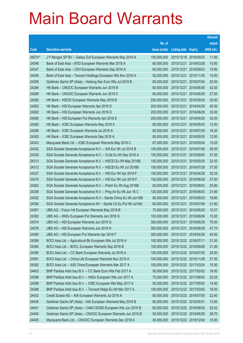|        |                                                                |               |                            |            | <b>Amount</b> |
|--------|----------------------------------------------------------------|---------------|----------------------------|------------|---------------|
|        |                                                                | No. of        |                            |            | raised        |
| Code   | <b>Derivative warrants</b>                                     | issue (units) | <b>Listing date Expiry</b> |            | (HK\$ mil.)   |
| 26074# | J P Morgan SP BV - Galaxy Ent European Warrants May 2016 A     | 150,000,000   | 2015/12/18 2016/05/03      |            | 11.85         |
| 24348  | Bank of East Asia - BYD European Warrants Mar 2018 A           | 60,000,000    | 2015/12/21                 | 2018/03/28 | 10.80         |
| 24347  | Bank of East Asia - CKH European Warrants Sep 2016 A           | 60,000,000    | 2015/12/21                 | 2016/09/23 | 10.80         |
| 24349  | Bank of East Asia - Tencent Holdings European Wts Nov 2016 A   | 50,000,000    | 2015/12/21                 | 2016/11/30 | 10.00         |
| 24256  | Goldman Sachs SP (Asia) - Haitong Sec Euro Wts Jul 2016 B      | 80,000,000    | 2015/12/21                 | 2016/07/04 | 20.00         |
| 24284  | HK Bank - CNOOC European Warrants Jun 2016 B                   | 60,000,000    | 2015/12/21                 | 2016/06/30 | 42.00         |
| 24289  | HK Bank - CNOOC European Warrants Jun 2016 C                   | 60,000,000    | 2015/12/21                 | 2016/06/30 | 27.00         |
| 24280  | HK Bank - HSCEI European Warrants May 2016 B                   | 200,000,000   | 2015/12/21                 | 2016/05/30 | 30.00         |
| 24263  | HK Bank - HSI European Warrants Apr 2016 D                     | 200,000,000   | 2015/12/21                 | 2016/04/28 | 40.00         |
| 24262  | HK Bank - HSI European Warrants Jun 2016 D                     | 200,000,000   | 2015/12/21                 | 2016/06/29 | 30.00         |
| 24266  | HK Bank - HSI European Put Warrants Apr 2016 E                 | 200,000,000   | 2015/12/21                 | 2016/04/28 | 32.00         |
| 24300  | HK Bank - ICBC European Warrants May 2016 A                    | 80,000,000    | 2015/12/21                 | 2016/05/03 | 12.00         |
| 24296  | HK Bank - ICBC European Warrants Jul 2016 A                    | 60,000,000    | 2015/12/21                 | 2016/07/29 | 16.20         |
| 24283  | HK Bank - ICBC European Warrants Sep 2016 A                    | 80,000,000    | 2015/12/21                 | 2016/09/30 | 12.00         |
| 24343  | Macquarie Bank Ltd. - ICBC European Warrants May 2016 C        | 67,000,000    | 2015/12/21                 | 2016/05/04 | 10.05         |
| 24342  | SGA Societe Generale Acceptance N.V. - AIA Eur Wt Jul 2016 B   | 100,000,000   | 2015/12/21                 | 2016/07/06 | 26.50         |
| 24329  | SGA Societe Generale Acceptance N.V. - CLife Eu Wt Sep 2016 A  | 150,000,000   | 2015/12/21                 | 2016/09/05 | 37.50         |
| 24313  | SGA Societe Generale Acceptance N.V. - HSCEI Eu Wt May 2016B   | 150,000,000   | 2015/12/21                 | 2016/05/30 | 22.50         |
| 24312  | SGA Societe Generale Acceptance N.V. - HSCEI Eu Wt Jul 2016B   | 150,000,000   | 2015/12/21                 | 2016/07/28 | 37.50         |
| 24327  | SGA Societe Generale Acceptance N.V. - HSI Eur Wt Apr 2016 F   | 150,000,000   | 2015/12/21                 | 2016/04/28 | 32.25         |
| 24315  | SGA Societe Generale Acceptance N.V. - HSI Eur Wt Jun 2016 F   | 150,000,000   | 2015/12/21                 | 2016/06/29 | 37.50         |
| 24362  | SGA Societe Generale Acceptance N.V. - Petch Eu Wt Aug 2016B   | 60,000,000    | 2015/12/21                 | 2016/08/03 | 25.80         |
| 24336  | SGA Societe Generale Acceptance N.V. - Ping An Eu Wt Jun 16 C  | 120,000,000   | 2015/12/21                 | 2016/06/03 | 21.60         |
| 24352  | SGA Societe Generale Acceptance N.V - Sands China Eu Wt Jun16B | 80,000,000    | 2015/12/21                 | 2016/06/03 | 19.60         |
| 24354  | SGA Societe Generale Acceptance NV - Sands Ch Eu Put Wt Jul16A | 80,000,000    | 2015/12/21                 | 2016/07/06 | 21.60         |
| 24381  | UBS AG - Fosun Intl European Warrants May 2016 B               | 70,000,000    | 2015/12/21                 | 2016/05/20 | 10.57         |
| 24382  | UBS AG - HKEx European Put Warrants Jun 2016 G                 | 100,000,000   | 2015/12/21                 | 2016/06/06 | 15.00         |
| 24374  | UBS AG - HSI European Warrants Jun 2016 G                      | 300,000,000   | 2015/12/21 2016/06/29      |            | 75.00         |
| 24376  | UBS AG - HSI European Warrants Jun 2016 H                      | 300,000,000   | 2015/12/21                 | 2016/06/29 | 47.70         |
| 24380  | UBS AG - HSI European Put Warrants Apr 2016 F                  | 300,000,000   | 2015/12/21 2016/04/28      |            | 45.00         |
| 24389  | BOCI Asia Ltd. - Agricultural Bk European Wts Jul 2016 A       | 100,000,000   | 2015/12/22 2016/07/11      |            | 21.00         |
| 24394  | BOCI Asia Ltd. - BOCL European Warrants Sep 2016 B             | 100,000,000   | 2015/12/22 2016/09/26      |            | 21.00         |
| 24385  | BOCI Asia Ltd. - CC Bank European Warrants Jul 2016 A          | 100,000,000   | 2015/12/22 2016/07/25      |            | 25.00         |
| 24391  | BOCI Asia Ltd. - China Life European Warrants Nov 2016 A       | 100,000,000   | 2015/12/22 2016/11/28      |            | 27.00         |
| 24392  | BOCI Asia Ltd. - A50 China European Warrants Mar 2017 A        | 100,000,000   | 2015/12/22 2017/03/24      |            | 15.00         |
| 24402  | BNP Paribas Arbit Issu B.V. - CC Bank Euro Wts Feb 2017 A      | 50,000,000    | 2015/12/22 2017/02/02      |            | 16.00         |
| 24396  | BNP Paribas Arbit Issu B.V. - HKEx European Wts Jun 2017 A     | 75,000,000    | 2015/12/22 2017/06/02      |            | 20.25         |
| 24399  | BNP Paribas Arbit Issu B.V. - ICBC European Wts May 2017 A     | 50,000,000    | 2015/12/22 2017/05/02      |            | 14.50         |
| 24398  | BNP Paribas Arbit Issu B.V. - Tencent HIdgs Eu Wt Mar 2017 A   | 100,000,000   | 2015/12/22 2017/03/02      |            | 18.00         |
| 24432  | Credit Suisse AG - AIA European Warrants Jul 2016 A            | 80,000,000    | 2015/12/22 2016/07/05      |            | 22.40         |
| 24436  | Goldman Sachs SP (Asia) - AIA European Warrants May 2016 B     | 80,000,000    | 2015/12/22 2016/05/31      |            | 13.60         |
| 24441  | Goldman Sachs SP (Asia) - CAM CSI300 European Wts Jun 2016 B   | 60,000,000    | 2015/12/22 2016/06/30      |            | 25.02         |
| 24440  | Goldman Sachs SP (Asia) - CNOOC European Warrants Jun 2016 B   | 50,000,000    | 2015/12/22 2016/06/30      |            | 28.70         |
| 24405  | Macquarie Bank Ltd. - CNOOC European Warrants Dec 2018 A       | 40,000,000    | 2015/12/22 2018/12/04      |            | 10.00         |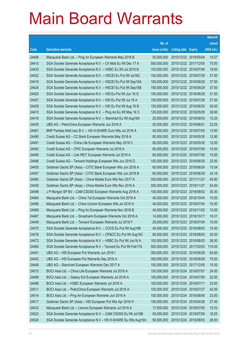|       |                                                                |               |                            | <b>Amount</b> |
|-------|----------------------------------------------------------------|---------------|----------------------------|---------------|
|       |                                                                | No. of        |                            | raised        |
| Code  | <b>Derivative warrants</b>                                     | issue (units) | <b>Listing date Expiry</b> | (HK\$ mil.)   |
| 24406 | Macquarie Bank Ltd. - Ping An European Warrants May 2016 B     | 55,000,000    | 2015/12/22 2016/05/04      | 10.07         |
| 24410 | SGA Societe Generale Acceptance N.V. - Ch Mob Eu Wt Dec 17 A   | 500,000,000   | 2015/12/22 2017/12/05      | 75.00         |
| 24433 | SGA Societe Generale Acceptance N.V. - HSBC Eu Wt Jul 2016 B   | 100,000,000   | 2015/12/22 2016/07/06      | 19.00         |
| 24422 | SGA Societe Generale Acceptance N.V. - HSCEI Eu Put Wt Jul16C  | 150,000,000   | 2015/12/22 2016/07/28      | 37.50         |
| 24419 | SGA Societe Generale Acceptance N.V. - HSCEI Eu Put Wt Sep16A  | 150,000,000   | 2015/12/22 2016/09/29      | 37.50         |
| 24424 | SGA Societe Generale Acceptance N.V. - HSCEI Eu Put Wt Sep16B  | 150,000,000   | 2015/12/22 2016/09/29      | 37.50         |
| 24425 | SGA Societe Generale Acceptance N.V. - HSI Eu Put Wt Jun 16 G  | 150,000,000   | 2015/12/22 2016/06/29      | 31.50         |
| 24427 | SGA Societe Generale Acceptance N.V. - HSI Eu Put Wt Jul 16 A  | 150,000,000   | 2015/12/22 2016/07/28      | 37.50         |
| 24429 | SGA Societe Generale Acceptance N.V. - HSI Eu Put Wt Aug 16 B  | 150,000,000   | 2015/12/22 2016/08/30      | 39.00         |
| 24415 | SGA Societe Generale Acceptance N.V. - Ping An Eu Wt May 16 C  | 120,000,000   | 2015/12/22 2016/05/05      | 39.60         |
| 24416 | SGA Societe Generale Acceptance N.V. - Stanchart Eu Wt Aug16A  | 20,000,000    | 2015/12/22 2016/08/03      | 10.20         |
| 24435 | UBS AG - PetroChina European Warrants Jun 2016 A               | 50,000,000    | 2015/12/22 2016/06/21      | 23.25         |
| 24461 | BNP Paribas Arbit Issu B.V. - HS H-SHARE Euro Wts Jul 2016 A   | 40,000,000    | 2015/12/23 2016/07/05      | 13.60         |
| 24490 | Credit Suisse AG - CC Bank European Warrants May 2016 A        | 80,000,000    | 2015/12/23 2016/05/30      | 12.80         |
| 24491 | Credit Suisse AG - China Life European Warrants May 2016 C     | 80,000,000    | 2015/12/23 2016/05/30      | 12.00         |
| 24493 | Credit Suisse AG - CPIC European Warrants Jul 2016 A           | 60,000,000    | 2015/12/23 2016/07/05      | 15.00         |
| 24495 | Credit Suisse AG - Link REIT European Warrants Jul 2016 A      | 60,000,000    | 2015/12/23 2016/07/05      | 15.00         |
| 24486 | Credit Suisse AG - Tencent Holdings European Wts Jun 2016 D    | 150,000,000   | 2015/12/23 2016/06/30      | 22.50         |
| 24455 | Goldman Sachs SP (Asia) - CITIC Bank European Wts Jun 2016 A   | 60,000,000    | 2015/12/23 2016/06/24      | 15.54         |
| 24457 | Goldman Sachs SP (Asia) - CITIC Bank European Wts Jun 2016 B   | 60,000,000    | 2015/12/23 2016/06/30      | 24.18         |
| 24460 | Goldman Sachs SP (Asia) - China Mobile Euro Wts Nov 2017 A     | 300,000,000   | 2015/12/23 2017/11/27      | 45.90         |
| 24459 | Goldman Sachs SP (Asia) - China Mobile Euro Wts Nov 2018 A     | 300,000,000   | 2015/12/23 2018/11/27      | 54.00         |
| 24496 | J P Morgan SP BV - CAM CSI300 European Warrants Aug 2016 A     | 100,000,000   | 2015/12/23 2016/08/02      | 30.30         |
| 24464 | Macquarie Bank Ltd. - China Tel European Warrants Oct 2016 A   | 40,000,000    | 2015/12/23 2016/10/04      | 10.00         |
| 24466 | Macquarie Bank Ltd. - China Unicom European Wts Jul 2016 A     | 40,000,000    | 2015/12/23 2016/07/04      | 10.00         |
| 24469 | Macquarie Bank Ltd. - Ping An European Warrants Nov 2016 B     | 40,000,000    | 2015/12/23 2016/11/02      | 10.00         |
| 24467 | Macquarie Bank Ltd. - Sinopharm European Warrants Oct 2016 A   | 14,000,000    | 2015/12/23 2016/10/17      | 10.01         |
| 24449 | Macquarie Bank Ltd. - Tencent European Warrants Jul 2016 F     | 25,000,000    | 2015/12/23 2016/07/04      | 10.00         |
| 24470 | SGA Societe Generale Acceptance N.V. - COVS Eu Put Wt Aug16B   | 40,000,000    | 2015/12/23 2016/08/03      | 12.40         |
| 24476 | SGA Societe Generale Acceptance N.V. - CP&CC Eu Put Wt Aug16C  | 80,000,000    | 2015/12/23 2016/08/03      | 30.00         |
| 24472 | SGA Societe Generale Acceptance N.V. - HSBC Eu Put Wt Jun16 A  | 100,000,000   | 2015/12/23 2016/06/03      | 38.00         |
| 24480 | SGA Societe Generale Acceptance N.V - Tencent Eu Put Wt Feb17A | 500,000,000   | 2015/12/23 2017/02/03      | 110.00        |
| 24451 | UBS AG - HSI European Put Warrants Jun 2016 I                  | 300,000,000   | 2015/12/23 2016/06/29      | 63.60         |
| 24452 | UBS AG - HSI European Put Warrants Sep 2016 A                  | 300,000,000   | 2015/12/23 2016/09/29      | 75.00         |
| 24448 | UBS AG - Stanchart European Warrants Dec 2017 A                | 100,000,000   | 2015/12/23 2017/12/05      | 15.00         |
| 24515 | BOCI Asia Ltd. - China Life European Warrants Jul 2016 A       | 100,000,000   | 2015/12/24 2016/07/07      | 24.00         |
| 24499 | BOCI Asia Ltd. - Galaxy Ent European Warrants Jul 2016 A       | 100,000,000   | 2015/12/24 2016/07/05      | 22.00         |
| 24498 | BOCI Asia Ltd. - HSBC European Warrants Jul 2016 A             | 100,000,000   | 2015/12/24 2016/07/11      | 23.00         |
| 24511 | BOCI Asia Ltd. - PetroChina European Warrants Jul 2016 A       | 100,000,000   | 2015/12/24 2016/07/27      | 42.00         |
| 24514 | BOCI Asia Ltd. - Ping An European Warrants Jun 2016 A          | 100,000,000   | 2015/12/24 2016/06/06      | 23.00         |
| 24517 | Goldman Sachs SP (Asia) - HSI European Put Wts Apr 2016 H      | 150,000,000   | 2015/12/24 2016/04/28      | 27.45         |
| 24533 | Macquarie Bank Ltd. - Lenovo European Warrants Jul 2016 A      | 17,000,000    | 2015/12/24 2016/07/05      | 10.03         |
| 24523 | SGA Societe Generale Acceptance N.V. - CAM CSI300 Eu Wt Jul16B | 50,000,000    | 2015/12/24 2016/07/06      | 18.25         |
| 24524 | SGA Societe Generale Acceptance N.V - HS H-SHARE Eu Wts Aug16A | 50,000,000    | 2015/12/24 2016/08/03      | 26.50         |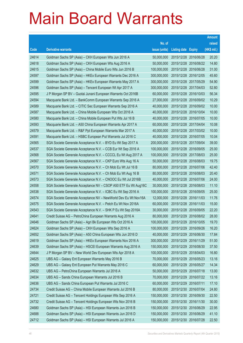|       |                                                                |               |                            |            | <b>Amount</b> |
|-------|----------------------------------------------------------------|---------------|----------------------------|------------|---------------|
|       |                                                                | No. of        |                            |            | raised        |
| Code  | <b>Derivative warrants</b>                                     | issue (units) | <b>Listing date Expiry</b> |            | (HK\$ mil.)   |
| 24614 | Goldman Sachs SP (Asia) – CKH European Wts Jun 2016 A          | 50,000,000    | 2015/12/28 2016/06/28      |            | 20.20         |
| 24618 | Goldman Sachs SP (Asia) – CKH European Wts Aug 2016 A          | 50,000,000    | 2015/12/28 2016/08/22      |            | 14.80         |
| 24615 | Goldman Sachs SP (Asia) – China Mobile Euro Wts Jun 2016 B     | 100,000,000   | 2015/12/28 2016/06/28      |            | 31.00         |
| 24597 | Goldman Sachs SP (Asia) – HKEx European Warrants Dec 2016 A    | 300.000.000   | 2015/12/28 2016/12/05      |            | 45.60         |
| 24599 | Goldman Sachs SP (Asia) – HKEx European Warrants May 2017 A    | 300,000,000   | 2015/12/28 2017/05/29      |            | 54.90         |
| 24596 | Goldman Sachs SP (Asia) - Tencent European Wt Apr 2017 A       | 300,000,000   | 2015/12/28 2017/04/03      |            | 52.80         |
| 24595 | J P Morgan SP BV - Guotai Junani European Warrants Oct 2016B   | 60,000,000    | 2015/12/28 2016/10/03      |            | 56.34         |
| 24594 | Macquarie Bank Ltd. - BankComm European Warrants Sep 2016 A    | 27,000,000    | 2015/12/28 2016/09/02      |            | 10.29         |
| 24589 | Macquarie Bank Ltd. - CITIC Sec European Warrants Sep 2016 A   | 40,000,000    | 2015/12/28 2016/09/02      |            | 10.00         |
| 24587 | Macquarie Bank Ltd. - China Mobile European Wts Oct 2016 A     | 40,000,000    | 2015/12/28 2016/10/04      |            | 10.00         |
| 24580 | Macquarie Bank Ltd. - China Mobile European Put Wts Jul 16 B   | 40,000,000    | 2015/12/28 2016/07/05      |            | 10.00         |
| 24593 | Macquarie Bank Ltd. - A50 China European Warrants Apr 2017 A   | 60,000,000    | 2015/12/28 2017/04/04      |            | 10.08         |
| 24579 | Macquarie Bank Ltd. - R&F Ppt European Warrants Mar 2017 A     | 40,000,000    | 2015/12/28 2017/03/02      |            | 10.00         |
| 24591 | Macquarie Bank Ltd. - HSBC European Put Warrants Jul 2016 C    | 40,000,000    | 2015/12/28 2016/07/05      |            | 10.04         |
| 24565 | SGA Societe Generale Acceptance N.V. - BYD Eu Wt Sep 2017 A    | 200,000,000   | 2015/12/28 2017/09/04      |            | 39.00         |
| 24537 | SGA Societe Generale Acceptance N.V. - CCB Eur Wt Sep 2016 A   | 100,000,000   | 2015/12/28 2016/09/05      |            | 25.00         |
| 24568 | SGA Societe Generale Acceptance N.V. - CCCCL Eu Wt Aug 2017 A  | 100,000,000   | 2015/12/28 2017/08/03      |            | 25.00         |
| 24567 | SGA Societe Generale Acceptance N.V. - CKP Euro Wts Aug 16 A   | 50,000,000    | 2015/12/28 2016/08/03      |            | 19.75         |
| 24570 | SGA Societe Generale Acceptance N.V. - Ch Mob Eu Wt Jul 16 B   | 80,000,000    | 2015/12/28                 | 2016/07/06 | 42.40         |
| 24571 | SGA Societe Generale Acceptance N.V. - Ch Mob Eu Wt Aug 16 B   | 80,000,000    | 2015/12/28 2016/08/03      |            | 20.40         |
| 24573 | SGA Societe Generale Acceptance N.V. - CNOOC Eu Wt Jul 2016B   | 40,000,000    | 2015/12/28 2016/07/06      |            | 24.00         |
| 24558 | SGA Societe Generale Acceptance NV – CSOP A50 ETF Eu Wt Aug16C | 30,000,000    | 2015/12/28 2016/08/03      |            | 11.10         |
| 24538 | SGA Societe Generale Acceptance N.V. - ICBC Eu Wt Sep 2016 A   | 100,000,000   | 2015/12/28 2016/09/05      |            | 25.00         |
| 24574 | SGA Societe Generale Acceptance NV - NewWorld Dev Eu Wt Nov16A | 12,000,000    | 2015/12/28 2016/11/03      |            | 11.76         |
| 24575 | SGA Societe Generale Acceptance N.V. - Petch Eu Wt Nov 2016A   | 60,000,000    | 2015/12/28 2016/11/03      |            | 15.00         |
| 24543 | SGA Societe Generale Acceptance N.V. - SHK P Eu Wt Sep 2016A   | 30,000,000    | 2015/12/28 2016/09/05      |            | 22.20         |
| 24641 | Credit Suisse AG - PetroChina European Warrants Aug 2016 A     | 80,000,000    | 2015/12/29 2016/08/02      |            | 28.00         |
| 24646 | Goldman Sachs SP (Asia) - Agri Bk European Wts Oct 2016 A      | 100,000,000   | 2015/12/29 2016/10/05      |            | 19.70         |
| 24624 | Goldman Sachs SP (Asia) - CKH European Wts Sep 2016 A          | 100,000,000   | 2015/12/29 2016/09/26      |            | 16.20         |
| 24652 | Goldman Sachs SP (Asia) - A50 China European Wts Jun 2016 D    | 40,000,000    | 2015/12/29 2016/06/30      |            | 17.84         |
| 24619 | Goldman Sachs SP (Asia) - HKEx European Warrants Nov 2016 A    | 300,000,000   | 2015/12/29 2016/11/29      |            | 51.00         |
| 24639 | Goldman Sachs SP (Asia) - HSCEI European Warrants Aug 2016 A   | 150,000,000   | 2015/12/29 2016/08/30      |            | 37.50         |
| 24644 | J P Morgan SP BV - New World Dev European Wts Apr 2018 A       | 100,000,000   | 2015/12/29                 | 2018/04/03 | 16.80         |
| 24625 | UBS AG - Galaxy Ent European Warrants May 2016 B               | 70,000,000    | 2015/12/29 2016/05/23      |            | 13.16         |
| 24629 | UBS AG - Galaxy Ent European Put Warrants May 2016 C           | 60,000,000    | 2015/12/29 2016/05/27      |            | 14.34         |
| 24632 | UBS AG - PetroChina European Warrants Jul 2016 A               | 50,000,000    | 2015/12/29 2016/07/18      |            | 13.00         |
| 24634 | UBS AG - Sands China European Warrants Jul 2016 B              | 70,000,000    | 2015/12/29 2016/07/22      |            | 13.16         |
| 24636 | UBS AG - Sands China European Put Warrants Jul 2016 C          | 60,000,000    | 2015/12/29 2016/07/11      |            | 17.10         |
| 24734 | Credit Suisse AG - China Mobile European Warrants Jul 2016 B   | 80,000,000    | 2015/12/30 2016/07/04      |            | 24.80         |
| 24721 | Credit Suisse AG - Tencent Holdings European Wts Sep 2016 A    | 150,000,000   | 2015/12/30 2016/09/30      |            | 22.50         |
| 24732 | Credit Suisse AG - Tencent Holdings European Wts Nov 2016 B    | 150,000,000   | 2015/12/30 2016/11/30      |            | 30.00         |
| 24680 | Goldman Sachs SP (Asia) - HSI European Warrants Jun 2016 B     | 150,000,000   | 2015/12/30 2016/06/29      |            | 22.95         |
| 24688 | Goldman Sachs SP (Asia) - HSI European Warrants Jun 2016 D     | 150,000,000   | 2015/12/30 2016/06/29      |            | 41.10         |
| 24712 | Goldman Sachs SP (Asia) - HSI European Warrants Jul 2016 A     | 150,000,000   | 2015/12/30 2016/07/28      |            | 22.50         |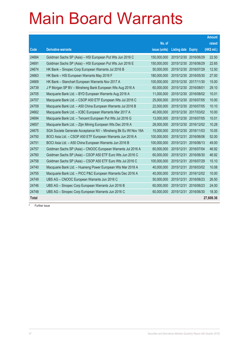|              |                                                                |               |                       |               | <b>Amount</b> |
|--------------|----------------------------------------------------------------|---------------|-----------------------|---------------|---------------|
|              |                                                                | No. of        |                       |               | raised        |
| Code         | <b>Derivative warrants</b>                                     | issue (units) | <b>Listing date</b>   | <b>Expiry</b> | (HK\$ mil.)   |
| 24684        | Goldman Sachs SP (Asia) - HSI European Put Wts Jun 2016 C      | 150,000,000   | 2015/12/30            | 2016/06/29    | 22.50         |
| 24691        | Goldman Sachs SP (Asia) - HSI European Put Wts Jun 2016 E      | 150,000,000   | 2015/12/30            | 2016/06/29    | 22.65         |
| 24674        | HK Bank - Sinopec Corp European Warrants Jul 2016 B            | 50,000,000    | 2015/12/30            | 2016/07/29    | 12.50         |
| 24663        | HK Bank - HSI European Warrants May 2016 F                     | 180,000,000   | 2015/12/30            | 2016/05/30    | 27.00         |
| 24669        | HK Bank - Stanchart European Warrants Nov 2017 A               | 100,000,000   | 2015/12/30 2017/11/30 |               | 15.00         |
| 24739        | J P Morgan SP BV - Minsheng Bank European Wts Aug 2016 A       | 60,000,000    | 2015/12/30            | 2016/08/01    | 29.10         |
| 24705        | Macquarie Bank Ltd. - BYD European Warrants Aug 2016 A         | 11,000,000    | 2015/12/30 2016/08/02 |               | 10.01         |
| 24707        | Macquarie Bank Ltd. - CSOP A50 ETF European Wts Jul 2016 C     | 25,000,000    | 2015/12/30            | 2016/07/05    | 10.00         |
| 24709        | Macquarie Bank Ltd. - A50 China European Warrants Jul 2016 B   | 22,000,000    | 2015/12/30            | 2016/07/05    | 10.10         |
| 24662        | Macquarie Bank Ltd. - ICBC European Warrants Mar 2017 A        | 40,000,000    | 2015/12/30 2017/03/02 |               | 10.00         |
| 24694        | Macquarie Bank Ltd. - Tencent European Put Wts Jul 2016 G      | 13,000,000    | 2015/12/30            | 2016/07/05    | 10.01         |
| 24657        | Macquarie Bank Ltd. - Zijin Mining European Wts Dec 2016 A     | 28,000,000    | 2015/12/30            | 2016/12/02    | 10.28         |
| 24675        | SGA Societe Generale Acceptance NV – Minsheng Bk Eu Wt Nov 16A | 15,000,000    | 2015/12/30            | 2016/11/03    | 10.05         |
| 24750        | BOCI Asia Ltd. - CSOP A50 ETF European Warrants Jun 2016 A     | 100,000,000   | 2015/12/31            | 2016/06/06    | 52.00         |
| 24751        | BOCI Asia Ltd. - A50 China European Warrants Jun 2016 B        | 100,000,000   | 2015/12/31            | 2016/06/13    | 49.00         |
| 24757        | Goldman Sachs SP (Asia) - CNOOC European Warrants Jul 2016 A   | 60,000,000    | 2015/12/31            | 2016/07/04    | 46.92         |
| 24760        | Goldman Sachs SP (Asia) - CSOP A50 ETF Euro Wts Jun 2016 C     | 60,000,000    | 2015/12/31            | 2016/06/30    | 46.92         |
| 24758        | Goldman Sachs SP (Asia) - CSOP A50 ETF Euro Wts Jul 2016 C     | 100,000,000   | 2015/12/31            | 2016/07/29    | 15.10         |
| 24740        | Macquarie Bank Ltd. - Huaneng Power European Wts Mar 2018 A    | 40,000,000    | 2015/12/31            | 2018/03/02    | 10.08         |
| 24755        | Macquarie Bank Ltd. - PICC P&C European Warrants Dec 2016 A    | 40,000,000    | 2015/12/31            | 2016/12/02    | 10.00         |
| 24749        | UBS AG - CNOOC European Warrants Jun 2016 C                    | 50,000,000    | 2015/12/31            | 2016/06/23    | 26.50         |
| 24746        | UBS AG - Sinopec Corp European Warrants Jun 2016 B             | 60,000,000    | 2015/12/31            | 2016/06/23    | 24.00         |
| 24748        | UBS AG - Sinopec Corp European Warrants Jun 2016 C             | 60,000,000    | 2015/12/31            | 2016/06/30    | 18.30         |
| <b>Total</b> |                                                                |               |                       |               | 27,608.36     |

# Further issue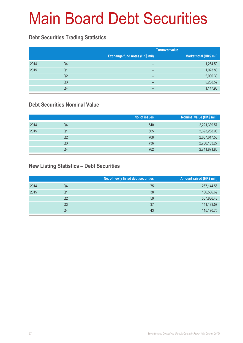# Main Board Debt Securities

### **Debt Securities Trading Statistics**

|      |                | <b>Turnover value</b>          |                         |
|------|----------------|--------------------------------|-------------------------|
|      |                | Exchange fund notes (HK\$ mil) | Market total (HK\$ mil) |
| 2014 | Q4             | $\overline{\phantom{0}}$       | 1,264.59                |
| 2015 | Q1             | -                              | 1,023.80                |
|      | Q2             | -                              | 2,000.30                |
|      | Q <sub>3</sub> | -                              | 5,208.52                |
|      | Q4             | -                              | 1,147.96                |

### **Debt Securities Nominal Value**

|      |    | No. of issues | Nominal value (HK\$ mil.) |
|------|----|---------------|---------------------------|
| 2014 | Q4 | 640           | 2,221,339.57              |
| 2015 | Q1 | 665           | 2,393,288.98              |
|      | Q2 | 708           | 2,637,617.58              |
|      | Q3 | 736           | 2,750,133.27              |
|      | Q4 | 762           | 2,741,871.80              |

### **New Listing Statistics – Debt Securities**

| No. of newly listed debt securities | Amount raised (HK\$ mil.) |
|-------------------------------------|---------------------------|
| 75                                  | 267,144.56                |
| 38                                  | 186,536.69                |
| 59                                  | 307,836.43                |
| 37                                  | 141,193.57                |
| 43                                  | 115,190.75                |
|                                     |                           |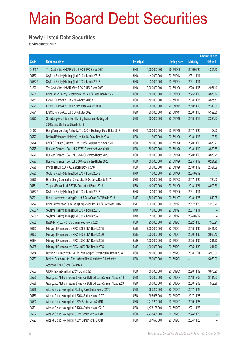# Main Board Debt Securities

#### **Newly Listed Debt Securities**

for 4th quarter 2015

|         |                                                                                                          |                  |               |                     |                 | <b>Amount raised</b> |
|---------|----------------------------------------------------------------------------------------------------------|------------------|---------------|---------------------|-----------------|----------------------|
| Code    | <b>Debt securities</b>                                                                                   | <b>Principal</b> |               | <b>Listing date</b> | <b>Maturity</b> | (HK\$ mil.)          |
| 04219#  | The Govt of the HKSAR of the PRC 1.47% Bonds 2019                                                        | <b>HKD</b>       | 4,200,000,000 | 2015/10/09          | 2019/02/20      | 4,294.50             |
| 05567   | Skyfame Realty (Holdings) Ltd. 0.10% Bonds 2031B                                                         | <b>HKD</b>       | 40,000,000    | 2015/10/13          | 2031/11/14      |                      |
| 05567#  | Skyfame Realty (Holdings) Ltd. 0.10% Bonds 2031B                                                         | <b>HKD</b>       | 30,000,000    | 2015/11/04          | 2031/11/14      |                      |
| 04229   | The Govt of the HKSAR of the PRC 0.91% Bonds 2020                                                        | <b>HKD</b>       | 3,000,000,000 | 2015/11/06          | 2020/11/05      | 2,951.10             |
| 05568   | China Clean Energy Development Ltd. 4.00% Guar. Bonds 2025                                               | <b>USD</b>       | 500,000,000   | 2015/11/06          | 2025/11/05      | 3,870.17             |
| 05569   | ICBCIL Finance Co. Ltd. 2.60% Notes 2018 A                                                               | <b>USD</b>       | 500,000,000   | 2015/11/11          | 2018/11/13      | 3,875.51             |
| 05570   | ICBCIL Finance Co. Ltd. Floating Rate Notes 2018 B                                                       | <b>USD</b>       | 300,000,000   | 2015/11/11          | 2018/11/13      | 2,340.00             |
| 05571   | ICBCIL Finance Co. Ltd. 3.20% Notes 2020                                                                 | <b>USD</b>       | 700,000,000   | 2015/11/11          | 2020/11/10      | 5,392.35             |
| 05572   | Shandong Gold International Mining Investment Holding Ltd.<br>2.50% Credit Enhanced Bonds 2018           | <b>USD</b>       | 300,000,000   | 2015/11/16          | 2018/11/13      | 2,325.87             |
| 04062   | Hong Kong Monetary Authority, The 0.42% Exchange Fund Notes 2017                                         | <b>HKD</b>       | 1,200,000,000 | 2015/11/19          | 2017/11/20      | 1,198.20             |
| 05573   | Brightoil Petroleum (Holdings) Ltd. 5.00% Conv. Bonds 2018                                               | <b>USD</b>       | 12,000,000    | 2015/11/20          | 2018/11/13      | 93.60                |
| 05574   | CSCEC Finance (Cayman) I Ltd. 2.95% Guaranteed Notes 2020                                                | <b>USD</b>       | 500,000,000   | 2015/11/20          | 2020/11/19      | 3,859.21             |
| 05575   | Huarong Finance II Co., Ltd. 2.875% Guaranteed Notes 2018                                                | <b>USD</b>       | 500,000,000   | 2015/11/20          | 2018/11/19      | 3,889.55             |
| 05576   | Huarong Finance II Co., Ltd. 3.75% Guaranteed Notes 2020                                                 | <b>USD</b>       | 500,000,000   | 2015/11/20          | 2020/11/19      | 3,878.75             |
| 05577   | Huarong Finance II Co., Ltd. 5.00% Guaranteed Notes 2025                                                 | <b>USD</b>       | 800,000,000   | 2015/11/20          | 2025/11/19      | 6,224.96             |
| 05578   | Profit Fast Ltd. 5.50% Guaranteed Bonds 2018                                                             | <b>USD</b>       | 300,000,000   | 2015/11/20          | 2018/11/19      | 2,324.09             |
| 05580   | Skyfame Realty (Holdings) Ltd. 0.10% Bonds 2024B                                                         | <b>HKD</b>       | 10,000,000    | 2015/11/20          | 2024/09/12      |                      |
| 05579   | Hsin Chong Construction Group Ltd. 6.00% Conv. Bonds 2017                                                | <b>USD</b>       | 100,000,000   | 2015/11/23          | 2017/11/20      | 780.00               |
| 05581   | Tuspark Forward Ltd. 5.375% Guaranteed Bonds 2018                                                        | <b>USD</b>       | 400,000,000   | 2015/11/25          | 2018/11/24      | 3,092.39             |
| 05567#  | Skyfame Realty (Holdings) Ltd. 0.10% Bonds 2031B                                                         | <b>HKD</b>       | 20,000,000    | 2015/11/26          | 2031/11/14      |                      |
| 85721   | Huarui Investment Holding Co. Ltd. 5.25% Guar. CNY Bonds 2018                                            | <b>RMB</b>       | 1,500,000,000 | 2015/11/27          | 2018/11/26      | 1,810.05             |
| 85722   | China Construction Bank (Asia) Corporation Ltd. 4.00% CNY Notes 2017                                     | <b>RMB</b>       | 1,000,000,000 | 2015/11/27          | 2017/11/26      | 1,206.70             |
| 05567#  | Skyfame Realty (Holdings) Ltd. 0.10% Bonds 2031B                                                         | <b>HKD</b>       | 10,000,000    | 2015/11/27          | 2031/11/14      |                      |
| 05580 # | Skyfame Realty (Holdings) Ltd. 0.10% Bonds 2024B                                                         | <b>HKD</b>       | 10,000,000    | 2015/11/27          | 2024/09/12      |                      |
| 05582   | NWD (MTN) Ltd. 4.375% Guaranteed Notes 2022                                                              | <b>USD</b>       | 950,000,000   | 2015/12/01          | 2022/11/30      | 7,365.91             |
| 86632   | Ministry of Finance of the PRC 3.29% CNY Bonds 2018                                                      | <b>RMB</b>       | 7,000,000,000 | 2015/12/01          | 2018/11/30      | 8,481.90             |
| 86633   | Ministry of Finance of the PRC 3.40% CNY Bonds 2020                                                      | <b>RMB</b>       | 3,000,000,000 | 2015/12/01          | 2020/11/30      | 3,635.10             |
| 86634   | Ministry of Finance of the PRC 3.31% CNY Bonds 2025                                                      | <b>RMB</b>       | 1,000,000,000 | 2015/12/01          | 2025/11/30      | 1,211.70             |
| 86635   | Ministry of Finance of the PRC 4.00% CNY Bonds 2035                                                      | <b>RMB</b>       | 1,000,000,000 | 2015/12/01          | 2035/11/30      | 1,211.70             |
| 05584   | Baosteel HK Investment Co. Ltd. Zero Coupon Exchangeable Bonds 2018                                      | <b>USD</b>       | 500,000,000   | 2015/12/02          | 2018/12/01      | 3,900.00             |
| 05583   | Bank of East Asia, Ltd., The Undated Non-Cumulative Subordinated<br>Additional Tier 1 Capital Securities | <b>USD</b>       | 650,000,000   | 2015/12/03          |                 | 5,070.00             |
| 05587   | GRAM International Ltd. 2.75% Bonds 2020                                                                 | <b>USD</b>       | 500,000,000   | 2015/12/03          | 2020/11/02      | 3,878.90             |
| 05585   | Guangzhou Metro Investment Finance (BVI) Ltd. 2.875% Guar. Notes 2018                                    | <b>USD</b>       | 400,000,000   | 2015/12/04          | 2018/12/03      | 3,114.32             |
| 05586   | Guangzhou Metro Investment Finance (BVI) Ltd. 3.375% Guar. Notes 2020                                    | <b>USD</b>       | 200,000,000   | 2015/12/04          | 2020/12/03      | 1,552.96             |
| 05588   | Alibaba Group Holding Ltd. Floating Rate Senior Notes 2017C                                              | <b>USD</b>       | 285,200,000   | 2015/12/07          | 2017/11/28      |                      |
| 05589   | Alibaba Group Holding Ltd. 1.625% Senior Notes 2017D                                                     | <b>USD</b>       | 996,658,000   | 2015/12/07          | 2017/11/28      |                      |
| 05590   | Alibaba Group Holding Ltd. 2.50% Senior Notes 2019B                                                      | <b>USD</b>       | 2,217,290,000 | 2015/12/07          | 2019/11/28      | ۳                    |
| 05591   | Alibaba Group Holding Ltd. 3.125% Senior Notes 2021B                                                     | <b>USD</b>       | 1,473,138,000 | 2015/12/07          | 2021/11/28      | -                    |
| 05592   | Alibaba Group Holding Ltd. 3.60% Senior Notes 2024B                                                      | <b>USD</b>       | 2,233,431,000 | 2015/12/07          | 2024/11/28      | ۳                    |
| 05593   | Alibaba Group Holding Ltd. 4.50% Senior Notes 2034B                                                      | <b>USD</b>       | 697,670,000   | 2015/12/07          | 2034/11/28      | -                    |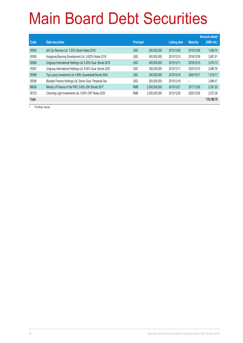# Main Board Debt Securities

|       |                                                             |                  |               |                     |                 | <b>Amount raised</b> |
|-------|-------------------------------------------------------------|------------------|---------------|---------------------|-----------------|----------------------|
| Code  | <b>Debt securities</b>                                      | <b>Principal</b> |               | <b>Listing date</b> | <b>Maturity</b> | (HK\$ mil.)          |
| 05594 | eHi Car Services Ltd. 7.50% Senior Notes 2018               | <b>USD</b>       | 200,000,000   | 2015/12/09          | 2018/12/08      | 1,549.74             |
| 05595 | Hongkong Baorong Development Ltd. 3.625% Notes 2018         | <b>USD</b>       | 500,000,000   | 2015/12/10          | 2018/12/09      | 3.881.91             |
| 05596 | Unigroup International Holdings Ltd. 5.25% Guar. Bonds 2018 | <b>USD</b>       | 450,000,000   | 2015/12/11          | 2018/12/10      | 3,474.13             |
| 05597 | Unigroup International Holdings Ltd. 6.00% Guar. Bonds 2020 | <b>USD</b>       | 350,000,000   | 2015/12/11          | 2020/12/10      | 2,686.76             |
| 05598 | Top Luxury Investment Ltd. 4.99% Guaranteed Bonds 2040      | <b>USD</b>       | 200,000,000   | 2015/12/18          | 2040/12/17      | 1.518.71             |
| 05599 | Bluestar Finance Holdings Ltd. Senior Guar. Perpetual Sec   | <b>USD</b>       | 500.000.000   | 2015/12/18          |                 | 3.886.47             |
| 86636 | Ministry of Finance of the PRC 3.45% CNY Bonds 2017         | <b>RMB</b>       | 2,000,000,000 | 2015/12/21          | 2017/12/28      | 2,391.20             |
| 85723 | Charming Light Investments Ltd. 5.50% CNY Notes 2025        | <b>RMB</b>       | 2,500,000,000 | 2015/12/30          | 2025/12/29      | 2.972.38             |
| Total |                                                             |                  |               |                     |                 | 115,190.75           |

Further issue

#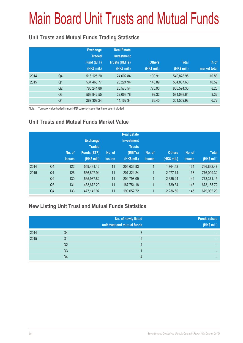# Main Board Unit Trusts and Mutual Funds

### **Unit Trusts and Mutual Funds Trading Statistics**

|      |                | <b>Exchange</b><br><b>Traded</b><br>Fund (ETF)<br>(HK\$ mil.) | <b>Real Estate</b><br><b>Investment</b><br><b>Trusts (REITs)</b><br>(HK\$ mil.) | <b>Others</b><br>(HK\$ mil.) | <b>Total</b><br>(HK\$ mil.) | $%$ of<br>market total |
|------|----------------|---------------------------------------------------------------|---------------------------------------------------------------------------------|------------------------------|-----------------------------|------------------------|
| 2014 | Q4             | 516,125.20                                                    | 24,602.84                                                                       | 100.91                       | 540,828.95                  | 10.88                  |
| 2015 | Q <sub>1</sub> | 534,465.77                                                    | 20,224.94                                                                       | 146.89                       | 554,837.60                  | 10.59                  |
|      | Q <sub>2</sub> | 780,241.86                                                    | 25,576.54                                                                       | 775.90                       | 806,594.30                  | 8.26                   |
|      | Q <sub>3</sub> | 568,942.55                                                    | 22,063.78                                                                       | 92.32                        | 591,098.64                  | 9.32                   |
|      | Q4             | 287,309.24                                                    | 14, 162. 34                                                                     | 88.40                        | 301,559.98                  | 6.72                   |

Note: Turnover value traded in non-HKD currency securities have been included

### **Unit Trusts and Mutual Funds Market Value**

|      |                | No. of<br><b>issues</b> | <b>Exchange</b><br><b>Traded</b><br><b>Funds (ETF)</b><br>(HK\$ mil.) | No. of<br><b>issues</b> | <b>Real Estate</b><br><b>Investment</b><br><b>Trusts</b><br>(REITs)<br>(HK\$ mil.) | No. of<br><b>issues</b> | <b>Others</b><br>(HK\$ mil.) | No. of<br><b>issues</b> | <b>Total</b><br>(HK\$ mil.) |
|------|----------------|-------------------------|-----------------------------------------------------------------------|-------------------------|------------------------------------------------------------------------------------|-------------------------|------------------------------|-------------------------|-----------------------------|
| 2014 | Q <sub>4</sub> | 122                     | 559,491.12                                                            | 11                      | 205,636.83                                                                         |                         | 1.764.52                     | 134                     | 766,892.47                  |
| 2015 | Q <sub>1</sub> | 126                     | 566,607.94                                                            | 11                      | 207,324.24                                                                         |                         | 2,077.14                     | 138                     | 776.009.32                  |
|      | Q <sub>2</sub> | 130                     | 565,937.82                                                            | 11                      | 204,798.09                                                                         |                         | 2,635.24                     | 142                     | 773,371.15                  |
|      | Q <sub>3</sub> | 131                     | 483,672.20                                                            | 11                      | 187,754.18                                                                         |                         | 1,739.34                     | 143                     | 673,165.72                  |
|      | Q4             | 133                     | 477,142.97                                                            | 11                      | 199,652.72                                                                         | 1                       | 2,236.60                     | 145                     | 679,032.29                  |

### **New Listing Unit Trust and Mutual Funds Statistics**

|      |    | No. of newly listed<br>unit trust and mutual funds | <b>Funds raised</b><br>(HK\$ mil.) |
|------|----|----------------------------------------------------|------------------------------------|
| 2014 | Q4 |                                                    |                                    |
| 2015 | Q1 | 5                                                  |                                    |
|      | Q2 |                                                    |                                    |
|      | Q3 |                                                    |                                    |
|      | Q4 |                                                    |                                    |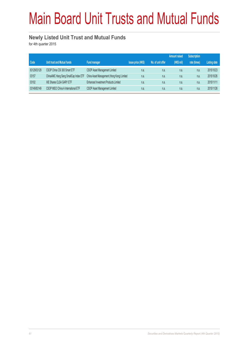# Main Board Unit Trusts and Mutual Funds

#### **Newly Listed Unit Trust and Mutual Funds**

for 4th quarter 2015

|             |                                       |                                            |                          |                   | <b>Amount raised</b> | <b>Subscription</b> |                     |
|-------------|---------------------------------------|--------------------------------------------|--------------------------|-------------------|----------------------|---------------------|---------------------|
| Code        | Unit trust and Mutual funds           | <b>Fund manager</b>                        | <b>Issue price (HKS)</b> | No. of unit offer | (HK\$ mil)           | rate (times)        | <b>Listing date</b> |
| 83129/03129 | CSOP China CSI 300 Smart ETF          | CSOP Asset Management Limited              | n.a.                     | n.a.              | n.a.                 | n.a.                | 2015/10/23          |
| 03157       | ChinaAMC Hang Seng SmallCap Index ETF | China Asset Management (Hong Kong) Limited | n.a.                     | n.a.              | n.a.                 | n.a.                | 2015/10/26          |
| 03102       | XIE Shares CLSA GARY ETF              | Enhanced Investment Products Limited       | n.a.                     | n.a.              | n.a.                 | n.a.                | 2015/11/11          |
| 03149/83149 | CSOP MSCI China A International ETF   | CSOP Asset Management Limited              | n.a.                     | n.a.              | n.a.                 | n.a.                | 2015/11/26          |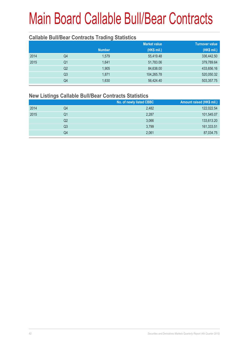#### **Callable Bull/Bear Contracts Trading Statistics**

|                |               | <b>Market value</b> | <b>Turnover value</b> |
|----------------|---------------|---------------------|-----------------------|
|                | <b>Number</b> | (HK\$ mil.)         | (HK\$ mil.)           |
| Q4             | 1,579         | 55,419.48           | 336,442.50            |
| Q <sub>1</sub> | 1.641         | 51,783.06           | 379,789.64            |
| Q <sub>2</sub> | 1,905         | 84,638.00           | 433,656.16            |
| Q <sub>3</sub> | 1,871         | 104,265.78          | 520,050.32            |
| Q4             | 1,630         | 56,424.40           | 503,357.75            |
|                |               |                     |                       |

#### **New Listings Callable Bull/Bear Contracts Statistics**

|      |    | No. of newly listed CBBC | Amount raised (HK\$ mil.) |
|------|----|--------------------------|---------------------------|
| 2014 | Q4 | 2,482                    | 122,022.54                |
| 2015 | Q1 | 2,287                    | 101,545.07                |
|      | Q2 | 3,066                    | 133,613.20                |
|      | Q3 | 3,799                    | 161,333.51                |
|      | Q4 | 2,061                    | 87,034.75                 |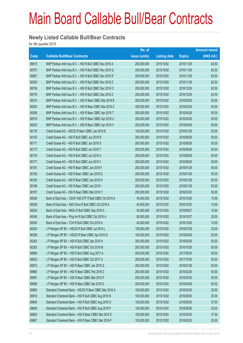#### **Newly Listed Callable Bull/Bear Contracts**

for 4th quarter 2015

|       |                                                          | No. of        |                     |               | <b>Amount raised</b> |
|-------|----------------------------------------------------------|---------------|---------------------|---------------|----------------------|
| Code  | <b>Callable Bull/Bear Contracts</b>                      | issue (units) | <b>Listing date</b> | <b>Expiry</b> | (HK\$ mil.)          |
| 69815 | BNP Paribas Arbit Issu B.V. - HSI R Bull CBBC Nov 2016 A | 250,000,000   | 2015/10/02          | 2016/11/29    | 62.50                |
| 69757 | BNP Paribas Arbit Issu B.V. - HSI R Bull CBBC Nov 2016 Q | 250,000,000   | 2015/10/02          | 2016/11/29    | 62.50                |
| 69807 | BNP Paribas Arbit Issu B.V. - HSI R Bull CBBC Nov 2016 R | 250,000,000   | 2015/10/02          | 2016/11/29    | 62.50                |
| 60005 | BNP Paribas Arbit Issu B.V. - HSI R Bull CBBC Nov 2016 Z | 250,000,000   | 2015/10/02          | 2016/11/29    | 62.50                |
| 69756 | BNP Paribas Arbit Issu B.V. - HSI R Bull CBBC Dec 2016 O | 250,000,000   | 2015/10/02          | 2016/12/29    | 62.50                |
| 69776 | BNP Paribas Arbit Issu B.V. - HSI R Bull CBBC Dec 2016 Z | 250,000,000   | 2015/10/02          | 2016/12/29    | 62.50                |
| 60010 | BNP Paribas Arbit Issu B.V. - HSI R Bear CBBC Mar 2016 B | 200,000,000   | 2015/10/02          | 2016/03/30    | 50.00                |
| 60020 | BNP Paribas Arbit Issu B.V. - HSI R Bear CBBC Mar 2016 C | 200,000,000   | 2015/10/02          | 2016/03/30    | 50.00                |
| 60009 | BNP Paribas Arbit Issu B.V. - HSI R Bear CBBC Apr 2016 T | 200,000,000   | 2015/10/02          | 2016/04/28    | 50.00                |
| 60019 | BNP Paribas Arbit Issu B.V. - HSI R Bear CBBC Apr 2016 U | 200,000,000   | 2015/10/02          | 2016/04/28    | 50.00                |
| 60025 | BNP Paribas Arbit Issu B.V. - HSI R Bear CBBC Apr 2016 V | 200,000,000   | 2015/10/02          | 2016/04/28    | 50.00                |
| 60178 | Credit Suisse AG - HSCEI R Bear CBBC Jan 2016 E          | 100,000,000   | 2015/10/02          | 2016/01/28    | 25.00                |
| 60155 | Credit Suisse AG - HSI R Bull CBBC Jun 2016 R            | 200,000,000   | 2015/10/02          | 2016/06/29    | 50.00                |
| 60171 | Credit Suisse AG - HSI R Bull CBBC Jun 2016 S            | 200,000,000   | 2015/10/02          | 2016/06/29    | 50.00                |
| 60173 | Credit Suisse AG - HSI R Bull CBBC Jun 2016 T            | 200,000,000   | 2015/10/02          | 2016/06/29    | 50.00                |
| 60176 | Credit Suisse AG - HSI R Bull CBBC Jun 2016 U            | 200,000,000   | 2015/10/02          | 2016/06/29    | 50.00                |
| 60177 | Credit Suisse AG - HSI R Bull CBBC Jun 2016 V            | 200,000,000   | 2015/10/02          | 2016/06/29    | 50.00                |
| 60181 | Credit Suisse AG - HSI R Bear CBBC Jan 2016 F            | 200,000,000   | 2015/10/02          | 2016/01/28    | 50.00                |
| 60182 | Credit Suisse AG - HSI R Bear CBBC Jan 2016 G            | 200,000,000   | 2015/10/02          | 2016/01/28    | 50.00                |
| 60183 | Credit Suisse AG - HSI R Bear CBBC Jan 2016 H            | 200,000,000   | 2015/10/02          | 2016/01/28    | 50.00                |
| 60186 | Credit Suisse AG - HSI R Bear CBBC Jan 2016 I            | 200,000,000   | 2015/10/02          | 2016/01/28    | 50.00                |
| 60187 | Credit Suisse AG - HSI R Bear CBBC Mar 2016 Y            | 200,000,000   | 2015/10/02          | 2016/03/30    | 50.00                |
| 60028 | Bank of East Asia - CSOP A50 ETF R Bull CBBC Oct 2016 A  | 40,000,000    | 2015/10/02          | 2016/10/28    | 10.00                |
| 60026 | Bank of East Asia - A50 China R Bull CBBC Oct 2016 A     | 40,000,000    | 2015/10/02          | 2016/10/20    | 10.00                |
| 60029 | Bank of East Asia - HKEx R Bull CBBC Sep 2016 A          | 40,000,000    | 2015/10/02          | 2016/09/27    | 10.00                |
| 60048 | Bank of East Asia - Ping An R Bull CBBC Oct 2016 A       | 80,000,000    | 2015/10/02          | 2016/10/27    | 20.00                |
| 60045 | Bank of East Asia - TCH R Bull CBBC Oct 2016 A           | 40,000,000    | 2015/10/02          | 2016/10/26    | 10.00                |
| 60204 | J P Morgan SP BV - HSCEI R Bull CBBC Jul 2016 L          | 100,000,000   | 2015/10/02          | 2016/07/28    | 25.00                |
| 60206 | J P Morgan SP BV - HSCEI R Bear CBBC Apr 2016 Q          | 100,000,000   | 2015/10/02          | 2016/04/28    | 25.00                |
| 60262 | J P Morgan SP BV - HSI R Bull CBBC Apr 2016 H            | 200,000,000   | 2015/10/02          | 2016/04/28    | 50.00                |
| 60263 | J P Morgan SP BV - HSI R Bull CBBC Oct 2016 M            | 200,000,000   | 2015/10/02          | 2016/10/28    | 50.00                |
| 69966 | J P Morgan SP BV - HSI R Bull CBBC Aug 2017 A            | 200,000,000   | 2015/10/02          | 2017/08/30    | 50.00                |
| 69933 | J P Morgan SP BV - HSI R Bull CBBC Oct 2017 A            | 200,000,000   | 2015/10/02          | 2017/10/30    | 50.00                |
| 69972 | J P Morgan SP BV - HSI R Bear CBBC Jan 2016 G            | 200,000,000   | 2015/10/02          | 2016/01/28    | 50.00                |
| 69980 | J P Morgan SP BV - HSI R Bear CBBC Feb 2016 Z            | 200,000,000   | 2015/10/02          | 2016/02/26    | 50.00                |
| 69997 | J P Morgan SP BV - HSI R Bear CBBC Mar 2016 P            | 200,000,000   | 2015/10/02          | 2016/03/30    | 50.00                |
| 69999 | J P Morgan SP BV - HSI R Bear CBBC Apr 2016 G            | 200,000,000   | 2015/10/02          | 2016/04/28    | 50.00                |
| 69880 | Standard Chartered Bank - HSCEI R Bear CBBC Mar 2016 A   | 100,000,000   | 2015/10/02          | 2016/03/30    | 25.00                |
| 69818 | Standard Chartered Bank - HSI R Bull CBBC Aug 2016 N     | 100,000,000   | 2015/10/02          | 2016/08/30    | 25.00                |
| 69845 | Standard Chartered Bank - HSI R Bull CBBC Aug 2016 O     | 150,000,000   | 2015/10/02          | 2016/08/30    | 37.50                |
| 69846 | Standard Chartered Bank - HSI R Bull CBBC Aug 2016 P     | 100,000,000   | 2015/10/02          | 2016/08/30    | 25.00                |
| 69883 | Standard Chartered Bank - HSI R Bear CBBC Mar 2016 E     | 150,000,000   | 2015/10/02          | 2016/03/30    | 37.50                |
| 69887 | Standard Chartered Bank - HSI R Bear CBBC Mar 2016 F     | 100,000,000   | 2015/10/02          | 2016/03/30    | 25.00                |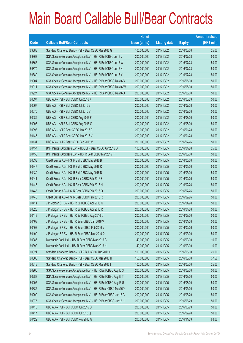|             |                                                                | No. of        |                     |               | <b>Amount raised</b> |
|-------------|----------------------------------------------------------------|---------------|---------------------|---------------|----------------------|
| <b>Code</b> | <b>Callable Bull/Bear Contracts</b>                            | issue (units) | <b>Listing date</b> | <b>Expiry</b> | $(HK$$ mil.)         |
| 69888       | Standard Chartered Bank - HSI R Bear CBBC Mar 2016 G           | 100,000,000   | 2015/10/02          | 2016/03/30    | 25.00                |
| 69863       | SGA Societe Generale Acceptance N.V. - HSI R Bull CBBC Jul16 V | 200,000,000   | 2015/10/02          | 2016/07/28    | 50.00                |
| 69865       | SGA Societe Generale Acceptance N.V. - HSI R Bull CBBC Jul16 W | 200,000,000   | 2015/10/02          | 2016/07/28    | 50.00                |
| 69870       | SGA Societe Generale Acceptance N.V. - HSI R Bull CBBC Jul16 X | 200,000,000   | 2015/10/02          | 2016/07/28    | 50.00                |
| 69889       | SGA Societe Generale Acceptance N.V. - HSI R Bull CBBC Jul16 Y | 200,000,000   | 2015/10/02          | 2016/07/28    | 50.00                |
| 69904       | SGA Societe Generale Acceptance N.V. - HSI R Bear CBBC May16 V | 200,000,000   | 2015/10/02          | 2016/05/30    | 50.00                |
| 69911       | SGA Societe Generale Acceptance N.V. - HSI R Bear CBBC May16 W | 200,000,000   | 2015/10/02          | 2016/05/30    | 50.00                |
| 69927       | SGA Societe Generale Acceptance N.V. - HSI R Bear CBBC May16 X | 200,000,000   | 2015/10/02          | 2016/05/30    | 50.00                |
| 60097       | UBS AG - HSI R Bull CBBC Jun 2016 K                            | 200,000,000   | 2015/10/02          | 2016/06/29    | 50.00                |
| 60067       | UBS AG - HSI R Bull CBBC Jul 2016 S                            | 200,000,000   | 2015/10/02          | 2016/07/28    | 50.00                |
| 60070       | UBS AG - HSI R Bull CBBC Jul 2016 V                            | 200,000,000   | 2015/10/02          | 2016/07/28    | 50.00                |
| 60089       | UBS AG - HSI R Bull CBBC Aug 2016 F                            | 200,000,000   | 2015/10/02          | 2016/08/30    | 50.00                |
| 60096       | UBS AG - HSI R Bull CBBC Aug 2016 G                            | 200,000,000   | 2015/10/02          | 2016/08/30    | 50.00                |
| 60098       | UBS AG - HSI R Bear CBBC Jan 2016 E                            | 200,000,000   | 2015/10/02          | 2016/01/28    | 50.00                |
| 60145       | UBS AG - HSI R Bear CBBC Jan 2016 V                            | 200,000,000   | 2015/10/02          | 2016/01/28    | 50.00                |
| 60131       | UBS AG - HSI R Bear CBBC Feb 2016 V                            | 200,000,000   | 2015/10/02          | 2016/02/26    | 50.00                |
| 60457       | BNP Paribas Arbit Issu B.V. - HSCEI R Bear CBBC Apr 2016 G     | 100,000,000   | 2015/10/05          | 2016/04/28    | 25.00                |
| 60455       | BNP Paribas Arbit Issu B.V. - HSI R Bear CBBC Mar 2016 P       | 200,000,000   | 2015/10/05          | 2016/03/30    | 50.00                |
| 60333       | Credit Suisse AG - HSI R Bull CBBC May 2016 B                  | 200,000,000   | 2015/10/05          | 2016/05/30    | 50.00                |
| 60347       | Credit Suisse AG - HSI R Bull CBBC May 2016 C                  | 200,000,000   | 2015/10/05          | 2016/05/30    | 50.00                |
| 60439       | Credit Suisse AG - HSI R Bull CBBC May 2016 D                  | 200,000,000   | 2015/10/05          | 2016/05/30    | 50.00                |
| 60441       | Credit Suisse AG - HSI R Bear CBBC Feb 2016 B                  | 200,000,000   | 2015/10/05          | 2016/02/26    | 50.00                |
| 60445       | Credit Suisse AG - HSI R Bear CBBC Feb 2016 H                  | 200,000,000   | 2015/10/05          | 2016/02/26    | 50.00                |
| 60443       | Credit Suisse AG - HSI R Bear CBBC Feb 2016 O                  | 200,000,000   | 2015/10/05          | 2016/02/26    | 50.00                |
| 60446       | Credit Suisse AG - HSI R Bear CBBC Feb 2016 R                  | 200,000,000   | 2015/10/05          | 2016/02/26    | 50.00                |
| 60414       | J P Morgan SP BV - HSI R Bull CBBC Apr 2016 G                  | 200,000,000   | 2015/10/05          | 2016/04/28    | 50.00                |
| 60323       | J P Morgan SP BV - HSI R Bull CBBC Apr 2016 R                  | 200,000,000   | 2015/10/05          | 2016/04/28    | 50.00                |
| 60413       | J P Morgan SP BV - HSI R Bull CBBC Aug 2016 U                  | 200,000,000   | 2015/10/05          | 2016/08/30    | 50.00                |
| 60408       | J P Morgan SP BV - HSI R Bear CBBC Jan 2016 V                  | 200,000,000   | 2015/10/05          | 2016/01/28    | 50.00                |
| 60402       | J P Morgan SP BV - HSI R Bear CBBC Feb 2016 V                  | 200,000,000   | 2015/10/05          | 2016/02/26    | 50.00                |
| 60409       | J P Morgan SP BV - HSI R Bear CBBC Mar 2016 Q                  | 200,000,000   | 2015/10/05          | 2016/03/30    | 50.00                |
| 60386       | Macquarie Bank Ltd. - HSI R Bear CBBC Mar 2016 G               | 40,000,000    | 2015/10/05          | 2016/03/30    | 10.00                |
| 60392       | Macquarie Bank Ltd. - HSI R Bear CBBC Mar 2016 H               | 40,000,000    | 2015/10/05          | 2016/03/30    | 10.00                |
| 60321       | Standard Chartered Bank - HSI R Bull CBBC Aug 2016 Q           | 100,000,000   | 2015/10/05          | 2016/08/30    | 25.00                |
| 60305       | Standard Chartered Bank - HSI R Bear CBBC Mar 2016 H           | 150,000,000   | 2015/10/05          | 2016/03/30    | 37.50                |
| 60318       | Standard Chartered Bank - HSI R Bear CBBC Mar 2016 I           | 100,000,000   | 2015/10/05          | 2016/03/30    | 25.00                |
| 60265       | SGA Societe Generale Acceptance N.V. - HSI R Bull CBBC Aug16 S | 200,000,000   | 2015/10/05          | 2016/08/30    | 50.00                |
| 60288       | SGA Societe Generale Acceptance N.V. - HSI R Bull CBBC Aug16 T | 200,000,000   | 2015/10/05          | 2016/08/30    | 50.00                |
| 60297       | SGA Societe Generale Acceptance N.V. - HSI R Bull CBBC Aug16 U | 200,000,000   | 2015/10/05          | 2016/08/30    | 50.00                |
| 60385       | SGA Societe Generale Acceptance N.V. - HSI R Bear CBBC May16 Y | 200,000,000   | 2015/10/05          | 2016/05/30    | 50.00                |
| 60299       | SGA Societe Generale Acceptance N.V. - HSI R Bear CBBC Jun16 G | 200,000,000   | 2015/10/05          | 2016/06/29    | 50.00                |
| 60375       | SGA Societe Generale Acceptance N.V. - HSI R Bear CBBC Jun16 H | 200,000,000   | 2015/10/05          | 2016/06/29    | 50.00                |
| 60416       | UBS AG - HSI R Bull CBBC Jun 2016 O                            | 200,000,000   | 2015/10/05          | 2016/06/29    | 50.00                |
| 60417       | UBS AG - HSI R Bull CBBC Jul 2016 Q                            | 200,000,000   | 2015/10/05          | 2016/07/28    | 50.00                |
| 60422       | UBS AG - HSI R Bull CBBC Nov 2016 G                            | 200,000,000   | 2015/10/05          | 2016/11/29    | 83.00                |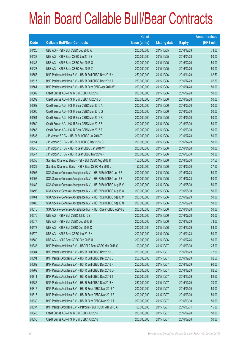|       |                                                                | No. of        |                     |               | <b>Amount raised</b> |
|-------|----------------------------------------------------------------|---------------|---------------------|---------------|----------------------|
| Code  | <b>Callable Bull/Bear Contracts</b>                            | issue (units) | <b>Listing date</b> | <b>Expiry</b> | (HK\$ mil.)          |
| 60420 | UBS AG - HSI R Bull CBBC Dec 2016 A                            | 200,000,000   | 2015/10/05          | 2016/12/29    | 73.00                |
| 60438 | UBS AG - HSI R Bear CBBC Jan 2016 Z                            | 200,000,000   | 2015/10/05          | 2016/01/28    | 50.00                |
| 60437 | UBS AG - HSI R Bear CBBC Feb 2016 Q                            | 200,000,000   | 2015/10/05          | 2016/02/26    | 50.00                |
| 60423 | UBS AG - HSI R Bear CBBC Feb 2016 Z                            | 200,000,000   | 2015/10/05          | 2016/02/26    | 50.00                |
| 60558 | BNP Paribas Arbit Issu B.V. - HSI R Bull CBBC Nov 2016 N       | 250,000,000   | 2015/10/06          | 2016/11/29    | 62.50                |
| 60517 | BNP Paribas Arbit Issu B.V. - HSI R Bull CBBC Dec 2016 A       | 250,000,000   | 2015/10/06          | 2016/12/29    | 62.50                |
| 60561 | BNP Paribas Arbit Issu B.V. - HSI R Bear CBBC Apr 2016 W       | 200,000,000   | 2015/10/06          | 2016/04/28    | 50.00                |
| 60582 | Credit Suisse AG - HSI R Bull CBBC Jul 2016 F                  | 200,000,000   | 2015/10/06          | 2016/07/28    | 50.00                |
| 60599 | Credit Suisse AG - HSI R Bull CBBC Jul 2016 G                  | 200,000,000   | 2015/10/06          | 2016/07/28    | 50.00                |
| 60562 | Credit Suisse AG - HSI R Bear CBBC Mar 2016 A                  | 200,000,000   | 2015/10/06          | 2016/03/30    | 50.00                |
| 60565 | Credit Suisse AG - HSI R Bear CBBC Mar 2016 Q                  | 200,000,000   | 2015/10/06          | 2016/03/30    | 50.00                |
| 60564 | Credit Suisse AG - HSI R Bear CBBC Mar 2016 R                  | 200,000,000   | 2015/10/06          | 2016/03/30    | 50.00                |
| 60569 | Credit Suisse AG - HSI R Bear CBBC Mar 2016 S                  | 200,000,000   | 2015/10/06          | 2016/03/30    | 50.00                |
| 60563 | Credit Suisse AG - HSI R Bear CBBC Mar 2016 Z                  | 200,000,000   | 2015/10/06          | 2016/03/30    | 50.00                |
| 60537 | J P Morgan SP BV - HSI R Bull CBBC Jul 2016 T                  | 200,000,000   | 2015/10/06          | 2016/07/28    | 50.00                |
| 60554 | J P Morgan SP BV - HSI R Bull CBBC Dec 2016 G                  | 200,000,000   | 2015/10/06          | 2016/12/29    | 50.00                |
| 60540 | J P Morgan SP BV - HSI R Bear CBBC Jan 2016 W                  | 200,000,000   | 2015/10/06          | 2016/01/28    | 50.00                |
| 60547 | J P Morgan SP BV - HSI R Bear CBBC Mar 2016 R                  | 200,000,000   | 2015/10/06          | 2016/03/30    | 50.00                |
| 60555 | Standard Chartered Bank - HSI R Bull CBBC Aug 2016 R           | 150,000,000   | 2015/10/06          | 2016/08/30    | 37.50                |
| 60529 | Standard Chartered Bank - HSI R Bear CBBC Mar 2016 J           | 150,000,000   | 2015/10/06          | 2016/03/30    | 37.50                |
| 60505 | SGA Societe Generale Acceptance N.V. - HSI R Bull CBBC Jul16 F | 200,000,000   | 2015/10/06          | 2016/07/28    | 50.00                |
| 60496 | SGA Societe Generale Acceptance N.V. - HSI R Bull CBBC Jul16 Z | 200,000,000   | 2015/10/06          | 2016/07/28    | 50.00                |
| 60482 | SGA Societe Generale Acceptance N.V. - HSI R Bull CBBC Aug16 V | 200,000,000   | 2015/10/06          | 2016/08/30    | 50.00                |
| 60493 | SGA Societe Generale Acceptance N.V. - HSI R Bull CBBC Aug16 W | 200,000,000   | 2015/10/06          | 2016/08/30    | 50.00                |
| 60461 | SGA Societe Generale Acceptance N.V. - HSI R Bull CBBC Sep16 M | 200,000,000   | 2015/10/06          | 2016/09/29    | 50.00                |
| 60485 | SGA Societe Generale Acceptance N.V. - HSI R Bull CBBC Sep16 N | 200,000,000   | 2015/10/06          | 2016/09/29    | 50.00                |
| 60516 | SGA Societe Generale Acceptance N.V. - HSI R Bear CBBC Apr16 G | 200,000,000   | 2015/10/06          | 2016/04/28    | 50.00                |
| 60576 | UBS AG - HSI R Bull CBBC Jul 2016 Z                            | 200,000,000   | 2015/10/06          | 2016/07/28    | 50.00                |
| 60577 | UBS AG - HSI R Bull CBBC Dec 2016 B                            | 200,000,000   | 2015/10/06          | 2016/12/29    | 73.00                |
| 60578 | UBS AG - HSI R Bull CBBC Dec 2016 C                            | 200,000,000   | 2015/10/06          | 2016/12/29    | 83.00                |
| 60579 | UBS AG - HSI R Bear CBBC Jan 2016 X                            | 200,000,000   | 2015/10/06          | 2016/01/28    | 50.00                |
| 60580 | UBS AG - HSI R Bear CBBC Feb 2016 U                            | 200,000,000   | 2015/10/06          | 2016/02/26    | 50.00                |
| 60833 | BNP Paribas Arbit Issu B.V. - HSCEI R Bear CBBC Mar 2016 G     | 100,000,000   | 2015/10/07          | 2016/03/30    | 25.00                |
| 60684 | BNP Paribas Arbit Issu B.V. - HSI R Bull CBBC Nov 2016 U       | 250,000,000   | 2015/10/07          | 2016/11/29    | 77.50                |
| 60691 | BNP Paribas Arbit Issu B.V. - HSI R Bull CBBC Dec 2016 C       | 250,000,000   | 2015/10/07          | 2016/12/29    | 62.50                |
| 60682 | BNP Paribas Arbit Issu B.V. - HSI R Bull CBBC Dec 2016 F       | 250,000,000   | 2015/10/07          | 2016/12/29    | 90.00                |
| 60709 | BNP Paribas Arbit Issu B.V. - HSI R Bull CBBC Dec 2016 G       | 250,000,000   | 2015/10/07          | 2016/12/29    | 62.50                |
| 60711 | BNP Paribas Arbit Issu B.V. - HSI R Bull CBBC Dec 2016 T       | 250,000,000   | 2015/10/07          | 2016/12/29    | 62.50                |
| 60685 | BNP Paribas Arbit Issu B.V. - HSI R Bull CBBC Dec 2016 X       | 250,000,000   | 2015/10/07          | 2016/12/29    | 70.00                |
| 60817 | BNP Paribas Arbit Issu B.V. - HSI R Bear CBBC Mar 2016 A       | 200,000,000   | 2015/10/07          | 2016/03/30    | 50.00                |
| 60815 | BNP Paribas Arbit Issu B.V. - HSI R Bear CBBC Mar 2016 S       | 200,000,000   | 2015/10/07          | 2016/03/30    | 50.00                |
| 60830 | BNP Paribas Arbit Issu B.V. - HSI R Bear CBBC Mar 2016 T       | 200,000,000   | 2015/10/07          | 2016/03/30    | 50.00                |
| 60837 | BNP Paribas Arbit Issu B.V. - Petroch R Bull CBBC Mar 2016 A   | 60,000,000    | 2015/10/07          | 2016/03/31    | 15.00                |
| 60845 | Credit Suisse AG - HSI R Bull CBBC Jul 2016 H                  | 200,000,000   | 2015/10/07          | 2016/07/28    | 50.00                |
| 60850 | Credit Suisse AG - HSI R Bull CBBC Jul 2016 I                  | 200,000,000   | 2015/10/07          | 2016/07/28    | 50.00                |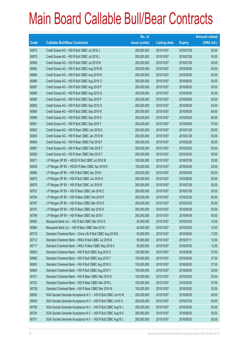|       |                                                                | No. of        |                     |               | <b>Amount raised</b> |
|-------|----------------------------------------------------------------|---------------|---------------------|---------------|----------------------|
| Code  | <b>Callable Bull/Bear Contracts</b>                            | issue (units) | <b>Listing date</b> | <b>Expiry</b> | (HK\$ mil.)          |
| 60873 | Credit Suisse AG - HSI R Bull CBBC Jul 2016 J                  | 200,000,000   | 2015/10/07          | 2016/07/28    | 50.00                |
| 60875 | Credit Suisse AG - HSI R Bull CBBC Jul 2016 L                  | 200,000,000   | 2015/10/07          | 2016/07/28    | 50.00                |
| 60909 | Credit Suisse AG - HSI R Bull CBBC Jul 2016 M                  | 200,000,000   | 2015/10/07          | 2016/07/28    | 50.00                |
| 60882 | Credit Suisse AG - HSI R Bull CBBC Aug 2016 M                  | 200,000,000   | 2015/10/07          | 2016/08/30    | 50.00                |
| 60884 | Credit Suisse AG - HSI R Bull CBBC Aug 2016 N                  | 200,000,000   | 2015/10/07          | 2016/08/30    | 50.00                |
| 60886 | Credit Suisse AG - HSI R Bull CBBC Aug 2016 O                  | 200,000,000   | 2015/10/07          | 2016/08/30    | 50.00                |
| 60887 | Credit Suisse AG - HSI R Bull CBBC Aug 2016 P                  | 200,000,000   | 2015/10/07          | 2016/08/30    | 50.00                |
| 60889 | Credit Suisse AG - HSI R Bull CBBC Aug 2016 Q                  | 200,000,000   | 2015/10/07          | 2016/08/30    | 50.00                |
| 60890 | Credit Suisse AG - HSI R Bull CBBC Sep 2016 P                  | 200,000,000   | 2015/10/07          | 2016/09/29    | 50.00                |
| 60892 | Credit Suisse AG - HSI R Bull CBBC Sep 2016 Q                  | 200,000,000   | 2015/10/07          | 2016/09/29    | 50.00                |
| 60895 | Credit Suisse AG - HSI R Bull CBBC Sep 2016 R                  | 200,000,000   | 2015/10/07          | 2016/09/29    | 64.00                |
| 60896 | Credit Suisse AG - HSI R Bull CBBC Sep 2016 S                  | 200,000,000   | 2015/10/07          | 2016/09/29    | 68.00                |
| 60901 | Credit Suisse AG - HSI R Bull CBBC Sep 2016 T                  | 200,000,000   | 2015/10/07          | 2016/09/29    | 70.00                |
| 60902 | Credit Suisse AG - HSI R Bear CBBC Jan 2016 K                  | 200,000,000   | 2015/10/07          | 2016/01/28    | 50.00                |
| 60905 | Credit Suisse AG - HSI R Bear CBBC Jan 2016 M                  | 200,000,000   | 2015/10/07          | 2016/01/28    | 50.00                |
| 60904 | Credit Suisse AG - HSI R Bear CBBC Feb 2016 F                  | 200,000,000   | 2015/10/07          | 2016/02/26    | 50.00                |
| 60907 | Credit Suisse AG - HSI R Bear CBBC Feb 2016 T                  | 200,000,000   | 2015/10/07          | 2016/02/26    | 50.00                |
| 60906 | Credit Suisse AG - HSI R Bear CBBC Mar 2016 T                  | 200,000,000   | 2015/10/07          | 2016/03/30    | 50.00                |
| 60671 | J P Morgan SP BV - HSCEI R Bull CBBC Jul 2016 M                | 100,000,000   | 2015/10/07          | 2016/07/28    | 25.00                |
| 60838 | J P Morgan SP BV - HSCEI R Bear CBBC Apr 2016 R                | 100,000,000   | 2015/10/07          | 2016/04/28    | 25.00                |
| 60680 | J P Morgan SP BV - HSI R Bull CBBC Apr 2016 I                  | 200,000,000   | 2015/10/07          | 2016/04/28    | 50.00                |
| 60672 | J P Morgan SP BV - HSI R Bull CBBC Jun 2016 G                  | 200,000,000   | 2015/10/07          | 2016/06/29    | 50.00                |
| 60678 | J P Morgan SP BV - HSI R Bull CBBC Jul 2016 B                  | 200,000,000   | 2015/10/07          | 2016/07/28    | 50.00                |
| 60781 | J P Morgan SP BV - HSI R Bear CBBC Jan 2016 Z                  | 200,000,000   | 2015/10/07          | 2016/01/28    | 50.00                |
| 60784 | J P Morgan SP BV - HSI R Bear CBBC Feb 2016 P                  | 200,000,000   | 2015/10/07          | 2016/02/26    | 50.00                |
| 60787 | JP Morgan SP BV - HSI R Bear CBBC Mar 2016 S                   | 200,000,000   | 2015/10/07          | 2016/03/30    | 50.00                |
| 60791 | J P Morgan SP BV - HSI R Bear CBBC Apr 2016 H                  | 200,000,000   | 2015/10/07          | 2016/04/28    | 50.00                |
| 60799 | J P Morgan SP BV - HSI R Bear CBBC Apr 2016 I                  | 200,000,000   | 2015/10/07          | 2016/04/28    | 50.00                |
| 60963 | Macquarie Bank Ltd. - HSI R Bull CBBC Mar 2016 G               | 40,000,000    | 2015/10/07          | 2016/03/30    | 10.00                |
| 60964 | Macquarie Bank Ltd. - HSI R Bear CBBC Mar 2016 I               | 40,000,000    | 2015/10/07          | 2016/03/30    | 10.00                |
| 60719 | Standard Chartered Bank - China Life R Bull CBBC Aug 2016 B    | 50,000,000    | 2015/10/07          | 2016/08/29    | 12.50                |
| 60712 | Standard Chartered Bank - HKEx R Bull CBBC Jul 2016 B          | 50,000,000    | 2015/10/07          | 2016/07/11    | 12.50                |
| 60717 | Standard Chartered Bank - HKEx R Bear CBBC May 2016 A          | 50,000,000    | 2015/10/07          | 2016/05/30    | 12.50                |
| 60653 | Standard Chartered Bank - HSI R Bull CBBC Aug 2016 S           | 150,000,000   | 2015/10/07          | 2016/08/30    | 37.50                |
| 60660 | Standard Chartered Bank - HSI R Bull CBBC Aug 2016 T           | 150,000,000   | 2015/10/07          | 2016/08/30    | 37.50                |
| 60663 | Standard Chartered Bank - HSI R Bull CBBC Aug 2016 U           | 150,000,000   | 2015/10/07          | 2016/08/30    | 37.50                |
| 60664 | Standard Chartered Bank - HSI R Bull CBBC Aug 2016 V           | 100,000,000   | 2015/10/07          | 2016/08/30    | 25.00                |
| 60721 | Standard Chartered Bank - HSI R Bear CBBC Mar 2016 K           | 100,000,000   | 2015/10/07          | 2016/03/30    | 25.00                |
| 60722 | Standard Chartered Bank - HSI R Bear CBBC Mar 2016 L           | 150,000,000   | 2015/10/07          | 2016/03/30    | 37.50                |
| 60728 | Standard Chartered Bank - HSI R Bear CBBC Mar 2016 M           | 100,000,000   | 2015/10/07          | 2016/03/30    | 25.00                |
| 60650 | SGA Societe Generale Acceptance N.V. - HSI R Bull CBBC Jun16 W | 200,000,000   | 2015/10/07          | 2016/06/29    | 50.00                |
| 60649 | SGA Societe Generale Acceptance N.V. - HSI R Bull CBBC Jul16 G | 200,000,000   | 2015/10/07          | 2016/07/28    | 50.00                |
| 60756 | SGA Societe Generale Acceptance N.V. - HSI R Bull CBBC Aug16 J | 200,000,000   | 2015/10/07          | 2016/08/30    | 50.00                |
| 60754 | SGA Societe Generale Acceptance N.V. - HSI R Bull CBBC Aug16 K | 200,000,000   | 2015/10/07          | 2016/08/30    | 50.00                |
| 60751 | SGA Societe Generale Acceptance N.V. - HSI R Bull CBBC Aug16 L | 200,000,000   | 2015/10/07          | 2016/08/30    | 50.00                |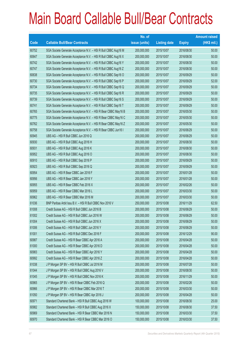|             |                                                                | No. of        |                     |               | <b>Amount raised</b> |
|-------------|----------------------------------------------------------------|---------------|---------------------|---------------|----------------------|
| <b>Code</b> | <b>Callable Bull/Bear Contracts</b>                            | issue (units) | <b>Listing date</b> | <b>Expiry</b> | $(HK$$ mil.)         |
| 60752       | SGA Societe Generale Acceptance N.V. - HSI R Bull CBBC Aug16 M | 200,000,000   | 2015/10/07          | 2016/08/30    | 50.00                |
| 60647       | SGA Societe Generale Acceptance N.V. - HSI R Bull CBBC Aug16 X | 200,000,000   | 2015/10/07          | 2016/08/30    | 50.00                |
| 60742       | SGA Societe Generale Acceptance N.V. - HSI R Bull CBBC Aug16 Y | 200,000,000   | 2015/10/07          | 2016/08/30    | 50.00                |
| 60747       | SGA Societe Generale Acceptance N.V. - HSI R Bull CBBC Aug16 Z | 200,000,000   | 2015/10/07          | 2016/08/30    | 50.00                |
| 60638       | SGA Societe Generale Acceptance N.V. - HSI R Bull CBBC Sep16 O | 200,000,000   | 2015/10/07          | 2016/09/29    | 50.00                |
| 60730       | SGA Societe Generale Acceptance N.V. - HSI R Bull CBBC Sep16 P | 200,000,000   | 2015/10/07          | 2016/09/29    | 52.00                |
| 60734       | SGA Societe Generale Acceptance N.V. - HSI R Bull CBBC Sep16 Q | 200,000,000   | 2015/10/07          | 2016/09/29    | 50.00                |
| 60735       | SGA Societe Generale Acceptance N.V. - HSI R Bull CBBC Sep16 R | 200,000,000   | 2015/10/07          | 2016/09/29    | 50.00                |
| 60739       | SGA Societe Generale Acceptance N.V. - HSI R Bull CBBC Sep16 S | 200,000,000   | 2015/10/07          | 2016/09/29    | 50.00                |
| 60741       | SGA Societe Generale Acceptance N.V. - HSI R Bull CBBC Sep16 T | 200,000,000   | 2015/10/07          | 2016/09/29    | 50.00                |
| 60765       | SGA Societe Generale Acceptance N.V. - HSI R Bear CBBC May16 B | 200,000,000   | 2015/10/07          | 2016/05/30    | 50.00                |
| 60775       | SGA Societe Generale Acceptance N.V. - HSI R Bear CBBC May16 C | 200,000,000   | 2015/10/07          | 2016/05/30    | 50.00                |
| 60762       | SGA Societe Generale Acceptance N.V. - HSI R Bear CBBC May16 Z | 200,000,000   | 2015/10/07          | 2016/05/30    | 50.00                |
| 60758       | SGA Societe Generale Acceptance N.V. - HSI R Bear CBBC Jun16 I | 200,000,000   | 2015/10/07          | 2016/06/29    | 50.00                |
| 60945       | UBS AG - HSI R Bull CBBC Jun 2016 Q                            | 200,000,000   | 2015/10/07          | 2016/06/29    | 50.00                |
| 60930       | UBS AG - HSI R Bull CBBC Aug 2016 H                            | 200,000,000   | 2015/10/07          | 2016/08/30    | 50.00                |
| 60931       | UBS AG - HSI R Bull CBBC Aug 2016 K                            | 200,000,000   | 2015/10/07          | 2016/08/30    | 50.00                |
| 60952       | UBS AG - HSI R Bull CBBC Aug 2016 O                            | 200,000,000   | 2015/10/07          | 2016/08/30    | 50.00                |
| 60910       | UBS AG - HSI R Bull CBBC Sep 2016 P                            | 200,000,000   | 2015/10/07          | 2016/09/29    | 50.00                |
| 60923       | UBS AG - HSI R Bull CBBC Sep 2016 Q                            | 200,000,000   | 2015/10/07          | 2016/09/29    | 50.00                |
| 60954       | UBS AG - HSI R Bear CBBC Jan 2016 F                            | 200,000,000   | 2015/10/07          | 2016/01/28    | 50.00                |
| 60956       | UBS AG - HSI R Bear CBBC Jan 2016 Y                            | 200,000,000   | 2015/10/07          | 2016/01/28    | 50.00                |
| 60955       | UBS AG - HSI R Bear CBBC Feb 2016 X                            | 200,000,000   | 2015/10/07          | 2016/02/26    | 50.00                |
| 60959       | UBS AG - HSI R Bear CBBC Mar 2016 L                            | 200,000,000   | 2015/10/07          | 2016/03/30    | 50.00                |
| 60962       | UBS AG - HSI R Bear CBBC Mar 2016 M                            | 200,000,000   | 2015/10/07          | 2016/03/30    | 50.00                |
| 61036       | BNP Paribas Arbit Issu B.V. - HSI R Bull CBBC Nov 2016 V       | 250,000,000   | 2015/10/08          | 2016/11/29    | 62.50                |
| 61008       | Credit Suisse AG - HSI R Bull CBBC Jun 2016 B                  | 200,000,000   | 2015/10/08          | 2016/06/29    | 50.00                |
| 61002       | Credit Suisse AG - HSI R Bull CBBC Jun 2016 W                  | 200,000,000   | 2015/10/08          | 2016/06/29    | 50.00                |
| 61004       | Credit Suisse AG - HSI R Bull CBBC Jun 2016 X                  | 200,000,000   | 2015/10/08          | 2016/06/29    | 50.00                |
| 61006       | Credit Suisse AG - HSI R Bull CBBC Jun 2016 Y                  | 200,000,000   | 2015/10/08          | 2016/06/29    | 50.00                |
| 61001       | Credit Suisse AG - HSI R Bull CBBC Dec 2016 F                  | 200,000,000   | 2015/10/08          | 2016/12/29    | 90.00                |
| 60987       | Credit Suisse AG - HSI R Bear CBBC Apr 2016 A                  | 200,000,000   | 2015/10/08          | 2016/04/28    | 50.00                |
| 61000       | Credit Suisse AG - HSI R Bear CBBC Apr 2016 D                  | 200,000,000   | 2015/10/08          | 2016/04/28    | 50.00                |
| 60983       | Credit Suisse AG - HSI R Bear CBBC Apr 2016 Y                  | 200,000,000   | 2015/10/08          | 2016/04/28    | 50.00                |
| 60992       | Credit Suisse AG - HSI R Bear CBBC Apr 2016 Z                  | 200,000,000   | 2015/10/08          | 2016/04/28    | 50.00                |
| 61038       | J P Morgan SP BV - HSI R Bull CBBC Jul 2016 M                  | 200,000,000   | 2015/10/08          | 2016/07/28    | 50.00                |
| 61044       | J P Morgan SP BV - HSI R Bull CBBC Aug 2016 V                  | 200,000,000   | 2015/10/08          | 2016/08/30    | 50.00                |
| 61045       | J P Morgan SP BV - HSI R Bull CBBC Nov 2016 K                  | 200,000,000   | 2015/10/08          | 2016/11/29    | 50.00                |
| 60965       | J P Morgan SP BV - HSI R Bear CBBC Feb 2016 Q                  | 200,000,000   | 2015/10/08          | 2016/02/26    | 50.00                |
| 60966       | J P Morgan SP BV - HSI R Bear CBBC Mar 2016 T                  | 200,000,000   | 2015/10/08          | 2016/03/30    | 50.00                |
| 61050       | J P Morgan SP BV - HSI R Bear CBBC Apr 2016 J                  | 200,000,000   | 2015/10/08          | 2016/04/28    | 50.00                |
| 60971       | Standard Chartered Bank - HSI R Bull CBBC Aug 2016 W           | 100,000,000   | 2015/10/08          | 2016/08/30    | 25.00                |
| 60982       | Standard Chartered Bank - HSI R Bull CBBC Aug 2016 X           | 150,000,000   | 2015/10/08          | 2016/08/30    | 37.50                |
| 60969       | Standard Chartered Bank - HSI R Bear CBBC Mar 2016 N           | 150,000,000   | 2015/10/08          | 2016/03/30    | 37.50                |
| 60970       | Standard Chartered Bank - HSI R Bear CBBC Mar 2016 O           | 150,000,000   | 2015/10/08          | 2016/03/30    | 37.50                |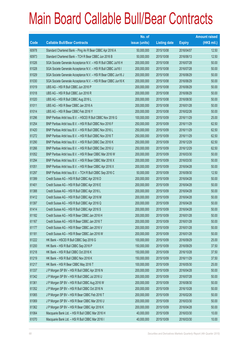|       |                                                                | No. of        |                     |               | <b>Amount raised</b> |
|-------|----------------------------------------------------------------|---------------|---------------------|---------------|----------------------|
| Code  | <b>Callable Bull/Bear Contracts</b>                            | issue (units) | <b>Listing date</b> | <b>Expiry</b> | $(HK$$ mil.)         |
| 60978 | Standard Chartered Bank - Ping An R Bear CBBC Apr 2016 A       | 50,000,000    | 2015/10/08          | 2016/04/07    | 12.50                |
| 60973 | Standard Chartered Bank - TCH R Bear CBBC Jun 2016 B           | 50,000,000    | 2015/10/08          | 2016/06/13    | 12.50                |
| 61026 | SGA Societe Generale Acceptance N.V. - HSI R Bull CBBC Jul16 H | 200,000,000   | 2015/10/08          | 2016/07/28    | 50.00                |
| 61028 | SGA Societe Generale Acceptance N.V. - HSI R Bull CBBC Jul16 I | 200,000,000   | 2015/10/08          | 2016/07/28    | 50.00                |
| 61029 | SGA Societe Generale Acceptance N.V. - HSI R Bear CBBC Jun16 J | 200,000,000   | 2015/10/08          | 2016/06/29    | 50.00                |
| 61030 | SGA Societe Generale Acceptance N.V. - HSI R Bear CBBC Jun16 K | 200,000,000   | 2015/10/08          | 2016/06/29    | 50.00                |
| 61019 | UBS AG - HSI R Bull CBBC Jun 2016 P                            | 200,000,000   | 2015/10/08          | 2016/06/29    | 50.00                |
| 61018 | UBS AG - HSI R Bull CBBC Jun 2016 R                            | 200,000,000   | 2015/10/08          | 2016/06/29    | 50.00                |
| 61020 | UBS AG - HSI R Bull CBBC Aug 2016 L                            | 200,000,000   | 2015/10/08          | 2016/08/30    | 50.00                |
| 61011 | UBS AG - HSI R Bear CBBC Jan 2016 A                            | 200,000,000   | 2015/10/08          | 2016/01/28    | 50.00                |
| 61014 | UBS AG - HSI R Bear CBBC Feb 2016 Y                            | 200,000,000   | 2015/10/08          | 2016/02/26    | 50.00                |
| 61296 | BNP Paribas Arbit Issu B.V. - HSCEI R Bull CBBC Nov 2016 G     | 100,000,000   | 2015/10/09          | 2016/11/29    | 25.00                |
| 61254 | BNP Paribas Arbit Issu B.V. - HSI R Bull CBBC Nov 2016 F       | 250,000,000   | 2015/10/09          | 2016/11/29    | 62.50                |
| 61420 | BNP Paribas Arbit Issu B.V. - HSI R Bull CBBC Nov 2016 L       | 250,000,000   | 2015/10/09          | 2016/11/29    | 62.50                |
| 61272 | BNP Paribas Arbit Issu B.V. - HSI R Bull CBBC Nov 2016 T       | 250,000,000   | 2015/10/09          | 2016/11/29    | 62.50                |
| 61290 | BNP Paribas Arbit Issu B.V. - HSI R Bull CBBC Dec 2016 K       | 250,000,000   | 2015/10/09          | 2016/12/29    | 62.50                |
| 61266 | BNP Paribas Arbit Issu B.V. - HSI R Bull CBBC Dec 2016 U       | 250,000,000   | 2015/10/09          | 2016/12/29    | 62.50                |
| 61052 | BNP Paribas Arbit Issu B.V. - HSI R Bear CBBC Mar 2016 W       | 200,000,000   | 2015/10/09          | 2016/03/30    | 50.00                |
| 61294 | BNP Paribas Arbit Issu B.V. - HSI R Bear CBBC Mar 2016 X       | 200,000,000   | 2015/10/09          | 2016/03/30    | 50.00                |
| 61051 | BNP Paribas Arbit Issu B.V. - HSI R Bear CBBC Apr 2016 X       | 200,000,000   | 2015/10/09          | 2016/04/28    | 50.00                |
| 61297 | BNP Paribas Arbit Issu B.V. - TCH R Bull CBBC Sep 2016 C       | 50,000,000    | 2015/10/09          | 2016/09/30    | 12.50                |
| 61399 | Credit Suisse AG - HSI R Bull CBBC Apr 2016 D                  | 200,000,000   | 2015/10/09          | 2016/04/28    | 50.00                |
| 61401 | Credit Suisse AG - HSI R Bull CBBC Apr 2016 E                  | 200,000,000   | 2015/10/09          | 2016/04/28    | 50.00                |
| 61388 | Credit Suisse AG - HSI R Bull CBBC Apr 2016 L                  | 200,000,000   | 2015/10/09          | 2016/04/28    | 50.00                |
| 61412 | Credit Suisse AG - HSI R Bull CBBC Apr 2016 M                  | 200,000,000   | 2015/10/09          | 2016/04/28    | 50.00                |
| 61397 | Credit Suisse AG - HSI R Bull CBBC Apr 2016 Q                  | 200,000,000   | 2015/10/09          | 2016/04/28    | 50.00                |
| 61414 | Credit Suisse AG - HSI R Bull CBBC Apr 2016 S                  | 200,000,000   | 2015/10/09          | 2016/04/28    | 50.00                |
| 61182 | Credit Suisse AG - HSI R Bear CBBC Jan 2016 H                  | 200,000,000   | 2015/10/09          | 2016/01/28    | 50.00                |
| 61167 | Credit Suisse AG - HSI R Bear CBBC Jan 2016 T                  | 200,000,000   | 2015/10/09          | 2016/01/28    | 50.00                |
| 61177 | Credit Suisse AG - HSI R Bear CBBC Jan 2016 V                  | 200,000,000   | 2015/10/09          | 2016/01/28    | 50.00                |
| 61181 | Credit Suisse AG - HSI R Bear CBBC Jan 2016 W                  | 200,000,000   | 2015/10/09          | 2016/01/28    | 50.00                |
| 61222 | HK Bank - HSCEI R Bull CBBC Sep 2016 G                         | 100,000,000   | 2015/10/09          | 2016/09/29    | 25.00                |
| 61200 | HK Bank - HSI R Bull CBBC Sep 2016 P                           | 150,000,000   | 2015/10/09          | 2016/09/29    | 37.50                |
| 61218 | HK Bank - HSI R Bull CBBC Oct 2016 K                           | 150,000,000   | 2015/10/09          | 2016/10/28    | 37.50                |
| 61219 | HK Bank - HSI R Bull CBBC Nov 2016 K                           | 150,000,000   | 2015/10/09          | 2016/11/29    | 37.50                |
| 61217 | HK Bank - HSI R Bear CBBC May 2016 T                           | 100,000,000   | 2015/10/09          | 2016/05/30    | 25.00                |
| 61337 | J P Morgan SP BV - HSI R Bull CBBC Apr 2016 N                  | 200,000,000   | 2015/10/09          | 2016/04/28    | 50.00                |
| 61342 | J P Morgan SP BV - HSI R Bull CBBC Jul 2016 U                  | 200,000,000   | 2015/10/09          | 2016/07/28    | 50.00                |
| 61361 | J P Morgan SP BV - HSI R Bull CBBC Aug 2016 W                  | 200,000,000   | 2015/10/09          | 2016/08/30    | 50.00                |
| 61352 | J P Morgan SP BV - HSI R Bull CBBC Oct 2016 N                  | 200,000,000   | 2015/10/09          | 2016/10/28    | 50.00                |
| 61065 | J P Morgan SP BV - HSI R Bear CBBC Feb 2016 T                  | 200,000,000   | 2015/10/09          | 2016/02/26    | 50.00                |
| 61069 | J P Morgan SP BV - HSI R Bear CBBC Mar 2016 U                  | 200,000,000   | 2015/10/09          | 2016/03/30    | 50.00                |
| 61362 | J P Morgan SP BV - HSI R Bear CBBC Apr 2016 K                  | 200,000,000   | 2015/10/09          | 2016/04/28    | 50.00                |
| 61064 | Macquarie Bank Ltd. - HSI R Bull CBBC Mar 2016 H               | 40,000,000    | 2015/10/09          | 2016/03/30    | 10.00                |
| 61070 | Macquarie Bank Ltd. - HSI R Bull CBBC Mar 2016 I               | 40,000,000    | 2015/10/09          | 2016/03/30    | 10.00                |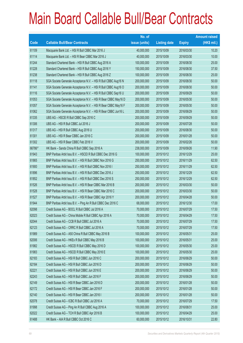|        |                                                                | No. of        |                     |               | <b>Amount raised</b> |
|--------|----------------------------------------------------------------|---------------|---------------------|---------------|----------------------|
| Code   | <b>Callable Bull/Bear Contracts</b>                            | issue (units) | <b>Listing date</b> | <b>Expiry</b> | $(HK$$ mil.)         |
| 61109  | Macquarie Bank Ltd. - HSI R Bull CBBC Mar 2016 J               | 40,000,000    | 2015/10/09          | 2016/03/30    | 10.20                |
| 61114  | Macquarie Bank Ltd. - HSI R Bear CBBC Mar 2016 J               | 40,000,000    | 2015/10/09          | 2016/03/30    | 10.00                |
| 61244  | Standard Chartered Bank - HSI R Bull CBBC Aug 2016 A           | 100,000,000   | 2015/10/09          | 2016/08/30    | 25.00                |
| 61228  | Standard Chartered Bank - HSI R Bull CBBC Aug 2016 Y           | 150,000,000   | 2015/10/09          | 2016/08/30    | 37.50                |
| 61238  | Standard Chartered Bank - HSI R Bull CBBC Aug 2016 Z           | 100,000,000   | 2015/10/09          | 2016/08/30    | 25.00                |
| 61118  | SGA Societe Generale Acceptance N.V. - HSI R Bull CBBC Aug16 N | 200,000,000   | 2015/10/09          | 2016/08/30    | 50.00                |
| 61141  | SGA Societe Generale Acceptance N.V. - HSI R Bull CBBC Aug16 O | 200,000,000   | 2015/10/09          | 2016/08/30    | 50.00                |
| 61116  | SGA Societe Generale Acceptance N.V. - HSI R Bull CBBC Sep16 U | 200,000,000   | 2015/10/09          | 2016/09/29    | 50.00                |
| 61053  | SGA Societe Generale Acceptance N.V. - HSI R Bear CBBC May16 D | 200,000,000   | 2015/10/09          | 2016/05/30    | 50.00                |
| 61057  | SGA Societe Generale Acceptance N.V. - HSI R Bear CBBC May16 F | 200,000,000   | 2015/10/09          | 2016/05/30    | 50.00                |
| 61062  | SGA Societe Generale Acceptance N.V. - HSI R Bear CBBC Jun16 L | 200,000,000   | 2015/10/09          | 2016/06/29    | 50.00                |
| 61335  | UBS AG - HSCEI R Bull CBBC Sep 2016 C                          | 200,000,000   | 2015/10/09          | 2016/09/29    | 50.00                |
| 61306  | UBS AG - HSI R Bull CBBC Jul 2016 J                            | 200,000,000   | 2015/10/09          | 2016/07/28    | 50.00                |
| 61317  | UBS AG - HSI R Bull CBBC Aug 2016 U                            | 200,000,000   | 2015/10/09          | 2016/08/30    | 50.00                |
| 61301  | UBS AG - HSI R Bear CBBC Jan 2016 C                            | 200,000,000   | 2015/10/09          | 2016/01/28    | 50.00                |
| 61302  | UBS AG - HSI R Bear CBBC Feb 2016 V                            | 200,000,000   | 2015/10/09          | 2016/02/26    | 50.00                |
| 66786# | HK Bank - Sands China R Bull CBBC Sep 2016 A                   | 238,000,000   | 2015/10/09          | 2016/09/26    | 11.90                |
| 61943  | BNP Paribas Arbit Issu B.V. - HSCEI R Bull CBBC Dec 2016 G     | 100,000,000   | 2015/10/12          | 2016/12/29    | 25.00                |
| 61865  | BNP Paribas Arbit Issu B.V. - HSI R Bull CBBC Nov 2016 G       | 250,000,000   | 2015/10/12          | 2016/11/29    | 62.50                |
| 61900  | BNP Paribas Arbit Issu B.V. - HSI R Bull CBBC Nov 2016 I       | 250,000,000   | 2015/10/12          | 2016/11/29    | 62.50                |
| 61896  | BNP Paribas Arbit Issu B.V. - HSI R Bull CBBC Dec 2016 J       | 250,000,000   | 2015/10/12          | 2016/12/29    | 62.50                |
| 61852  | BNP Paribas Arbit Issu B.V. - HSI R Bull CBBC Dec 2016 S       | 250,000,000   | 2015/10/12          | 2016/12/29    | 62.50                |
| 61526  | BNP Paribas Arbit Issu B.V. - HSI R Bear CBBC Mar 2016 B       | 200,000,000   | 2015/10/12          | 2016/03/30    | 50.00                |
| 61528  | BNP Paribas Arbit Issu B.V. - HSI R Bear CBBC Mar 2016 C       | 200,000,000   | 2015/10/12          | 2016/03/30    | 50.00                |
| 61527  | BNP Paribas Arbit Issu B.V. - HSI R Bear CBBC Apr 2016 Y       | 200,000,000   | 2015/10/12          | 2016/04/28    | 50.00                |
| 61944  | BNP Paribas Arbit Issu B.V. - Ping An R Bull CBBC Dec 2016 C   | 68,000,000    | 2015/10/12          | 2016/12/30    | 17.00                |
| 62098  | Credit Suisse AG - BOCL R Bull CBBC Jul 2016 A                 | 70,000,000    | 2015/10/12          | 2016/07/29    | 17.50                |
| 62023  | Credit Suisse AG - China Mobile R Bull CBBC Apr 2016 A         | 70,000,000    | 2015/10/12          | 2016/04/29    | 17.50                |
| 62044  | Credit Suisse AG - CCB R Bull CBBC Jul 2016 A                  | 70,000,000    | 2015/10/12          | 2016/07/29    | 17.50                |
| 62123  | Credit Suisse AG - CRRC R Bull CBBC Jul 2016 A                 | 70,000,000    | 2015/10/12          | 2016/07/29    | 17.50                |
| 61989  | Credit Suisse AG - A50 China R Bull CBBC May 2016 B            | 100,000,000   | 2015/10/12          | 2016/05/31    | 25.00                |
| 62006  | Credit Suisse AG - HKEx R Bull CBBC May 2016 B                 | 100,000,000   | 2015/10/12          | 2016/05/31    | 25.00                |
| 61982  | Credit Suisse AG - HSCEI R Bull CBBC May 2016 D                | 100,000,000   | 2015/10/12          | 2016/05/30    | 25.00                |
| 61983  | Credit Suisse AG - HSCEI R Bull CBBC May 2016 E                | 100,000,000   | 2015/10/12          | 2016/05/30    | 25.00                |
| 62183  | Credit Suisse AG - HSI R Bull CBBC Jun 2016 C                  | 200,000,000   | 2015/10/12          | 2016/06/29    | 50.00                |
| 62184  | Credit Suisse AG - HSI R Bull CBBC Jun 2016 D                  | 200,000,000   | 2015/10/12          | 2016/06/29    | 50.00                |
| 62221  | Credit Suisse AG - HSI R Bull CBBC Jun 2016 E                  | 200,000,000   | 2015/10/12          | 2016/06/29    | 50.00                |
| 62243  | Credit Suisse AG - HSI R Bull CBBC Jun 2016 F                  | 200,000,000   | 2015/10/12          | 2016/06/29    | 50.00                |
| 62149  | Credit Suisse AG - HSI R Bear CBBC Jan 2016 D                  | 200,000,000   | 2015/10/12          | 2016/01/28    | 50.00                |
| 62172  | Credit Suisse AG - HSI R Bear CBBC Jan 2016 F                  | 200,000,000   | 2015/10/12          | 2016/01/28    | 50.00                |
| 62140  | Credit Suisse AG - HSI R Bear CBBC Jan 2016 I                  | 200,000,000   | 2015/10/12          | 2016/01/28    | 50.00                |
| 62078  | Credit Suisse AG - ICBC R Bull CBBC Jul 2016 A                 | 70,000,000    | 2015/10/12          | 2016/07/29    | 17.50                |
| 61998  | Credit Suisse AG - Ping An R Bull CBBC Aug 2016 A              | 100,000,000   | 2015/10/12          | 2016/08/31    | 25.00                |
| 62022  | Credit Suisse AG - TCH R Bull CBBC Apr 2016 B                  | 100,000,000   | 2015/10/12          | 2016/04/29    | 25.00                |
| 61488  | HK Bank - AIA R Bull CBBC Oct 2016 C                           | 60,000,000    | 2015/10/12          | 2016/10/31    | 22.80                |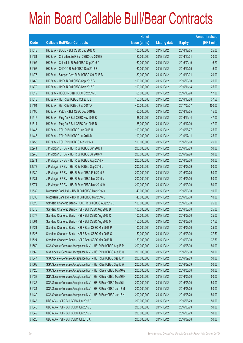|       |                                                                | No. of        |                     |               | <b>Amount raised</b> |
|-------|----------------------------------------------------------------|---------------|---------------------|---------------|----------------------|
| Code  | <b>Callable Bull/Bear Contracts</b>                            | issue (units) | <b>Listing date</b> | <b>Expiry</b> | $(HK$$ mil.)         |
| 61518 | HK Bank - BOCL R Bull CBBC Dec 2016 C                          | 100,000,000   | 2015/10/12          | 2016/12/05    | 25.00                |
| 61481 | HK Bank - China Mobile R Bull CBBC Oct 2016 E                  | 120,000,000   | 2015/10/12          | 2016/10/31    | 30.00                |
| 61492 | HK Bank - China Life R Bull CBBC Sep 2016 C                    | 60,000,000    | 2015/10/12          | 2016/09/19    | 16.20                |
| 61496 | HK Bank - CNOOC R Bull CBBC Dec 2016 E                         | 60,000,000    | 2015/10/12          | 2016/12/05    | 15.00                |
| 61475 | HK Bank - Sinopec Corp R Bull CBBC Oct 2016 B                  | 80,000,000    | 2015/10/12          | 2016/10/31    | 20.00                |
| 61460 | HK Bank - HKEx R Bull CBBC Sep 2016 G                          | 100,000,000   | 2015/10/12          | 2016/09/30    | 25.00                |
| 61472 | HK Bank - HKEx R Bull CBBC Nov 2016 D                          | 100,000,000   | 2015/10/12          | 2016/11/14    | 25.00                |
| 61512 | HK Bank - HSCEI R Bear CBBC Oct 2016 B                         | 68,000,000    | 2015/10/12          | 2016/10/28    | 17.00                |
| 61513 | HK Bank - HSI R Bull CBBC Oct 2016 L                           | 150,000,000   | 2015/10/12          | 2016/10/28    | 37.50                |
| 61494 | HK Bank - HSI R Bull CBBC Feb 2017 A                           | 400,000,000   | 2015/10/12          | 2017/02/27    | 100.00               |
| 61490 | HK Bank - PetCh R Bull CBBC Dec 2016 E                         | 60,000,000    | 2015/10/12          | 2016/12/05    | 15.00                |
| 61517 | HK Bank - Ping An R Bull CBBC Nov 2016 K                       | 188,000,000   | 2015/10/12          | 2016/11/14    | 47.00                |
| 61514 | HK Bank - Ping An R Bull CBBC Dec 2016 D                       | 188,000,000   | 2015/10/12          | 2016/12/30    | 47.00                |
| 61445 | HK Bank - TCH R Bull CBBC Jun 2016 H                           | 100,000,000   | 2015/10/12          | 2016/06/27    | 25.00                |
| 61446 | HK Bank - TCH R Bull CBBC Jul 2016 M                           | 100,000,000   | 2015/10/12          | 2016/07/11    | 25.00                |
| 61458 | HK Bank - TCH R Bull CBBC Aug 2016 K                           | 100,000,000   | 2015/10/12          | 2016/08/08    | 25.00                |
| 62244 | J P Morgan SP BV - HSI R Bull CBBC Jun 2016 I                  | 200,000,000   | 2015/10/12          | 2016/06/29    | 50.00                |
| 62245 | J P Morgan SP BV - HSI R Bull CBBC Jul 2016 V                  | 200,000,000   | 2015/10/12          | 2016/07/28    | 50.00                |
| 62271 | J P Morgan SP BV - HSI R Bull CBBC Aug 2016 X                  | 200,000,000   | 2015/10/12          | 2016/08/30    | 50.00                |
| 62273 | J P Morgan SP BV - HSI R Bull CBBC Sep 2016 L                  | 200,000,000   | 2015/10/12          | 2016/09/29    | 50.00                |
| 61530 | J P Morgan SP BV - HSI R Bear CBBC Feb 2016 Z                  | 200,000,000   | 2015/10/12          | 2016/02/26    | 50.00                |
| 61531 | J P Morgan SP BV - HSI R Bear CBBC Mar 2016 V                  | 200,000,000   | 2015/10/12          | 2016/03/30    | 50.00                |
| 62274 | J P Morgan SP BV - HSI R Bear CBBC Mar 2016 W                  | 200,000,000   | 2015/10/12          | 2016/03/30    | 50.00                |
| 61532 | Macquarie Bank Ltd. - HSI R Bull CBBC Mar 2016 K               | 40,000,000    | 2015/10/12          | 2016/03/30    | 10.00                |
| 61536 | Macquarie Bank Ltd. - HSI R Bull CBBC Mar 2016 L               | 40,000,000    | 2015/10/12          | 2016/03/30    | 10.00                |
| 61520 | Standard Chartered Bank - HSCEI R Bull CBBC Aug 2016 B         | 100,000,000   | 2015/10/12          | 2016/08/30    | 25.00                |
| 61573 | Standard Chartered Bank - HSI R Bull CBBC Aug 2016 B           | 100,000,000   | 2015/10/12          | 2016/08/30    | 25.00                |
| 61577 | Standard Chartered Bank - HSI R Bull CBBC Aug 2016 C           | 100,000,000   | 2015/10/12          | 2016/08/30    | 25.00                |
| 61604 | Standard Chartered Bank - HSI R Bull CBBC Aug 2016 M           | 150,000,000   | 2015/10/12          | 2016/08/30    | 37.50                |
| 61521 | Standard Chartered Bank - HSI R Bear CBBC Mar 2016 P           | 100,000,000   | 2015/10/12          | 2016/03/30    | 25.00                |
| 61523 | Standard Chartered Bank - HSI R Bear CBBC Mar 2016 Q           | 150,000,000   | 2015/10/12          | 2016/03/30    | 37.50                |
| 61524 | Standard Chartered Bank - HSI R Bear CBBC Mar 2016 R           | 150,000,000   | 2015/10/12          | 2016/03/30    | 37.50                |
| 61559 | SGA Societe Generale Acceptance N.V. - HSI R Bull CBBC Aug16 P | 200,000,000   | 2015/10/12          | 2016/08/30    | 50.00                |
| 61569 | SGA Societe Generale Acceptance N.V. - HSI R Bull CBBC Aug16 Q | 200,000,000   | 2015/10/12          | 2016/08/30    | 50.00                |
| 61547 | SGA Societe Generale Acceptance N.V. - HSI R Bull CBBC Sep16 V | 200,000,000   | 2015/10/12          | 2016/09/29    | 50.00                |
| 61568 | SGA Societe Generale Acceptance N.V. - HSI R Bull CBBC Sep16 W | 200,000,000   | 2015/10/12          | 2016/09/29    | 50.00                |
| 61425 | SGA Societe Generale Acceptance N.V. - HSI R Bear CBBC May16 G | 200,000,000   | 2015/10/12          | 2016/05/30    | 50.00                |
| 61433 | SGA Societe Generale Acceptance N.V. - HSI R Bear CBBC May16 H | 200,000,000   | 2015/10/12          | 2016/05/30    | 50.00                |
| 61437 | SGA Societe Generale Acceptance N.V. - HSI R Bear CBBC May16 I | 200,000,000   | 2015/10/12          | 2016/05/30    | 50.00                |
| 61434 | SGA Societe Generale Acceptance N.V. - HSI R Bear CBBC Jun16 M | 200,000,000   | 2015/10/12          | 2016/06/29    | 50.00                |
| 61439 | SGA Societe Generale Acceptance N.V. - HSI R Bear CBBC Jun16 N | 200,000,000   | 2015/10/12          | 2016/06/29    | 50.00                |
| 61748 | UBS AG - HSI R Bull CBBC Jun 2016 D                            | 200,000,000   | 2015/10/12          | 2016/06/29    | 50.00                |
| 61646 | UBS AG - HSI R Bull CBBC Jun 2016 U                            | 200,000,000   | 2015/10/12          | 2016/06/29    | 50.00                |
| 61649 | UBS AG - HSI R Bull CBBC Jun 2016 V                            | 200,000,000   | 2015/10/12          | 2016/06/29    | 50.00                |
| 61720 | UBS AG - HSI R Bull CBBC Jul 2016 A                            | 200,000,000   | 2015/10/12          | 2016/07/28    | 50.00                |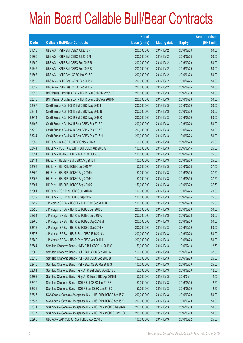|       |                                                                | No. of        |                     |               | <b>Amount raised</b> |
|-------|----------------------------------------------------------------|---------------|---------------------|---------------|----------------------|
| Code  | <b>Callable Bull/Bear Contracts</b>                            | issue (units) | <b>Listing date</b> | <b>Expiry</b> | $(HK$$ mil.)         |
| 61636 | UBS AG - HSI R Bull CBBC Jul 2016 K                            | 200,000,000   | 2015/10/12          | 2016/07/28    | 50.00                |
| 61706 | UBS AG - HSI R Bull CBBC Jul 2016 M                            | 200,000,000   | 2015/10/12          | 2016/07/28    | 50.00                |
| 61650 | UBS AG - HSI R Bull CBBC Sep 2016 R                            | 200,000,000   | 2015/10/12          | 2016/09/29    | 50.00                |
| 61747 | UBS AG - HSI R Bull CBBC Sep 2016 S                            | 200,000,000   | 2015/10/12          | 2016/09/29    | 50.00                |
| 61608 | UBS AG - HSI R Bear CBBC Jan 2016 E                            | 200,000,000   | 2015/10/12          | 2016/01/28    | 50.00                |
| 61610 | UBS AG - HSI R Bear CBBC Feb 2016 Q                            | 200,000,000   | 2015/10/12          | 2016/02/26    | 50.00                |
| 61612 | UBS AG - HSI R Bear CBBC Feb 2016 Z                            | 200,000,000   | 2015/10/12          | 2016/02/26    | 50.00                |
| 62626 | BNP Paribas Arbit Issu B.V. - HSI R Bear CBBC Mar 2016 P       | 200,000,000   | 2015/10/13          | 2016/03/30    | 50.00                |
| 62615 | BNP Paribas Arbit Issu B.V. - HSI R Bear CBBC Apr 2016 M       | 200,000,000   | 2015/10/13          | 2016/04/28    | 50.00                |
| 62867 | Credit Suisse AG - HSI R Bull CBBC May 2016 L                  | 200,000,000   | 2015/10/13          | 2016/05/30    | 50.00                |
| 62871 | Credit Suisse AG - HSI R Bull CBBC May 2016 N                  | 200,000,000   | 2015/10/13          | 2016/05/30    | 50.00                |
| 62874 | Credit Suisse AG - HSI R Bull CBBC May 2016 O                  | 200,000,000   | 2015/10/13          | 2016/05/30    | 50.00                |
| 63192 | Credit Suisse AG - HSI R Bear CBBC Feb 2016 A                  | 200,000,000   | 2015/10/13          | 2016/02/26    | 50.00                |
| 63210 | Credit Suisse AG - HSI R Bear CBBC Feb 2016 B                  | 200,000,000   | 2015/10/13          | 2016/02/26    | 50.00                |
| 63234 | Credit Suisse AG - HSI R Bear CBBC Feb 2016 H                  | 200,000,000   | 2015/10/13          | 2016/02/26    | 50.00                |
| 62355 | HK Bank - COVS R Bull CBBC Nov 2016 A                          | 50,000,000    | 2015/10/13          | 2016/11/28    | 21.00                |
| 62444 | HK Bank - CSOP A50 ETF R Bull CBBC Aug 2016 G                  | 100,000,000   | 2015/10/13          | 2016/08/15    | 25.00                |
| 62351 | HK Bank - HS H-SH ETF R Bull CBBC Jul 2016 B                   | 100,000,000   | 2015/10/13          | 2016/07/28    | 25.00                |
| 62414 | HK Bank - HSCEI R Bull CBBC Aug 2016 I                         | 100,000,000   | 2015/10/13          | 2016/08/30    | 25.00                |
| 62408 | HK Bank - HSI R Bull CBBC Jul 2016 W                           | 150,000,000   | 2015/10/13          | 2016/07/28    | 37.50                |
| 62399 | HK Bank - HSI R Bull CBBC Aug 2016 N                           | 150,000,000   | 2015/10/13          | 2016/08/30    | 37.50                |
| 62405 | HK Bank - HSI R Bull CBBC Aug 2016 O                           | 150,000,000   | 2015/10/13          | 2016/08/30    | 37.50                |
| 62394 | HK Bank - HSI R Bull CBBC Sep 2016 Q                           | 150,000,000   | 2015/10/13          | 2016/09/29    | 37.50                |
| 62301 | HK Bank - TCH R Bull CBBC Jul 2016 N                           | 100,000,000   | 2015/10/13          | 2016/07/25    | 25.00                |
| 62339 | HK Bank - TCH R Bull CBBC Sep 2016 D                           | 100,000,000   | 2015/10/13          | 2016/09/26    | 25.00                |
| 62722 | J P Morgan SP BV - HSCEI R Bull CBBC Sep 2016 D                | 100,000,000   | 2015/10/13          | 2016/09/29    | 25.00                |
| 62725 | J P Morgan SP BV - HSI R Bull CBBC Jun 2016 J                  | 200,000,000   | 2015/10/13          | 2016/06/29    | 50.00                |
| 62754 | J P Morgan SP BV - HSI R Bull CBBC Jul 2016 C                  | 200,000,000   | 2015/10/13          | 2016/07/28    | 50.00                |
| 62765 | J P Morgan SP BV - HSI R Bull CBBC Sep 2016 M                  | 200,000,000   | 2015/10/13          | 2016/09/29    | 50.00                |
| 62776 | J P Morgan SP BV - HSI R Bull CBBC Dec 2016 H                  | 200,000,000   | 2015/10/13          | 2016/12/29    | 50.00                |
| 62778 | J P Morgan SP BV - HSI R Bear CBBC Feb 2016 V                  | 200,000,000   | 2015/10/13          | 2016/02/26    | 50.00                |
| 62780 | J P Morgan SP BV - HSI R Bear CBBC Apr 2016 L                  | 200,000,000   | 2015/10/13          | 2016/04/28    | 50.00                |
| 62684 | Standard Chartered Bank - HKEx R Bull CBBC Jul 2016 C          | 50,000,000    | 2015/10/13          | 2016/07/18    | 12.50                |
| 62809 | Standard Chartered Bank - HSI R Bull CBBC Sep 2016 A           | 150,000,000   | 2015/10/13          | 2016/09/29    | 37.50                |
| 62810 | Standard Chartered Bank - HSI R Bull CBBC Sep 2016 B           | 100,000,000   | 2015/10/13          | 2016/09/29    | 25.00                |
| 62710 | Standard Chartered Bank - HSI R Bear CBBC Mar 2016 S           | 100,000,000   | 2015/10/13          | 2016/03/30    | 25.00                |
| 62691 | Standard Chartered Bank - Ping An R Bull CBBC Aug 2016 C       | 50,000,000    | 2015/10/13          | 2016/08/29    | 12.50                |
| 62709 | Standard Chartered Bank - Ping An R Bear CBBC Apr 2016 B       | 50,000,000    | 2015/10/13          | 2016/04/11    | 12.50                |
| 62679 | Standard Chartered Bank - TCH R Bull CBBC Jun 2016 B           | 50,000,000    | 2015/10/13          | 2016/06/30    | 12.50                |
| 62682 | Standard Chartered Bank - TCH R Bear CBBC Jun 2016 C           | 50,000,000    | 2015/10/13          | 2016/06/20    | 12.50                |
| 62627 | SGA Societe Generale Acceptance N.V. - HSI R Bull CBBC Sep16 X | 200,000,000   | 2015/10/13          | 2016/09/29    | 50.00                |
| 62633 | SGA Societe Generale Acceptance N.V. - HSI R Bull CBBC Sep16 Y | 200,000,000   | 2015/10/13          | 2016/09/29    | 50.00                |
| 62671 | SGA Societe Generale Acceptance N.V. - HSI R Bear CBBC May16 K | 200,000,000   | 2015/10/13          | 2016/05/30    | 50.00                |
| 62677 | SGA Societe Generale Acceptance N.V. - HSI R Bear CBBC Jun16 O | 200,000,000   | 2015/10/13          | 2016/06/29    | 50.00                |
| 62905 | UBS AG - CAM CSI300 R Bull CBBC Aug 2016 B                     | 100,000,000   | 2015/10/13          | 2016/08/22    | 25.00                |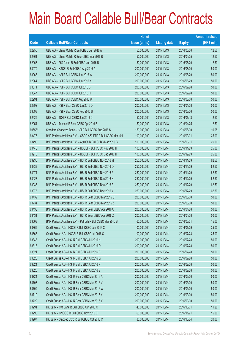|        |                                                               | No. of        |                     |               | <b>Amount raised</b> |
|--------|---------------------------------------------------------------|---------------|---------------------|---------------|----------------------|
| Code   | <b>Callable Bull/Bear Contracts</b>                           | issue (units) | <b>Listing date</b> | <b>Expiry</b> | (HK\$ mil.)          |
| 62956  | UBS AG - China Mobile R Bull CBBC Jun 2016 A                  | 50,000,000    | 2015/10/13          | 2016/06/20    | 12.50                |
| 62961  | UBS AG - China Mobile R Bear CBBC Apr 2016 B                  | 50,000,000    | 2015/10/13          | 2016/04/25    | 12.50                |
| 62963  | UBS AG - A50 China R Bull CBBC Jun 2016 B                     | 50,000,000    | 2015/10/13          | 2016/06/20    | 12.50                |
| 63079  | UBS AG - HSCEI R Bull CBBC Aug 2016 A                         | 200,000,000   | 2015/10/13          | 2016/08/30    | 50.00                |
| 63068  | UBS AG - HSI R Bull CBBC Jun 2016 W                           | 200,000,000   | 2015/10/13          | 2016/06/29    | 50.00                |
| 62964  | UBS AG - HSI R Bull CBBC Jun 2016 X                           | 200,000,000   | 2015/10/13          | 2016/06/29    | 50.00                |
| 63074  | UBS AG - HSI R Bull CBBC Jul 2016 B                           | 200,000,000   | 2015/10/13          | 2016/07/28    | 50.00                |
| 63047  | UBS AG - HSI R Bull CBBC Jul 2016 H                           | 200,000,000   | 2015/10/13          | 2016/07/28    | 50.00                |
| 62991  | UBS AG - HSI R Bull CBBC Aug 2016 W                           | 200,000,000   | 2015/10/13          | 2016/08/30    | 50.00                |
| 62892  | UBS AG - HSI R Bear CBBC Jan 2016 D                           | 200,000,000   | 2015/10/13          | 2016/01/28    | 50.00                |
| 63093  | UBS AG - HSI R Bear CBBC Feb 2016 U                           | 200,000,000   | 2015/10/13          | 2016/02/26    | 50.00                |
| 62929  | UBS AG - TCH R Bull CBBC Jun 2016 C                           | 50,000,000    | 2015/10/13          | 2016/06/13    | 12.50                |
| 62954  | UBS AG - Tencent R Bear CBBC Apr 2016 B                       | 50,000,000    | 2015/10/13          | 2016/04/25    | 12.50                |
| 60653# | Standard Chartered Bank - HSI R Bull CBBC Aug 2016 S          | 150,000,000   | 2015/10/13          | 2016/08/30    | 10.05                |
| 63476  | BNP Paribas Arbit Issu B.V. - CSOP A50 ETF R Bull CBBC Mar16H | 100,000,000   | 2015/10/14          | 2016/03/31    | 25.00                |
| 63490  | BNP Paribas Arbit Issu B.V. - A50 Ch R Bull CBBC Mar 2016 G   | 100,000,000   | 2015/10/14          | 2016/03/31    | 25.00                |
| 63448  | BNP Paribas Arbit Issu B.V. - HSCEI R Bull CBBC Nov 2016 H    | 100,000,000   | 2015/10/14          | 2016/11/29    | 25.00                |
| 63978  | BNP Paribas Arbit Issu B.V. - HSCEI R Bull CBBC Dec 2016 H    | 100,000,000   | 2015/10/14          | 2016/12/29    | 25.00                |
| 63936  | BNP Paribas Arbit Issu B.V. - HSI R Bull CBBC Nov 2016 M      | 250,000,000   | 2015/10/14          | 2016/11/29    | 62.50                |
| 63939  | BNP Paribas Arbit Issu B.V. - HSI R Bull CBBC Nov 2016 O      | 250,000,000   | 2015/10/14          | 2016/11/29    | 62.50                |
| 63974  | BNP Paribas Arbit Issu B.V. - HSI R Bull CBBC Nov 2016 P      | 250,000,000   | 2015/10/14          | 2016/11/29    | 62.50                |
| 63423  | BNP Paribas Arbit Issu B.V. - HSI R Bull CBBC Dec 2016 N      | 250,000,000   | 2015/10/14          | 2016/12/29    | 62.50                |
| 63938  | BNP Paribas Arbit Issu B.V. - HSI R Bull CBBC Dec 2016 R      | 250,000,000   | 2015/10/14          | 2016/12/29    | 62.50                |
| 63973  | BNP Paribas Arbit Issu B.V. - HSI R Bull CBBC Dec 2016 Y      | 250,000,000   | 2015/10/14          | 2016/12/29    | 62.50                |
| 63432  | BNP Paribas Arbit Issu B.V. - HSI R Bear CBBC Mar 2016 U      | 200,000,000   | 2015/10/14          | 2016/03/30    | 50.00                |
| 63734  | BNP Paribas Arbit Issu B.V. - HSI R Bear CBBC Mar 2016 Z      | 200,000,000   | 2015/10/14          | 2016/03/30    | 50.00                |
| 63433  | BNP Paribas Arbit Issu B.V. - HSI R Bear CBBC Apr 2016 O      | 200,000,000   | 2015/10/14          | 2016/04/28    | 50.00                |
| 63431  | BNP Paribas Arbit Issu B.V. - HSI R Bear CBBC Apr 2016 Z      | 200,000,000   | 2015/10/14          | 2016/04/28    | 50.00                |
| 63503  | BNP Paribas Arbit Issu B.V. - Petroch R Bull CBBC Mar 2016 B  | 60,000,000    | 2015/10/14          | 2016/03/31    | 15.00                |
| 63869  | Credit Suisse AG - HSCEI R Bull CBBC Jun 2016 C               | 100,000,000   | 2015/10/14          | 2016/06/29    | 25.00                |
| 63865  | Credit Suisse AG - HSCEI R Bull CBBC Jul 2016 C               | 100,000,000   | 2015/10/14          | 2016/07/28    | 25.00                |
| 63848  | Credit Suisse AG - HSI R Bull CBBC Jul 2016 N                 | 200,000,000   | 2015/10/14          | 2016/07/28    | 50.00                |
| 63818  | Credit Suisse AG - HSI R Bull CBBC Jul 2016 O                 | 200,000,000   | 2015/10/14          | 2016/07/28    | 50.00                |
| 63821  | Credit Suisse AG - HSI R Bull CBBC Jul 2016 P                 | 200,000,000   | 2015/10/14          | 2016/07/28    | 50.00                |
| 63826  | Credit Suisse AG - HSI R Bull CBBC Jul 2016 Q                 | 200,000,000   | 2015/10/14          | 2016/07/28    | 50.00                |
| 63824  | Credit Suisse AG - HSI R Bull CBBC Jul 2016 R                 | 200,000,000   | 2015/10/14          | 2016/07/28    | 50.00                |
| 63825  | Credit Suisse AG - HSI R Bull CBBC Jul 2016 S                 | 200,000,000   | 2015/10/14          | 2016/07/28    | 50.00                |
| 63724  | Credit Suisse AG - HSI R Bear CBBC Mar 2016 A                 | 200,000,000   | 2015/10/14          | 2016/03/30    | 50.00                |
| 63708  | Credit Suisse AG - HSI R Bear CBBC Mar 2016 V                 | 200,000,000   | 2015/10/14          | 2016/03/30    | 50.00                |
| 63709  | Credit Suisse AG - HSI R Bear CBBC Mar 2016 W                 | 200,000,000   | 2015/10/14          | 2016/03/30    | 50.00                |
| 63719  | Credit Suisse AG - HSI R Bear CBBC Mar 2016 X                 | 200,000,000   | 2015/10/14          | 2016/03/30    | 50.00                |
| 63722  | Credit Suisse AG - HSI R Bear CBBC Mar 2016 Y                 | 200,000,000   | 2015/10/14          | 2016/03/30    | 50.00                |
| 63291  | HK Bank – CM Bank R Bull CBBC Oct 2016 C                      | 40,000,000    | 2015/10/14          | 2016/10/31    | 11.20                |
| 63290  | HK Bank - CNOOC R Bull CBBC Nov 2016 D                        | 60,000,000    | 2015/10/14          | 2016/11/21    | 15.00                |
| 63287  | HK Bank - Sinopec Corp R Bull CBBC Oct 2016 C                 | 80,000,000    | 2015/10/14          | 2016/10/24    | 20.00                |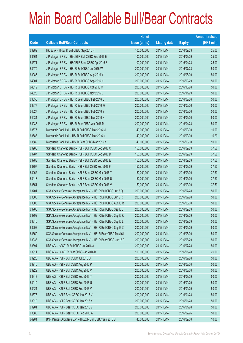|       |                                                                | No. of        |                     |               | <b>Amount raised</b> |
|-------|----------------------------------------------------------------|---------------|---------------------|---------------|----------------------|
| Code  | <b>Callable Bull/Bear Contracts</b>                            | issue (units) | <b>Listing date</b> | <b>Expiry</b> | $(HK$$ mil.)         |
| 63289 | HK Bank - HKEx R Bull CBBC Sep 2016 H                          | 100,000,000   | 2015/10/14          | 2016/09/23    | 25.00                |
| 63564 | JP Morgan SP BV - HSCEIR Bull CBBC Sep 2016 E                  | 100,000,000   | 2015/10/14          | 2016/09/29    | 25.00                |
| 63571 | JP Morgan SP BV - HSCEIR Bear CBBC Apr 2016 S                  | 100,000,000   | 2015/10/14          | 2016/04/28    | 25.00                |
| 63979 | J P Morgan SP BV - HSI R Bull CBBC Jul 2016 W                  | 200,000,000   | 2015/10/14          | 2016/07/28    | 50.00                |
| 63985 | J P Morgan SP BV - HSI R Bull CBBC Aug 2016 Y                  | 200,000,000   | 2015/10/14          | 2016/08/30    | 50.00                |
| 64001 | J P Morgan SP BV - HSI R Bull CBBC Sep 2016 N                  | 200,000,000   | 2015/10/14          | 2016/09/29    | 50.00                |
| 64012 | J P Morgan SP BV - HSI R Bull CBBC Oct 2016 O                  | 200,000,000   | 2015/10/14          | 2016/10/28    | 50.00                |
| 64026 | J P Morgan SP BV - HSI R Bull CBBC Nov 2016 L                  | 200,000,000   | 2015/10/14          | 2016/11/29    | 50.00                |
| 63655 | J P Morgan SP BV - HSI R Bear CBBC Feb 2016 U                  | 200,000,000   | 2015/10/14          | 2016/02/26    | 50.00                |
| 63377 | J P Morgan SP BV - HSI R Bear CBBC Feb 2016 W                  | 200,000,000   | 2015/10/14          | 2016/02/26    | 50.00                |
| 64027 | J P Morgan SP BV - HSI R Bear CBBC Feb 2016 Y                  | 200,000,000   | 2015/10/14          | 2016/02/26    | 50.00                |
| 64034 | J P Morgan SP BV - HSI R Bear CBBC Mar 2016 X                  | 200,000,000   | 2015/10/14          | 2016/03/30    | 50.00                |
| 64035 | J P Morgan SP BV - HSI R Bear CBBC Apr 2016 M                  | 200,000,000   | 2015/10/14          | 2016/04/28    | 50.00                |
| 63677 | Macquarie Bank Ltd. - HSI R Bull CBBC Mar 2016 M               | 40,000,000    | 2015/10/14          | 2016/03/30    | 10.00                |
| 63688 | Macquarie Bank Ltd. - HSI R Bull CBBC Mar 2016 N               | 40,000,000    | 2015/10/14          | 2016/03/30    | 10.20                |
| 63689 | Macquarie Bank Ltd. - HSI R Bear CBBC Mar 2016 K               | 40,000,000    | 2015/10/14          | 2016/03/30    | 10.00                |
| 63285 | Standard Chartered Bank - HSI R Bull CBBC Sep 2016 C           | 150,000,000   | 2015/10/14          | 2016/09/29    | 37.50                |
| 63787 | Standard Chartered Bank - HSI R Bull CBBC Sep 2016 D           | 150,000,000   | 2015/10/14          | 2016/09/29    | 37.50                |
| 63788 | Standard Chartered Bank - HSI R Bull CBBC Sep 2016 E           | 150,000,000   | 2015/10/14          | 2016/09/29    | 37.50                |
| 63797 | Standard Chartered Bank - HSI R Bull CBBC Sep 2016 F           | 150,000,000   | 2015/10/14          | 2016/09/29    | 37.50                |
| 63262 | Standard Chartered Bank - HSI R Bear CBBC Mar 2016 T           | 150,000,000   | 2015/10/14          | 2016/03/30    | 37.50                |
| 63418 | Standard Chartered Bank - HSI R Bear CBBC Mar 2016 U           | 150,000,000   | 2015/10/14          | 2016/03/30    | 37.50                |
| 63551 | Standard Chartered Bank - HSI R Bear CBBC Mar 2016 V           | 150,000,000   | 2015/10/14          | 2016/03/30    | 37.50                |
| 63701 | SGA Societe Generale Acceptance N.V. - HSI R Bull CBBC Jul16 Q | 200,000,000   | 2015/10/14          | 2016/07/28    | 50.00                |
| 63800 | SGA Societe Generale Acceptance N.V. - HSI R Bull CBBC Jul16 R | 200,000,000   | 2015/10/14          | 2016/07/28    | 50.00                |
| 63306 | SGA Societe Generale Acceptance N.V. - HSI R Bull CBBC Aug16 R | 200,000,000   | 2015/10/14          | 2016/08/30    | 50.00                |
| 63705 | SGA Societe Generale Acceptance N.V. - HSI R Bull CBBC Sep16 J | 200,000,000   | 2015/10/14          | 2016/09/29    | 50.00                |
| 63799 | SGA Societe Generale Acceptance N.V. - HSI R Bull CBBC Sep16 K | 200,000,000   | 2015/10/14          | 2016/09/29    | 50.00                |
| 63816 | SGA Societe Generale Acceptance N.V. - HSI R Bull CBBC Sep16 L | 200,000,000   | 2015/10/14          | 2016/09/29    | 50.00                |
| 63292 | SGA Societe Generale Acceptance N.V. - HSI R Bull CBBC Sep16 Z | 200,000,000   | 2015/10/14          | 2016/09/29    | 50.00                |
| 63350 | SGA Societe Generale Acceptance N.V. - HSI R Bear CBBC May16 L | 200,000,000   | 2015/10/14          | 2016/05/30    | 50.00                |
| 63333 | SGA Societe Generale Acceptance N.V. - HSI R Bear CBBC Jun16 P | 200,000,000   | 2015/10/14          | 2016/06/29    | 50.00                |
| 63894 | UBS AG - HSCEI R Bull CBBC Jul 2016 A                          | 200,000,000   | 2015/10/14          | 2016/07/28    | 50.00                |
| 63911 | UBS AG - HSCEI R Bear CBBC Jan 2016 B                          | 100,000,000   | 2015/10/14          | 2016/01/28    | 25.00                |
| 63920 | UBS AG - HSI R Bull CBBC Jul 2016 D                            | 200,000,000   | 2015/10/14          | 2016/07/28    | 50.00                |
| 63916 | UBS AG - HSI R Bull CBBC Aug 2016 P                            | 200,000,000   | 2015/10/14          | 2016/08/30    | 50.00                |
| 63929 | UBS AG - HSI R Bull CBBC Aug 2016 V                            | 200,000,000   | 2015/10/14          | 2016/08/30    | 50.00                |
| 63913 | UBS AG - HSI R Bull CBBC Sep 2016 T                            | 200,000,000   | 2015/10/14          | 2016/09/29    | 50.00                |
| 63919 | UBS AG - HSI R Bull CBBC Sep 2016 U                            | 200,000,000   | 2015/10/14          | 2016/09/29    | 50.00                |
| 63924 | UBS AG - HSI R Bull CBBC Sep 2016 V                            | 200,000,000   | 2015/10/14          | 2016/09/29    | 50.00                |
| 63878 | UBS AG - HSI R Bear CBBC Jan 2016 V                            | 200,000,000   | 2015/10/14          | 2016/01/28    | 50.00                |
| 63910 | UBS AG - HSI R Bear CBBC Jan 2016 X                            | 200,000,000   | 2015/10/14          | 2016/01/28    | 50.00                |
| 63901 | UBS AG - HSI R Bear CBBC Jan 2016 Z                            | 200,000,000   | 2015/10/14          | 2016/01/28    | 50.00                |
| 63880 | UBS AG - HSI R Bear CBBC Feb 2016 A                            | 200,000,000   | 2015/10/14          | 2016/02/26    | 50.00                |
| 64284 | BNP Paribas Arbit Issu B.V. - HKEx R Bull CBBC Sep 2016 B      | 40,000,000    | 2015/10/15          | 2016/09/30    | 10.00                |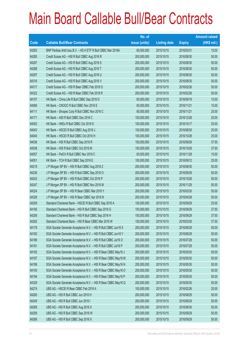|       |                                                                | No. of        |                     |               | <b>Amount raised</b> |
|-------|----------------------------------------------------------------|---------------|---------------------|---------------|----------------------|
| Code  | <b>Callable Bull/Bear Contracts</b>                            | issue (units) | <b>Listing date</b> | <b>Expiry</b> | $(HK$$ mil.)         |
| 64283 | BNP Paribas Arbit Issu B.V. - HS H ETF R Bull CBBC Mar 2016A   | 60,000,000    | 2015/10/15          | 2016/03/31    | 15.00                |
| 64285 | Credit Suisse AG - HSI R Bull CBBC Aug 2016 R                  | 200,000,000   | 2015/10/15          | 2016/08/30    | 50.00                |
| 64287 | Credit Suisse AG - HSI R Bull CBBC Aug 2016 S                  | 200,000,000   | 2015/10/15          | 2016/08/30    | 50.00                |
| 64288 | Credit Suisse AG - HSI R Bull CBBC Aug 2016 T                  | 200,000,000   | 2015/10/15          | 2016/08/30    | 50.00                |
| 64297 | Credit Suisse AG - HSI R Bull CBBC Aug 2016 U                  | 200,000,000   | 2015/10/15          | 2016/08/30    | 50.00                |
| 64316 | Credit Suisse AG - HSI R Bull CBBC Aug 2016 V                  | 200,000,000   | 2015/10/15          | 2016/08/30    | 50.00                |
| 64317 | Credit Suisse AG - HSI R Bear CBBC Feb 2016 O                  | 200,000,000   | 2015/10/15          | 2016/02/26    | 50.00                |
| 64322 | Credit Suisse AG - HSI R Bear CBBC Feb 2016 R                  | 200,000,000   | 2015/10/15          | 2016/02/26    | 50.00                |
| 64157 | HK Bank - China Life R Bull CBBC Sep 2016 D                    | 60,000,000    | 2015/10/15          | 2016/09/19    | 15.00                |
| 64066 | HK Bank - CNOOC R Bull CBBC Nov 2016 E                         | 60,000,000    | 2015/10/15          | 2016/11/21    | 15.00                |
| 64111 | HK Bank - Sinopec Corp R Bull CBBC Nov 2016 C                  | 80,000,000    | 2015/10/15          | 2016/11/21    | 20.00                |
| 64171 | HK Bank - A50 R Bull CBBC Dec 2016 C                           | 100,000,000   | 2015/10/15          | 2016/12/28    | 25.00                |
| 64052 | HK Bank - HKEx R Bull CBBC Oct 2016 K                          | 100,000,000   | 2015/10/15          | 2016/10/17    | 25.00                |
| 64043 | HK Bank - HSCEI R Bull CBBC Aug 2016 J                         | 100,000,000   | 2015/10/15          | 2016/08/30    | 25.00                |
| 64040 | HK Bank - HSCEI R Bull CBBC Oct 2016 H                         | 100,000,000   | 2015/10/15          | 2016/10/28    | 25.00                |
| 64036 | HK Bank - HSI R Bull CBBC Sep 2016 R                           | 150,000,000   | 2015/10/15          | 2016/09/29    | 37.50                |
| 64038 | HK Bank - HSI R Bull CBBC Oct 2016 M                           | 150,000,000   | 2015/10/15          | 2016/10/28    | 37.50                |
| 64057 | HK Bank - PetCh R Bull CBBC Nov 2016 C                         | 60,000,000    | 2015/10/15          | 2016/11/28    | 15.00                |
| 64051 | HK Bank - TCH R Bull CBBC Sep 2016 E                           | 100,000,000   | 2015/10/15          | 2016/09/12    | 25.00                |
| 64219 | J P Morgan SP BV - HSI R Bull CBBC Aug 2016 Z                  | 200,000,000   | 2015/10/15          | 2016/08/30    | 50.00                |
| 64236 | J P Morgan SP BV - HSI R Bull CBBC Sep 2016 O                  | 200,000,000   | 2015/10/15          | 2016/09/29    | 50.00                |
| 64242 | J P Morgan SP BV - HSI R Bull CBBC Oct 2016 P                  | 200,000,000   | 2015/10/15          | 2016/10/28    | 50.00                |
| 64247 | J P Morgan SP BV - HSI R Bull CBBC Nov 2016 M                  | 200,000,000   | 2015/10/15          | 2016/11/29    | 50.00                |
| 64324 | J P Morgan SP BV - HSI R Bear CBBC Mar 2016 Y                  | 200,000,000   | 2015/10/15          | 2016/03/30    | 50.00                |
| 64328 | J P Morgan SP BV - HSI R Bear CBBC Apr 2016 N                  | 200,000,000   | 2015/10/15          | 2016/04/28    | 50.00                |
| 64209 | Standard Chartered Bank - HSCEI R Bull CBBC Sep 2016 A         | 100,000,000   | 2015/10/15          | 2016/09/29    | 25.00                |
| 64195 | Standard Chartered Bank - HSI R Bull CBBC Sep 2016 G           | 150,000,000   | 2015/10/15          | 2016/09/29    | 37.50                |
| 64208 | Standard Chartered Bank - HSI R Bull CBBC Sep 2016 H           | 150,000,000   | 2015/10/15          | 2016/09/29    | 37.50                |
| 64282 | Standard Chartered Bank - HSI R Bear CBBC Mar 2016 W           | 150,000,000   | 2015/10/15          | 2016/03/30    | 37.50                |
| 64178 | SGA Societe Generale Acceptance N.V. - HSI R Bull CBBC Jun16 X | 200,000,000   | 2015/10/15          | 2016/06/29    | 50.00                |
| 64182 | SGA Societe Generale Acceptance N.V. - HSI R Bull CBBC Jun16 Y | 200,000,000   | 2015/10/15          | 2016/06/29    | 50.00                |
| 64186 | SGA Societe Generale Acceptance N.V. - HSI R Bull CBBC Jul16 O | 200,000,000   | 2015/10/15          | 2016/07/28    | 50.00                |
| 64181 | SGA Societe Generale Acceptance N.V. - HSI R Bull CBBC Jul16 P | 200,000,000   | 2015/10/15          | 2016/07/28    | 50.00                |
| 64192 | SGA Societe Generale Acceptance N.V. - HSI R Bear CBBC May16 J | 200,000,000   | 2015/10/15          | 2016/05/30    | 50.00                |
| 64187 | SGA Societe Generale Acceptance N.V. - HSI R Bear CBBC May16 M | 200,000,000   | 2015/10/15          | 2016/05/30    | 50.00                |
| 64189 | SGA Societe Generale Acceptance N.V. - HSI R Bear CBBC May16 N | 200,000,000   | 2015/10/15          | 2016/05/30    | 50.00                |
| 64193 | SGA Societe Generale Acceptance N.V. - HSI R Bear CBBC May16 O | 200,000,000   | 2015/10/15          | 2016/05/30    | 50.00                |
| 64194 | SGA Societe Generale Acceptance N.V. - HSI R Bear CBBC May16 P | 200,000,000   | 2015/10/15          | 2016/05/30    | 50.00                |
| 64329 | SGA Societe Generale Acceptance N.V. - HSI R Bear CBBC May16 Q | 200,000,000   | 2015/10/15          | 2016/05/30    | 50.00                |
| 64274 | UBS AG - HSCEI R Bear CBBC Feb 2016 A                          | 100,000,000   | 2015/10/15          | 2016/02/26    | 25.00                |
| 64260 | UBS AG - HSI R Bull CBBC Jun 2016 H                            | 200,000,000   | 2015/10/15          | 2016/06/29    | 50.00                |
| 64249 | UBS AG - HSI R Bull CBBC Jun 2016 I                            | 200,000,000   | 2015/10/15          | 2016/06/29    | 50.00                |
| 64269 | UBS AG - HSI R Bull CBBC Aug 2016 X                            | 200,000,000   | 2015/10/15          | 2016/08/30    | 50.00                |
| 64259 | UBS AG - HSI R Bull CBBC Sep 2016 W                            | 200,000,000   | 2015/10/15          | 2016/09/29    | 50.00                |
| 64266 | UBS AG - HSI R Bull CBBC Sep 2016 X                            | 200,000,000   | 2015/10/15          | 2016/09/29    | 50.00                |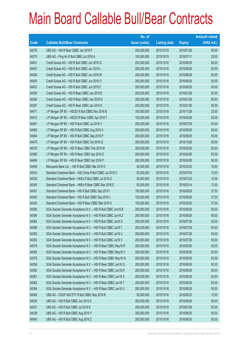|       |                                                                | No. of        |                     |               | <b>Amount raised</b> |
|-------|----------------------------------------------------------------|---------------|---------------------|---------------|----------------------|
| Code  | <b>Callable Bull/Bear Contracts</b>                            | issue (units) | <b>Listing date</b> | <b>Expiry</b> | $(HK$$ mil.)         |
| 64276 | UBS AG - HSI R Bear CBBC Jan 2016 F                            | 200,000,000   | 2015/10/15          | 2016/01/28    | 50.00                |
| 64275 | UBS AG - Ping An R Bull CBBC Jul 2016 A                        | 100,000,000   | 2015/10/15          | 2016/07/11    | 25.00                |
| 64451 | Credit Suisse AG - HSI R Bull CBBC Jun 2016 G                  | 200,000,000   | 2015/10/16          | 2016/06/29    | 50.00                |
| 64457 | Credit Suisse AG - HSI R Bull CBBC Jun 2016 L                  | 200,000,000   | 2015/10/16          | 2016/06/29    | 50.00                |
| 64458 | Credit Suisse AG - HSI R Bull CBBC Jun 2016 M                  | 200,000,000   | 2015/10/16          | 2016/06/29    | 50.00                |
| 64455 | Credit Suisse AG - HSI R Bull CBBC Jun 2016 O                  | 200,000,000   | 2015/10/16          | 2016/06/29    | 50.00                |
| 64452 | Credit Suisse AG - HSI R Bull CBBC Jun 2016 Z                  | 200,000,000   | 2015/10/16          | 2016/06/29    | 50.00                |
| 64395 | Credit Suisse AG - HSI R Bear CBBC Jan 2016 E                  | 200,000,000   | 2015/10/16          | 2016/01/28    | 50.00                |
| 64394 | Credit Suisse AG - HSI R Bear CBBC Jan 2016 G                  | 200,000,000   | 2015/10/16          | 2016/01/28    | 50.00                |
| 64397 | Credit Suisse AG - HSI R Bear CBBC Jan 2016 K                  | 200,000,000   | 2015/10/16          | 2016/01/28    | 50.00                |
| 64471 | J P Morgan SP BV - HSCEI R Bull CBBC Nov 2016 B                | 100,000,000   | 2015/10/16          | 2016/11/29    | 25.00                |
| 64472 | J P Morgan SP BV - HSCEI R Bear CBBC Apr 2016 T                | 100,000,000   | 2015/10/16          | 2016/04/28    | 25.00                |
| 64481 | J P Morgan SP BV - HSI R Bull CBBC Jul 2016 Y                  | 200,000,000   | 2015/10/16          | 2016/07/28    | 50.00                |
| 64482 | J P Morgan SP BV - HSI R Bull CBBC Aug 2016 A                  | 200,000,000   | 2015/10/16          | 2016/08/30    | 50.00                |
| 64464 | J P Morgan SP BV - HSI R Bull CBBC Sep 2016 P                  | 200,000,000   | 2015/10/16          | 2016/09/29    | 50.00                |
| 64475 | J P Morgan SP BV - HSI R Bull CBBC Oct 2016 Q                  | 200,000,000   | 2015/10/16          | 2016/10/28    | 50.00                |
| 64379 | J P Morgan SP BV - HSI R Bear CBBC Feb 2016 M                  | 200,000,000   | 2015/10/16          | 2016/02/26    | 50.00                |
| 64380 | J P Morgan SP BV - HSI R Bear CBBC Apr 2016 O                  | 200,000,000   | 2015/10/16          | 2016/04/28    | 50.00                |
| 64484 | J P Morgan SP BV - HSI R Bear CBBC Apr 2016 P                  | 200,000,000   | 2015/10/16          | 2016/04/28    | 50.00                |
| 64459 | Macquarie Bank Ltd. - HSI R Bull CBBC Mar 2016 O               | 40,000,000    | 2015/10/16          | 2016/03/30    | 10.00                |
| 64343 | Standard Chartered Bank - A50 China R Bull CBBC Jul 2016 C     | 50,000,000    | 2015/10/16          | 2016/07/04    | 12.50                |
| 64330 | Standard Chartered Bank - HKEx R Bull CBBC Jul 2016 D          | 50,000,000    | 2015/10/16          | 2016/07/25    | 12.50                |
| 64340 | Standard Chartered Bank - HKEx R Bear CBBC Mar 2016 E          | 50,000,000    | 2015/10/16          | 2016/03/14    | 12.50                |
| 64381 | Standard Chartered Bank - HSI R Bull CBBC Sep 2016 I           | 150,000,000   | 2015/10/16          | 2016/09/29    | 37.50                |
| 64383 | Standard Chartered Bank - HSI R Bull CBBC Sep 2016 J           | 150,000,000   | 2015/10/16          | 2016/09/29    | 37.50                |
| 64345 | Standard Chartered Bank - HSI R Bear CBBC Mar 2016 X           | 150,000,000   | 2015/10/16          | 2016/03/30    | 37.50                |
| 64390 | SGA Societe Generale Acceptance N.V. - HSI R Bull CBBC Jun16 B | 200,000,000   | 2015/10/16          | 2016/06/29    | 50.00                |
| 64389 | SGA Societe Generale Acceptance N.V. - HSI R Bull CBBC Jun16 Z | 200,000,000   | 2015/10/16          | 2016/06/29    | 50.00                |
| 64384 | SGA Societe Generale Acceptance N.V. - HSI R Bull CBBC Jul16 S | 200,000,000   | 2015/10/16          | 2016/07/28    | 50.00                |
| 64388 | SGA Societe Generale Acceptance N.V. - HSI R Bull CBBC Jul16 T | 200,000,000   | 2015/10/16          | 2016/07/28    | 50.00                |
| 64392 | SGA Societe Generale Acceptance N.V. - HSI R Bull CBBC Jul16 U | 200,000,000   | 2015/10/16          | 2016/07/28    | 50.00                |
| 64393 | SGA Societe Generale Acceptance N.V. - HSI R Bull CBBC Jul16 V | 200,000,000   | 2015/10/16          | 2016/07/28    | 50.00                |
| 64378 | SGA Societe Generale Acceptance N.V. - HSI R Bear CBBC May16 R | 200,000,000   | 2015/10/16          | 2016/05/30    | 50.00                |
| 64369 | SGA Societe Generale Acceptance N.V. - HSI R Bear CBBC May16 V | 200,000,000   | 2015/10/16          | 2016/05/30    | 50.00                |
| 64375 | SGA Societe Generale Acceptance N.V. - HSI R Bear CBBC May16 W | 200,000,000   | 2015/10/16          | 2016/05/30    | 50.00                |
| 64356 | SGA Societe Generale Acceptance N.V. - HSI R Bear CBBC Jun16 Q | 200,000,000   | 2015/10/16          | 2016/06/29    | 50.00                |
| 64360 | SGA Societe Generale Acceptance N.V. - HSI R Bear CBBC Jun16 R | 200,000,000   | 2015/10/16          | 2016/06/29    | 50.00                |
| 64361 | SGA Societe Generale Acceptance N.V. - HSI R Bear CBBC Jun16 S | 200,000,000   | 2015/10/16          | 2016/06/29    | 50.00                |
| 64362 | SGA Societe Generale Acceptance N.V. - HSI R Bear CBBC Jun16 T | 200,000,000   | 2015/10/16          | 2016/06/29    | 50.00                |
| 64364 | SGA Societe Generale Acceptance N.V. - HSI R Bear CBBC Jun16 U | 200,000,000   | 2015/10/16          | 2016/06/29    | 50.00                |
| 64546 | UBS AG - CSOP A50 ETF R Bull CBBC May 2016 B                   | 50,000,000    | 2015/10/16          | 2016/05/23    | 12.50                |
| 64535 | UBS AG - HSI R Bull CBBC Jun 2016 S                            | 200,000,000   | 2015/10/16          | 2016/06/29    | 50.00                |
| 64537 | UBS AG - HSI R Bull CBBC Jul 2016 E                            | 200,000,000   | 2015/10/16          | 2016/07/28    | 50.00                |
| 64538 | UBS AG - HSI R Bull CBBC Aug 2016 Y                            | 200,000,000   | 2015/10/16          | 2016/08/30    | 50.00                |
| 64545 | UBS AG - HSI R Bull CBBC Aug 2016 Z                            | 200,000,000   | 2015/10/16          | 2016/08/30    | 50.00                |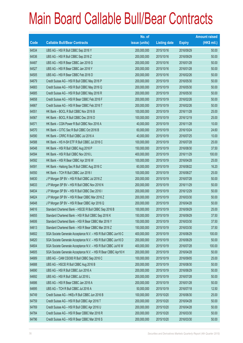|       |                                                                | No. of        |                     |               | <b>Amount raised</b> |
|-------|----------------------------------------------------------------|---------------|---------------------|---------------|----------------------|
| Code  | <b>Callable Bull/Bear Contracts</b>                            | issue (units) | <b>Listing date</b> | <b>Expiry</b> | $(HK$$ mil.)         |
| 64534 | UBS AG - HSI R Bull CBBC Sep 2016 Y                            | 200,000,000   | 2015/10/16          | 2016/09/29    | 50.00                |
| 64536 | UBS AG - HSI R Bull CBBC Sep 2016 Z                            | 200,000,000   | 2015/10/16          | 2016/09/29    | 50.00                |
| 64487 | UBS AG - HSI R Bear CBBC Jan 2016 G                            | 200,000,000   | 2015/10/16          | 2016/01/28    | 50.00                |
| 64527 | UBS AG - HSI R Bear CBBC Jan 2016 Y                            | 200,000,000   | 2015/10/16          | 2016/01/28    | 50.00                |
| 64505 | UBS AG - HSI R Bear CBBC Feb 2016 D                            | 200,000,000   | 2015/10/16          | 2016/02/26    | 50.00                |
| 64679 | Credit Suisse AG - HSI R Bull CBBC May 2016 P                  | 200,000,000   | 2015/10/19          | 2016/05/30    | 50.00                |
| 64683 | Credit Suisse AG - HSI R Bull CBBC May 2016 Q                  | 200,000,000   | 2015/10/19          | 2016/05/30    | 50.00                |
| 64685 | Credit Suisse AG - HSI R Bull CBBC May 2016 R                  | 200,000,000   | 2015/10/19          | 2016/05/30    | 50.00                |
| 64658 | Credit Suisse AG - HSI R Bear CBBC Feb 2016 F                  | 200,000,000   | 2015/10/19          | 2016/02/26    | 50.00                |
| 64667 | Credit Suisse AG - HSI R Bear CBBC Feb 2016 T                  | 200,000,000   | 2015/10/19          | 2016/02/26    | 50.00                |
| 64551 | HK Bank - BOCL R Bull CBBC Nov 2016 B                          | 100,000,000   | 2015/10/19          | 2016/11/28    | 25.00                |
| 64567 | HK Bank - BOCL R Bull CBBC Dec 2016 D                          | 100,000,000   | 2015/10/19          | 2016/12/19    | 25.00                |
| 64571 | HK Bank - CGN Power R Bull CBBC Nov 2016 A                     | 40,000,000    | 2015/10/19          | 2016/11/28    | 10.00                |
| 64570 | HK Bank - CITIC Sec R Bull CBBC Oct 2016 B                     | 60,000,000    | 2015/10/19          | 2016/10/24    | 24.60                |
| 64590 | HK Bank - CRRC R Bull CBBC Jul 2016 A                          | 40,000,000    | 2015/10/19          | 2016/07/25    | 10.00                |
| 64588 | HK Bank - HS H-SH ETF R Bull CBBC Jul 2016 C                   | 100,000,000   | 2015/10/19          | 2016/07/28    | 25.00                |
| 64548 | HK Bank - HSI R Bull CBBC Aug 2016 P                           | 150,000,000   | 2015/10/19          | 2016/08/30    | 37.50                |
| 64594 | HK Bank - HSI R Bull CBBC Nov 2016 L                           | 400,000,000   | 2015/10/19          | 2016/11/29    | 100.00               |
| 64592 | HK Bank - HSI R Bear CBBC Apr 2016 W                           | 100,000,000   | 2015/10/19          | 2016/04/28    | 25.00                |
| 64591 | HK Bank - Haitong Sec R Bull CBBC Aug 2016 C                   | 60,000,000    | 2015/10/19          | 2016/08/22    | 16.20                |
| 64550 | HK Bank - TCH R Bull CBBC Jun 2016 I                           | 100,000,000   | 2015/10/19          | 2016/06/27    | 25.00                |
| 64630 | J P Morgan SP BV - HSI R Bull CBBC Jul 2016 Z                  | 200,000,000   | 2015/10/19          | 2016/07/28    | 50.00                |
| 64633 | J P Morgan SP BV - HSI R Bull CBBC Nov 2016 N                  | 200,000,000   | 2015/10/19          | 2016/11/29    | 50.00                |
| 64634 | J P Morgan SP BV - HSI R Bull CBBC Dec 2016 I                  | 200,000,000   | 2015/10/19          | 2016/12/29    | 50.00                |
| 64624 | J P Morgan SP BV - HSI R Bear CBBC Mar 2016 Z                  | 200,000,000   | 2015/10/19          | 2016/03/30    | 50.00                |
| 64648 | J P Morgan SP BV - HSI R Bear CBBC Apr 2016 Q                  | 200,000,000   | 2015/10/19          | 2016/04/28    | 50.00                |
| 64616 | Standard Chartered Bank - HSCEI R Bull CBBC Sep 2016 B         | 100,000,000   | 2015/10/19          | 2016/09/29    | 25.00                |
| 64655 | Standard Chartered Bank - HSI R Bull CBBC Sep 2016 K           | 150,000,000   | 2015/10/19          | 2016/09/29    | 37.50                |
| 64606 | Standard Chartered Bank - HSI R Bear CBBC Mar 2016 Y           | 150,000,000   | 2015/10/19          | 2016/03/30    | 37.50                |
| 64613 | Standard Chartered Bank - HSI R Bear CBBC Mar 2016 Z           | 150,000,000   | 2015/10/19          | 2016/03/30    | 37.50                |
| 64602 | SGA Societe Generale Acceptance N.V. - HSI R Bull CBBC Jun16 C | 400,000,000   | 2015/10/19          | 2016/06/29    | 100.00               |
| 64620 | SGA Societe Generale Acceptance N.V. - HSI R Bull CBBC Jun16 D | 200,000,000   | 2015/10/19          | 2016/06/29    | 50.00                |
| 64604 | SGA Societe Generale Acceptance N.V. - HSI R Bull CBBC Jul16 W | 400,000,000   | 2015/10/19          | 2016/07/28    | 100.00               |
| 64605 | SGA Societe Generale Acceptance N.V. - HSI R Bear CBBC Apr16 H | 200,000,000   | 2015/10/19          | 2016/04/28    | 50.00                |
| 64689 | UBS AG - CAM CSI300 R Bull CBBC Sep 2016 C                     | 100,000,000   | 2015/10/19          | 2016/09/05    | 25.00                |
| 64688 | UBS AG - HSCEI R Bull CBBC Aug 2016 B                          | 200,000,000   | 2015/10/19          | 2016/08/30    | 50.00                |
| 64690 | UBS AG - HSI R Bull CBBC Jun 2016 A                            | 200,000,000   | 2015/10/19          | 2016/06/29    | 50.00                |
| 64692 | UBS AG - HSI R Bull CBBC Jul 2016 L                            | 200,000,000   | 2015/10/19          | 2016/07/28    | 50.00                |
| 64686 | UBS AG - HSI R Bear CBBC Jan 2016 A                            | 200,000,000   | 2015/10/19          | 2016/01/28    | 50.00                |
| 64695 | UBS AG - TCH R Bull CBBC Jul 2016 A                            | 50,000,000    | 2015/10/19          | 2016/07/18    | 12.50                |
| 64749 | Credit Suisse AG - HKEx R Bull CBBC Jun 2016 B                 | 100,000,000   | 2015/10/20          | 2016/06/30    | 25.00                |
| 64759 | Credit Suisse AG - HSI R Bull CBBC Apr 2016 T                  | 200,000,000   | 2015/10/20          | 2016/04/28    | 50.00                |
| 64769 | Credit Suisse AG - HSI R Bull CBBC Apr 2016 U                  | 200,000,000   | 2015/10/20          | 2016/04/28    | 50.00                |
| 64784 | Credit Suisse AG - HSI R Bear CBBC Mar 2016 R                  | 200,000,000   | 2015/10/20          | 2016/03/30    | 50.00                |
| 64796 | Credit Suisse AG - HSI R Bear CBBC Mar 2016 S                  | 200,000,000   | 2015/10/20          | 2016/03/30    | 50.00                |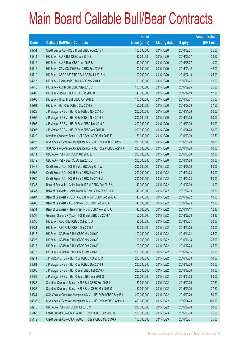|       |                                                                | No. of        |                     |               | <b>Amount raised</b> |
|-------|----------------------------------------------------------------|---------------|---------------------|---------------|----------------------|
| Code  | <b>Callable Bull/Bear Contracts</b>                            | issue (units) | <b>Listing date</b> | <b>Expiry</b> | (HK\$ mil.)          |
| 64751 | Credit Suisse AG - ICBC R Bull CBBC Aug 2016 A                 | 100,000,000   | 2015/10/20          | 2016/08/31    | 25.00                |
| 64714 | HK Bank - AIA R Bull CBBC Jun 2016 B                           | 60,000,000    | 2015/10/20          | 2016/06/27    | 24.60                |
| 64712 | HK Bank - AIA R Bear CBBC Jun 2016 B                           | 40,000,000    | 2015/10/20          | 2016/06/27    | 10.00                |
| 64717 | HK Bank - CAM CSI300 R Bull CBBC Sep 2016 E                    | 100,000,000   | 2015/10/20          | 2016/09/12    | 42.00                |
| 64719 | HK Bank - CSOP A50 ETF R Bull CBBC Jul 2016 H                  | 100,000,000   | 2015/10/20          | 2016/07/18    | 25.00                |
| 64715 | HK Bank - Evergrande R Bull CBBC Nov 2016 C                    | 60,000,000    | 2015/10/20          | 2016/11/21    | 15.00                |
| 64713 | HK Bank - A50 R Bull CBBC Sep 2016 C                           | 100,000,000   | 2015/10/20          | 2016/09/26    | 25.00                |
| 64706 | HK Bank - Gome R Bull CBBC Dec 2016 B                          | 40,000,000    | 2015/10/20          | 2016/12/19    | 17.20                |
| 64705 | HK Bank - HKEx R Bull CBBC Oct 2016 L                          | 100,000,000   | 2015/10/20          | 2016/10/07    | 25.00                |
| 64704 | HK Bank - HSI R Bull CBBC Sep 2016 S                           | 150,000,000   | 2015/10/20          | 2016/09/29    | 37.50                |
| 64723 | J P Morgan SP BV - HSI R Bull CBBC Nov 2016 O                  | 200,000,000   | 2015/10/20          | 2016/11/29    | 50.00                |
| 64807 | J P Morgan SP BV - HSI R Bull CBBC Nov 2016 P                  | 200,000,000   | 2015/10/20          | 2016/11/29    | 50.00                |
| 64805 | J P Morgan SP BV - HSI R Bear CBBC Mar 2016 D                  | 200,000,000   | 2015/10/20          | 2016/03/30    | 50.00                |
| 64806 | J P Morgan SP BV - HSI R Bear CBBC Apr 2016 R                  | 200,000,000   | 2015/10/20          | 2016/04/28    | 50.00                |
| 64720 | Standard Chartered Bank - HSI R Bear CBBC Mar 2016 F           | 150,000,000   | 2015/10/20          | 2016/03/30    | 37.50                |
| 64728 | SGA Societe Generale Acceptance N.V. - HSI R Bull CBBC Jun16 E | 200,000,000   | 2015/10/20          | 2016/06/29    | 50.00                |
| 64737 | SGA Societe Generale Acceptance N.V. - HSI R Bear CBBC Apr16 J | 200,000,000   | 2015/10/20          | 2016/04/28    | 50.00                |
| 64811 | UBS AG - HSI R Bull CBBC Aug 2016 E                            | 200,000,000   | 2015/10/20          | 2016/08/30    | 50.00                |
| 64812 | UBS AG - HSI R Bear CBBC Jan 2016 C                            | 200,000,000   | 2015/10/20          | 2016/01/28    | 50.00                |
| 64843 | Credit Suisse AG - HSI R Bull CBBC Aug 2016 W                  | 200,000,000   | 2015/10/22          | 2016/08/30    | 50.00                |
| 64865 | Credit Suisse AG - HSI R Bear CBBC Jan 2016 H                  | 200,000,000   | 2015/10/22          | 2016/01/28    | 50.00                |
| 64860 | Credit Suisse AG - HSI R Bear CBBC Jan 2016 M                  | 200,000,000   | 2015/10/22          | 2016/01/28    | 50.00                |
| 64935 | Bank of East Asia - China Mobile R Bull CBBC Dec 2016 A        | 40,000,000    | 2015/10/22          | 2016/12/09    | 10.00                |
| 64947 | Bank of East Asia - China Mobile R Bear CBBC Feb 2017 A        | 40,000,000    | 2015/10/22          | 2017/02/03    | 10.00                |
| 64987 | Bank of East Asia - CSOP A50 ETF R Bull CBBC Dec 2016 A        | 40,000,000    | 2015/10/22          | 2016/12/22    | 10.00                |
| 64983 | Bank of East Asia - A50 China R Bull CBBC Dec 2016 A           | 40,000,000    | 2015/10/22          | 2016/12/23    | 10.00                |
| 64954 | Bank of East Asia - Haitong Sec R Bull CBBC Nov 2016 A         | 40,000,000    | 2015/10/22          | 2016/11/17    | 12.40                |
| 64837 | Goldman Sachs SP (Asia) - HSI R Bull CBBC Jul 2016 A           | 150,000,000   | 2015/10/22          | 2016/07/28    | 38.10                |
| 64830 | HK Bank - ABC R Bull CBBC Oct 2016 D                           | 80,000,000    | 2015/10/22          | 2016/10/31    | 20.00                |
| 64831 | HK Bank - ABC R Bull CBBC Dec 2016 A                           | 80,000,000    | 2015/10/22          | 2016/12/05    | 20.00                |
| 64818 | HK Bank - CC Bank R Bull CBBC Nov 2016 D                       | 100,000,000   | 2015/10/22          | 2016/11/21    | 25.00                |
| 64828 | HK Bank - CC Bank R Bull CBBC Nov 2016 E                       | 100,000,000   | 2015/10/22          | 2016/11/14    | 25.00                |
| 64813 | HK Bank - CC Bank R Bull CBBC Dec 2016 D                       | 100,000,000   | 2015/10/22          | 2016/12/23    | 25.00                |
| 64815 | HK Bank - CC Bank R Bull CBBC Dec 2016 E                       | 100,000,000   | 2015/10/22          | 2016/12/05    | 25.00                |
| 64911 | J P Morgan SP BV - HSI R Bull CBBC Oct 2016 R                  | 200,000,000   | 2015/10/22          | 2016/10/28    | 50.00                |
| 64881 | J P Morgan SP BV - HSI R Bull CBBC Dec 2016 J                  | 200,000,000   | 2015/10/22          | 2016/12/29    | 50.00                |
| 64888 | J P Morgan SP BV - HSI R Bear CBBC Feb 2016 P                  | 200,000,000   | 2015/10/22          | 2016/02/26    | 50.00                |
| 64883 | J P Morgan SP BV - HSI R Bear CBBC Apr 2016 S                  | 200,000,000   | 2015/10/22          | 2016/04/28    | 50.00                |
| 64833 | Standard Chartered Bank - HSI R Bull CBBC Sep 2016 L           | 150,000,000   | 2015/10/22          | 2016/09/29    | 37.50                |
| 64838 | Standard Chartered Bank - HSI R Bear CBBC Mar 2016 G           | 150,000,000   | 2015/10/22          | 2016/03/30    | 37.50                |
| 64834 | SGA Societe Generale Acceptance N.V. - HSI R Bull CBBC Sep16 L | 200,000,000   | 2015/10/22          | 2016/09/29    | 50.00                |
| 64836 | SGA Societe Generale Acceptance N.V. - HSI R Bear CBBC Apr16 K | 400,000,000   | 2015/10/22          | 2016/04/28    | 100.00               |
| 64916 | UBS AG - HSI R Bull CBBC Jul 2016 N                            | 200,000,000   | 2015/10/22          | 2016/07/28    | 50.00                |
| 65166 | Credit Suisse AG - CSOP A50 ETF R Bull CBBC Jun 2016 B         | 100,000,000   | 2015/10/23          | 2016/06/30    | 25.00                |
| 65179 | Credit Suisse AG - CSOP A50 ETF R Bear CBBC Mar 2016 A         | 100,000,000   | 2015/10/23          | 2016/03/31    | 25.00                |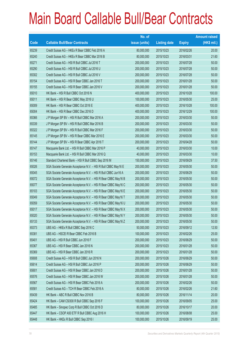|       |                                                                | No. of        |                     |               | <b>Amount raised</b> |
|-------|----------------------------------------------------------------|---------------|---------------------|---------------|----------------------|
| Code  | <b>Callable Bull/Bear Contracts</b>                            | issue (units) | <b>Listing date</b> | <b>Expiry</b> | $(HK$$ mil.)         |
| 65239 | Credit Suisse AG - HKEx R Bear CBBC Feb 2016 A                 | 80,000,000    | 2015/10/23          | 2016/02/26    | 20.00                |
| 65240 | Credit Suisse AG - HKEx R Bear CBBC Mar 2016 B                 | 80,000,000    | 2015/10/23          | 2016/03/31    | 21.60                |
| 65271 | Credit Suisse AG - HSI R Bull CBBC Jul 2016 T                  | 200,000,000   | 2015/10/23          | 2016/07/28    | 50.00                |
| 65290 | Credit Suisse AG - HSI R Bull CBBC Jul 2016 U                  | 200,000,000   | 2015/10/23          | 2016/07/28    | 50.00                |
| 65302 | Credit Suisse AG - HSI R Bull CBBC Jul 2016 V                  | 200,000,000   | 2015/10/23          | 2016/07/28    | 50.00                |
| 65154 | Credit Suisse AG - HSI R Bear CBBC Jan 2016 T                  | 200,000,000   | 2015/10/23          | 2016/01/28    | 50.00                |
| 65155 | Credit Suisse AG - HSI R Bear CBBC Jan 2016 V                  | 200,000,000   | 2015/10/23          | 2016/01/28    | 50.00                |
| 65010 | HK Bank - HSI R Bull CBBC Oct 2016 N                           | 400,000,000   | 2015/10/23          | 2016/10/28    | 100.00               |
| 65011 | HK Bank - HSI R Bear CBBC May 2016 U                           | 100,000,000   | 2015/10/23          | 2016/05/30    | 25.00                |
| 65009 | HK Bank - HSI R Bear CBBC Oct 2016 E                           | 400,000,000   | 2015/10/23          | 2016/10/28    | 100.00               |
| 65004 | HK Bank - HSI R Bear CBBC Dec 2016 D                           | 400,000,000   | 2015/10/23          | 2016/12/29    | 100.00               |
| 65366 | J P Morgan SP BV - HSI R Bull CBBC Mar 2016 A                  | 200,000,000   | 2015/10/23          | 2016/03/30    | 50.00                |
| 65339 | J P Morgan SP BV - HSI R Bull CBBC Mar 2016 B                  | 200,000,000   | 2015/10/23          | 2016/03/30    | 50.00                |
| 65322 | J P Morgan SP BV - HSI R Bull CBBC Mar 2016 F                  | 200,000,000   | 2015/10/23          | 2016/03/30    | 50.00                |
| 65145 | J P Morgan SP BV - HSI R Bear CBBC Mar 2016 E                  | 200,000,000   | 2015/10/23          | 2016/03/30    | 50.00                |
| 65144 | J P Morgan SP BV - HSI R Bear CBBC Apr 2016 T                  | 200,000,000   | 2015/10/23          | 2016/04/28    | 50.00                |
| 65147 | Macquarie Bank Ltd. - HSI R Bull CBBC Mar 2016 P               | 40,000,000    | 2015/10/23          | 2016/03/30    | 10.00                |
| 65153 | Macquarie Bank Ltd. - HSI R Bull CBBC Mar 2016 Q               | 40,000,000    | 2015/10/23          | 2016/03/30    | 10.00                |
| 65146 | Standard Chartered Bank - HSI R Bull CBBC Sep 2016 M           | 150,000,000   | 2015/10/23          | 2016/09/29    | 37.50                |
| 65026 | SGA Societe Generale Acceptance N.V. - HSI R Bull CBBC May16 E | 200,000,000   | 2015/10/23          | 2016/05/30    | 50.00                |
| 65045 | SGA Societe Generale Acceptance N.V. - HSI R Bull CBBC Jun16 A | 200,000,000   | 2015/10/23          | 2016/06/29    | 50.00                |
| 65072 | SGA Societe Generale Acceptance N.V. - HSI R Bear CBBC May16 B | 200,000,000   | 2015/10/23          | 2016/05/30    | 50.00                |
| 65077 | SGA Societe Generale Acceptance N.V. - HSI R Bear CBBC May16 C | 200,000,000   | 2015/10/23          | 2016/05/30    | 50.00                |
| 65103 | SGA Societe Generale Acceptance N.V. - HSI R Bear CBBC May16 E | 200,000,000   | 2015/10/23          | 2016/05/30    | 50.00                |
| 65049 | SGA Societe Generale Acceptance N.V. - HSI R Bear CBBC May16 T | 200,000,000   | 2015/10/23          | 2016/05/30    | 50.00                |
| 65059 | SGA Societe Generale Acceptance N.V. - HSI R Bear CBBC May16 U | 200,000,000   | 2015/10/23          | 2016/05/30    | 50.00                |
| 65017 | SGA Societe Generale Acceptance N.V. - HSI R Bear CBBC May16 X | 200,000,000   | 2015/10/23          | 2016/05/30    | 50.00                |
| 65020 | SGA Societe Generale Acceptance N.V. - HSI R Bear CBBC May16 Y | 200,000,000   | 2015/10/23          | 2016/05/30    | 50.00                |
| 65133 | SGA Societe Generale Acceptance N.V. - HSI R Bear CBBC May16 Z | 200,000,000   | 2015/10/23          | 2016/05/30    | 50.00                |
| 65373 | UBS AG - HKEx R Bull CBBC Sep 2016 C                           | 50,000,000    | 2015/10/23          | 2016/09/12    | 12.50                |
| 65381 | UBS AG - HSCEI R Bear CBBC Feb 2016 B                          | 100,000,000   | 2015/10/23          | 2016/02/26    | 25.00                |
| 65401 | UBS AG - HSI R Bull CBBC Jun 2016 F                            | 200,000,000   | 2015/10/23          | 2016/06/29    | 50.00                |
| 65367 | UBS AG - HSI R Bear CBBC Jan 2016 N                            | 200,000,000   | 2015/10/23          | 2016/01/28    | 50.00                |
| 65369 | UBS AG - HSI R Bear CBBC Jan 2016 R                            | 200,000,000   | 2015/10/23          | 2016/01/28    | 50.00                |
| 65608 | Credit Suisse AG - HSI R Bull CBBC Jun 2016 N                  | 200,000,000   | 2015/10/26          | 2016/06/29    | 50.00                |
| 65614 | Credit Suisse AG - HSI R Bull CBBC Jun 2016 P                  | 200,000,000   | 2015/10/26          | 2016/06/29    | 50.00                |
| 65601 | Credit Suisse AG - HSI R Bear CBBC Jan 2016 D                  | 200,000,000   | 2015/10/26          | 2016/01/28    | 50.00                |
| 65576 | Credit Suisse AG - HSI R Bear CBBC Jan 2016 W                  | 200,000,000   | 2015/10/26          | 2016/01/28    | 50.00                |
| 65567 | Credit Suisse AG - HSI R Bear CBBC Feb 2016 A                  | 200,000,000   | 2015/10/26          | 2016/02/26    | 50.00                |
| 65581 | Credit Suisse AG - TCH R Bear CBBC Feb 2016 A                  | 80,000,000    | 2015/10/26          | 2016/02/26    | 21.60                |
| 65439 | HK Bank - ABC R Bull CBBC Nov 2016 B                           | 80,000,000    | 2015/10/26          | 2016/11/14    | 20.00                |
| 65424 | HK Bank - CAM CSI300 R Bull CBBC Sep 2016 F                    | 100,000,000   | 2015/10/26          | 2016/09/05    | 25.00                |
| 65485 | HK Bank - Sinopec Corp R Bull CBBC Oct 2016 D                  | 80,000,000    | 2015/10/26          | 2016/10/17    | 20.00                |
| 65447 | HK Bank - CSOP A50 ETF R Bull CBBC Aug 2016 H                  | 100,000,000   | 2015/10/26          | 2016/08/08    | 25.00                |
| 65448 | HK Bank - HKEx R Bull CBBC Sep 2016 I                          | 100,000,000   | 2015/10/26          | 2016/09/19    | 25.00                |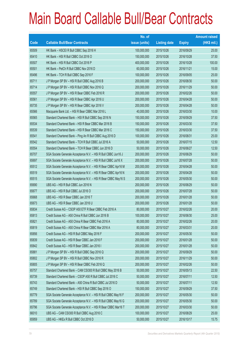|       |                                                                | No. of        |                     |               | <b>Amount raised</b> |
|-------|----------------------------------------------------------------|---------------|---------------------|---------------|----------------------|
| Code  | <b>Callable Bull/Bear Contracts</b>                            | issue (units) | <b>Listing date</b> | <b>Expiry</b> | (HK\$ mil.)          |
| 65509 | HK Bank - HSCEI R Bull CBBC Sep 2016 H                         | 100,000,000   | 2015/10/26          | 2016/09/29    | 25.00                |
| 65410 | HK Bank - HSI R Bull CBBC Oct 2016 O                           | 150,000,000   | 2015/10/26          | 2016/10/28    | 37.50                |
| 65507 | HK Bank - HSI R Bull CBBC Oct 2016 P                           | 400,000,000   | 2015/10/26          | 2016/10/28    | 100.00               |
| 65501 | HK Bank - PetCh R Bull CBBC Nov 2016 D                         | 60,000,000    | 2015/10/26          | 2016/11/21    | 15.00                |
| 65496 | HK Bank - TCH R Bull CBBC Sep 2016 F                           | 100,000,000   | 2015/10/26          | 2016/09/05    | 25.00                |
| 65711 | J P Morgan SP BV - HSI R Bull CBBC Aug 2016 B                  | 200,000,000   | 2015/10/26          | 2016/08/30    | 50.00                |
| 65714 | J P Morgan SP BV - HSI R Bull CBBC Nov 2016 Q                  | 200,000,000   | 2015/10/26          | 2016/11/29    | 50.00                |
| 65557 | J P Morgan SP BV - HSI R Bear CBBC Feb 2016 R                  | 200,000,000   | 2015/10/26          | 2016/02/26    | 50.00                |
| 65561 | J P Morgan SP BV - HSI R Bear CBBC Apr 2016 U                  | 200,000,000   | 2015/10/26          | 2016/04/28    | 50.00                |
| 65735 | J P Morgan SP BV - HSI R Bear CBBC Apr 2016 V                  | 200,000,000   | 2015/10/26          | 2016/04/28    | 50.00                |
| 65566 | Macquarie Bank Ltd. - HSI R Bear CBBC Mar 2016 L               | 40,000,000    | 2015/10/26          | 2016/03/30    | 10.00                |
| 65565 | Standard Chartered Bank - HSI R Bull CBBC Sep 2016 N           | 150,000,000   | 2015/10/26          | 2016/09/29    | 37.50                |
| 65534 | Standard Chartered Bank - HSI R Bear CBBC Mar 2016 B           | 150,000,000   | 2015/10/26          | 2016/03/30    | 37.50                |
| 65539 | Standard Chartered Bank - HSI R Bear CBBC Mar 2016 C           | 150,000,000   | 2015/10/26          | 2016/03/30    | 37.50                |
| 65541 | Standard Chartered Bank - Ping An R Bull CBBC Aug 2016 D       | 100,000,000   | 2015/10/26          | 2016/08/31    | 25.00                |
| 65542 | Standard Chartered Bank - TCH R Bull CBBC Jul 2016 A           | 50,000,000    | 2015/10/26          | 2016/07/15    | 12.50                |
| 65554 | Standard Chartered Bank - TCH R Bear CBBC Jun 2016 D           | 50,000,000    | 2015/10/26          | 2016/06/27    | 12.50                |
| 65707 | SGA Societe Generale Acceptance N.V. - HSI R Bull CBBC Jun16 J | 200,000,000   | 2015/10/26          | 2016/06/29    | 50.00                |
| 65697 | SGA Societe Generale Acceptance N.V. - HSI R Bull CBBC Jul16 X | 200,000,000   | 2015/10/26          | 2016/07/28    | 50.00                |
| 65512 | SGA Societe Generale Acceptance N.V. - HSI R Bear CBBC Apr16 M | 200,000,000   | 2015/10/26          | 2016/04/28    | 50.00                |
| 65519 | SGA Societe Generale Acceptance N.V. - HSI R Bear CBBC Apr16 N | 200,000,000   | 2015/10/26          | 2016/04/28    | 50.00                |
| 65515 | SGA Societe Generale Acceptance N.V. - HSI R Bear CBBC May16 S | 200,000,000   | 2015/10/26          | 2016/05/30    | 50.00                |
| 65690 | UBS AG - HSI R Bull CBBC Jun 2016 N                            | 200,000,000   | 2015/10/26          | 2016/06/29    | 50.00                |
| 65677 | UBS AG - HSI R Bull CBBC Jul 2016 O                            | 200,000,000   | 2015/10/26          | 2016/07/28    | 50.00                |
| 65668 | UBS AG - HSI R Bear CBBC Jan 2016 T                            | 200,000,000   | 2015/10/26          | 2016/01/28    | 50.00                |
| 65673 | UBS AG - HSI R Bear CBBC Jan 2016 U                            | 200,000,000   | 2015/10/26          | 2016/01/28    | 50.00                |
| 65834 | Credit Suisse AG - CSOP A50 ETF R Bear CBBC Feb 2016 A         | 80,000,000    | 2015/10/27          | 2016/02/26    | 20.00                |
| 65813 | Credit Suisse AG - A50 China R Bull CBBC Jun 2016 B            | 100,000,000   | 2015/10/27          | 2016/06/30    | 25.00                |
| 65821 | Credit Suisse AG - A50 China R Bear CBBC Feb 2016 A            | 80,000,000    | 2015/10/27          | 2016/02/26    | 20.00                |
| 65819 | Credit Suisse AG - A50 China R Bear CBBC Mar 2016 A            | 80,000,000    | 2015/10/27          | 2016/03/31    | 20.00                |
| 65856 | Credit Suisse AG - HSI R Bull CBBC May 2016 F                  | 200,000,000   | 2015/10/27          | 2016/05/30    | 50.00                |
| 65839 | Credit Suisse AG - HSI R Bear CBBC Jan 2016 F                  | 200,000,000   | 2015/10/27          | 2016/01/28    | 50.00                |
| 65842 | Credit Suisse AG - HSI R Bear CBBC Jan 2016 I                  | 200,000,000   | 2015/10/27          | 2016/01/28    | 50.00                |
| 65881 | J P Morgan SP BV - HSI R Bull CBBC Sep 2016 Q                  | 200,000,000   | 2015/10/27          | 2016/09/29    | 50.00                |
| 65802 | J P Morgan SP BV - HSI R Bull CBBC Nov 2016 R                  | 200,000,000   | 2015/10/27          | 2016/11/29    | 50.00                |
| 65805 | J P Morgan SP BV - HSI R Bear CBBC Feb 2016 Q                  | 200,000,000   | 2015/10/27          | 2016/02/26    | 50.00                |
| 65757 | Standard Chartered Bank - CAM CSI300 R Bull CBBC May 2016 B    | 50,000,000    | 2015/10/27          | 2016/05/13    | 22.50                |
| 65739 | Standard Chartered Bank - CSOP A50 R Bull CBBC Jul 2016 C      | 50,000,000    | 2015/10/27          | 2016/07/11    | 12.50                |
| 65743 | Standard Chartered Bank - A50 China R Bull CBBC Jul 2016 D     | 50,000,000    | 2015/10/27          | 2016/07/11    | 12.50                |
| 65749 | Standard Chartered Bank - HSI R Bull CBBC Sep 2016 O           | 150,000,000   | 2015/10/27          | 2016/09/29    | 37.50                |
| 65779 | SGA Societe Generale Acceptance N.V. - HSI R Bull CBBC May16 F | 200,000,000   | 2015/10/27          | 2016/05/30    | 50.00                |
| 65789 | SGA Societe Generale Acceptance N.V. - HSI R Bull CBBC May16 G | 200,000,000   | 2015/10/27          | 2016/05/30    | 50.00                |
| 65796 | SGA Societe Generale Acceptance N.V. - HSI R Bear CBBC Mar16 T | 200,000,000   | 2015/10/27          | 2016/03/30    | 50.00                |
| 66010 | UBS AG - CAM CSI300 R Bull CBBC Aug 2016 C                     | 100,000,000   | 2015/10/27          | 2016/08/29    | 25.00                |
| 65959 | UBS AG - HKEx R Bull CBBC Oct 2016 D                           | 50,000,000    | 2015/10/27          | 2016/10/17    | 15.75                |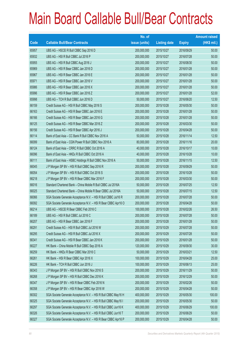|       |                                                                | No. of        |                     |               | <b>Amount raised</b> |
|-------|----------------------------------------------------------------|---------------|---------------------|---------------|----------------------|
| Code  | <b>Callable Bull/Bear Contracts</b>                            | issue (units) | <b>Listing date</b> | <b>Expiry</b> | $(HK$$ mil.)         |
| 65957 | UBS AG - HSCEI R Bull CBBC Sep 2016 D                          | 200,000,000   | 2015/10/27          | 2016/09/29    | 50.00                |
| 65932 | UBS AG - HSI R Bull CBBC Jul 2016 P                            | 200,000,000   | 2015/10/27          | 2016/07/28    | 50.00                |
| 65955 | UBS AG - HSI R Bull CBBC Aug 2016 J                            | 200,000,000   | 2015/10/27          | 2016/08/30    | 50.00                |
| 65969 | UBS AG - HSI R Bear CBBC Jan 2016 D                            | 200,000,000   | 2015/10/27          | 2016/01/28    | 50.00                |
| 65967 | UBS AG - HSI R Bear CBBC Jan 2016 E                            | 200,000,000   | 2015/10/27          | 2016/01/28    | 50.00                |
| 65971 | UBS AG - HSI R Bear CBBC Jan 2016 V                            | 200,000,000   | 2015/10/27          | 2016/01/28    | 50.00                |
| 65986 | UBS AG - HSI R Bear CBBC Jan 2016 X                            | 200,000,000   | 2015/10/27          | 2016/01/28    | 50.00                |
| 65996 | UBS AG - HSI R Bear CBBC Jan 2016 Z                            | 200,000,000   | 2015/10/27          | 2016/01/28    | 52.00                |
| 65998 | UBS AG - TCH R Bull CBBC Jun 2016 D                            | 50,000,000    | 2015/10/27          | 2016/06/20    | 12.50                |
| 66159 | Credit Suisse AG - HSI R Bull CBBC May 2016 S                  | 200,000,000   | 2015/10/28          | 2016/05/30    | 50.00                |
| 66163 | Credit Suisse AG - HSI R Bear CBBC Jan 2016 E                  | 200,000,000   | 2015/10/28          | 2016/01/28    | 50.00                |
| 66166 | Credit Suisse AG - HSI R Bear CBBC Jan 2016 G                  | 200,000,000   | 2015/10/28          | 2016/01/28    | 50.00                |
| 66125 | Credit Suisse AG - HSI R Bear CBBC Mar 2016 Z                  | 200,000,000   | 2015/10/28          | 2016/03/30    | 50.00                |
| 66156 | Credit Suisse AG - HSI R Bear CBBC Apr 2016 J                  | 200,000,000   | 2015/10/28          | 2016/04/28    | 50.00                |
| 66114 | Bank of East Asia - CC Bank R Bull CBBC Nov 2016 A             | 50,000,000    | 2015/10/28          | 2016/11/14    | 12.50                |
| 66099 | Bank of East Asia - CGN Power R Bull CBBC Nov 2016 A           | 80,000,000    | 2015/10/28          | 2016/11/16    | 20.00                |
| 66124 | Bank of East Asia - CRRC R Bull CBBC Oct 2016 A                | 40,000,000    | 2015/10/28          | 2016/10/17    | 10.00                |
| 66096 | Bank of East Asia - HKEx R Bull CBBC Oct 2016 A                | 40,000,000    | 2015/10/28          | 2016/10/28    | 10.00                |
| 66111 | Bank of East Asia - HSBC Holdings R Bull CBBC Nov 2016 A       | 50,000,000    | 2015/10/28          | 2016/11/15    | 12.50                |
| 66045 | J P Morgan SP BV - HSI R Bull CBBC Sep 2016 R                  | 200,000,000   | 2015/10/28          | 2016/09/29    | 50.00                |
| 66054 | J P Morgan SP BV - HSI R Bull CBBC Oct 2016 S                  | 200,000,000   | 2015/10/28          | 2016/10/28    | 50.00                |
| 66218 | J P Morgan SP BV - HSI R Bear CBBC Mar 2016 F                  | 200,000,000   | 2015/10/28          | 2016/03/30    | 50.00                |
| 66016 | Standard Chartered Bank - China Mobile R Bull CBBC Jul 2016A   | 50,000,000    | 2015/10/28          | 2016/07/25    | 12.50                |
| 66025 | Standard Chartered Bank - China Mobile R Bear CBBC Jul 2016A   | 50,000,000    | 2015/10/28          | 2016/07/15    | 12.50                |
| 66066 | SGA Societe Generale Acceptance N.V. - HSI R Bull CBBC Jul16 R | 200,000,000   | 2015/10/28          | 2016/07/28    | 50.00                |
| 66092 | SGA Societe Generale Acceptance N.V. - HSI R Bear CBBC Apr16 O | 200,000,000   | 2015/10/28          | 2016/04/28    | 50.00                |
| 66214 | UBS AG - HSCEI R Bear CBBC Feb 2016 C                          | 100,000,000   | 2015/10/28          | 2016/02/26    | 26.50                |
| 66189 | UBS AG - HSI R Bull CBBC Jul 2016 C                            | 200,000,000   | 2015/10/28          | 2016/07/28    | 50.00                |
| 66207 | UBS AG - HSI R Bear CBBC Jan 2016 F                            | 200,000,000   | 2015/10/28          | 2016/01/28    | 50.00                |
| 66291 | Credit Suisse AG - HSI R Bull CBBC Jul 2016 W                  | 200,000,000   | 2015/10/29          | 2016/07/28    | 50.00                |
| 66295 | Credit Suisse AG - HSI R Bull CBBC Jul 2016 X                  | 200,000,000   | 2015/10/29          | 2016/07/28    | 50.00                |
| 66341 | Credit Suisse AG - HSI R Bear CBBC Jan 2016 K                  | 200,000,000   | 2015/10/29          | 2016/01/28    | 50.00                |
| 66227 | HK Bank - China Mobile R Bull CBBC Sep 2016 A                  | 120,000,000   | 2015/10/29          | 2016/09/30    | 30.00                |
| 66259 | HK Bank - HKEx R Bear CBBC Mar 2016 C                          | 50,000,000    | 2015/10/29          | 2016/03/21    | 12.50                |
| 66261 | HK Bank - HSI R Bear CBBC Apr 2016 X                           | 100,000,000   | 2015/10/29          | 2016/04/28    | 25.00                |
| 66226 | HK Bank - TCH R Bull CBBC Jun 2016 J                           | 100,000,000   | 2015/10/29          | 2016/06/13    | 25.00                |
| 66343 | J P Morgan SP BV - HSI R Bull CBBC Nov 2016 S                  | 200,000,000   | 2015/10/29          | 2016/11/29    | 50.00                |
| 66268 | J P Morgan SP BV - HSI R Bull CBBC Dec 2016 K                  | 200,000,000   | 2015/10/29          | 2016/12/29    | 50.00                |
| 66347 | J P Morgan SP BV - HSI R Bear CBBC Feb 2016 N                  | 200,000,000   | 2015/10/29          | 2016/02/26    | 50.00                |
| 66358 | J P Morgan SP BV - HSI R Bear CBBC Apr 2016 W                  | 200,000,000   | 2015/10/29          | 2016/04/28    | 50.00                |
| 66302 | SGA Societe Generale Acceptance N.V. - HSI R Bull CBBC May16 H | 400,000,000   | 2015/10/29          | 2016/05/30    | 100.00               |
| 66325 | SGA Societe Generale Acceptance N.V. - HSI R Bull CBBC May16 I | 200,000,000   | 2015/10/29          | 2016/05/30    | 50.00                |
| 66297 | SGA Societe Generale Acceptance N.V. - HSI R Bull CBBC Jun16 K | 400,000,000   | 2015/10/29          | 2016/06/29    | 100.00               |
| 66326 | SGA Societe Generale Acceptance N.V. - HSI R Bull CBBC Jun16 T | 200,000,000   | 2015/10/29          | 2016/06/29    | 50.00                |
| 66327 | SGA Societe Generale Acceptance N.V. - HSI R Bear CBBC Apr16 P | 200,000,000   | 2015/10/29          | 2016/04/28    | 50.00                |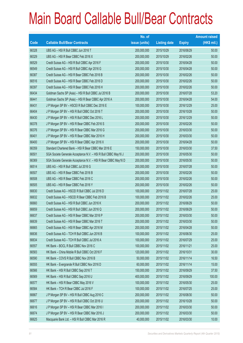|       |                                                                | No. of        |                     |               | <b>Amount raised</b> |
|-------|----------------------------------------------------------------|---------------|---------------------|---------------|----------------------|
| Code  | <b>Callable Bull/Bear Contracts</b>                            | issue (units) | <b>Listing date</b> | <b>Expiry</b> | (HK\$ mil.)          |
| 66328 | UBS AG - HSI R Bull CBBC Jun 2016 T                            | 200,000,000   | 2015/10/29          | 2016/06/29    | 50.00                |
| 66329 | UBS AG - HSI R Bear CBBC Feb 2016 X                            | 200,000,000   | 2015/10/29          | 2016/02/26    | 50.00                |
| 66529 | Credit Suisse AG - HSI R Bull CBBC Apr 2016 F                  | 200,000,000   | 2015/10/30          | 2016/04/28    | 50.00                |
| 66549 | Credit Suisse AG - HSI R Bull CBBC Apr 2016 G                  | 200,000,000   | 2015/10/30          | 2016/04/28    | 50.00                |
| 66387 | Credit Suisse AG - HSI R Bear CBBC Feb 2016 B                  | 200,000,000   | 2015/10/30          | 2016/02/26    | 50.00                |
| 66516 | Credit Suisse AG - HSI R Bear CBBC Feb 2016 D                  | 200,000,000   | 2015/10/30          | 2016/02/26    | 50.00                |
| 66397 | Credit Suisse AG - HSI R Bear CBBC Feb 2016 H                  | 200,000,000   | 2015/10/30          | 2016/02/26    | 50.00                |
| 66434 | Goldman Sachs SP (Asia) - HSI R Bull CBBC Jul 2016 B           | 200,000,000   | 2015/10/30          | 2016/07/28    | 53.20                |
| 66441 | Goldman Sachs SP (Asia) - HSI R Bear CBBC Apr 2016 A           | 200,000,000   | 2015/10/30          | 2016/04/28    | 54.00                |
| 66431 | J P Morgan SP BV - HSCEI R Bull CBBC Dec 2016 E                | 100,000,000   | 2015/10/30          | 2016/12/29    | 25.00                |
| 66404 | J P Morgan SP BV - HSI R Bull CBBC Oct 2016 T                  | 200,000,000   | 2015/10/30          | 2016/10/28    | 50.00                |
| 66430 | J P Morgan SP BV - HSI R Bull CBBC Dec 2016 L                  | 200,000,000   | 2015/10/30          | 2016/12/29    | 50.00                |
| 66378 | JP Morgan SP BV - HSI R Bear CBBC Feb 2016 S                   | 200,000,000   | 2015/10/30          | 2016/02/26    | 50.00                |
| 66376 | J P Morgan SP BV - HSI R Bear CBBC Mar 2016 G                  | 200,000,000   | 2015/10/30          | 2016/03/30    | 50.00                |
| 66401 | J P Morgan SP BV - HSI R Bear CBBC Mar 2016 H                  | 200,000,000   | 2015/10/30          | 2016/03/30    | 50.00                |
| 66400 | J P Morgan SP BV - HSI R Bear CBBC Apr 2016 X                  | 200,000,000   | 2015/10/30          | 2016/04/28    | 50.00                |
| 66359 | Standard Chartered Bank - HSI R Bear CBBC Mar 2016 E           | 150,000,000   | 2015/10/30          | 2016/03/30    | 37.50                |
| 66501 | SGA Societe Generale Acceptance N.V. - HSI R Bull CBBC May16 J | 200,000,000   | 2015/10/30          | 2016/05/30    | 50.00                |
| 66369 | SGA Societe Generale Acceptance N.V. - HSI R Bear CBBC May16 D | 200,000,000   | 2015/10/30          | 2016/05/30    | 50.00                |
| 66514 | UBS AG - HSI R Bull CBBC Jul 2016 G                            | 200,000,000   | 2015/10/30          | 2016/07/28    | 50.00                |
| 66507 | UBS AG - HSI R Bear CBBC Feb 2016 B                            | 200,000,000   | 2015/10/30          | 2016/02/26    | 50.00                |
| 66508 | UBS AG - HSI R Bear CBBC Feb 2016 C                            | 200,000,000   | 2015/10/30          | 2016/02/26    | 50.00                |
| 66505 | UBS AG - HSI R Bear CBBC Feb 2016 Y                            | 200,000,000   | 2015/10/30          | 2016/02/26    | 50.00                |
| 66630 | Credit Suisse AG - HSCEI R Bull CBBC Jul 2016 D                | 100,000,000   | 2015/11/02          | 2016/07/28    | 25.00                |
| 66632 | Credit Suisse AG - HSCEI R Bear CBBC Feb 2016 B                | 100,000,000   | 2015/11/02          | 2016/02/26    | 25.00                |
| 66660 | Credit Suisse AG - HSI R Bull CBBC Jun 2016 K                  | 200,000,000   | 2015/11/02          | 2016/06/29    | 50.00                |
| 66659 | Credit Suisse AG - HSI R Bull CBBC Jun 2016 Q                  | 200,000,000   | 2015/11/02          | 2016/06/29    | 50.00                |
| 66637 | Credit Suisse AG - HSI R Bear CBBC Mar 2016 P                  | 200,000,000   | 2015/11/02          | 2016/03/30    | 50.00                |
| 66639 | Credit Suisse AG - HSI R Bear CBBC Mar 2016 T                  | 200,000,000   | 2015/11/02          | 2016/03/30    | 50.00                |
| 66665 | Credit Suisse AG - HSI R Bear CBBC Apr 2016 M                  | 200,000,000   | 2015/11/02          | 2016/04/28    | 50.00                |
| 66636 | Credit Suisse AG - TCH R Bull CBBC Jun 2016 B                  | 100,000,000   | 2015/11/02          | 2016/06/30    | 25.00                |
| 66634 | Credit Suisse AG - TCH R Bull CBBC Jul 2016 A                  | 100,000,000   | 2015/11/02          | 2016/07/29    | 25.00                |
| 66557 | HK Bank - BOCL R Bull CBBC Nov 2016 C                          | 100,000,000   | 2015/11/02          | 2016/11/21    | 25.00                |
| 66583 | HK Bank - China Mobile R Bull CBBC Oct 2016 F                  | 120,000,000   | 2015/11/02          | 2016/10/31    | 30.00                |
| 66590 | HK Bank - COVS R Bull CBBC Nov 2016 B                          | 50,000,000    | 2015/11/02          | 2016/11/14    | 16.50                |
| 66555 | HK Bank - Evergrande R Bull CBBC Nov 2016 D                    | 60,000,000    | 2015/11/02          | 2016/11/14    | 15.00                |
| 66566 | HK Bank - HSI R Bull CBBC Sep 2016 T                           | 150,000,000   | 2015/11/02          | 2016/09/29    | 37.50                |
| 66569 | HK Bank - HSI R Bull CBBC Sep 2016 U                           | 400,000,000   | 2015/11/02          | 2016/09/29    | 100.00               |
| 66577 | HK Bank - HSI R Bear CBBC May 2016 V                           | 100,000,000   | 2015/11/02          | 2016/05/30    | 25.00                |
| 66584 | HK Bank - TCH R Bear CBBC Jul 2016 F                           | 100,000,000   | 2015/11/02          | 2016/07/25    | 25.00                |
| 66667 | J P Morgan SP BV - HSI R Bull CBBC Aug 2016 C                  | 200,000,000   | 2015/11/02          | 2016/08/30    | 50.00                |
| 66677 | J P Morgan SP BV - HSI R Bull CBBC Oct 2016 U                  | 200,000,000   | 2015/11/02          | 2016/10/28    | 50.00                |
| 66616 | J P Morgan SP BV - HSI R Bear CBBC Mar 2016 I                  | 200,000,000   | 2015/11/02          | 2016/03/30    | 50.00                |
| 66674 | J P Morgan SP BV - HSI R Bear CBBC Mar 2016 J                  | 200,000,000   | 2015/11/02          | 2016/03/30    | 50.00                |
| 66625 | Macquarie Bank Ltd. - HSI R Bull CBBC Mar 2016 R               | 40,000,000    | 2015/11/02          | 2016/03/30    | 10.00                |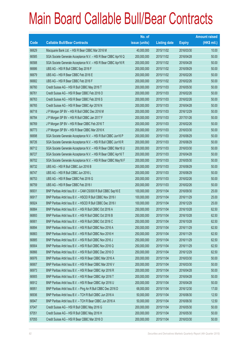|       |                                                                | No. of        |                     |               | <b>Amount raised</b> |
|-------|----------------------------------------------------------------|---------------|---------------------|---------------|----------------------|
| Code  | <b>Callable Bull/Bear Contracts</b>                            | issue (units) | <b>Listing date</b> | <b>Expiry</b> | $(HK$$ mil.)         |
| 66629 | Macquarie Bank Ltd. - HSI R Bear CBBC Mar 2016 M               | 40,000,000    | 2015/11/02          | 2016/03/30    | 10.00                |
| 66585 | SGA Societe Generale Acceptance N.V. - HSI R Bear CBBC Apr16 Q | 200,000,000   | 2015/11/02          | 2016/04/28    | 50.00                |
| 66588 | SGA Societe Generale Acceptance N.V. - HSI R Bear CBBC Apr16 R | 200,000,000   | 2015/11/02          | 2016/04/28    | 50.00                |
| 66686 | UBS AG - HSI R Bull CBBC Sep 2016 F                            | 200,000,000   | 2015/11/02          | 2016/09/29    | 50.00                |
| 66679 | UBS AG - HSI R Bear CBBC Feb 2016 E                            | 200,000,000   | 2015/11/02          | 2016/02/26    | 50.00                |
| 66682 | UBS AG - HSI R Bear CBBC Feb 2016 F                            | 200,000,000   | 2015/11/02          | 2016/02/26    | 50.00                |
| 66760 | Credit Suisse AG - HSI R Bull CBBC May 2016 T                  | 200,000,000   | 2015/11/03          | 2016/05/30    | 50.00                |
| 66761 | Credit Suisse AG - HSI R Bear CBBC Feb 2016 O                  | 200,000,000   | 2015/11/03          | 2016/02/26    | 50.00                |
| 66763 | Credit Suisse AG - HSI R Bear CBBC Feb 2016 S                  | 200,000,000   | 2015/11/03          | 2016/02/26    | 50.00                |
| 66765 | Credit Suisse AG - HSI R Bear CBBC Apr 2016 N                  | 200,000,000   | 2015/11/03          | 2016/04/28    | 50.00                |
| 66718 | J P Morgan SP BV - HSI R Bull CBBC Dec 2016 M                  | 200,000,000   | 2015/11/03          | 2016/12/29    | 50.00                |
| 66784 | J P Morgan SP BV - HSI R Bull CBBC Jan 2017 F                  | 200,000,000   | 2015/11/03          | 2017/01/26    | 50.00                |
| 66769 | JP Morgan SP BV - HSI R Bear CBBC Feb 2016 T                   | 200,000,000   | 2015/11/03          | 2016/02/26    | 50.00                |
| 66773 | J P Morgan SP BV - HSI R Bear CBBC Mar 2016 K                  | 200,000,000   | 2015/11/03          | 2016/03/30    | 50.00                |
| 66698 | SGA Societe Generale Acceptance N.V. - HSI R Bull CBBC Jun16 P | 200,000,000   | 2015/11/03          | 2016/06/29    | 50.00                |
| 66726 | SGA Societe Generale Acceptance N.V. - HSI R Bull CBBC Jun16 R | 200,000,000   | 2015/11/03          | 2016/06/29    | 50.00                |
| 66712 | SGA Societe Generale Acceptance N.V. - HSI R Bear CBBC Mar16 U | 200,000,000   | 2015/11/03          | 2016/03/30    | 50.00                |
| 66727 | SGA Societe Generale Acceptance N.V. - HSI R Bear CBBC Apr16 T | 200,000,000   | 2015/11/03          | 2016/04/28    | 50.00                |
| 66702 | SGA Societe Generale Acceptance N.V. - HSI R Bear CBBC May16 F | 200,000,000   | 2015/11/03          | 2016/05/30    | 50.00                |
| 66732 | UBS AG - HSI R Bull CBBC Jun 2016 B                            | 200,000,000   | 2015/11/03          | 2016/06/29    | 50.00                |
| 66747 | UBS AG - HSI R Bull CBBC Jun 2016 L                            | 200,000,000   | 2015/11/03          | 2016/06/29    | 50.00                |
| 66753 | UBS AG - HSI R Bear CBBC Feb 2016 G                            | 200,000,000   | 2015/11/03          | 2016/02/26    | 50.00                |
| 66759 | UBS AG - HSI R Bear CBBC Feb 2016 I                            | 200,000,000   | 2015/11/03          | 2016/02/26    | 50.00                |
| 66931 | BNP Paribas Arbit Issu B.V. - CAM CSI300 R Bull CBBC Sep16 E   | 100,000,000   | 2015/11/04          | 2016/09/30    | 25.00                |
| 66917 | BNP Paribas Arbit Issu B.V. - HSCEI R Bull CBBC Nov 2016 I     | 100,000,000   | 2015/11/04          | 2016/11/29    | 25.00                |
| 66924 | BNP Paribas Arbit Issu B.V. - HSCEI R Bull CBBC Dec 2016 I     | 100,000,000   | 2015/11/04          | 2016/12/29    | 25.00                |
| 66884 | BNP Paribas Arbit Issu B.V. - HSI R Bull CBBC Oct 2016 A       | 250,000,000   | 2015/11/04          | 2016/10/28    | 62.50                |
| 66893 | BNP Paribas Arbit Issu B.V. - HSI R Bull CBBC Oct 2016 B       | 250,000,000   | 2015/11/04          | 2016/10/28    | 62.50                |
| 66901 | BNP Paribas Arbit Issu B.V. - HSI R Bull CBBC Oct 2016 C       | 250,000,000   | 2015/11/04          | 2016/10/28    | 62.50                |
| 66894 | BNP Paribas Arbit Issu B.V. - HSI R Bull CBBC Nov 2016 A       | 250,000,000   | 2015/11/04          | 2016/11/29    | 62.50                |
| 66883 | BNP Paribas Arbit Issu B.V. - HSI R Bull CBBC Nov 2016 H       | 250,000,000   | 2015/11/04          | 2016/11/29    | 62.50                |
| 66885 | BNP Paribas Arbit Issu B.V. - HSI R Bull CBBC Nov 2016 J       | 250,000,000   | 2015/11/04          | 2016/11/29    | 62.50                |
| 66904 | BNP Paribas Arbit Issu B.V. - HSI R Bull CBBC Nov 2016 Q       | 250,000,000   | 2015/11/04          | 2016/11/29    | 62.50                |
| 66866 | BNP Paribas Arbit Issu B.V. - HSI R Bull CBBC Dec 2016 O       | 250,000,000   | 2015/11/04          | 2016/12/29    | 62.50                |
| 66976 | BNP Paribas Arbit Issu B.V. - HSI R Bear CBBC Mar 2016 A       | 200,000,000   | 2015/11/04          | 2016/03/30    | 50.00                |
| 66907 | BNP Paribas Arbit Issu B.V. - HSI R Bear CBBC Mar 2016 V       | 200,000,000   | 2015/11/04          | 2016/03/30    | 50.00                |
| 66973 | BNP Paribas Arbit Issu B.V. - HSI R Bear CBBC Apr 2016 R       | 200,000,000   | 2015/11/04          | 2016/04/28    | 50.00                |
| 66905 | BNP Paribas Arbit Issu B.V. - HSI R Bear CBBC Apr 2016 T       | 200,000,000   | 2015/11/04          | 2016/04/28    | 50.00                |
| 66912 | BNP Paribas Arbit Issu B.V. - HSI R Bear CBBC Apr 2016 U       | 200,000,000   | 2015/11/04          | 2016/04/28    | 50.00                |
| 66951 | BNP Paribas Arbit Issu B.V. - Ping An R Bull CBBC Dec 2016 D   | 68,000,000    | 2015/11/04          | 2016/12/30    | 17.00                |
| 66936 | BNP Paribas Arbit Issu B.V. - TCH R Bull CBBC Jun 2016 A       | 50,000,000    | 2015/11/04          | 2016/06/30    | 12.50                |
| 66947 | BNP Paribas Arbit Issu B.V. - TCH R Bear CBBC Jun 2016 A       | 50,000,000    | 2015/11/04          | 2016/06/30    | 12.50                |
| 67047 | Credit Suisse AG - HSI R Bull CBBC May 2016 G                  | 200,000,000   | 2015/11/04          | 2016/05/30    | 50.00                |
| 67051 | Credit Suisse AG - HSI R Bull CBBC May 2016 H                  | 200,000,000   | 2015/11/04          | 2016/05/30    | 50.00                |
| 67055 | Credit Suisse AG - HSI R Bear CBBC Mar 2016 O                  | 200,000,000   | 2015/11/04          | 2016/03/30    | 50.00                |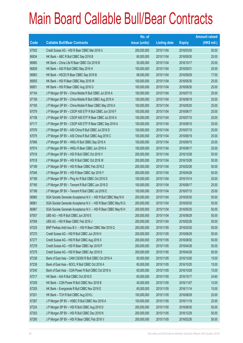|       |                                                                | No. of        |                     |               | <b>Amount raised</b> |
|-------|----------------------------------------------------------------|---------------|---------------------|---------------|----------------------|
| Code  | <b>Callable Bull/Bear Contracts</b>                            | issue (units) | <b>Listing date</b> | <b>Expiry</b> | $(HK$$ mil.)         |
| 67052 | Credit Suisse AG - HSI R Bear CBBC Mar 2016 U                  | 200,000,000   | 2015/11/04          | 2016/03/30    | 50.00                |
| 66834 | HK Bank - ABC R Bull CBBC Sep 2016 B                           | 80,000,000    | 2015/11/04          | 2016/09/30    | 20.00                |
| 66860 | HK Bank - China Life R Bear CBBC Oct 2016 B                    | 50,000,000    | 2015/11/04          | 2016/10/17    | 20.50                |
| 66828 | HK Bank - A50 R Bull CBBC May 2016 H                           | 100,000,000   | 2015/11/04          | 2016/05/31    | 25.00                |
| 66863 | HK Bank - HSCEI R Bear CBBC Sep 2016 B                         | 68,000,000    | 2015/11/04          | 2016/09/29    | 17.00                |
| 66855 | HK Bank - HSI R Bear CBBC May 2016 W                           | 100,000,000   | 2015/11/04          | 2016/05/30    | 25.00                |
| 66851 | HK Bank - HSI R Bear CBBC Aug 2016 G                           | 100,000,000   | 2015/11/04          | 2016/08/30    | 25.00                |
| 67154 | J P Morgan SP BV - China Mobile R Bull CBBC Jul 2016 A         | 100,000,000   | 2015/11/04          | 2016/07/15    | 25.00                |
| 67158 | J P Morgan SP BV - China Mobile R Bull CBBC Aug 2016 A         | 100,000,000   | 2015/11/04          | 2016/08/19    | 25.00                |
| 67165 | J P Morgan SP BV - China Mobile R Bear CBBC May 2016 A         | 100,000,000   | 2015/11/04          | 2016/05/20    | 25.00                |
| 67079 | J P Morgan SP BV - CSOP A50 ETF R Bull CBBC Jun 2016 F         | 100,000,000   | 2015/11/04          | 2016/06/17    | 25.00                |
| 67108 | J P Morgan SP BV - CSOP A50 ETF R Bear CBBC Jul 2016 A         | 100,000,000   | 2015/11/04          | 2016/07/15    | 25.00                |
| 67117 | J P Morgan SP BV - CSOP A50 ETF R Bear CBBC Sep 2016 A         | 100,000,000   | 2015/11/04          | 2016/09/15    | 25.00                |
| 67076 | J P Morgan SP BV - A50 China R Bull CBBC Jul 2016 D            | 100,000,000   | 2015/11/04          | 2016/07/15    | 25.00                |
| 67075 | J P Morgan SP BV - A50 China R Bull CBBC Aug 2016 C            | 100,000,000   | 2015/11/04          | 2016/08/19    | 25.00                |
| 67066 | J P Morgan SP BV - HKEx R Bull CBBC Sep 2016 A                 | 100,000,000   | 2015/11/04          | 2016/09/15    | 25.00                |
| 67074 | J P Morgan SP BV - HKEx R Bear CBBC Jun 2016 A                 | 100,000,000   | 2015/11/04          | 2016/06/17    | 25.00                |
| 67016 | J P Morgan SP BV - HSI R Bull CBBC Oct 2016 V                  | 200,000,000   | 2015/11/04          | 2016/10/28    | 50.00                |
| 67018 | J P Morgan SP BV - HSI R Bull CBBC Oct 2016 W                  | 200,000,000   | 2015/11/04          | 2016/10/28    | 50.00                |
| 67189 | J P Morgan SP BV - HSI R Bear CBBC Feb 2016 Z                  | 200,000,000   | 2015/11/04          | 2016/02/26    | 50.00                |
| 67046 | J P Morgan SP BV - HSI R Bear CBBC Apr 2016 Y                  | 200,000,000   | 2015/11/04          | 2016/04/28    | 50.00                |
| 67169 | J P Morgan SP BV - Ping An R Bull CBBC Oct 2016 D              | 100,000,000   | 2015/11/04          | 2016/10/14    | 25.00                |
| 67185 | J P Morgan SP BV - Tencent R Bull CBBC Jun 2016 D              | 100,000,000   | 2015/11/04          | 2016/06/17    | 25.00                |
| 67188 | J P Morgan SP BV - Tencent R Bull CBBC Jul 2016 E              | 100,000,000   | 2015/11/04          | 2016/07/15    | 25.00                |
| 66960 | SGA Societe Generale Acceptance N.V. - HSI R Bull CBBC May16 K | 200,000,000   | 2015/11/04          | 2016/05/30    | 50.00                |
| 66961 | SGA Societe Generale Acceptance N.V. - HSI R Bear CBBC May16 G | 200,000,000   | 2015/11/04          | 2016/05/30    | 50.00                |
| 66967 | SGA Societe Generale Acceptance N.V. - HSI R Bear CBBC May16 H | 200,000,000   | 2015/11/04          | 2016/05/30    | 50.00                |
| 67057 | UBS AG - HSI R Bull CBBC Jun 2016 E                            | 200,000,000   | 2015/11/04          | 2016/06/29    | 50.00                |
| 67059 | UBS AG - HSI R Bear CBBC Feb 2016 J                            | 200,000,000   | 2015/11/04          | 2016/02/26    | 50.00                |
| 67225 | BNP Paribas Arbit Issu B.V. - HSI R Bear CBBC Mar 2016 Q       | 200,000,000   | 2015/11/05          | 2016/03/30    | 50.00                |
| 67270 | Credit Suisse AG - HSI R Bull CBBC Jun 2016 H                  | 200,000,000   | 2015/11/05          | 2016/06/29    | 50.00                |
| 67277 | Credit Suisse AG - HSI R Bull CBBC Aug 2016 X                  | 200,000,000   | 2015/11/05          | 2016/08/30    | 50.00                |
| 67278 | Credit Suisse AG - HSI R Bear CBBC Apr 2016 P                  | 200,000,000   | 2015/11/05          | 2016/04/28    | 50.00                |
| 67279 | Credit Suisse AG - HSI R Bear CBBC Apr 2016 S                  | 200,000,000   | 2015/11/05          | 2016/04/28    | 50.00                |
| 67238 | Bank of East Asia - CAM CSI300 R Bull CBBC Oct 2016 A          | 60,000,000    | 2015/11/05          | 2016/10/26    | 15.00                |
| 67239 | Bank of East Asia - BOCL R Bull CBBC Oct 2016 A                | 60,000,000    | 2015/11/05          | 2016/10/25    | 15.00                |
| 67240 | Bank of East Asia - CGN Power R Bull CBBC Oct 2016 A           | 60,000,000    | 2015/11/05          | 2016/10/28    | 15.00                |
| 67217 | HK Bank - AIA R Bull CBBC Oct 2016 D                           | 60,000,000    | 2015/11/05          | 2016/10/17    | 24.60                |
| 67209 | HK Bank - CGN Power R Bull CBBC Nov 2016 B                     | 40,000,000    | 2015/11/05          | 2016/11/07    | 10.00                |
| 67205 | HK Bank - Evergrande R Bull CBBC Nov 2016 E                    | 60,000,000    | 2015/11/05          | 2016/11/14    | 15.00                |
| 67201 | HK Bank - TCH R Bull CBBC Aug 2016 L                           | 100,000,000   | 2015/11/05          | 2016/08/29    | 25.00                |
| 67287 | J P Morgan SP BV - HSBC R Bull CBBC Nov 2016 A                 | 100,000,000   | 2015/11/05          | 2016/11/18    | 25.00                |
| 67224 | J P Morgan SP BV - HSI R Bull CBBC Aug 2016 D                  | 200,000,000   | 2015/11/05          | 2016/08/30    | 50.00                |
| 67303 | J P Morgan SP BV - HSI R Bull CBBC Dec 2016 N                  | 200,000,000   | 2015/11/05          | 2016/12/29    | 50.00                |
| 67295 | J P Morgan SP BV - HSI R Bear CBBC Feb 2016 V                  | 200,000,000   | 2015/11/05          | 2016/02/26    | 50.00                |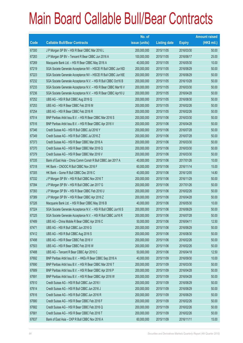|       |                                                                | No. of        |                     |               | <b>Amount raised</b> |
|-------|----------------------------------------------------------------|---------------|---------------------|---------------|----------------------|
| Code  | <b>Callable Bull/Bear Contracts</b>                            | issue (units) | <b>Listing date</b> | <b>Expiry</b> | (HK\$ mil.)          |
| 67300 | J P Morgan SP BV - HSI R Bear CBBC Mar 2016 L                  | 200,000,000   | 2015/11/05          | 2016/03/30    | 50.00                |
| 67283 | J P Morgan SP BV - Tencent R Bear CBBC Jun 2016 A              | 100,000,000   | 2015/11/05          | 2016/06/17    | 25.00                |
| 67269 | Macquarie Bank Ltd. - HSI R Bear CBBC May 2016 A               | 40,000,000    | 2015/11/05          | 2016/05/30    | 10.00                |
| 67219 | SGA Societe Generale Acceptance NV - HSCEI R Bull CBBC Jun16D  | 200,000,000   | 2015/11/05          | 2016/06/29    | 50.00                |
| 67223 | SGA Societe Generale Acceptance NV - HSCEI R Bull CBBC Jun16E  | 200,000,000   | 2015/11/05          | 2016/06/29    | 50.00                |
| 67232 | SGA Societe Generale Acceptance N.V. - HSI R Bull CBBC Oct16 B | 200,000,000   | 2015/11/05          | 2016/10/28    | 50.00                |
| 67233 | SGA Societe Generale Acceptance N.V. - HSI R Bear CBBC Mar16 V | 200,000,000   | 2015/11/05          | 2016/03/30    | 50.00                |
| 67236 | SGA Societe Generale Acceptance N.V. - HSI R Bear CBBC Apr16 U | 200,000,000   | 2015/11/05          | 2016/04/28    | 50.00                |
| 67252 | UBS AG - HSI R Bull CBBC Aug 2016 Q                            | 200,000,000   | 2015/11/05          | 2016/08/30    | 50.00                |
| 67253 | UBS AG - HSI R Bear CBBC Feb 2016 M                            | 200,000,000   | 2015/11/05          | 2016/02/26    | 50.00                |
| 67254 | UBS AG - HSI R Bear CBBC Feb 2016 R                            | 200,000,000   | 2015/11/05          | 2016/02/26    | 50.00                |
| 67514 | BNP Paribas Arbit Issu B.V. - HSI R Bear CBBC Mar 2016 S       | 200,000,000   | 2015/11/06          | 2016/03/30    | 50.00                |
| 67516 | BNP Paribas Arbit Issu B.V. - HSI R Bear CBBC Apr 2016 V       | 200,000,000   | 2015/11/06          | 2016/04/28    | 50.00                |
| 67346 | Credit Suisse AG - HSI R Bull CBBC Jul 2016 Y                  | 200,000,000   | 2015/11/06          | 2016/07/28    | 50.00                |
| 67349 | Credit Suisse AG - HSI R Bull CBBC Jul 2016 Z                  | 200,000,000   | 2015/11/06          | 2016/07/28    | 50.00                |
| 67373 | Credit Suisse AG - HSI R Bear CBBC Mar 2016 A                  | 200,000,000   | 2015/11/06          | 2016/03/30    | 50.00                |
| 67370 | Credit Suisse AG - HSI R Bear CBBC Mar 2016 Q                  | 200,000,000   | 2015/11/06          | 2016/03/30    | 50.00                |
| 67379 | Credit Suisse AG - HSI R Bear CBBC Mar 2016 V                  | 200,000,000   | 2015/11/06          | 2016/03/30    | 50.00                |
| 67335 | Bank of East Asia - China Comm Constr R Bull CBBC Jan 2017 A   | 40,000,000    | 2015/11/06          | 2017/01/26    | 10.00                |
| 67318 | HK Bank - CNOOC R Bull CBBC Nov 2016 F                         | 60,000,000    | 2015/11/06          | 2016/11/14    | 15.00                |
| 67305 | HK Bank - Gome R Bull CBBC Dec 2016 C                          | 40,000,000    | 2015/11/06          | 2016/12/05    | 14.80                |
| 67332 | J P Morgan SP BV - HSI R Bull CBBC Nov 2016 T                  | 200,000,000   | 2015/11/06          | 2016/11/29    | 50.00                |
| 67394 | J P Morgan SP BV - HSI R Bull CBBC Jan 2017 G                  | 200,000,000   | 2015/11/06          | 2017/01/26    | 50.00                |
| 67393 | J P Morgan SP BV - HSI R Bear CBBC Feb 2016 U                  | 200,000,000   | 2015/11/06          | 2016/02/26    | 50.00                |
| 67389 | J P Morgan SP BV - HSI R Bear CBBC Apr 2016 Z                  | 200,000,000   | 2015/11/06          | 2016/04/28    | 50.00                |
| 67326 | Macquarie Bank Ltd. - HSI R Bear CBBC May 2016 B               | 40,000,000    | 2015/11/06          | 2016/05/30    | 10.00                |
| 67324 | SGA Societe Generale Acceptance N.V. - HSI R Bull CBBC Jun16 S | 200,000,000   | 2015/11/06          | 2016/06/29    | 50.00                |
| 67325 | SGA Societe Generale Acceptance N.V. - HSI R Bull CBBC Jul16 R | 200,000,000   | 2015/11/06          | 2016/07/28    | 50.00                |
| 67489 | UBS AG - China Mobile R Bear CBBC Apr 2016 C                   | 50,000,000    | 2015/11/06          | 2016/04/11    | 12.50                |
| 67471 | UBS AG - HSI R Bull CBBC Jun 2016 G                            | 200,000,000   | 2015/11/06          | 2016/06/29    | 50.00                |
| 67412 | UBS AG - HSI R Bull CBBC Aug 2016 S                            | 200,000,000   | 2015/11/06          | 2016/08/30    | 50.00                |
| 67498 | UBS AG - HSI R Bear CBBC Feb 2016 V                            | 200,000,000   | 2015/11/06          | 2016/02/26    | 50.00                |
| 67503 | UBS AG - HSI R Bear CBBC Feb 2016 W                            | 200,000,000   | 2015/11/06          | 2016/02/26    | 50.00                |
| 67488 | UBS AG - Tencent R Bear CBBC Apr 2016 C                        | 50,000,000    | 2015/11/06          | 2016/04/18    | 12.50                |
| 67692 | BNP Paribas Arbit Issu B.V. - HKEx R Bear CBBC Sep 2016 A      | 40,000,000    | 2015/11/09          | 2016/09/30    | 10.00                |
| 67690 | BNP Paribas Arbit Issu B.V. - HSI R Bear CBBC Mar 2016 T       | 200,000,000   | 2015/11/09          | 2016/03/30    | 50.00                |
| 67689 | BNP Paribas Arbit Issu B.V. - HSI R Bear CBBC Apr 2016 P       | 200,000,000   | 2015/11/09          | 2016/04/28    | 50.00                |
| 67691 | BNP Paribas Arbit Issu B.V. - HSI R Bear CBBC Apr 2016 W       | 200,000,000   | 2015/11/09          | 2016/04/28    | 50.00                |
| 67610 | Credit Suisse AG - HSI R Bull CBBC Jun 2016 I                  | 200,000,000   | 2015/11/09          | 2016/06/29    | 50.00                |
| 67614 | Credit Suisse AG - HSI R Bull CBBC Jun 2016 J                  | 200,000,000   | 2015/11/09          | 2016/06/29    | 50.00                |
| 67616 | Credit Suisse AG - HSI R Bull CBBC Jun 2016 R                  | 200,000,000   | 2015/11/09          | 2016/06/29    | 50.00                |
| 67680 | Credit Suisse AG - HSI R Bear CBBC Feb 2016 F                  | 200,000,000   | 2015/11/09          | 2016/02/26    | 50.00                |
| 67682 | Credit Suisse AG - HSI R Bear CBBC Feb 2016 Q                  | 200,000,000   | 2015/11/09          | 2016/02/26    | 50.00                |
| 67681 | Credit Suisse AG - HSI R Bear CBBC Feb 2016 T                  | 200,000,000   | 2015/11/09          | 2016/02/26    | 50.00                |
| 67637 | Bank of East Asia - CKP R Bull CBBC Nov 2016 A                 | 60,000,000    | 2015/11/09          | 2016/11/11    | 15.00                |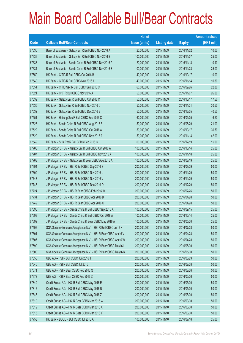|       |                                                                | No. of        |                     |               | <b>Amount raised</b> |
|-------|----------------------------------------------------------------|---------------|---------------------|---------------|----------------------|
| Code  | <b>Callable Bull/Bear Contracts</b>                            | issue (units) | <b>Listing date</b> | <b>Expiry</b> | $(HK$$ mil.)         |
| 67635 | Bank of East Asia - Galaxy Ent R Bull CBBC Nov 2016 A          | 20,000,000    | 2015/11/09          | 2016/11/02    | 10.00                |
| 67636 | Bank of East Asia - Galaxy Ent R Bull CBBC Nov 2016 B          | 100,000,000   | 2015/11/09          | 2016/11/07    | 25.00                |
| 67633 | Bank of East Asia - Sands China R Bull CBBC Nov 2016 A         | 20,000,000    | 2015/11/09          | 2016/11/18    | 10.40                |
| 67634 | Bank of East Asia - Sands China R Bull CBBC Nov 2016 B         | 100,000,000   | 2015/11/09          | 2016/11/28    | 25.00                |
| 67550 | HK Bank - CITIC R Bull CBBC Oct 2016 B                         | 40,000,000    | 2015/11/09          | 2016/10/17    | 10.00                |
| 67540 | HK Bank - CITIC R Bull CBBC Nov 2016 A                         | 40,000,000    | 2015/11/09          | 2016/11/14    | 10.80                |
| 67554 | HK Bank - CITIC Sec R Bull CBBC Sep 2016 C                     | 60,000,000    | 2015/11/09          | 2016/09/26    | 22.80                |
| 67521 | HK Bank - CKP R Bull CBBC Nov 2016 A                           | 50,000,000    | 2015/11/09          | 2016/11/07    | 26.00                |
| 67539 | HK Bank - Galaxy Ent R Bull CBBC Oct 2016 C                    | 50,000,000    | 2015/11/09          | 2016/10/17    | 17.50                |
| 67535 | HK Bank - Galaxy Ent R Bull CBBC Nov 2016 C                    | 50,000,000    | 2015/11/09          | 2016/11/21    | 30.50                |
| 67532 | HK Bank - Galaxy Ent R Bull CBBC Dec 2016 B                    | 50,000,000    | 2015/11/09          | 2016/12/05    | 40.50                |
| 67551 | HK Bank - Haitong Sec R Bull CBBC Sep 2016 C                   | 60,000,000    | 2015/11/09          | 2016/09/05    | 16.20                |
| 67523 | HK Bank - Sands China R Bull CBBC Aug 2016 B                   | 50,000,000    | 2015/11/09          | 2016/08/29    | 21.00                |
| 67522 | HK Bank - Sands China R Bull CBBC Oct 2016 A                   | 50,000,000    | 2015/11/09          | 2016/10/17    | 30.50                |
| 67529 | HK Bank - Sands China R Bull CBBC Nov 2016 A                   | 50,000,000    | 2015/11/09          | 2016/11/14    | 42.00                |
| 67549 | HK Bank - SHK Ppt R Bull CBBC Dec 2016 C                       | 60,000,000    | 2015/11/09          | 2016/12/19    | 15.00                |
| 67700 | J P Morgan SP BV - Galaxy Ent R Bull CBBC Oct 2016 A           | 100,000,000   | 2015/11/09          | 2016/10/14    | 25.00                |
| 67707 | J P Morgan SP BV - Galaxy Ent R Bull CBBC Nov 2016 A           | 100,000,000   | 2015/11/09          | 2016/11/18    | 25.00                |
| 67708 | J P Morgan SP BV - Galaxy Ent R Bear CBBC Aug 2016 A           | 100,000,000   | 2015/11/09          | 2016/08/19    | 25.00                |
| 67694 | J P Morgan SP BV - HSI R Bull CBBC Sep 2016 S                  | 200,000,000   | 2015/11/09          | 2016/09/29    | 50.00                |
| 67609 | J P Morgan SP BV - HSI R Bull CBBC Nov 2016 U                  | 200,000,000   | 2015/11/09          | 2016/11/29    | 50.00                |
| 67743 | J P Morgan SP BV - HSI R Bull CBBC Nov 2016 V                  | 200,000,000   | 2015/11/09          | 2016/11/29    | 50.00                |
| 67745 | J P Morgan SP BV - HSI R Bull CBBC Dec 2016 O                  | 200,000,000   | 2015/11/09          | 2016/12/29    | 50.00                |
| 67724 | J P Morgan SP BV - HSI R Bear CBBC Feb 2016 W                  | 200,000,000   | 2015/11/09          | 2016/02/26    | 50.00                |
| 67734 | J P Morgan SP BV - HSI R Bear CBBC Apr 2016 B                  | 200,000,000   | 2015/11/09          | 2016/04/28    | 50.00                |
| 67742 | J P Morgan SP BV - HSI R Bear CBBC Apr 2016 C                  | 200,000,000   | 2015/11/09          | 2016/04/28    | 50.00                |
| 67695 | J P Morgan SP BV - Sands China R Bull CBBC Sep 2016 A          | 100,000,000   | 2015/11/09          | 2016/09/15    | 25.00                |
| 67698 | J P Morgan SP BV - Sands China R Bull CBBC Oct 2016 A          | 100,000,000   | 2015/11/09          | 2016/10/14    | 25.00                |
| 67699 | J P Morgan SP BV - Sands China R Bear CBBC May 2016 A          | 100,000,000   | 2015/11/09          | 2016/05/20    | 25.00                |
| 67596 | SGA Societe Generale Acceptance N.V. - HSI R Bull CBBC Jul16 X | 200,000,000   | 2015/11/09          | 2016/07/28    | 50.00                |
| 67601 | SGA Societe Generale Acceptance N.V. - HSI R Bear CBBC Apr16 V | 200,000,000   | 2015/11/09          | 2016/04/28    | 50.00                |
| 67607 | SGA Societe Generale Acceptance N.V. - HSI R Bear CBBC Apr16 W | 200,000,000   | 2015/11/09          | 2016/04/28    | 50.00                |
| 67599 | SGA Societe Generale Acceptance N.V. - HSI R Bear CBBC May16 I | 200,000,000   | 2015/11/09          | 2016/05/30    | 50.00                |
| 67600 | SGA Societe Generale Acceptance N.V. - HSI R Bear CBBC May16 K | 200,000,000   | 2015/11/09          | 2016/05/30    | 50.00                |
| 67650 | UBS AG - HSI R Bull CBBC Jun 2016 J                            | 200,000,000   | 2015/11/09          | 2016/06/29    | 50.00                |
| 67646 | UBS AG - HSI R Bull CBBC Jul 2016 I                            | 200,000,000   | 2015/11/09          | 2016/07/28    | 50.00                |
| 67671 | UBS AG - HSI R Bear CBBC Feb 2016 Q                            | 200,000,000   | 2015/11/09          | 2016/02/26    | 50.00                |
| 67672 | UBS AG - HSI R Bear CBBC Feb 2016 Z                            | 200,000,000   | 2015/11/09          | 2016/02/26    | 50.00                |
| 67849 | Credit Suisse AG - HSI R Bull CBBC May 2016 E                  | 200,000,000   | 2015/11/10          | 2016/05/30    | 50.00                |
| 67816 | Credit Suisse AG - HSI R Bull CBBC May 2016 U                  | 200,000,000   | 2015/11/10          | 2016/05/30    | 50.00                |
| 67845 | Credit Suisse AG - HSI R Bull CBBC May 2016 Z                  | 200,000,000   | 2015/11/10          | 2016/05/30    | 50.00                |
| 67810 | Credit Suisse AG - HSI R Bear CBBC Mar 2016 W                  | 200,000,000   | 2015/11/10          | 2016/03/30    | 50.00                |
| 67812 | Credit Suisse AG - HSI R Bear CBBC Mar 2016 X                  | 200,000,000   | 2015/11/10          | 2016/03/30    | 50.00                |
| 67813 | Credit Suisse AG - HSI R Bear CBBC Mar 2016 Y                  | 200,000,000   | 2015/11/10          | 2016/03/30    | 50.00                |
| 67753 | HK Bank - BOCL R Bull CBBC Jul 2016 A                          | 100,000,000   | 2015/11/10          | 2016/07/18    | 25.00                |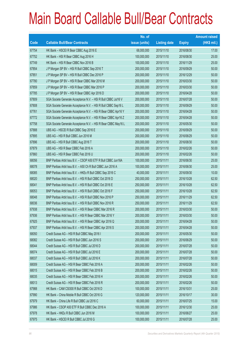|       |                                                                | No. of        |                     |               | <b>Amount raised</b> |
|-------|----------------------------------------------------------------|---------------|---------------------|---------------|----------------------|
| Code  | <b>Callable Bull/Bear Contracts</b>                            | issue (units) | <b>Listing date</b> | <b>Expiry</b> | (HK\$ mil.)          |
| 67754 | HK Bank - HSCEI R Bear CBBC Aug 2016 E                         | 68,000,000    | 2015/11/10          | 2016/08/30    | 17.00                |
| 67752 | HK Bank - HSI R Bear CBBC Aug 2016 H                           | 100,000,000   | 2015/11/10          | 2016/08/30    | 25.00                |
| 67749 | HK Bank - HSI R Bear CBBC Nov 2016 B                           | 100,000,000   | 2015/11/10          | 2016/11/29    | 25.00                |
| 67854 | J P Morgan SP BV - HSI R Bull CBBC Sep 2016 T                  | 200,000,000   | 2015/11/10          | 2016/09/29    | 50.00                |
| 67851 | J P Morgan SP BV - HSI R Bull CBBC Dec 2016 P                  | 200,000,000   | 2015/11/10          | 2016/12/29    | 50.00                |
| 67780 | J P Morgan SP BV - HSI R Bear CBBC Mar 2016 M                  | 200,000,000   | 2015/11/10          | 2016/03/30    | 50.00                |
| 67859 | J P Morgan SP BV - HSI R Bear CBBC Mar 2016 P                  | 200,000,000   | 2015/11/10          | 2016/03/30    | 50.00                |
| 67785 | J P Morgan SP BV - HSI R Bear CBBC Apr 2016 D                  | 200,000,000   | 2015/11/10          | 2016/04/28    | 50.00                |
| 67809 | SGA Societe Generale Acceptance N.V. - HSI R Bull CBBC Jul16 V | 200,000,000   | 2015/11/10          | 2016/07/28    | 50.00                |
| 67808 | SGA Societe Generale Acceptance N.V. - HSI R Bull CBBC Sep16 L | 200,000,000   | 2015/11/10          | 2016/09/29    | 50.00                |
| 67761 | SGA Societe Generale Acceptance N.V. - HSI R Bear CBBC Apr16 Y | 200,000,000   | 2015/11/10          | 2016/04/28    | 50.00                |
| 67772 | SGA Societe Generale Acceptance N.V. - HSI R Bear CBBC Apr16 Z | 200,000,000   | 2015/11/10          | 2016/04/28    | 50.00                |
| 67758 | SGA Societe Generale Acceptance N.V. - HSI R Bear CBBC May16 L | 200,000,000   | 2015/11/10          | 2016/05/30    | 50.00                |
| 67888 | UBS AG - HSCEI R Bull CBBC Sep 2016 E                          | 200,000,000   | 2015/11/10          | 2016/09/29    | 50.00                |
| 67895 | UBS AG - HSI R Bull CBBC Jun 2016 M                            | 200,000,000   | 2015/11/10          | 2016/06/29    | 50.00                |
| 67896 | UBS AG - HSI R Bull CBBC Aug 2016 T                            | 200,000,000   | 2015/11/10          | 2016/08/30    | 50.00                |
| 67879 | UBS AG - HSI R Bear CBBC Feb 2016 A                            | 200,000,000   | 2015/11/10          | 2016/02/26    | 50.00                |
| 67860 | UBS AG - HSI R Bear CBBC Feb 2016 U                            | 200,000,000   | 2015/11/10          | 2016/02/26    | 50.00                |
| 68056 | BNP Paribas Arbit Issu B.V. - CSOP A50 ETF R Bull CBBC Jun16A  | 100,000,000   | 2015/11/11          | 2016/06/30    | 25.00                |
| 68078 | BNP Paribas Arbit Issu B.V. - A50 Ch R Bull CBBC Jun 2016 A    | 100,000,000   | 2015/11/11          | 2016/06/30    | 25.00                |
| 68085 | BNP Paribas Arbit Issu B.V. - HKEx R Bull CBBC Sep 2016 C      | 40,000,000    | 2015/11/11          | 2016/09/30    | 10.00                |
| 68020 | BNP Paribas Arbit Issu B.V. - HSI R Bull CBBC Oct 2016 D       | 250,000,000   | 2015/11/11          | 2016/10/28    | 62.50                |
| 68041 | BNP Paribas Arbit Issu B.V. - HSI R Bull CBBC Oct 2016 E       | 250,000,000   | 2015/11/11          | 2016/10/28    | 62.50                |
| 68053 | BNP Paribas Arbit Issu B.V. - HSI R Bull CBBC Oct 2016 F       | 250,000,000   | 2015/11/11          | 2016/10/28    | 62.50                |
| 68048 | BNP Paribas Arbit Issu B.V. - HSI R Bull CBBC Nov 2016 P       | 250,000,000   | 2015/11/11          | 2016/11/29    | 62.50                |
| 68036 | BNP Paribas Arbit Issu B.V. - HSI R Bull CBBC Nov 2016 R       | 250,000,000   | 2015/11/11          | 2016/11/29    | 62.50                |
| 67938 | BNP Paribas Arbit Issu B.V. - HSI R Bear CBBC Mar 2016 R       | 200,000,000   | 2015/11/11          | 2016/03/30    | 50.00                |
| 67936 | BNP Paribas Arbit Issu B.V. - HSI R Bear CBBC Mar 2016 Y       | 200,000,000   | 2015/11/11          | 2016/03/30    | 50.00                |
| 67925 | BNP Paribas Arbit Issu B.V. - HSI R Bear CBBC Apr 2016 Q       | 200,000,000   | 2015/11/11          | 2016/04/28    | 50.00                |
| 67937 | BNP Paribas Arbit Issu B.V. - HSI R Bear CBBC Apr 2016 S       | 200,000,000   | 2015/11/11          | 2016/04/28    | 50.00                |
| 68050 | Credit Suisse AG - HSI R Bull CBBC May 2016 I                  | 200,000,000   | 2015/11/11          | 2016/05/30    | 50.00                |
| 68082 | Credit Suisse AG - HSI R Bull CBBC Jun 2016 S                  | 200,000,000   | 2015/11/11          | 2016/06/29    | 50.00                |
| 68044 | Credit Suisse AG - HSI R Bull CBBC Jul 2016 D                  | 200,000,000   | 2015/11/11          | 2016/07/28    | 50.00                |
| 68074 | Credit Suisse AG - HSI R Bull CBBC Jul 2016 E                  | 200,000,000   | 2015/11/11          | 2016/07/28    | 50.00                |
| 68037 | Credit Suisse AG - HSI R Bull CBBC Jul 2016 K                  | 200,000,000   | 2015/11/11          | 2016/07/28    | 50.00                |
| 68009 | Credit Suisse AG - HSI R Bear CBBC Feb 2016 A                  | 200,000,000   | 2015/11/11          | 2016/02/26    | 50.00                |
| 68015 | Credit Suisse AG - HSI R Bear CBBC Feb 2016 B                  | 200,000,000   | 2015/11/11          | 2016/02/26    | 50.00                |
| 68035 | Credit Suisse AG - HSI R Bear CBBC Feb 2016 H                  | 200,000,000   | 2015/11/11          | 2016/02/26    | 50.00                |
| 68013 | Credit Suisse AG - HSI R Bear CBBC Feb 2016 R                  | 200,000,000   | 2015/11/11          | 2016/02/26    | 50.00                |
| 67988 | HK Bank - CAM CSI300 R Bull CBBC Oct 2016 D                    | 100,000,000   | 2015/11/11          | 2016/10/31    | 25.00                |
| 67990 | HK Bank - China Mobile R Bull CBBC Oct 2016 G                  | 120,000,000   | 2015/11/11          | 2016/10/17    | 30.00                |
| 67979 | HK Bank - China Life R Bull CBBC Jul 2016 C                    | 60,000,000    | 2015/11/11          | 2016/07/25    | 15.00                |
| 67986 | HK Bank - CSOP A50 ETF R Bull CBBC Dec 2016 A                  | 100,000,000   | 2015/11/11          | 2016/12/30    | 25.00                |
| 67978 | HK Bank - HKEx R Bull CBBC Jun 2016 M                          | 100,000,000   | 2015/11/11          | 2016/06/27    | 25.00                |
| 67975 | HK Bank - HSCEI R Bull CBBC Jul 2016 G                         | 100,000,000   | 2015/11/11          | 2016/07/28    | 25.00                |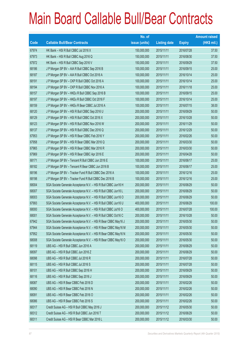|       |                                                                | No. of        |                     |               | <b>Amount raised</b> |
|-------|----------------------------------------------------------------|---------------|---------------------|---------------|----------------------|
| Code  | <b>Callable Bull/Bear Contracts</b>                            | issue (units) | <b>Listing date</b> | <b>Expiry</b> | $(HK$$ mil.)         |
| 67974 | HK Bank - HSI R Bull CBBC Jul 2016 X                           | 150,000,000   | 2015/11/11          | 2016/07/28    | 37.50                |
| 67973 | HK Bank - HSI R Bull CBBC Aug 2016 Q                           | 150,000,000   | 2015/11/11          | 2016/08/30    | 37.50                |
| 67972 | HK Bank - HSI R Bull CBBC Sep 2016 V                           | 150,000,000   | 2015/11/11          | 2016/09/29    | 37.50                |
| 68186 | J P Morgan SP BV - AIA R Bull CBBC Sep 2016 B                  | 100,000,000   | 2015/11/11          | 2016/09/15    | 25.00                |
| 68187 | J P Morgan SP BV - AIA R Bull CBBC Oct 2016 A                  | 100,000,000   | 2015/11/11          | 2016/10/14    | 25.00                |
| 68191 | J P Morgan SP BV - CKP R Bull CBBC Oct 2016 A                  | 100,000,000   | 2015/11/11          | 2016/10/14    | 25.00                |
| 68194 | J P Morgan SP BV - CKP R Bull CBBC Nov 2016 A                  | 100,000,000   | 2015/11/11          | 2016/11/18    | 25.00                |
| 68157 | J P Morgan SP BV - HKEx R Bull CBBC Sep 2016 B                 | 100,000,000   | 2015/11/11          | 2016/09/15    | 25.00                |
| 68197 | J P Morgan SP BV - HKEx R Bull CBBC Oct 2016 F                 | 100,000,000   | 2015/11/11          | 2016/10/14    | 25.00                |
| 68159 | J P Morgan SP BV - HKEx R Bear CBBC Jul 2016 A                 | 100,000,000   | 2015/11/11          | 2016/07/15    | 38.00                |
| 68120 | J P Morgan SP BV - HSI R Bull CBBC Sep 2016 U                  | 200,000,000   | 2015/11/11          | 2016/09/29    | 50.00                |
| 68129 | J P Morgan SP BV - HSI R Bull CBBC Oct 2016 X                  | 200,000,000   | 2015/11/11          | 2016/10/28    | 50.00                |
| 68123 | J P Morgan SP BV - HSI R Bull CBBC Nov 2016 W                  | 200,000,000   | 2015/11/11          | 2016/11/29    | 50.00                |
| 68137 | J P Morgan SP BV - HSI R Bull CBBC Dec 2016 Q                  | 200,000,000   | 2015/11/11          | 2016/12/29    | 50.00                |
| 67953 | J P Morgan SP BV - HSI R Bear CBBC Feb 2016 Y                  | 200,000,000   | 2015/11/11          | 2016/02/26    | 50.00                |
| 67958 | J P Morgan SP BV - HSI R Bear CBBC Mar 2016 Q                  | 200,000,000   | 2015/11/11          | 2016/03/30    | 50.00                |
| 67965 | J P Morgan SP BV - HSI R Bear CBBC Mar 2016 R                  | 200,000,000   | 2015/11/11          | 2016/03/30    | 50.00                |
| 67969 | J P Morgan SP BV - HSI R Bear CBBC Apr 2016 E                  | 200,000,000   | 2015/11/11          | 2016/04/28    | 50.00                |
| 68171 | J P Morgan SP BV - Tencent R Bull CBBC Jun 2016 E              | 100,000,000   | 2015/11/11          | 2016/06/17    | 25.00                |
| 68182 | J P Morgan SP BV - Tencent R Bear CBBC Jun 2016 B              | 100,000,000   | 2015/11/11          | 2016/06/17    | 25.00                |
| 68196 | J P Morgan SP BV - Tracker Fund R Bull CBBC Dec 2016 A         | 100,000,000   | 2015/11/11          | 2016/12/16    | 25.00                |
| 68198 | J P Morgan SP BV - Tracker Fund R Bull CBBC Dec 2016 B         | 100,000,000   | 2015/11/11          | 2016/12/16    | 25.00                |
| 68004 | SGA Societe Generale Acceptance N.V. - HSI R Bull CBBC Jun16 H | 200,000,000   | 2015/11/11          | 2016/06/29    | 50.00                |
| 68007 | SGA Societe Generale Acceptance N.V. - HSI R Bull CBBC Jun16 L | 200,000,000   | 2015/11/11          | 2016/06/29    | 50.00                |
| 68003 | SGA Societe Generale Acceptance N.V. - HSI R Bull CBBC Jun16 O | 200,000,000   | 2015/11/11          | 2016/06/29    | 50.00                |
| 67993 | SGA Societe Generale Acceptance N.V. - HSI R Bull CBBC Jun16 U | 400,000,000   | 2015/11/11          | 2016/06/29    | 100.00               |
| 68000 | SGA Societe Generale Acceptance N.V. - HSI R Bull CBBC Jul16 O | 400,000,000   | 2015/11/11          | 2016/07/28    | 100.00               |
| 68001 | SGA Societe Generale Acceptance N.V. - HSI R Bull CBBC Oct16 C | 200,000,000   | 2015/11/11          | 2016/10/28    | 50.00                |
| 67942 | SGA Societe Generale Acceptance N.V. - HSI R Bear CBBC May16 J | 200,000,000   | 2015/11/11          | 2016/05/30    | 50.00                |
| 67944 | SGA Societe Generale Acceptance N.V. - HSI R Bear CBBC May16 M | 200,000,000   | 2015/11/11          | 2016/05/30    | 50.00                |
| 67952 | SGA Societe Generale Acceptance N.V. - HSI R Bear CBBC May16 N | 200,000,000   | 2015/11/11          | 2016/05/30    | 50.00                |
| 68008 | SGA Societe Generale Acceptance N.V. - HSI R Bear CBBC May16 O | 200,000,000   | 2015/11/11          | 2016/05/30    | 50.00                |
| 68119 | UBS AG - HSI R Bull CBBC Jun 2016 A                            | 200,000,000   | 2015/11/11          | 2016/06/29    | 50.00                |
| 68097 | UBS AG - HSI R Bull CBBC Jun 2016 Z                            | 200,000,000   | 2015/11/11          | 2016/06/29    | 50.00                |
| 68098 | UBS AG - HSI R Bull CBBC Jul 2016 R                            | 200,000,000   | 2015/11/11          | 2016/07/28    | 50.00                |
| 68115 | UBS AG - HSI R Bull CBBC Jul 2016 S                            | 200,000,000   | 2015/11/11          | 2016/07/28    | 50.00                |
| 68101 | UBS AG - HSI R Bull CBBC Sep 2016 H                            | 200,000,000   | 2015/11/11          | 2016/09/29    | 50.00                |
| 68116 | UBS AG - HSI R Bull CBBC Sep 2016 J                            | 200,000,000   | 2015/11/11          | 2016/09/29    | 50.00                |
| 68087 | UBS AG - HSI R Bear CBBC Feb 2016 D                            | 200,000,000   | 2015/11/11          | 2016/02/26    | 50.00                |
| 68090 | UBS AG - HSI R Bear CBBC Feb 2016 N                            | 200,000,000   | 2015/11/11          | 2016/02/26    | 50.00                |
| 68091 | UBS AG - HSI R Bear CBBC Feb 2016 O                            | 200,000,000   | 2015/11/11          | 2016/02/26    | 50.00                |
| 68086 | UBS AG - HSI R Bear CBBC Feb 2016 S                            | 200,000,000   | 2015/11/11          | 2016/02/26    | 50.00                |
| 68317 | Credit Suisse AG - HSI R Bull CBBC May 2016 J                  | 200,000,000   | 2015/11/12          | 2016/05/30    | 50.00                |
| 68312 | Credit Suisse AG - HSI R Bull CBBC Jun 2016 T                  | 200,000,000   | 2015/11/12          | 2016/06/29    | 50.00                |
| 68311 | Credit Suisse AG - HSI R Bear CBBC Mar 2016 L                  | 200,000,000   | 2015/11/12          | 2016/03/30    | 50.00                |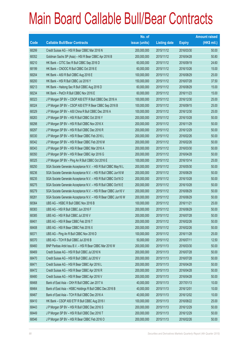|       |                                                                | No. of        |                     |               | <b>Amount raised</b> |
|-------|----------------------------------------------------------------|---------------|---------------------|---------------|----------------------|
| Code  | <b>Callable Bull/Bear Contracts</b>                            | issue (units) | <b>Listing date</b> | <b>Expiry</b> | $(HK$$ mil.)         |
| 68299 | Credit Suisse AG - HSI R Bear CBBC Mar 2016 N                  | 200,000,000   | 2015/11/12          | 2016/03/30    | 50.00                |
| 68352 | Goldman Sachs SP (Asia) - HSI R Bear CBBC Apr 2016 B           | 200,000,000   | 2015/11/12          | 2016/04/28    | 50.80                |
| 68210 | HK Bank - CITIC Sec R Bull CBBC Sep 2016 D                     | 60,000,000    | 2015/11/12          | 2016/09/19    | 24.60                |
| 68199 | HK Bank - CNOOC R Bull CBBC Oct 2016 E                         | 60,000,000    | 2015/11/12          | 2016/10/26    | 15.00                |
| 68204 | HK Bank - A50 R Bull CBBC Aug 2016 E                           | 100,000,000   | 2015/11/12          | 2016/08/29    | 25.00                |
| 68200 | HK Bank - HSI R Bull CBBC Jul 2016 Y                           | 150,000,000   | 2015/11/12          | 2016/07/28    | 37.50                |
| 68213 | HK Bank - Haitong Sec R Bull CBBC Aug 2016 D                   | 60,000,000    | 2015/11/12          | 2016/08/29    | 15.00                |
| 68234 | HK Bank - PetCh R Bull CBBC Nov 2016 E                         | 60,000,000    | 2015/11/12          | 2016/11/23    | 15.00                |
| 68323 | J P Morgan SP BV - CSOP A50 ETF R Bull CBBC Dec 2016 A         | 100,000,000   | 2015/11/12          | 2016/12/30    | 25.00                |
| 68324 | J P Morgan SP BV - CSOP A50 ETF R Bear CBBC Sep 2016 B         | 100,000,000   | 2015/11/12          | 2016/09/15    | 25.00                |
| 68329 | J P Morgan SP BV - A50 China R Bull CBBC Dec 2016 A            | 100,000,000   | 2015/11/12          | 2016/12/30    | 25.00                |
| 68283 | J P Morgan SP BV - HSI R Bull CBBC Oct 2016 Y                  | 200,000,000   | 2015/11/12          | 2016/10/28    | 50.00                |
| 68298 | J P Morgan SP BV - HSI R Bull CBBC Nov 2016 X                  | 200,000,000   | 2015/11/12          | 2016/11/29    | 50.00                |
| 68297 | J P Morgan SP BV - HSI R Bull CBBC Dec 2016 R                  | 200,000,000   | 2015/11/12          | 2016/12/29    | 50.00                |
| 68330 | J P Morgan SP BV - HSI R Bear CBBC Feb 2016 L                  | 200,000,000   | 2015/11/12          | 2016/02/26    | 50.00                |
| 68342 | J P Morgan SP BV - HSI R Bear CBBC Feb 2016 M                  | 200,000,000   | 2015/11/12          | 2016/02/26    | 50.00                |
| 68343 | J P Morgan SP BV - HSI R Bear CBBC Mar 2016 A                  | 200,000,000   | 2015/11/12          | 2016/03/30    | 50.00                |
| 68350 | J P Morgan SP BV - HSI R Bear CBBC Apr 2016 G                  | 200,000,000   | 2015/11/12          | 2016/04/28    | 50.00                |
| 68325 | J P Morgan SP BV - Ping An R Bull CBBC Oct 2016 E              | 100,000,000   | 2015/11/12          | 2016/10/14    | 25.00                |
| 68250 | SGA Societe Generale Acceptance N.V. - HSI R Bull CBBC May16 L | 200,000,000   | 2015/11/12          | 2016/05/30    | 50.00                |
| 68236 | SGA Societe Generale Acceptance N.V. - HSI R Bull CBBC Jun16 M | 200,000,000   | 2015/11/12          | 2016/06/29    | 50.00                |
| 68235 | SGA Societe Generale Acceptance N.V. - HSI R Bull CBBC Oct16 D | 200,000,000   | 2015/11/12          | 2016/10/28    | 50.00                |
| 68275 | SGA Societe Generale Acceptance N.V. - HSI R Bull CBBC Oct16 E | 200,000,000   | 2015/11/12          | 2016/10/28    | 50.00                |
| 68279 | SGA Societe Generale Acceptance N.V. - HSI R Bear CBBC Jun16 V | 200,000,000   | 2015/11/12          | 2016/06/29    | 50.00                |
| 68281 | SGA Societe Generale Acceptance N.V. - HSI R Bear CBBC Jun16 W | 200,000,000   | 2015/11/12          | 2016/06/29    | 50.00                |
| 68364 | UBS AG - HSBC R Bull CBBC Nov 2016 B                           | 100,000,000   | 2015/11/12          | 2016/11/21    | 25.00                |
| 68383 | UBS AG - HSI R Bull CBBC Jun 2016 F                            | 200,000,000   | 2015/11/12          | 2016/06/29    | 50.00                |
| 68385 | UBS AG - HSI R Bull CBBC Jul 2016 V                            | 200,000,000   | 2015/11/12          | 2016/07/28    | 50.00                |
| 68401 | UBS AG - HSI R Bear CBBC Feb 2016 T                            | 200,000,000   | 2015/11/12          | 2016/02/26    | 50.00                |
| 68408 | UBS AG - HSI R Bear CBBC Feb 2016 X                            | 200,000,000   | 2015/11/12          | 2016/02/26    | 50.00                |
| 68371 | UBS AG - Ping An R Bull CBBC Nov 2016 D                        | 100,000,000   | 2015/11/12          | 2016/11/28    | 25.00                |
| 68370 | UBS AG - TCH R Bull CBBC Jul 2016 B                            | 50,000,000    | 2015/11/12          | 2016/07/11    | 12.50                |
| 68460 | BNP Paribas Arbit Issu B.V. - HSI R Bear CBBC Mar 2016 W       | 200,000,000   | 2015/11/13          | 2016/03/30    | 50.00                |
| 68469 | Credit Suisse AG - HSI R Bull CBBC Jul 2016 N                  | 200,000,000   | 2015/11/13          | 2016/07/28    | 50.00                |
| 68470 | Credit Suisse AG - HSI R Bull CBBC Jul 2016 V                  | 200,000,000   | 2015/11/13          | 2016/07/28    | 50.00                |
| 68471 | Credit Suisse AG - HSI R Bear CBBC Apr 2016 L                  | 200,000,000   | 2015/11/13          | 2016/04/28    | 50.00                |
| 68472 | Credit Suisse AG - HSI R Bear CBBC Apr 2016 R                  | 200,000,000   | 2015/11/13          | 2016/04/28    | 50.00                |
| 68480 | Credit Suisse AG - HSI R Bear CBBC Apr 2016 V                  | 200,000,000   | 2015/11/13          | 2016/04/28    | 50.00                |
| 68468 | Bank of East Asia - CKH R Bull CBBC Jan 2017 A                 | 40,000,000    | 2015/11/13          | 2017/01/13    | 10.00                |
| 68464 | Bank of East Asia - HSBC Holdings R Bull CBBC Dec 2016 B       | 40,000,000    | 2015/11/13          | 2016/12/01    | 10.00                |
| 68467 | Bank of East Asia - TCH R Bull CBBC Dec 2016 A                 | 40,000,000    | 2015/11/13          | 2016/12/02    | 10.00                |
| 68410 | HK Bank - CSOP A50 ETF R Bull CBBC Aug 2016 I                  | 100,000,000   | 2015/11/13          | 2016/08/22    | 25.00                |
| 68443 | J P Morgan SP BV - HSI R Bull CBBC Dec 2016 S                  | 200,000,000   | 2015/11/13          | 2016/12/29    | 50.00                |
| 68449 | J P Morgan SP BV - HSI R Bull CBBC Dec 2016 T                  | 200,000,000   | 2015/11/13          | 2016/12/29    | 50.00                |
| 68546 | J P Morgan SP BV - HSI R Bear CBBC Feb 2016 O                  | 200,000,000   | 2015/11/13          | 2016/02/26    | 50.00                |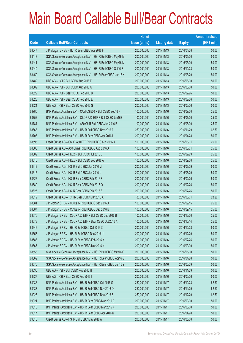|       |                                                                | No. of        |                     |               | <b>Amount raised</b> |
|-------|----------------------------------------------------------------|---------------|---------------------|---------------|----------------------|
| Code  | <b>Callable Bull/Bear Contracts</b>                            | issue (units) | <b>Listing date</b> | <b>Expiry</b> | $(HK$$ mil.)         |
| 68547 | J P Morgan SP BV - HSI R Bear CBBC Apr 2016 F                  | 200,000,000   | 2015/11/13          | 2016/04/28    | 50.00                |
| 68418 | SGA Societe Generale Acceptance N.V. - HSI R Bull CBBC May16 M | 200,000,000   | 2015/11/13          | 2016/05/30    | 50.00                |
| 68441 | SGA Societe Generale Acceptance N.V. - HSI R Bull CBBC May16 N | 200,000,000   | 2015/11/13          | 2016/05/30    | 50.00                |
| 68440 | SGA Societe Generale Acceptance N.V. - HSI R Bull CBBC Oct16 F | 200,000,000   | 2015/11/13          | 2016/10/28    | 50.00                |
| 68459 | SGA Societe Generale Acceptance N.V. - HSI R Bear CBBC Jun16 X | 200,000,000   | 2015/11/13          | 2016/06/29    | 50.00                |
| 68482 | UBS AG - HSI R Bull CBBC Aug 2016 F                            | 200,000,000   | 2015/11/13          | 2016/08/30    | 50.00                |
| 68509 | UBS AG - HSI R Bull CBBC Aug 2016 G                            | 200,000,000   | 2015/11/13          | 2016/08/30    | 50.00                |
| 68522 | UBS AG - HSI R Bear CBBC Feb 2016 B                            | 200,000,000   | 2015/11/13          | 2016/02/26    | 50.00                |
| 68523 | UBS AG - HSI R Bear CBBC Feb 2016 E                            | 200,000,000   | 2015/11/13          | 2016/02/26    | 50.00                |
| 68524 | UBS AG - HSI R Bear CBBC Feb 2016 G                            | 200,000,000   | 2015/11/13          | 2016/02/26    | 50.00                |
| 68785 | BNP Paribas Arbit Issu B.V. - CAM CSI300 R Bull CBBC Sep16 F   | 100,000,000   | 2015/11/16          | 2016/09/30    | 25.00                |
| 68752 | BNP Paribas Arbit Issu B.V. - CSOP A50 ETF R Bull CBBC Jun16B  | 100,000,000   | 2015/11/16          | 2016/06/30    | 25.00                |
| 68784 | BNP Paribas Arbit Issu B.V. - A50 Ch R Bull CBBC Jun 2016 B    | 100,000,000   | 2015/11/16          | 2016/06/30    | 25.00                |
| 68663 | BNP Paribas Arbit Issu B.V. - HSI R Bull CBBC Nov 2016 A       | 250,000,000   | 2015/11/16          | 2016/11/29    | 62.50                |
| 68703 | BNP Paribas Arbit Issu B.V. - HSI R Bear CBBC Apr 2016 L       | 200,000,000   | 2015/11/16          | 2016/04/28    | 50.00                |
| 68595 | Credit Suisse AG - CSOP A50 ETF R Bull CBBC Aug 2016 A         | 100,000,000   | 2015/11/16          | 2016/08/31    | 25.00                |
| 68603 | Credit Suisse AG - A50 China R Bull CBBC Aug 2016 A            | 100,000,000   | 2015/11/16          | 2016/08/31    | 25.00                |
| 68609 | Credit Suisse AG - HKEx R Bull CBBC Jul 2016 B                 | 100,000,000   | 2015/11/16          | 2016/07/29    | 25.00                |
| 68610 | Credit Suisse AG - HKEx R Bull CBBC Sep 2016 A                 | 100,000,000   | 2015/11/16          | 2016/09/30    | 25.00                |
| 68619 | Credit Suisse AG - HSI R Bull CBBC Jun 2016 M                  | 200,000,000   | 2015/11/16          | 2016/06/29    | 50.00                |
| 68615 | Credit Suisse AG - HSI R Bull CBBC Jun 2016 U                  | 200,000,000   | 2015/11/16          | 2016/06/29    | 50.00                |
| 68626 | Credit Suisse AG - HSI R Bear CBBC Feb 2016 F                  | 200,000,000   | 2015/11/16          | 2016/02/26    | 50.00                |
| 68589 | Credit Suisse AG - HSI R Bear CBBC Feb 2016 O                  | 200,000,000   | 2015/11/16          | 2016/02/26    | 50.00                |
| 68625 | Credit Suisse AG - HSI R Bear CBBC Feb 2016 S                  | 200,000,000   | 2015/11/16          | 2016/02/26    | 50.00                |
| 68612 | Credit Suisse AG - TCH R Bear CBBC Mar 2016 A                  | 80,000,000    | 2015/11/16          | 2016/03/31    | 23.20                |
| 68681 | J P Morgan SP BV - CC Bank R Bull CBBC Sep 2016 A              | 100,000,000   | 2015/11/16          | 2016/09/15    | 25.00                |
| 68687 | J P Morgan SP BV - CC Bank R Bull CBBC Sep 2016 B              | 100,000,000   | 2015/11/16          | 2016/09/15    | 25.00                |
| 68676 | JP Morgan SP BV - CSOP A50 ETF R Bull CBBC Dec 2016 B          | 100,000,000   | 2015/11/16          | 2016/12/30    | 25.00                |
| 68678 | J P Morgan SP BV - CSOP A50 ETF R Bear CBBC Oct 2016 A         | 100,000,000   | 2015/11/16          | 2016/10/14    | 25.00                |
| 68646 | J P Morgan SP BV - HSI R Bull CBBC Oct 2016 Z                  | 200,000,000   | 2015/11/16          | 2016/10/28    | 50.00                |
| 68653 | J P Morgan SP BV - HSI R Bull CBBC Dec 2016 U                  | 200,000,000   | 2015/11/16          | 2016/12/29    | 50.00                |
| 68583 | J P Morgan SP BV - HSI R Bear CBBC Feb 2016 X                  | 200,000,000   | 2015/11/16          | 2016/02/26    | 50.00                |
| 68667 | J P Morgan SP BV - HSI R Bear CBBC Mar 2016 N                  | 200,000,000   | 2015/11/16          | 2016/03/30    | 50.00                |
| 68553 | SGA Societe Generale Acceptance N.V. - HSI R Bull CBBC May16 O | 200,000,000   | 2015/11/16          | 2016/05/30    | 50.00                |
| 68569 | SGA Societe Generale Acceptance N.V. - HSI R Bear CBBC Apr16 G | 200,000,000   | 2015/11/16          | 2016/04/28    | 50.00                |
| 68570 | SGA Societe Generale Acceptance N.V. - HSI R Bear CBBC Jun16 Y | 200,000,000   | 2015/11/16          | 2016/06/29    | 50.00                |
| 68635 | UBS AG - HSI R Bull CBBC Nov 2016 H                            | 200,000,000   | 2015/11/16          | 2016/11/29    | 50.00                |
| 68627 | UBS AG - HSI R Bear CBBC Feb 2016 I                            | 200,000,000   | 2015/11/16          | 2016/02/26    | 50.00                |
| 68936 | BNP Paribas Arbit Issu B.V. - HSI R Bull CBBC Oct 2016 G       | 250,000,000   | 2015/11/17          | 2016/10/28    | 62.50                |
| 68933 | BNP Paribas Arbit Issu B.V. - HSI R Bull CBBC Nov 2016 Q       | 250,000,000   | 2015/11/17          | 2016/11/29    | 62.50                |
| 68928 | BNP Paribas Arbit Issu B.V. - HSI R Bull CBBC Dec 2016 Z       | 250,000,000   | 2015/11/17          | 2016/12/29    | 62.50                |
| 69021 | BNP Paribas Arbit Issu B.V. - HSI R Bear CBBC Mar 2016 B       | 200,000,000   | 2015/11/17          | 2016/03/30    | 50.00                |
| 69016 | BNP Paribas Arbit Issu B.V. - HSI R Bear CBBC Mar 2016 X       | 200,000,000   | 2015/11/17          | 2016/03/30    | 50.00                |
| 69017 | BNP Paribas Arbit Issu B.V. - HSI R Bear CBBC Apr 2016 N       | 200,000,000   | 2015/11/17          | 2016/04/28    | 50.00                |
| 69010 | Credit Suisse AG - HSI R Bull CBBC May 2016 A                  | 200,000,000   | 2015/11/17          | 2016/05/30    | 50.00                |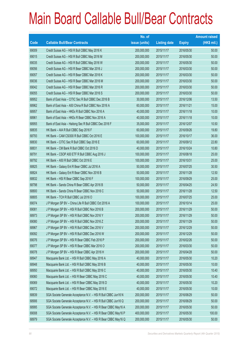|       |                                                                | No. of        |                     |               | <b>Amount raised</b> |
|-------|----------------------------------------------------------------|---------------|---------------------|---------------|----------------------|
| Code  | <b>Callable Bull/Bear Contracts</b>                            | issue (units) | <b>Listing date</b> | <b>Expiry</b> | $(HK$$ mil.)         |
| 69009 | Credit Suisse AG - HSI R Bull CBBC May 2016 K                  | 200,000,000   | 2015/11/17          | 2016/05/30    | 50.00                |
| 69015 | Credit Suisse AG - HSI R Bull CBBC May 2016 M                  | 200,000,000   | 2015/11/17          | 2016/05/30    | 50.00                |
| 69035 | Credit Suisse AG - HSI R Bull CBBC May 2016 W                  | 200,000,000   | 2015/11/17          | 2016/05/30    | 50.00                |
| 69056 | Credit Suisse AG - HSI R Bear CBBC Mar 2016 J                  | 200,000,000   | 2015/11/17          | 2016/03/30    | 50.00                |
| 69057 | Credit Suisse AG - HSI R Bear CBBC Mar 2016 K                  | 200,000,000   | 2015/11/17          | 2016/03/30    | 50.00                |
| 69036 | Credit Suisse AG - HSI R Bear CBBC Mar 2016 M                  | 200,000,000   | 2015/11/17          | 2016/03/30    | 50.00                |
| 69042 | Credit Suisse AG - HSI R Bear CBBC Mar 2016 R                  | 200,000,000   | 2015/11/17          | 2016/03/30    | 50.00                |
| 69055 | Credit Suisse AG - HSI R Bear CBBC Mar 2016 S                  | 200,000,000   | 2015/11/17          | 2016/03/30    | 50.00                |
| 68952 | Bank of East Asia - CITIC Sec R Bull CBBC Dec 2016 B           | 30,000,000    | 2015/11/17          | 2016/12/06    | 13.50                |
| 68962 | Bank of East Asia - A50 China R Bull CBBC Nov 2016 A           | 60,000,000    | 2015/11/17          | 2016/11/21    | 15.00                |
| 68957 | Bank of East Asia - HKEx R Bull CBBC Nov 2016 A                | 40,000,000    | 2015/11/17          | 2016/11/18    | 10.00                |
| 68961 | Bank of East Asia - HKEx R Bear CBBC Nov 2016 A                | 40,000,000    | 2015/11/17          | 2016/11/18    | 10.00                |
| 68955 | Bank of East Asia - Haitong Sec R Bull CBBC Dec 2016 F         | 35,000,000    | 2015/11/17          | 2016/12/07    | 10.50                |
| 68835 | HK Bank - AIA R Bull CBBC Sep 2016 F                           | 60,000,000    | 2015/11/17          | 2016/09/26    | 19.80                |
| 68793 | HK Bank - CAM CSI300 R Bull CBBC Oct 2016 E                    | 100,000,000   | 2015/11/17          | 2016/10/17    | 36.00                |
| 68830 | HK Bank - CITIC Sec R Bull CBBC Sep 2016 E                     | 60,000,000    | 2015/11/17          | 2016/09/12    | 22.80                |
| 68831 | HK Bank - CM Bank R Bull CBBC Oct 2016 D                       | 40,000,000    | 2015/11/17          | 2016/10/24    | 10.80                |
| 68791 | HK Bank - CSOP A50 ETF R Bull CBBC Aug 2016 J                  | 100,000,000   | 2015/11/17          | 2016/08/18    | 25.00                |
| 68792 | HK Bank - A50 R Bull CBBC Oct 2016 E                           | 100,000,000   | 2015/11/17          | 2016/10/31    | 25.00                |
| 68825 | HK Bank - Galaxy Ent R Bear CBBC Jul 2016 A                    | 50,000,000    | 2015/11/17          | 2016/07/25    | 30.50                |
| 68824 | HK Bank - Galaxy Ent R Bear CBBC Nov 2016 B                    | 50,000,000    | 2015/11/17          | 2016/11/28    | 12.50                |
| 68832 | HK Bank - HSI R Bear CBBC Sep 2016 F                           | 100,000,000   | 2015/11/17          | 2016/09/29    | 25.00                |
| 68798 | HK Bank - Sands China R Bear CBBC Apr 2016 B                   | 50,000,000    | 2015/11/17          | 2016/04/25    | 24.50                |
| 68800 | HK Bank - Sands China R Bear CBBC Nov 2016 C                   | 50,000,000    | 2015/11/17          | 2016/11/28    | 12.50                |
| 68805 | HK Bank - TCH R Bull CBBC Jul 2016 O                           | 100,000,000   | 2015/11/17          | 2016/07/25    | 25.00                |
| 69074 | J P Morgan SP BV - China Life R Bull CBBC Oct 2016 A           | 100,000,000   | 2015/11/17          | 2016/10/14    | 25.00                |
| 69081 | J P Morgan SP BV - HSI R Bull CBBC Nov 2016 B                  | 200,000,000   | 2015/11/17          | 2016/11/29    | 50.00                |
| 68973 | J P Morgan SP BV - HSI R Bull CBBC Nov 2016 Y                  | 200,000,000   | 2015/11/17          | 2016/11/29    | 50.00                |
| 69080 | J P Morgan SP BV - HSI R Bull CBBC Nov 2016 Z                  | 200,000,000   | 2015/11/17          | 2016/11/29    | 50.00                |
| 68967 | J P Morgan SP BV - HSI R Bull CBBC Dec 2016 V                  | 200,000,000   | 2015/11/17          | 2016/12/29    | 50.00                |
| 69092 | J P Morgan SP BV - HSI R Bull CBBC Dec 2016 W                  | 200,000,000   | 2015/11/17          | 2016/12/29    | 50.00                |
| 69076 | J P Morgan SP BV - HSI R Bear CBBC Feb 2016 P                  | 200,000,000   | 2015/11/17          | 2016/02/26    | 50.00                |
| 69077 | J P Morgan SP BV - HSI R Bear CBBC Mar 2016 O                  | 200,000,000   | 2015/11/17          | 2016/03/30    | 50.00                |
| 69078 | J P Morgan SP BV - HSI R Bear CBBC Apr 2016 H                  | 200,000,000   | 2015/11/17          | 2016/04/28    | 50.00                |
| 68947 | Macquarie Bank Ltd. - HSI R Bull CBBC May 2016 A               | 40,000,000    | 2015/11/17          | 2016/05/30    | 10.20                |
| 68948 | Macquarie Bank Ltd. - HSI R Bull CBBC May 2016 B               | 40,000,000    | 2015/11/17          | 2016/05/30    | 10.00                |
| 68950 | Macquarie Bank Ltd. - HSI R Bull CBBC May 2016 C               | 40,000,000    | 2015/11/17          | 2016/05/30    | 10.40                |
| 69060 | Macquarie Bank Ltd. - HSI R Bear CBBC May 2016 C               | 40,000,000    | 2015/11/17          | 2016/05/30    | 10.40                |
| 69069 | Macquarie Bank Ltd. - HSI R Bear CBBC May 2016 D               | 40,000,000    | 2015/11/17          | 2016/05/30    | 10.20                |
| 69072 | Macquarie Bank Ltd. - HSI R Bear CBBC May 2016 E               | 40,000,000    | 2015/11/17          | 2016/05/30    | 10.00                |
| 68839 | SGA Societe Generale Acceptance N.V. - HSI R Bull CBBC Jun16 N | 200,000,000   | 2015/11/17          | 2016/06/29    | 50.00                |
| 68906 | SGA Societe Generale Acceptance N.V. - HSI R Bull CBBC Jun16 Q | 200,000,000   | 2015/11/17          | 2016/06/29    | 50.00                |
| 68995 | SGA Societe Generale Acceptance N.V. - HSI R Bear CBBC May16 A | 200,000,000   | 2015/11/17          | 2016/05/30    | 50.00                |
| 69008 | SGA Societe Generale Acceptance N.V. - HSI R Bear CBBC May16 P | 400,000,000   | 2015/11/17          | 2016/05/30    | 100.00               |
| 68979 | SGA Societe Generale Acceptance N.V. - HSI R Bear CBBC May16 Q | 200,000,000   | 2015/11/17          | 2016/05/30    | 50.00                |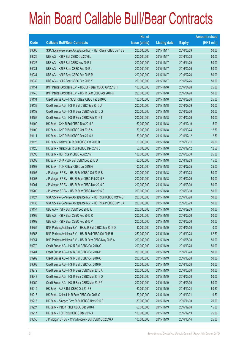|       |                                                                | No. of        |                     |               | <b>Amount raised</b> |
|-------|----------------------------------------------------------------|---------------|---------------------|---------------|----------------------|
| Code  | <b>Callable Bull/Bear Contracts</b>                            | issue (units) | <b>Listing date</b> | <b>Expiry</b> | $(HK$$ mil.)         |
| 69006 | SGA Societe Generale Acceptance N.V. - HSI R Bear CBBC Jun16 Z | 200,000,000   | 2015/11/17          | 2016/06/29    | 50.00                |
| 69025 | UBS AG - HSI R Bull CBBC Oct 2016 L                            | 200,000,000   | 2015/11/17          | 2016/10/28    | 50.00                |
| 69027 | UBS AG - HSI R Bull CBBC Nov 2016 I                            | 200,000,000   | 2015/11/17          | 2016/11/29    | 50.00                |
| 69031 | UBS AG - HSI R Bear CBBC Feb 2016 J                            | 200,000,000   | 2015/11/17          | 2016/02/26    | 50.00                |
| 69034 | UBS AG - HSI R Bear CBBC Feb 2016 M                            | 200,000,000   | 2015/11/17          | 2016/02/26    | 50.00                |
| 69032 | UBS AG - HSI R Bear CBBC Feb 2016 Y                            | 200,000,000   | 2015/11/17          | 2016/02/26    | 50.00                |
| 69154 | BNP Paribas Arbit Issu B.V. - HSCEI R Bear CBBC Apr 2016 H     | 100,000,000   | 2015/11/18          | 2016/04/28    | 25.00                |
| 69140 | BNP Paribas Arbit Issu B.V. - HSI R Bear CBBC Apr 2016 X       | 200,000,000   | 2015/11/18          | 2016/04/28    | 50.00                |
| 69134 | Credit Suisse AG - HSCEI R Bear CBBC Feb 2016 C                | 100,000,000   | 2015/11/18          | 2016/02/26    | 25.00                |
| 69138 | Credit Suisse AG - HSI R Bull CBBC Sep 2016 U                  | 200,000,000   | 2015/11/18          | 2016/09/29    | 50.00                |
| 69139 | Credit Suisse AG - HSI R Bear CBBC Feb 2016 Q                  | 200,000,000   | 2015/11/18          | 2016/02/26    | 50.00                |
| 69156 | Credit Suisse AG - HSI R Bear CBBC Feb 2016 T                  | 200,000,000   | 2015/11/18          | 2016/02/26    | 50.00                |
| 69100 | HK Bank - CKH R Bull CBBC Dec 2016 A                           | 60,000,000    | 2015/11/18          | 2016/12/19    | 15.00                |
| 69109 | HK Bank - CKP R Bull CBBC Oct 2016 A                           | 50,000,000    | 2015/11/18          | 2016/10/24    | 12.50                |
| 69111 | HK Bank - CKP R Bull CBBC Dec 2016 A                           | 50,000,000    | 2015/11/18          | 2016/12/12    | 12.50                |
| 69126 | HK Bank - Galaxy Ent R Bull CBBC Oct 2016 D                    | 50,000,000    | 2015/11/18          | 2016/10/31    | 26.50                |
| 69125 | HK Bank - Galaxy Ent R Bull CBBC Dec 2016 C                    | 50,000,000    | 2015/11/18          | 2016/12/12    | 12.50                |
| 69093 | HK Bank - HSI R Bear CBBC Aug 2016 I                           | 100,000,000   | 2015/11/18          | 2016/08/30    | 25.00                |
| 69098 | HK Bank - SHK Ppt R Bull CBBC Dec 2016 D                       | 60,000,000    | 2015/11/18          | 2016/12/23    | 15.00                |
| 69102 | HK Bank - TCH R Bear CBBC Jul 2016 G                           | 100,000,000   | 2015/11/18          | 2016/07/25    | 25.00                |
| 69195 | J P Morgan SP BV - HSI R Bull CBBC Oct 2016 B                  | 200,000,000   | 2015/11/18          | 2016/10/28    | 50.00                |
| 69203 | J P Morgan SP BV - HSI R Bear CBBC Feb 2016 R                  | 200,000,000   | 2015/11/18          | 2016/02/26    | 50.00                |
| 69201 | J P Morgan SP BV - HSI R Bear CBBC Mar 2016 C                  | 200,000,000   | 2015/11/18          | 2016/03/30    | 50.00                |
| 69200 | J P Morgan SP BV - HSI R Bear CBBC Mar 2016 S                  | 200,000,000   | 2015/11/18          | 2016/03/30    | 50.00                |
| 69127 | SGA Societe Generale Acceptance N.V. - HSI R Bull CBBC Oct16 G | 200,000,000   | 2015/11/18          | 2016/10/28    | 50.00                |
| 69133 | SGA Societe Generale Acceptance N.V. - HSI R Bear CBBC Jun16 A | 200,000,000   | 2015/11/18          | 2016/06/29    | 50.00                |
| 69157 | UBS AG - HSI R Bull CBBC Sep 2016 K                            | 200,000,000   | 2015/11/18          | 2016/09/29    | 50.00                |
| 69168 | UBS AG - HSI R Bear CBBC Feb 2016 R                            | 200,000,000   | 2015/11/18          | 2016/02/26    | 50.00                |
| 69169 | UBS AG - HSI R Bear CBBC Feb 2016 V                            | 200,000,000   | 2015/11/18          | 2016/02/26    | 50.00                |
| 69355 | BNP Paribas Arbit Issu B.V. - HKEx R Bull CBBC Sep 2016 D      | 40,000,000    | 2015/11/19          | 2016/09/30    | 10.00                |
| 69353 | BNP Paribas Arbit Issu B.V. - HSI R Bull CBBC Oct 2016 H       | 250,000,000   | 2015/11/19          | 2016/10/28    | 62.50                |
| 69354 | BNP Paribas Arbit Issu B.V. - HSI R Bear CBBC May 2016 A       | 200,000,000   | 2015/11/19          | 2016/05/30    | 50.00                |
| 69279 | Credit Suisse AG - HSI R Bull CBBC Oct 2016 O                  | 200,000,000   | 2015/11/19          | 2016/10/28    | 50.00                |
| 69281 | Credit Suisse AG - HSI R Bull CBBC Oct 2016 P                  | 200,000,000   | 2015/11/19          | 2016/10/28    | 50.00                |
| 69282 | Credit Suisse AG - HSI R Bull CBBC Oct 2016 Q                  | 200,000,000   | 2015/11/19          | 2016/10/28    | 50.00                |
| 69303 | Credit Suisse AG - HSI R Bull CBBC Oct 2016 R                  | 200,000,000   | 2015/11/19          | 2016/10/28    | 50.00                |
| 69272 | Credit Suisse AG - HSI R Bear CBBC Mar 2016 A                  | 200,000,000   | 2015/11/19          | 2016/03/30    | 50.00                |
| 69243 | Credit Suisse AG - HSI R Bear CBBC Mar 2016 O                  | 200,000,000   | 2015/11/19          | 2016/03/30    | 50.00                |
| 69250 | Credit Suisse AG - HSI R Bear CBBC Mar 2016 P                  | 200,000,000   | 2015/11/19          | 2016/03/30    | 50.00                |
| 69219 | HK Bank - AIA R Bull CBBC Oct 2016 E                           | 60,000,000    | 2015/11/19          | 2016/10/24    | 60.60                |
| 69218 | HK Bank - China Life R Bear CBBC Oct 2016 C                    | 50,000,000    | 2015/11/19          | 2016/10/31    | 19.50                |
| 69213 | HK Bank - Sinopec Corp R Bull CBBC Nov 2016 D                  | 80,000,000    | 2015/11/19          | 2016/11/30    | 20.00                |
| 69227 | HK Bank - PetCh R Bull CBBC Dec 2016 F                         | 60,000,000    | 2015/11/19          | 2016/12/08    | 15.00                |
| 69217 | HK Bank - TCH R Bull CBBC Dec 2016 A                           | 100,000,000   | 2015/11/19          | 2016/12/19    | 25.00                |
| 69356 | J P Morgan SP BV - China Mobile R Bull CBBC Oct 2016 A         | 100,000,000   | 2015/11/19          | 2016/10/14    | 25.00                |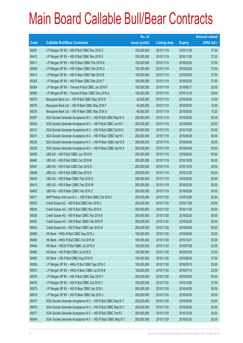|       |                                                                | No. of        |                     |               | <b>Amount raised</b> |
|-------|----------------------------------------------------------------|---------------|---------------------|---------------|----------------------|
| Code  | <b>Callable Bull/Bear Contracts</b>                            | issue (units) | <b>Listing date</b> | <b>Expiry</b> | (HK\$ mil.)          |
| 69391 | J P Morgan SP BV - HSI R Bull CBBC Nov 2016 C                  | 150,000,000   | 2015/11/19          | 2016/11/29    | 37.50                |
| 69410 | J P Morgan SP BV - HSI R Bull CBBC Nov 2016 E                  | 150,000,000   | 2015/11/19          | 2016/11/29    | 37.50                |
| 69411 | J P Morgan SP BV - HSI R Bear CBBC Feb 2016 N                  | 150,000,000   | 2015/11/19          | 2016/02/26    | 37.50                |
| 69304 | J P Morgan SP BV - HSI R Bear CBBC Feb 2016 Q                  | 150,000,000   | 2015/11/19          | 2016/02/26    | 37.50                |
| 69415 | J P Morgan SP BV - HSI R Bear CBBC Mar 2016 B                  | 150,000,000   | 2015/11/19          | 2016/03/30    | 37.50                |
| 69305 | J P Morgan SP BV - HSI R Bear CBBC Mar 2016 T                  | 150,000,000   | 2015/11/19          | 2016/03/30    | 37.50                |
| 69364 | J P Morgan SP BV - Tencent R Bull CBBC Jun 2016 F              | 100,000,000   | 2015/11/19          | 2016/06/17    | 25.00                |
| 69366 | J P Morgan SP BV - Tencent R Bear CBBC Dec 2016 A              | 100,000,000   | 2015/11/19          | 2016/12/16    | 28.00                |
| 69275 | Macquarie Bank Ltd. - HSI R Bull CBBC May 2016 D               | 40,000,000    | 2015/11/19          | 2016/05/30    | 10.00                |
| 69276 | Macquarie Bank Ltd. - HSI R Bear CBBC May 2016 F               | 40,000,000    | 2015/11/19          | 2016/05/30    | 10.00                |
| 69278 | Macquarie Bank Ltd. - HSI R Bear CBBC May 2016 G               | 40,000,000    | 2015/11/19          | 2016/05/30    | 10.20                |
| 69307 | SGA Societe Generale Acceptance N.V. - HSI R Bull CBBC May16 X | 200,000,000   | 2015/11/19          | 2016/05/30    | 50.00                |
| 69342 | SGA Societe Generale Acceptance N.V. - HSI R Bull CBBC Jun16 V | 200,000,000   | 2015/11/19          | 2016/06/29    | 50.00                |
| 69312 | SGA Societe Generale Acceptance N.V. - HSI R Bull CBBC Oct16 H | 200,000,000   | 2015/11/19          | 2016/10/28    | 50.00                |
| 69231 | SGA Societe Generale Acceptance N.V. - HSI R Bear CBBC Apr16 I | 200,000,000   | 2015/11/19          | 2016/04/28    | 50.00                |
| 69236 | SGA Societe Generale Acceptance N.V. - HSI R Bear CBBC Apr16 S | 200,000,000   | 2015/11/19          | 2016/04/28    | 50.00                |
| 69230 | SGA Societe Generale Acceptance N.V. - HSI R Bear CBBC Apr16 X | 200,000,000   | 2015/11/19          | 2016/04/28    | 50.00                |
| 69459 | UBS AG - HSI R Bull CBBC Jun 2016 N                            | 200,000,000   | 2015/11/19          | 2016/06/29    | 50.00                |
| 69460 | UBS AG - HSI R Bull CBBC Oct 2016 M                            | 200,000,000   | 2015/11/19          | 2016/10/28    | 50.00                |
| 69457 | UBS AG - HSI R Bull CBBC Dec 2016 D                            | 200,000,000   | 2015/11/19          | 2016/12/29    | 50.00                |
| 69458 | UBS AG - HSI R Bull CBBC Dec 2016 E                            | 200,000,000   | 2015/11/19          | 2016/12/29    | 50.00                |
| 69454 | UBS AG - HSI R Bear CBBC Feb 2016 Q                            | 200,000,000   | 2015/11/19          | 2016/02/26    | 50.00                |
| 69419 | UBS AG - HSI R Bear CBBC Feb 2016 W                            | 200,000,000   | 2015/11/19          | 2016/02/26    | 50.00                |
| 69455 | UBS AG - HSI R Bear CBBC Feb 2016 Z                            | 200,000,000   | 2015/11/19          | 2016/02/26    | 50.00                |
| 69517 | BNP Paribas Arbit Issu B.V. - HSI R Bull CBBC Oct 2016 I       | 250,000,000   | 2015/11/20          | 2016/10/28    | 62.50                |
| 69523 | Credit Suisse AG - HSI R Bull CBBC Nov 2016 J                  | 200,000,000   | 2015/11/20          | 2016/11/29    | 50.00                |
| 69524 | Credit Suisse AG - HSI R Bull CBBC Nov 2016 K                  | 200,000,000   | 2015/11/20          | 2016/11/29    | 50.00                |
| 69526 | Credit Suisse AG - HSI R Bear CBBC Feb 2016 A                  | 200,000,000   | 2015/11/20          | 2016/02/26    | 50.00                |
| 69530 | Credit Suisse AG - HSI R Bear CBBC Feb 2016 R                  | 200,000,000   | 2015/11/20          | 2016/02/26    | 50.00                |
| 69542 | Credit Suisse AG - HSI R Bear CBBC Apr 2016 W                  | 200,000,000   | 2015/11/20          | 2016/04/28    | 50.00                |
| 69466 | HK Bank - HKEx R Bull CBBC Sep 2016 J                          | 100,000,000   | 2015/11/20          | 2016/09/26    | 25.00                |
| 69465 | HK Bank - HKEx R Bull CBBC Oct 2016 M                          | 100,000,000   | 2015/11/20          | 2016/10/21    | 25.00                |
| 69464 | HK Bank - HSCEI R Bull CBBC Jul 2016 H                         | 100,000,000   | 2015/11/20          | 2016/07/28    | 25.00                |
| 69462 | HK Bank - HSI R Bull CBBC Jul 2016 Z                           | 150,000,000   | 2015/11/20          | 2016/07/28    | 37.50                |
| 69463 | HK Bank - HSI R Bull CBBC Aug 2016 R                           | 150,000,000   | 2015/11/20          | 2016/08/30    | 37.50                |
| 69559 | J P Morgan SP BV - HKEx R Bull CBBC Sep 2016 C                 | 100,000,000   | 2015/11/20          | 2016/09/15    | 25.00                |
| 69570 | J P Morgan SP BV - HKEx R Bear CBBC Jul 2016 B                 | 100,000,000   | 2015/11/20          | 2016/07/15    | 25.00                |
| 69579 | J P Morgan SP BV - HSI R Bull CBBC Sep 2016 V                  | 200,000,000   | 2015/11/20          | 2016/09/29    | 50.00                |
| 69478 | J P Morgan SP BV - HSI R Bull CBBC Oct 2016 C                  | 150,000,000   | 2015/11/20          | 2016/10/28    | 37.50                |
| 69573 | J P Morgan SP BV - HSI R Bear CBBC Apr 2016 I                  | 200,000,000   | 2015/11/20          | 2016/04/28    | 50.00                |
| 69578 | J P Morgan SP BV - HSI R Bear CBBC Apr 2016 J                  | 200,000,000   | 2015/11/20          | 2016/04/28    | 50.00                |
| 69473 | SGA Societe Generale Acceptance N.V. - HSI R Bull CBBC May16 T | 200,000,000   | 2015/11/20          | 2016/05/30    | 50.00                |
| 69476 | SGA Societe Generale Acceptance N.V. - HSI R Bull CBBC May16 U | 200,000,000   | 2015/11/20          | 2016/05/30    | 50.00                |
| 69477 | SGA Societe Generale Acceptance N.V. - HSI R Bull CBBC Oct16 I | 200,000,000   | 2015/11/20          | 2016/10/28    | 50.00                |
| 69549 | SGA Societe Generale Acceptance N.V. - HSI R Bear CBBC May16 T | 200,000,000   | 2015/11/20          | 2016/05/30    | 50.00                |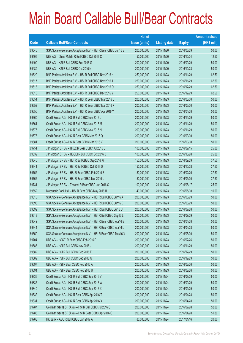|             |                                                                | No. of        |                     |               | <b>Amount raised</b> |
|-------------|----------------------------------------------------------------|---------------|---------------------|---------------|----------------------|
| <b>Code</b> | <b>Callable Bull/Bear Contracts</b>                            | issue (units) | <b>Listing date</b> | <b>Expiry</b> | $(HK$$ mil.)         |
| 69546       | SGA Societe Generale Acceptance N.V. - HSI R Bear CBBC Jun16 B | 200,000,000   | 2015/11/20          | 2016/06/29    | 50.00                |
| 69505       | UBS AG - China Mobile R Bull CBBC Oct 2016 C                   | 50,000,000    | 2015/11/20          | 2016/10/24    | 12.50                |
| 69490       | UBS AG - HSI R Bull CBBC Sep 2016 G                            | 200,000,000   | 2015/11/20          | 2016/09/29    | 50.00                |
| 69489       | UBS AG - HSI R Bull CBBC Oct 2016 N                            | 200,000,000   | 2015/11/20          | 2016/10/28    | 50.00                |
| 69629       | BNP Paribas Arbit Issu B.V. - HSI R Bull CBBC Nov 2016 H       | 250,000,000   | 2015/11/23          | 2016/11/29    | 62.50                |
| 69617       | BNP Paribas Arbit Issu B.V. - HSI R Bull CBBC Nov 2016 J       | 250,000,000   | 2015/11/23          | 2016/11/29    | 62.50                |
| 69618       | BNP Paribas Arbit Issu B.V. - HSI R Bull CBBC Dec 2016 O       | 250,000,000   | 2015/11/23          | 2016/12/29    | 62.50                |
| 69616       | BNP Paribas Arbit Issu B.V. - HSI R Bull CBBC Dec 2016 Y       | 250,000,000   | 2015/11/23          | 2016/12/29    | 62.50                |
| 69654       | BNP Paribas Arbit Issu B.V. - HSI R Bear CBBC Mar 2016 C       | 200,000,000   | 2015/11/23          | 2016/03/30    | 50.00                |
| 69659       | BNP Paribas Arbit Issu B.V. - HSI R Bear CBBC Mar 2016 P       | 200,000,000   | 2015/11/23          | 2016/03/30    | 50.00                |
| 69656       | BNP Paribas Arbit Issu B.V. - HSI R Bear CBBC Apr 2016 Y       | 200,000,000   | 2015/11/23          | 2016/04/28    | 50.00                |
| 69660       | Credit Suisse AG - HSI R Bull CBBC Nov 2016 L                  | 200,000,000   | 2015/11/23          | 2016/11/29    | 50.00                |
| 69661       | Credit Suisse AG - HSI R Bull CBBC Nov 2016 M                  | 200,000,000   | 2015/11/23          | 2016/11/29    | 50.00                |
| 69676       | Credit Suisse AG - HSI R Bull CBBC Nov 2016 N                  | 200,000,000   | 2015/11/23          | 2016/11/29    | 50.00                |
| 69678       | Credit Suisse AG - HSI R Bear CBBC Mar 2016 Q                  | 200,000,000   | 2015/11/23          | 2016/03/30    | 50.00                |
| 69681       | Credit Suisse AG - HSI R Bear CBBC Mar 2016 V                  | 200,000,000   | 2015/11/23          | 2016/03/30    | 50.00                |
| 69751       | J P Morgan SP BV - HKEx R Bear CBBC Jul 2016 C                 | 100,000,000   | 2015/11/23          | 2016/07/15    | 25.00                |
| 69639       | J P Morgan SP BV - HSCEI R Bull CBBC Oct 2016 B                | 100,000,000   | 2015/11/23          | 2016/10/28    | 25.00                |
| 69640       | J P Morgan SP BV - HSI R Bull CBBC Sep 2016 W                  | 150,000,000   | 2015/11/23          | 2016/09/29    | 37.50                |
| 69641       | J P Morgan SP BV - HSI R Bull CBBC Oct 2016 D                  | 150,000,000   | 2015/11/23          | 2016/10/28    | 37.50                |
| 69752       | JP Morgan SP BV - HSI R Bear CBBC Feb 2016 S                   | 150,000,000   | 2015/11/23          | 2016/02/26    | 37.50                |
| 69762       | J P Morgan SP BV - HSI R Bear CBBC Mar 2016 U                  | 150,000,000   | 2015/11/23          | 2016/03/30    | 37.50                |
| 69731       | J P Morgan SP BV - Tencent R Bear CBBC Jun 2016 C              | 100,000,000   | 2015/11/23          | 2016/06/17    | 25.00                |
| 69652       | Macquarie Bank Ltd. - HSI R Bear CBBC May 2016 H               | 40,000,000    | 2015/11/23          | 2016/05/30    | 10.00                |
| 69615       | SGA Societe Generale Acceptance N.V. - HSI R Bull CBBC Jun16 A | 200,000,000   | 2015/11/23          | 2016/06/29    | 50.00                |
| 69598       | SGA Societe Generale Acceptance N.V. - HSI R Bull CBBC Jun16 D | 200,000,000   | 2015/11/23          | 2016/06/29    | 50.00                |
| 69599       | SGA Societe Generale Acceptance N.V. - HSI R Bull CBBC Jul16 U | 200,000,000   | 2015/11/23          | 2016/07/28    | 50.00                |
| 69613       | SGA Societe Generale Acceptance N.V. - HSI R Bull CBBC Sep16 L | 200,000,000   | 2015/11/23          | 2016/09/29    | 50.00                |
| 69642       | SGA Societe Generale Acceptance N.V. - HSI R Bear CBBC Apr16 E | 200,000,000   | 2015/11/23          | 2016/04/28    | 50.00                |
| 69644       | SGA Societe Generale Acceptance N.V. - HSI R Bear CBBC Apr16 L | 200,000,000   | 2015/11/23          | 2016/04/28    | 50.00                |
| 69650       | SGA Societe Generale Acceptance N.V. - HSI R Bear CBBC May16 X | 200,000,000   | 2015/11/23          | 2016/05/30    | 50.00                |
| 69704       | UBS AG - HSCEI R Bear CBBC Feb 2016 D                          | 200,000,000   | 2015/11/23          | 2016/02/26    | 50.00                |
| 69683       | UBS AG - HSI R Bull CBBC Nov 2016 J                            | 200,000,000   | 2015/11/23          | 2016/11/29    | 50.00                |
| 69682       | UBS AG - HSI R Bull CBBC Dec 2016 F                            | 200,000,000   | 2015/11/23          | 2016/12/29    | 50.00                |
| 69689       | UBS AG - HSI R Bull CBBC Dec 2016 G                            | 200,000,000   | 2015/11/23          | 2016/12/29    | 50.00                |
| 69697       | UBS AG - HSI R Bear CBBC Feb 2016 A                            | 200,000,000   | 2015/11/23          | 2016/02/26    | 50.00                |
| 69694       | UBS AG - HSI R Bear CBBC Feb 2016 U                            | 200,000,000   | 2015/11/23          | 2016/02/26    | 50.00                |
| 69836       | Credit Suisse AG - HSI R Bull CBBC Sep 2016 V                  | 200,000,000   | 2015/11/24          | 2016/09/29    | 50.00                |
| 69837       | Credit Suisse AG - HSI R Bull CBBC Sep 2016 W                  | 200,000,000   | 2015/11/24          | 2016/09/29    | 50.00                |
| 69840       | Credit Suisse AG - HSI R Bull CBBC Sep 2016 X                  | 200,000,000   | 2015/11/24          | 2016/09/29    | 50.00                |
| 69832       | Credit Suisse AG - HSI R Bear CBBC Apr 2016 T                  | 200,000,000   | 2015/11/24          | 2016/04/28    | 50.00                |
| 69831       | Credit Suisse AG - HSI R Bear CBBC Apr 2016 X                  | 200,000,000   | 2015/11/24          | 2016/04/28    | 50.00                |
| 69787       | Goldman Sachs SP (Asia) - HSI R Bull CBBC Jul 2016 C           | 200,000,000   | 2015/11/24          | 2016/07/28    | 52.00                |
| 69788       | Goldman Sachs SP (Asia) - HSI R Bear CBBC Apr 2016 C           | 200,000,000   | 2015/11/24          | 2016/04/28    | 51.80                |
| 69768       | HK Bank - ABC R Bull CBBC Jan 2017 A                           | 80,000,000    | 2015/11/24          | 2017/01/16    | 20.00                |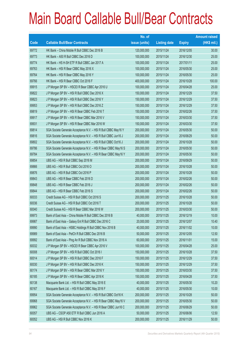|       |                                                                | No. of        |                     |               | <b>Amount raised</b> |
|-------|----------------------------------------------------------------|---------------|---------------------|---------------|----------------------|
| Code  | <b>Callable Bull/Bear Contracts</b>                            | issue (units) | <b>Listing date</b> | <b>Expiry</b> | $(HK$$ mil.)         |
| 69772 | HK Bank - China Mobile R Bull CBBC Dec 2016 B                  | 120,000,000   | 2015/11/24          | 2016/12/05    | 30.00                |
| 69773 | HK Bank - A50 R Bull CBBC Dec 2016 D                           | 100,000,000   | 2015/11/24          | 2016/12/30    | 25.00                |
| 69774 | HK Bank - HS H-SH ETF R Bull CBBC Jan 2017 A                   | 100,000,000   | 2015/11/24          | 2017/01/11    | 25.00                |
| 69763 | HK Bank - HSI R Bear CBBC May 2016 X                           | 100,000,000   | 2015/11/24          | 2016/05/30    | 25.00                |
| 69764 | HK Bank - HSI R Bear CBBC May 2016 Y                           | 100,000,000   | 2015/11/24          | 2016/05/30    | 25.00                |
| 69766 | HK Bank - HSI R Bear CBBC Oct 2016 F                           | 400,000,000   | 2015/11/24          | 2016/10/28    | 100.00               |
| 69915 | J P Morgan SP BV - HSCEI R Bear CBBC Apr 2016 U                | 100,000,000   | 2015/11/24          | 2016/04/28    | 25.00                |
| 69822 | J P Morgan SP BV - HSI R Bull CBBC Dec 2016 X                  | 150,000,000   | 2015/11/24          | 2016/12/29    | 37.50                |
| 69823 | J P Morgan SP BV - HSI R Bull CBBC Dec 2016 Y                  | 150,000,000   | 2015/11/24          | 2016/12/29    | 37.50                |
| 69953 | J P Morgan SP BV - HSI R Bull CBBC Dec 2016 Z                  | 150,000,000   | 2015/11/24          | 2016/12/29    | 37.50                |
| 69819 | J P Morgan SP BV - HSI R Bear CBBC Feb 2016 T                  | 150,000,000   | 2015/11/24          | 2016/02/26    | 37.50                |
| 69917 | J P Morgan SP BV - HSI R Bear CBBC Mar 2016 V                  | 150,000,000   | 2015/11/24          | 2016/03/30    | 37.50                |
| 69931 | J P Morgan SP BV - HSI R Bear CBBC Mar 2016 W                  | 150,000,000   | 2015/11/24          | 2016/03/30    | 37.50                |
| 69814 | SGA Societe Generale Acceptance N.V. - HSI R Bull CBBC May16 Y | 200,000,000   | 2015/11/24          | 2016/05/30    | 50.00                |
| 69816 | SGA Societe Generale Acceptance N.V. - HSI R Bull CBBC Jun16 J | 200,000,000   | 2015/11/24          | 2016/06/29    | 50.00                |
| 69802 | SGA Societe Generale Acceptance N.V. - HSI R Bull CBBC Oct16 J | 200,000,000   | 2015/11/24          | 2016/10/28    | 50.00                |
| 69786 | SGA Societe Generale Acceptance N.V. - HSI R Bear CBBC May16 S | 200,000,000   | 2015/11/24          | 2016/05/30    | 50.00                |
| 69784 | SGA Societe Generale Acceptance N.V. - HSI R Bear CBBC May16 Y | 200,000,000   | 2015/11/24          | 2016/05/30    | 50.00                |
| 69854 | UBS AG - HSI R Bull CBBC Sep 2016 M                            | 200,000,000   | 2015/11/24          | 2016/09/29    | 50.00                |
| 69866 | UBS AG - HSI R Bull CBBC Oct 2016 O                            | 200,000,000   | 2015/11/24          | 2016/10/28    | 50.00                |
| 69876 | UBS AG - HSI R Bull CBBC Oct 2016 P                            | 200,000,000   | 2015/11/24          | 2016/10/28    | 50.00                |
| 69843 | UBS AG - HSI R Bear CBBC Feb 2016 D                            | 200,000,000   | 2015/11/24          | 2016/02/26    | 50.00                |
| 69848 | UBS AG - HSI R Bear CBBC Feb 2016 J                            | 200,000,000   | 2015/11/24          | 2016/02/26    | 50.00                |
| 69844 | UBS AG - HSI R Bear CBBC Feb 2016 S                            | 200,000,000   | 2015/11/24          | 2016/02/26    | 50.00                |
| 60033 | Credit Suisse AG - HSI R Bull CBBC Oct 2016 S                  | 200,000,000   | 2015/11/25          | 2016/10/28    | 50.00                |
| 60036 | Credit Suisse AG - HSI R Bull CBBC Oct 2016 T                  | 200,000,000   | 2015/11/25          | 2016/10/28    | 50.00                |
| 60040 | Credit Suisse AG - HSI R Bear CBBC Mar 2016 W                  | 200,000,000   | 2015/11/25          | 2016/03/30    | 50.00                |
| 69973 | Bank of East Asia - China Mobile R Bull CBBC Dec 2016 B        | 40,000,000    | 2015/11/25          | 2016/12/19    | 10.00                |
| 69987 | Bank of East Asia - Galaxy Ent R Bull CBBC Dec 2016 C          | 20,000,000    | 2015/11/25          | 2016/12/07    | 10.40                |
| 69990 | Bank of East Asia - HSBC Holdings R Bull CBBC Nov 2016 B       | 40,000,000    | 2015/11/25          | 2016/11/02    | 10.00                |
| 69989 | Bank of East Asia - PetCh R Bull CBBC Dec 2016 B               | 50,000,000    | 2015/11/25          | 2016/12/05    | 12.50                |
| 69992 | Bank of East Asia - Ping An R Bull CBBC Nov 2016 A             | 60,000,000    | 2015/11/25          | 2016/11/01    | 15.00                |
| 60032 | J P Morgan SP BV - HSCEI R Bear CBBC Apr 2016 V                | 100,000,000   | 2015/11/25          | 2016/04/28    | 25.00                |
| 60008 | J P Morgan SP BV - HSI R Bull CBBC Oct 2016 I                  | 150,000,000   | 2015/11/25          | 2016/10/28    | 37.50                |
| 60014 | J P Morgan SP BV - HSI R Bull CBBC Dec 2016 F                  | 150,000,000   | 2015/11/25          | 2016/12/29    | 37.50                |
| 60030 | J P Morgan SP BV - HSI R Bull CBBC Dec 2016 K                  | 150,000,000   | 2015/11/25          | 2016/12/29    | 37.50                |
| 60174 | J P Morgan SP BV - HSI R Bear CBBC Mar 2016 Y                  | 150,000,000   | 2015/11/25          | 2016/03/30    | 37.50                |
| 60185 | J P Morgan SP BV - HSI R Bear CBBC Apr 2016 K                  | 150,000,000   | 2015/11/25          | 2016/04/28    | 37.50                |
| 60138 | Macquarie Bank Ltd. - HSI R Bull CBBC May 2016 E               | 40,000,000    | 2015/11/25          | 2016/05/30    | 10.20                |
| 60167 | Macquarie Bank Ltd. - HSI R Bull CBBC May 2016 F               | 40,000,000    | 2015/11/25          | 2016/05/30    | 10.00                |
| 69954 | SGA Societe Generale Acceptance N.V. - HSI R Bull CBBC Oct16 K | 200,000,000   | 2015/11/25          | 2016/10/28    | 50.00                |
| 69968 | SGA Societe Generale Acceptance N.V. - HSI R Bear CBBC May16 V | 200,000,000   | 2015/11/25          | 2016/05/30    | 50.00                |
| 69962 | SGA Societe Generale Acceptance N.V. - HSI R Bear CBBC Jun16 C | 200,000,000   | 2015/11/25          | 2016/06/29    | 50.00                |
| 60057 | UBS AG - CSOP A50 ETF R Bull CBBC Jun 2016 A                   | 50,000,000    | 2015/11/25          | 2016/06/06    | 12.50                |
| 60052 | UBS AG - HSI R Bull CBBC Nov 2016 K                            | 200,000,000   | 2015/11/25          | 2016/11/29    | 50.00                |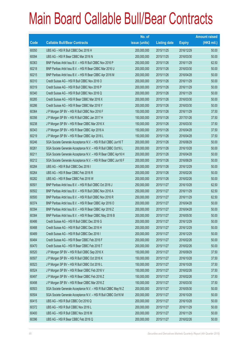|       |                                                                | No. of        |                     |               | <b>Amount raised</b> |
|-------|----------------------------------------------------------------|---------------|---------------------|---------------|----------------------|
| Code  | <b>Callable Bull/Bear Contracts</b>                            | issue (units) | <b>Listing date</b> | <b>Expiry</b> | $(HK$$ mil.)         |
| 60050 | UBS AG - HSI R Bull CBBC Dec 2016 H                            | 200,000,000   | 2015/11/25          | 2016/12/29    | 50.00                |
| 60094 | UBS AG - HSI R Bear CBBC Mar 2016 N                            | 200,000,000   | 2015/11/25          | 2016/03/30    | 50.00                |
| 60363 | BNP Paribas Arbit Issu B.V. - HSI R Bull CBBC Nov 2016 P       | 250,000,000   | 2015/11/26          | 2016/11/29    | 62.50                |
| 60218 | BNP Paribas Arbit Issu B.V. - HSI R Bear CBBC Mar 2016 U       | 200,000,000   | 2015/11/26          | 2016/03/30    | 50.00                |
| 60215 | BNP Paribas Arbit Issu B.V. - HSI R Bear CBBC Apr 2016 M       | 200,000,000   | 2015/11/26          | 2016/04/28    | 50.00                |
| 60310 | Credit Suisse AG - HSI R Bull CBBC Nov 2016 O                  | 200,000,000   | 2015/11/26          | 2016/11/29    | 50.00                |
| 60319 | Credit Suisse AG - HSI R Bull CBBC Nov 2016 P                  | 200,000,000   | 2015/11/26          | 2016/11/29    | 50.00                |
| 60340 | Credit Suisse AG - HSI R Bull CBBC Nov 2016 Q                  | 200,000,000   | 2015/11/26          | 2016/11/29    | 50.00                |
| 60285 | Credit Suisse AG - HSI R Bear CBBC Mar 2016 X                  | 200,000,000   | 2015/11/26          | 2016/03/30    | 50.00                |
| 60286 | Credit Suisse AG - HSI R Bear CBBC Mar 2016 Y                  | 200,000,000   | 2015/11/26          | 2016/03/30    | 50.00                |
| 60364 | J P Morgan SP BV - HSI R Bull CBBC Nov 2016 F                  | 150,000,000   | 2015/11/26          | 2016/11/29    | 37.50                |
| 60356 | J P Morgan SP BV - HSI R Bull CBBC Jan 2017 H                  | 150,000,000   | 2015/11/26          | 2017/01/26    | 37.50                |
| 60238 | J P Morgan SP BV - HSI R Bear CBBC Mar 2016 X                  | 150,000,000   | 2015/11/26          | 2016/03/30    | 37.50                |
| 60343 | JP Morgan SP BV - HSI R Bear CBBC Apr 2016 A                   | 150,000,000   | 2015/11/26          | 2016/04/28    | 37.50                |
| 60219 | J P Morgan SP BV - HSI R Bear CBBC Apr 2016 L                  | 150,000,000   | 2015/11/26          | 2016/04/28    | 37.50                |
| 60246 | SGA Societe Generale Acceptance N.V. - HSI R Bull CBBC Jun16 T | 200,000,000   | 2015/11/26          | 2016/06/29    | 50.00                |
| 60261 | SGA Societe Generale Acceptance N.V. - HSI R Bull CBBC Oct16 L | 200,000,000   | 2015/11/26          | 2016/10/28    | 50.00                |
| 60211 | SGA Societe Generale Acceptance N.V. - HSI R Bear CBBC Apr16 H | 200,000,000   | 2015/11/26          | 2016/04/28    | 50.00                |
| 60212 | SGA Societe Generale Acceptance N.V. - HSI R Bear CBBC Jun16 F | 200,000,000   | 2015/11/26          | 2016/06/29    | 50.00                |
| 60284 | UBS AG - HSI R Bull CBBC Dec 2016 I                            | 200,000,000   | 2015/11/26          | 2016/12/29    | 50.00                |
| 60264 | UBS AG - HSI R Bear CBBC Feb 2016 R                            | 200,000,000   | 2015/11/26          | 2016/02/26    | 50.00                |
| 60282 | UBS AG - HSI R Bear CBBC Feb 2016 W                            | 200,000,000   | 2015/11/26          | 2016/02/26    | 50.00                |
| 60501 | BNP Paribas Arbit Issu B.V. - HSI R Bull CBBC Oct 2016 J       | 250,000,000   | 2015/11/27          | 2016/10/28    | 62.50                |
| 60502 | BNP Paribas Arbit Issu B.V. - HSI R Bull CBBC Nov 2016 A       | 250,000,000   | 2015/11/27          | 2016/11/29    | 62.50                |
| 60500 | BNP Paribas Arbit Issu B.V. - HSI R Bull CBBC Nov 2016 R       | 250,000,000   | 2015/11/27          | 2016/11/29    | 62.50                |
| 60374 | BNP Paribas Arbit Issu B.V. - HSI R Bear CBBC Apr 2016 O       | 200,000,000   | 2015/11/27          | 2016/04/28    | 50.00                |
| 60394 | BNP Paribas Arbit Issu B.V. - HSI R Bear CBBC Apr 2016 Z       | 200,000,000   | 2015/11/27          | 2016/04/28    | 50.00                |
| 60384 | BNP Paribas Arbit Issu B.V. - HSI R Bear CBBC May 2016 B       | 200,000,000   | 2015/11/27          | 2016/05/30    | 50.00                |
| 60486 | Credit Suisse AG - HSI R Bull CBBC Dec 2016 G                  | 200,000,000   | 2015/11/27          | 2016/12/29    | 50.00                |
| 60488 | Credit Suisse AG - HSI R Bull CBBC Dec 2016 H                  | 200,000,000   | 2015/11/27          | 2016/12/29    | 50.00                |
| 60489 | Credit Suisse AG - HSI R Bull CBBC Dec 2016 I                  | 200,000,000   | 2015/11/27          | 2016/12/29    | 50.00                |
| 60484 | Credit Suisse AG - HSI R Bear CBBC Feb 2016 F                  | 200,000,000   | 2015/11/27          | 2016/02/26    | 50.00                |
| 60470 | Credit Suisse AG - HSI R Bear CBBC Feb 2016 T                  | 200,000,000   | 2015/11/27          | 2016/02/26    | 50.00                |
| 60520 | J P Morgan SP BV - HSI R Bull CBBC Sep 2016 X                  | 150,000,000   | 2015/11/27          | 2016/09/29    | 37.50                |
| 60507 | J P Morgan SP BV - HSI R Bull CBBC Oct 2016 K                  | 150,000,000   | 2015/11/27          | 2016/10/28    | 37.50                |
| 60523 | J P Morgan SP BV - HSI R Bull CBBC Oct 2016 L                  | 150,000,000   | 2015/11/27          | 2016/10/28    | 37.50                |
| 60524 | J P Morgan SP BV - HSI R Bear CBBC Feb 2016 V                  | 150,000,000   | 2015/11/27          | 2016/02/26    | 37.50                |
| 60497 | JP Morgan SP BV - HSIR Bear CBBC Feb 2016 Z                    | 150,000,000   | 2015/11/27          | 2016/02/26    | 37.50                |
| 60498 | J P Morgan SP BV - HSI R Bear CBBC Mar 2016 Z                  | 150,000,000   | 2015/11/27          | 2016/03/30    | 37.50                |
| 60503 | SGA Societe Generale Acceptance N.V. - HSI R Bull CBBC May16 Z | 200,000,000   | 2015/11/27          | 2016/05/30    | 50.00                |
| 60504 | SGA Societe Generale Acceptance N.V. - HSI R Bull CBBC Oct16 M | 200,000,000   | 2015/11/27          | 2016/10/28    | 50.00                |
| 60415 | UBS AG - HSI R Bull CBBC Oct 2016 Q                            | 200,000,000   | 2015/11/27          | 2016/10/28    | 50.00                |
| 60372 | UBS AG - HSI R Bull CBBC Nov 2016 L                            | 200,000,000   | 2015/11/27          | 2016/11/29    | 50.00                |
| 60400 | UBS AG - HSI R Bull CBBC Nov 2016 M                            | 200,000,000   | 2015/11/27          | 2016/11/29    | 50.00                |
| 60396 | UBS AG - HSI R Bear CBBC Feb 2016 Q                            | 200,000,000   | 2015/11/27          | 2016/02/26    | 50.00                |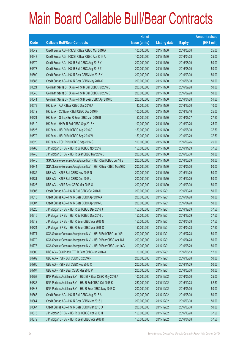|       |                                                                | No. of        |                     |               | <b>Amount raised</b> |
|-------|----------------------------------------------------------------|---------------|---------------------|---------------|----------------------|
| Code  | <b>Callable Bull/Bear Contracts</b>                            | issue (units) | <b>Listing date</b> | <b>Expiry</b> | $(HK$$ mil.)         |
| 60642 | Credit Suisse AG - HSCEI R Bear CBBC Mar 2016 A                | 100,000,000   | 2015/11/30          | 2016/03/30    | 25.00                |
| 60643 | Credit Suisse AG - HSCEI R Bear CBBC Apr 2016 A                | 100,000,000   | 2015/11/30          | 2016/04/28    | 25.00                |
| 60670 | Credit Suisse AG - HSI R Bull CBBC Aug 2016 Y                  | 200,000,000   | 2015/11/30          | 2016/08/30    | 50.00                |
| 60673 | Credit Suisse AG - HSI R Bull CBBC Aug 2016 Z                  | 200,000,000   | 2015/11/30          | 2016/08/30    | 50.00                |
| 60699 | Credit Suisse AG - HSI R Bear CBBC Mar 2016 K                  | 200,000,000   | 2015/11/30          | 2016/03/30    | 50.00                |
| 60683 | Credit Suisse AG - HSI R Bear CBBC May 2016 S                  | 200,000,000   | 2015/11/30          | 2016/05/30    | 50.00                |
| 60624 | Goldman Sachs SP (Asia) - HSI R Bull CBBC Jul 2016 D           | 200,000,000   | 2015/11/30          | 2016/07/28    | 50.00                |
| 60640 | Goldman Sachs SP (Asia) - HSI R Bull CBBC Jul 2016 E           | 200,000,000   | 2015/11/30          | 2016/07/28    | 50.00                |
| 60641 | Goldman Sachs SP (Asia) - HSI R Bear CBBC Apr 2016 D           | 200,000,000   | 2015/11/30          | 2016/04/28    | 51.60                |
| 60573 | HK Bank - AIA R Bear CBBC Dec 2016 A                           | 40,000,000    | 2015/11/30          | 2016/12/30    | 10.00                |
| 60612 | HK Bank - CC Bank R Bull CBBC Dec 2016 F                       | 100,000,000   | 2015/11/30          | 2016/12/16    | 25.00                |
| 60621 | HK Bank - Galaxy Ent R Bear CBBC Jun 2016 B                    | 50,000,000    | 2015/11/30          | 2016/06/27    | 27.50                |
| 60610 | HK Bank - HKEx R Bull CBBC Sep 2016 K                          | 100,000,000   | 2015/11/30          | 2016/09/26    | 25.00                |
| 60526 | HK Bank - HSI R Bull CBBC Aug 2016 S                           | 150,000,000   | 2015/11/30          | 2016/08/30    | 37.50                |
| 60572 | HK Bank - HSI R Bull CBBC Sep 2016 W                           | 150,000,000   | 2015/11/30          | 2016/09/29    | 37.50                |
| 60620 | HK Bank - TCH R Bull CBBC Sep 2016 G                           | 100,000,000   | 2015/11/30          | 2016/09/26    | 25.00                |
| 60768 | J P Morgan SP BV - HSI R Bull CBBC Nov 2016 I                  | 150,000,000   | 2015/11/30          | 2016/11/29    | 37.50                |
| 60746 | J P Morgan SP BV - HSI R Bear CBBC Mar 2016 D                  | 200,000,000   | 2015/11/30          | 2016/03/30    | 50.00                |
| 60740 | SGA Societe Generale Acceptance N.V. - HSI R Bull CBBC Jun16 B | 200,000,000   | 2015/11/30          | 2016/06/29    | 50.00                |
| 60744 | SGA Societe Generale Acceptance N.V. - HSI R Bear CBBC May16 D | 200,000,000   | 2015/11/30          | 2016/05/30    | 50.00                |
| 60732 | UBS AG - HSI R Bull CBBC Nov 2016 N                            | 200,000,000   | 2015/11/30          | 2016/11/29    | 50.00                |
| 60731 | UBS AG - HSI R Bull CBBC Dec 2016 J                            | 200,000,000   | 2015/11/30          | 2016/12/29    | 50.00                |
| 60723 | UBS AG - HSI R Bear CBBC Mar 2016 O                            | 200,000,000   | 2015/11/30          | 2016/03/30    | 50.00                |
| 60806 | Credit Suisse AG - HSI R Bull CBBC Oct 2016 U                  | 200,000,000   | 2015/12/01          | 2016/10/28    | 50.00                |
| 60813 | Credit Suisse AG - HSI R Bear CBBC Apr 2016 A                  | 200,000,000   | 2015/12/01          | 2016/04/28    | 50.00                |
| 60807 | Credit Suisse AG - HSI R Bear CBBC Apr 2016 U                  | 200,000,000   | 2015/12/01          | 2016/04/28    | 50.00                |
| 60820 | J P Morgan SP BV - HSI R Bull CBBC Dec 2016 J                  | 150,000,000   | 2015/12/01          | 2016/12/29    | 37.50                |
| 60816 | J P Morgan SP BV - HSI R Bull CBBC Dec 2016 L                  | 150,000,000   | 2015/12/01          | 2016/12/29    | 37.50                |
| 60819 | J P Morgan SP BV - HSI R Bear CBBC Apr 2016 N                  | 150,000,000   | 2015/12/01          | 2016/04/28    | 37.50                |
| 60824 | J P Morgan SP BV - HSI R Bear CBBC Apr 2016 O                  | 150,000,000   | 2015/12/01          | 2016/04/28    | 37.50                |
| 60774 | SGA Societe Generale Acceptance N.V. - HSI R Bull CBBC Jul 16R | 200,000,000   | 2015/12/01          | 2016/07/28    | 50.00                |
| 60779 | SGA Societe Generale Acceptance N.V. - HSI R Bear CBBC Apr 16J | 200,000,000   | 2015/12/01          | 2016/04/28    | 50.00                |
| 60778 | SGA Societe Generale Acceptance N.V. - HSI R Bear CBBC Jun 16G | 200,000,000   | 2015/12/01          | 2016/06/29    | 50.00                |
| 60800 | UBS AG - CSOP A50 ETF R Bear CBBC Jun 2016 A                   | 50,000,000    | 2015/12/01          | 2016/06/13    | 12.50                |
| 60789 | UBS AG - HSI R Bull CBBC Oct 2016 R                            | 200,000,000   | 2015/12/01          | 2016/10/28    | 50.00                |
| 60780 | UBS AG - HSI R Bull CBBC Nov 2016 O                            | 200,000,000   | 2015/12/01          | 2016/11/29    | 50.00                |
| 60797 | UBS AG - HSI R Bear CBBC Mar 2016 P                            | 200,000,000   | 2015/12/01          | 2016/03/30    | 50.00                |
| 60853 | BNP Paribas Arbit Issu B.V. - HSCEI R Bear CBBC May 2016 A     | 100,000,000   | 2015/12/02          | 2016/05/30    | 25.00                |
| 60836 | BNP Paribas Arbit Issu B.V. - HSI R Bull CBBC Oct 2016 K       | 250,000,000   | 2015/12/02          | 2016/10/28    | 62.50                |
| 60848 | BNP Paribas Arbit Issu B.V. - HSI R Bear CBBC May 2016 C       | 200,000,000   | 2015/12/02          | 2016/05/30    | 50.00                |
| 60863 | Credit Suisse AG - HSI R Bull CBBC Aug 2016 A                  | 200,000,000   | 2015/12/02          | 2016/08/30    | 50.00                |
| 60864 | Credit Suisse AG - HSI R Bear CBBC Mar 2016 J                  | 200,000,000   | 2015/12/02          | 2016/03/30    | 50.00                |
| 60867 | Credit Suisse AG - HSI R Bear CBBC Mar 2016 O                  | 200,000,000   | 2015/12/02          | 2016/03/30    | 50.00                |
| 60876 | J P Morgan SP BV - HSI R Bull CBBC Oct 2016 H                  | 150,000,000   | 2015/12/02          | 2016/10/28    | 37.50                |
| 60879 | J P Morgan SP BV - HSI R Bear CBBC Apr 2016 R                  | 150,000,000   | 2015/12/02          | 2016/04/28    | 37.50                |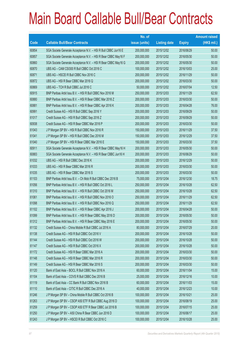|             |                                                                | No. of        |                     |               | <b>Amount raised</b> |
|-------------|----------------------------------------------------------------|---------------|---------------------|---------------|----------------------|
| <b>Code</b> | <b>Callable Bull/Bear Contracts</b>                            | issue (units) | <b>Listing date</b> | <b>Expiry</b> | (HK\$ mil.)          |
| 60854       | SGA Societe Generale Acceptance N.V. - HSI R Bull CBBC Jun16 E | 200,000,000   | 2015/12/02          | 2016/06/29    | 50.00                |
| 60857       | SGA Societe Generale Acceptance N.V. - HSI R Bear CBBC May16 F | 200,000,000   | 2015/12/02          | 2016/05/30    | 50.00                |
| 60860       | SGA Societe Generale Acceptance N.V. - HSI R Bear CBBC May16 G | 200,000,000   | 2015/12/02          | 2016/05/30    | 50.00                |
| 60870       | UBS AG - CAM CSI300 R Bull CBBC Oct 2016 C                     | 100,000,000   | 2015/12/02          | 2016/10/03    | 25.00                |
| 60871       | UBS AG - HSCEI R Bull CBBC Nov 2016 C                          | 200,000,000   | 2015/12/02          | 2016/11/29    | 50.00                |
| 60872       | UBS AG - HSI R Bear CBBC Mar 2016 Q                            | 200,000,000   | 2015/12/02          | 2016/03/30    | 50.00                |
| 60869       | UBS AG - TCH R Bull CBBC Jul 2016 C                            | 50,000,000    | 2015/12/02          | 2016/07/04    | 12.50                |
| 60915       | BNP Paribas Arbit Issu B.V. - HSI R Bull CBBC Nov 2016 M       | 250,000,000   | 2015/12/03          | 2016/11/29    | 62.50                |
| 60880       | BNP Paribas Arbit Issu B.V. - HSI R Bear CBBC Mar 2016 Z       | 200,000,000   | 2015/12/03          | 2016/03/30    | 50.00                |
| 60881       | BNP Paribas Arbit Issu B.V. - HSI R Bear CBBC Apr 2016 K       | 200,000,000   | 2015/12/03          | 2016/04/28    | 76.00                |
| 60991       | Credit Suisse AG - HSI R Bull CBBC Sep 2016 Y                  | 200,000,000   | 2015/12/03          | 2016/09/29    | 50.00                |
| 61017       | Credit Suisse AG - HSI R Bull CBBC Sep 2016 Z                  | 200,000,000   | 2015/12/03          | 2016/09/29    | 50.00                |
| 60938       | Credit Suisse AG - HSI R Bear CBBC Mar 2016 P                  | 200,000,000   | 2015/12/03          | 2016/03/30    | 50.00                |
| 61043       | J P Morgan SP BV - HSI R Bull CBBC Nov 2016 R                  | 150,000,000   | 2015/12/03          | 2016/11/29    | 37.50                |
| 61041       | J P Morgan SP BV - HSI R Bull CBBC Dec 2016 M                  | 150,000,000   | 2015/12/03          | 2016/12/29    | 37.50                |
| 61040       | J P Morgan SP BV - HSI R Bear CBBC Mar 2016 E                  | 150,000,000   | 2015/12/03          | 2016/03/30    | 37.50                |
| 60911       | SGA Societe Generale Acceptance N.V. - HSI R Bear CBBC May16 H | 200,000,000   | 2015/12/03          | 2016/05/30    | 50.00                |
| 60883       | SGA Societe Generale Acceptance N.V. - HSI R Bear CBBC Jun16 H | 200,000,000   | 2015/12/03          | 2016/06/29    | 50.00                |
| 61032       | UBS AG - HSI R Bull CBBC Dec 2016 K                            | 200,000,000   | 2015/12/03          | 2016/12/29    | 50.00                |
| 61033       | UBS AG - HSI R Bear CBBC Mar 2016 R                            | 200,000,000   | 2015/12/03          | 2016/03/30    | 50.00                |
| 61035       | UBS AG - HSI R Bear CBBC Mar 2016 S                            | 200,000,000   | 2015/12/03          | 2016/03/30    | 50.00                |
| 61103       | BNP Paribas Arbit Issu B.V. - Ch Mob R Bull CBBC Dec 2016 B    | 75,000,000    | 2015/12/04          | 2016/12/30    | 18.75                |
| 61056       | BNP Paribas Arbit Issu B.V. - HSI R Bull CBBC Oct 2016 L       | 250,000,000   | 2015/12/04          | 2016/10/28    | 62.50                |
| 61310       | BNP Paribas Arbit Issu B.V. - HSI R Bull CBBC Oct 2016 M       | 250,000,000   | 2015/12/04          | 2016/10/28    | 62.50                |
| 61061       | BNP Paribas Arbit Issu B.V. - HSI R Bull CBBC Nov 2016 O       | 250,000,000   | 2015/12/04          | 2016/11/29    | 62.50                |
| 61098       | BNP Paribas Arbit Issu B.V. - HSI R Bull CBBC Nov 2016 Q       | 250,000,000   | 2015/12/04          | 2016/11/29    | 62.50                |
| 61102       | BNP Paribas Arbit Issu B.V. - HSI R Bear CBBC Apr 2016 J       | 200,000,000   | 2015/12/04          | 2016/04/28    | 50.00                |
| 61099       | BNP Paribas Arbit Issu B.V. - HSI R Bear CBBC May 2016 D       | 200,000,000   | 2015/12/04          | 2016/05/30    | 50.00                |
| 61312       | BNP Paribas Arbit Issu B.V. - HSI R Bear CBBC May 2016 E       | 200,000,000   | 2015/12/04          | 2016/05/30    | 50.00                |
| 61132       | Credit Suisse AG - China Mobile R Bull CBBC Jul 2016 A         | 80,000,000    | 2015/12/04          | 2016/07/29    | 20.00                |
| 61138       | Credit Suisse AG - HSI R Bull CBBC Oct 2016 V                  | 200,000,000   | 2015/12/04          | 2016/10/28    | 50.00                |
| 61144       | Credit Suisse AG - HSI R Bull CBBC Oct 2016 W                  | 200,000,000   | 2015/12/04          | 2016/10/28    | 50.00                |
| 61147       | Credit Suisse AG - HSI R Bull CBBC Oct 2016 X                  | 200,000,000   | 2015/12/04          | 2016/10/28    | 50.00                |
| 61172       | Credit Suisse AG - HSI R Bear CBBC Mar 2016 A                  | 200,000,000   | 2015/12/04          | 2016/03/30    | 50.00                |
| 61148       | Credit Suisse AG - HSI R Bear CBBC Mar 2016 R                  | 200,000,000   | 2015/12/04          | 2016/03/30    | 50.00                |
| 61149       | Credit Suisse AG - HSI R Bear CBBC Mar 2016 S                  | 200,000,000   | 2015/12/04          | 2016/03/30    | 50.00                |
| 61120       | Bank of East Asia - BOCL R Bull CBBC Nov 2016 A                | 60,000,000    | 2015/12/04          | 2016/11/04    | 15.00                |
| 61104       | Bank of East Asia - COVS R Bull CBBC Dec 2016 B                | 25,000,000    | 2015/12/04          | 2016/12/16    | 10.00                |
| 61119       | Bank of East Asia - CC Bank R Bull CBBC Nov 2016 B             | 60,000,000    | 2015/12/04          | 2016/11/03    | 15.00                |
| 61110       | Bank of East Asia - CITIC R Bull CBBC Dec 2016 A               | 40,000,000    | 2015/12/04          | 2016/12/23    | 10.00                |
| 61246       | J P Morgan SP BV - China Mobile R Bull CBBC Oct 2016 B         | 100,000,000   | 2015/12/04          | 2016/10/21    | 25.00                |
| 61263       | J P Morgan SP BV - CSOP A50 ETF R Bull CBBC Aug 2016 D         | 100,000,000   | 2015/12/04          | 2016/08/19    | 25.00                |
| 61259       | J P Morgan SP BV - CSOP A50 ETF R Bear CBBC Jul 2016 B         | 100,000,000   | 2015/12/04          | 2016/07/15    | 25.00                |
| 61250       | J P Morgan SP BV - A50 China R Bear CBBC Jun 2016 D            | 100,000,000   | 2015/12/04          | 2016/06/17    | 25.00                |
| 61243       | J P Morgan SP BV - HSCEI R Bull CBBC Oct 2016 C                | 100,000,000   | 2015/12/04          | 2016/10/28    | 25.00                |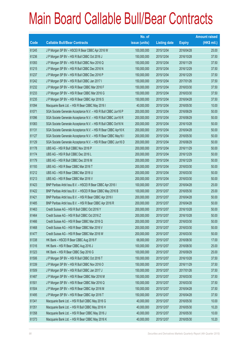|       |                                                                | No. of        |                     |               | <b>Amount raised</b> |
|-------|----------------------------------------------------------------|---------------|---------------------|---------------|----------------------|
| Code  | <b>Callable Bull/Bear Contracts</b>                            | issue (units) | <b>Listing date</b> | <b>Expiry</b> | $(HK$$ mil.)         |
| 61245 | J P Morgan SP BV - HSCEI R Bear CBBC Apr 2016 W                | 100,000,000   | 2015/12/04          | 2016/04/28    | 25.00                |
| 61236 | J P Morgan SP BV - HSI R Bull CBBC Oct 2016 J                  | 150,000,000   | 2015/12/04          | 2016/10/28    | 37.50                |
| 61093 | J P Morgan SP BV - HSI R Bull CBBC Nov 2016 Q                  | 150,000,000   | 2015/12/04          | 2016/11/29    | 37.50                |
| 61215 | J P Morgan SP BV - HSI R Bull CBBC Dec 2016 N                  | 150,000,000   | 2015/12/04          | 2016/12/29    | 37.50                |
| 61237 | J P Morgan SP BV - HSI R Bull CBBC Dec 2016 P                  | 150,000,000   | 2015/12/04          | 2016/12/29    | 37.50                |
| 61242 | J P Morgan SP BV - HSI R Bull CBBC Jan 2017 I                  | 150,000,000   | 2015/12/04          | 2017/01/26    | 37.50                |
| 61232 | J P Morgan SP BV - HSI R Bear CBBC Mar 2016 F                  | 150,000,000   | 2015/12/04          | 2016/03/30    | 37.50                |
| 61233 | J P Morgan SP BV - HSI R Bear CBBC Mar 2016 G                  | 150,000,000   | 2015/12/04          | 2016/03/30    | 37.50                |
| 61235 | J P Morgan SP BV - HSI R Bear CBBC Apr 2016 S                  | 150,000,000   | 2015/12/04          | 2016/04/28    | 37.50                |
| 61094 | Macquarie Bank Ltd. - HSI R Bear CBBC May 2016 I               | 40,000,000    | 2015/12/04          | 2016/05/30    | 10.00                |
| 61071 | SGA Societe Generale Acceptance N.V. - HSI R Bull CBBC Jun16 P | 200,000,000   | 2015/12/04          | 2016/06/29    | 50.00                |
| 61096 | SGA Societe Generale Acceptance N.V. - HSI R Bull CBBC Jun16 R | 200,000,000   | 2015/12/04          | 2016/06/29    | 50.00                |
| 61083 | SGA Societe Generale Acceptance N.V. - HSI R Bull CBBC Oct16 N | 200,000,000   | 2015/12/04          | 2016/10/28    | 50.00                |
| 61131 | SGA Societe Generale Acceptance N.V. - HSI R Bear CBBC Apr16 K | 200,000,000   | 2015/12/04          | 2016/04/28    | 50.00                |
| 61127 | SGA Societe Generale Acceptance N.V. - HSI R Bear CBBC May16 I | 200,000,000   | 2015/12/04          | 2016/05/30    | 50.00                |
| 61129 | SGA Societe Generale Acceptance N.V. - HSI R Bear CBBC Jun16 D | 200,000,000   | 2015/12/04          | 2016/06/29    | 50.00                |
| 61178 | UBS AG - HSI R Bull CBBC Nov 2016 P                            | 200,000,000   | 2015/12/04          | 2016/11/29    | 50.00                |
| 61174 | UBS AG - HSI R Bull CBBC Dec 2016 L                            | 200,000,000   | 2015/12/04          | 2016/12/29    | 50.00                |
| 61179 | UBS AG - HSI R Bull CBBC Dec 2016 M                            | 200,000,000   | 2015/12/04          | 2016/12/29    | 50.00                |
| 61193 | UBS AG - HSI R Bear CBBC Mar 2016 T                            | 200,000,000   | 2015/12/04          | 2016/03/30    | 50.00                |
| 61212 | UBS AG - HSI R Bear CBBC Mar 2016 U                            | 200,000,000   | 2015/12/04          | 2016/03/30    | 50.00                |
| 61213 | UBS AG - HSI R Bear CBBC Mar 2016 V                            | 200,000,000   | 2015/12/04          | 2016/03/30    | 50.00                |
| 61423 | BNP Paribas Arbit Issu B.V. - HSCEI R Bear CBBC Apr 2016 I     | 100,000,000   | 2015/12/07          | 2016/04/28    | 25.00                |
| 61422 | BNP Paribas Arbit Issu B.V. - HSCEI R Bear CBBC May 2016 B     | 100,000,000   | 2015/12/07          | 2016/05/30    | 25.00                |
| 61421 | BNP Paribas Arbit Issu B.V. - HSI R Bear CBBC Apr 2016 I       | 200,000,000   | 2015/12/07          | 2016/04/28    | 50.00                |
| 61485 | BNP Paribas Arbit Issu B.V. - HSI R Bear CBBC Apr 2016 R       | 200,000,000   | 2015/12/07          | 2016/04/28    | 50.00                |
| 61463 | Credit Suisse AG - HSI R Bull CBBC Oct 2016 Y                  | 200,000,000   | 2015/12/07          | 2016/10/28    | 50.00                |
| 61464 | Credit Suisse AG - HSI R Bull CBBC Oct 2016 Z                  | 200,000,000   | 2015/12/07          | 2016/10/28    | 50.00                |
| 61466 | Credit Suisse AG - HSI R Bear CBBC Mar 2016 Q                  | 200,000,000   | 2015/12/07          | 2016/03/30    | 50.00                |
| 61468 | Credit Suisse AG - HSI R Bear CBBC Mar 2016 V                  | 200,000,000   | 2015/12/07          | 2016/03/30    | 50.00                |
| 61477 | Credit Suisse AG - HSI R Bear CBBC Mar 2016 W                  | 200,000,000   | 2015/12/07          | 2016/03/30    | 50.00                |
| 61338 | HK Bank - HSCEI R Bear CBBC Aug 2016 F                         | 68,000,000    | 2015/12/07          | 2016/08/30    | 17.00                |
| 61316 | HK Bank - HSI R Bear CBBC Aug 2016 J                           | 100,000,000   | 2015/12/07          | 2016/08/30    | 25.00                |
| 61323 | HK Bank - HSI R Bear CBBC Sep 2016 G                           | 100,000,000   | 2015/12/07          | 2016/09/29    | 25.00                |
| 61506 | J P Morgan SP BV - HSI R Bull CBBC Oct 2016 T                  | 150,000,000   | 2015/12/07          | 2016/10/28    | 37.50                |
| 61339 | J P Morgan SP BV - HSI R Bull CBBC Nov 2016 O                  | 150,000,000   | 2015/12/07          | 2016/11/29    | 37.50                |
| 61509 | J P Morgan SP BV - HSI R Bull CBBC Jan 2017 J                  | 150,000,000   | 2015/12/07          | 2017/01/26    | 37.50                |
| 61487 | J P Morgan SP BV - HSI R Bear CBBC Mar 2016 M                  | 150,000,000   | 2015/12/07          | 2016/03/30    | 37.50                |
| 61501 | J P Morgan SP BV - HSI R Bear CBBC Mar 2016 Q                  | 150,000,000   | 2015/12/07          | 2016/03/30    | 37.50                |
| 61504 | J P Morgan SP BV - HSI R Bear CBBC Apr 2016 M                  | 150,000,000   | 2015/12/07          | 2016/04/28    | 37.50                |
| 61495 | J P Morgan SP BV - HSI R Bear CBBC Apr 2016 T                  | 150,000,000   | 2015/12/07          | 2016/04/28    | 37.50                |
| 61341 | Macquarie Bank Ltd. - HSI R Bull CBBC May 2016 G               | 40,000,000    | 2015/12/07          | 2016/05/30    | 10.00                |
| 61351 | Macquarie Bank Ltd. - HSI R Bull CBBC May 2016 H               | 40,000,000    | 2015/12/07          | 2016/05/30    | 10.20                |
| 61358 | Macquarie Bank Ltd. - HSI R Bear CBBC May 2016 J               | 40,000,000    | 2015/12/07          | 2016/05/30    | 10.00                |
| 61373 | Macquarie Bank Ltd. - HSI R Bear CBBC May 2016 K               | 40,000,000    | 2015/12/07          | 2016/05/30    | 10.20                |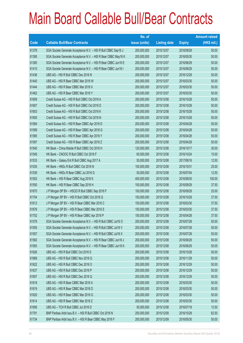|       |                                                                | No. of        |                     |               | <b>Amount raised</b> |
|-------|----------------------------------------------------------------|---------------|---------------------|---------------|----------------------|
| Code  | <b>Callable Bull/Bear Contracts</b>                            | issue (units) | <b>Listing date</b> | <b>Expiry</b> | $(HK$$ mil.)         |
| 61378 | SGA Societe Generale Acceptance N.V. - HSI R Bull CBBC Sep16 J | 200,000,000   | 2015/12/07          | 2016/09/29    | 50.00                |
| 61395 | SGA Societe Generale Acceptance N.V. - HSI R Bear CBBC May16 K | 200,000,000   | 2015/12/07          | 2016/05/30    | 50.00                |
| 61385 | SGA Societe Generale Acceptance N.V. - HSI R Bear CBBC Jun16 E | 200,000,000   | 2015/12/07          | 2016/06/29    | 50.00                |
| 61410 | SGA Societe Generale Acceptance N.V. - HSI R Bear CBBC Jun16 I | 200,000,000   | 2015/12/07          | 2016/06/29    | 50.00                |
| 61436 | UBS AG - HSI R Bull CBBC Dec 2016 N                            | 200,000,000   | 2015/12/07          | 2016/12/29    | 50.00                |
| 61440 | UBS AG - HSI R Bear CBBC Mar 2016 W                            | 200,000,000   | 2015/12/07          | 2016/03/30    | 50.00                |
| 61444 | UBS AG - HSI R Bear CBBC Mar 2016 X                            | 200,000,000   | 2015/12/07          | 2016/03/30    | 50.00                |
| 61462 | UBS AG - HSI R Bear CBBC Mar 2016 Y                            | 200,000,000   | 2015/12/07          | 2016/03/30    | 50.00                |
| 61609 | Credit Suisse AG - HSI R Bull CBBC Oct 2016 A                  | 200,000,000   | 2015/12/08          | 2016/10/28    | 50.00                |
| 61607 | Credit Suisse AG - HSI R Bull CBBC Oct 2016 D                  | 200,000,000   | 2015/12/08          | 2016/10/28    | 50.00                |
| 61603 | Credit Suisse AG - HSI R Bull CBBC Oct 2016 K                  | 200,000,000   | 2015/12/08          | 2016/10/28    | 50.00                |
| 61600 | Credit Suisse AG - HSI R Bull CBBC Oct 2016 N                  | 200,000,000   | 2015/12/08          | 2016/10/28    | 50.00                |
| 61584 | Credit Suisse AG - HSI R Bear CBBC Apr 2016 D                  | 200,000,000   | 2015/12/08          | 2016/04/28    | 50.00                |
| 61599 | Credit Suisse AG - HSI R Bear CBBC Apr 2016 G                  | 200,000,000   | 2015/12/08          | 2016/04/28    | 50.00                |
| 61585 | Credit Suisse AG - HSI R Bear CBBC Apr 2016 Y                  | 200,000,000   | 2015/12/08          | 2016/04/28    | 50.00                |
| 61597 | Credit Suisse AG - HSI R Bear CBBC Apr 2016 Z                  | 200,000,000   | 2015/12/08          | 2016/04/28    | 50.00                |
| 61540 | HK Bank - China Mobile R Bull CBBC Oct 2016 H                  | 120,000,000   | 2015/12/08          | 2016/10/17    | 30.00                |
| 61549 | HK Bank - CNOOC R Bull CBBC Oct 2016 F                         | 60,000,000    | 2015/12/08          | 2016/10/24    | 15.00                |
| 61533 | HK Bank - Galaxy Ent R Bull CBBC Aug 2017 A                    | 50,000,000    | 2015/12/08          | 2017/08/16    | 12.50                |
| 61535 | HK Bank - HKEx R Bull CBBC Oct 2016 N                          | 100,000,000   | 2015/12/08          | 2016/10/31    | 25.00                |
| 61539 | HK Bank - HKEx R Bear CBBC Jul 2016 G                          | 50,000,000    | 2015/12/08          | 2016/07/04    | 12.50                |
| 61552 | HK Bank - HSI R Bear CBBC Aug 2016 K                           | 400,000,000   | 2015/12/08          | 2016/08/30    | 100.00               |
| 61550 | HK Bank - HSI R Bear CBBC Sep 2016 H                           | 150,000,000   | 2015/12/08          | 2016/09/29    | 37.50                |
| 61670 | J P Morgan SP BV - HSCEI R Bull CBBC Sep 2016 F                | 100,000,000   | 2015/12/08          | 2016/09/29    | 25.00                |
| 61704 | J P Morgan SP BV - HSI R Bull CBBC Oct 2016 Q                  | 150,000,000   | 2015/12/08          | 2016/10/28    | 37.50                |
| 61613 | J P Morgan SP BV - HSI R Bear CBBC Mar 2016 C                  | 150,000,000   | 2015/12/08          | 2016/03/30    | 37.50                |
| 61676 | JP Morgan SP BV - HSI R Bear CBBC Mar 2016 S                   | 150,000,000   | 2015/12/08          | 2016/03/30    | 37.50                |
| 61702 | J P Morgan SP BV - HSI R Bear CBBC Apr 2016 P                  | 150,000,000   | 2015/12/08          | 2016/04/28    | 37.50                |
| 61578 | SGA Societe Generale Acceptance N.V. - HSI R Bull CBBC Jul16 O | 200,000,000   | 2015/12/08          | 2016/07/28    | 50.00                |
| 61555 | SGA Societe Generale Acceptance N.V. - HSI R Bull CBBC Jul16 V | 200,000,000   | 2015/12/08          | 2016/07/28    | 50.00                |
| 61557 | SGA Societe Generale Acceptance N.V. - HSI R Bull CBBC Jul16 X | 200,000,000   | 2015/12/08          | 2016/07/28    | 50.00                |
| 61582 | SGA Societe Generale Acceptance N.V. - HSI R Bear CBBC Jun16 J | 200,000,000   | 2015/12/08          | 2016/06/29    | 50.00                |
| 61583 | SGA Societe Generale Acceptance N.V. - HSI R Bear CBBC Jun16 K | 200,000,000   | 2015/12/08          | 2016/06/29    | 50.00                |
| 61626 | UBS AG - HSI R Bull CBBC Oct 2016 S                            | 200,000,000   | 2015/12/08          | 2016/10/28    | 50.00                |
| 61668 | UBS AG - HSI R Bull CBBC Nov 2016 Q                            | 200,000,000   | 2015/12/08          | 2016/11/29    | 50.00                |
| 61622 | UBS AG - HSI R Bull CBBC Dec 2016 O                            | 200,000,000   | 2015/12/08          | 2016/12/29    | 50.00                |
| 61637 | UBS AG - HSI R Bull CBBC Dec 2016 P                            | 200,000,000   | 2015/12/08          | 2016/12/29    | 50.00                |
| 61657 | UBS AG - HSI R Bull CBBC Dec 2016 Q                            | 200,000,000   | 2015/12/08          | 2016/12/29    | 50.00                |
| 61618 | UBS AG - HSI R Bear CBBC Mar 2016 A                            | 200,000,000   | 2015/12/08          | 2016/03/30    | 50.00                |
| 61619 | UBS AG - HSI R Bear CBBC Mar 2016 D                            | 200,000,000   | 2015/12/08          | 2016/03/30    | 50.00                |
| 61620 | UBS AG - HSI R Bear CBBC Mar 2016 G                            | 200,000,000   | 2015/12/08          | 2016/03/30    | 50.00                |
| 61614 | UBS AG - HSI R Bear CBBC Mar 2016 Z                            | 200,000,000   | 2015/12/08          | 2016/03/30    | 50.00                |
| 61656 | UBS AG - TCH R Bull CBBC Jul 2016 D                            | 50,000,000    | 2015/12/08          | 2016/07/18    | 12.50                |
| 61791 | BNP Paribas Arbit Issu B.V. - HSI R Bull CBBC Oct 2016 N       | 250,000,000   | 2015/12/09          | 2016/10/28    | 62.50                |
| 61734 | BNP Paribas Arbit Issu B.V. - HSI R Bear CBBC May 2016 F       | 200,000,000   | 2015/12/09          | 2016/05/30    | 50.00                |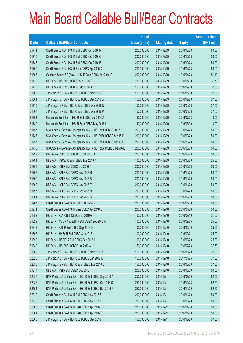|       |                                                                | No. of        |                     |               | <b>Amount raised</b> |
|-------|----------------------------------------------------------------|---------------|---------------------|---------------|----------------------|
| Code  | <b>Callable Bull/Bear Contracts</b>                            | issue (units) | <b>Listing date</b> | <b>Expiry</b> | $(HK$$ mil.)         |
| 61771 | Credit Suisse AG - HSI R Bull CBBC Oct 2016 P                  | 200,000,000   | 2015/12/09          | 2016/10/28    | 50.00                |
| 61775 | Credit Suisse AG - HSI R Bull CBBC Oct 2016 Q                  | 200,000,000   | 2015/12/09          | 2016/10/28    | 50.00                |
| 61788 | Credit Suisse AG - HSI R Bull CBBC Oct 2016 R                  | 200,000,000   | 2015/12/09          | 2016/10/28    | 50.00                |
| 61769 | Credit Suisse AG - HSI R Bear CBBC Apr 2016 K                  | 200,000,000   | 2015/12/09          | 2016/04/28    | 50.00                |
| 61803 | Goldman Sachs SP (Asia) - HSI R Bear CBBC Apr 2016 E           | 200,000,000   | 2015/12/09          | 2016/04/28    | 51.40                |
| 61719 | HK Bank - HSI R Bull CBBC Aug 2016 T                           | 150,000,000   | 2015/12/09          | 2016/08/30    | 37.50                |
| 61718 | HK Bank - HSI R Bull CBBC Sep 2016 X                           | 150,000,000   | 2015/12/09          | 2016/09/29    | 37.50                |
| 61806 | J P Morgan SP BV - HSI R Bull CBBC Nov 2016 S                  | 150,000,000   | 2015/12/09          | 2016/11/29    | 37.50                |
| 61804 | J P Morgan SP BV - HSI R Bull CBBC Dec 2016 Q                  | 150,000,000   | 2015/12/09          | 2016/12/29    | 37.50                |
| 61770 | J P Morgan SP BV - HSI R Bear CBBC Apr 2016 U                  | 150,000,000   | 2015/12/09          | 2016/04/28    | 37.50                |
| 61807 | J P Morgan SP BV - HSI R Bear CBBC Apr 2016 W                  | 150,000,000   | 2015/12/09          | 2016/04/28    | 37.50                |
| 61764 | Macquarie Bank Ltd. - HSI R Bull CBBC Jul 2016 A               | 40,000,000    | 2015/12/09          | 2016/07/28    | 10.00                |
| 61789 | Macquarie Bank Ltd. - HSI R Bear CBBC May 2016 L               | 40,000,000    | 2015/12/09          | 2016/05/30    | 10.00                |
| 61755 | SGA Societe Generale Acceptance N.V. - HSI R Bull CBBC Jul16 P | 200,000,000   | 2015/12/09          | 2016/07/28    | 50.00                |
| 61743 | SGA Societe Generale Acceptance N.V. - HSI R Bull CBBC Sep16 K | 200,000,000   | 2015/12/09          | 2016/09/29    | 50.00                |
| 61757 | SGA Societe Generale Acceptance N.V. - HSI R Bull CBBC Sep16 L | 200,000,000   | 2015/12/09          | 2016/09/29    | 50.00                |
| 61730 | SGA Societe Generale Acceptance N.V. - HSI R Bear CBBC May16 L | 200,000,000   | 2015/12/09          | 2016/05/30    | 50.00                |
| 61792 | UBS AG - HSCEI R Bull CBBC Oct 2016 D                          | 200,000,000   | 2015/12/09          | 2016/10/28    | 50.00                |
| 61794 | UBS AG - HSCEI R Bear CBBC Mar 2016 A                          | 100,000,000   | 2015/12/09          | 2016/03/30    | 25.00                |
| 61798 | UBS AG - HSI R Bull CBBC Oct 2016 T                            | 200,000,000   | 2015/12/09          | 2016/10/28    | 50.00                |
| 61795 | UBS AG - HSI R Bull CBBC Nov 2016 R                            | 200,000,000   | 2015/12/09          | 2016/11/29    | 50.00                |
| 61800 | UBS AG - HSI R Bull CBBC Nov 2016 S                            | 200,000,000   | 2015/12/09          | 2016/11/29    | 50.00                |
| 61802 | UBS AG - HSI R Bull CBBC Nov 2016 T                            | 200,000,000   | 2015/12/09          | 2016/11/29    | 50.00                |
| 61797 | UBS AG - HSI R Bull CBBC Dec 2016 R                            | 200,000,000   | 2015/12/09          | 2016/12/29    | 50.00                |
| 61801 | UBS AG - HSI R Bull CBBC Dec 2016 S                            | 200,000,000   | 2015/12/09          | 2016/12/29    | 50.00                |
| 61967 | Credit Suisse AG - HSI R Bull CBBC Nov 2016 R                  | 200,000,000   | 2015/12/10          | 2016/11/29    | 50.00                |
| 61971 | Credit Suisse AG - HSI R Bear CBBC Apr 2016 O                  | 200,000,000   | 2015/12/10          | 2016/04/28    | 50.00                |
| 61882 | HK Bank - AIA R Bull CBBC Sep 2016 G                           | 60,000,000    | 2015/12/10          | 2016/09/19    | 21.00                |
| 61829 | HK Bank - CSOP A50 ETF R Bull CBBC Sep 2016 A                  | 100,000,000   | 2015/12/10          | 2016/09/05    | 25.00                |
| 61815 | HK Bank - A50 R Bull CBBC Sep 2016 D                           | 100,000,000   | 2015/12/10          | 2016/09/19    | 25.00                |
| 61897 | HK Bank - HKEx R Bull CBBC Sep 2016 L                          | 100,000,000   | 2015/12/10          | 2016/09/21    | 25.00                |
| 61859 | HK Bank - HSCEI R Bull CBBC Sep 2016 I                         | 100,000,000   | 2015/12/10          | 2016/09/29    | 25.00                |
| 61840 | HK Bank - HSI R Bull CBBC Jul 2016 A                           | 150,000,000   | 2015/12/10          | 2016/07/28    | 37.50                |
| 61960 | J P Morgan SP BV - HSI R Bull CBBC Nov 2016 T                  | 150,000,000   | 2015/12/10          | 2016/11/29    | 37.50                |
| 62026 | J P Morgan SP BV - HSI R Bull CBBC Jan 2017 K                  | 150,000,000   | 2015/12/10          | 2017/01/26    | 37.50                |
| 62055 | J P Morgan SP BV - HSI R Bear CBBC Mar 2016 O                  | 150,000,000   | 2015/12/10          | 2016/03/30    | 37.50                |
| 61977 | UBS AG - HSI R Bull CBBC Dec 2016 T                            | 200,000,000   | 2015/12/10          | 2016/12/29    | 50.00                |
| 62057 | BNP Paribas Arbit Issu B.V. - HSI R Bull CBBC Sep 2016 A       | 250,000,000   | 2015/12/11          | 2016/09/29    | 62.50                |
| 62086 | BNP Paribas Arbit Issu B.V. - HSI R Bull CBBC Oct 2016 O       | 250,000,000   | 2015/12/11          | 2016/10/28    | 62.50                |
| 62154 | BNP Paribas Arbit Issu B.V. - HSI R Bull CBBC Nov 2016 P       | 250,000,000   | 2015/12/11          | 2016/11/29    | 62.50                |
| 62242 | Credit Suisse AG - HSI R Bull CBBC Nov 2016 S                  | 200,000,000   | 2015/12/11          | 2016/11/29    | 50.00                |
| 62270 | Credit Suisse AG - HSI R Bull CBBC Nov 2016 T                  | 200,000,000   | 2015/12/11          | 2016/11/29    | 50.00                |
| 62303 | Credit Suisse AG - HSI R Bear CBBC Apr 2016 I                  | 200,000,000   | 2015/12/11          | 2016/04/28    | 50.00                |
| 62304 | Credit Suisse AG - HSI R Bear CBBC Apr 2016 Q                  | 200,000,000   | 2015/12/11          | 2016/04/28    | 50.00                |
| 62305 | J P Morgan SP BV - HSI R Bull CBBC Dec 2016 R                  | 150,000,000   | 2015/12/11          | 2016/12/29    | 37.50                |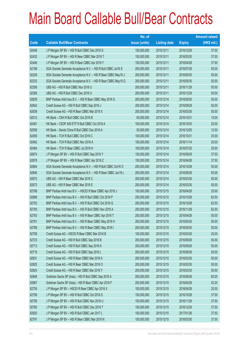|       |                                                                | No. of        |                     |               | <b>Amount raised</b> |
|-------|----------------------------------------------------------------|---------------|---------------------|---------------|----------------------|
| Code  | <b>Callable Bull/Bear Contracts</b>                            | issue (units) | <b>Listing date</b> | <b>Expiry</b> | $(HK$$ mil.)         |
| 62449 | J P Morgan SP BV - HSI R Bull CBBC Dec 2016 S                  | 150,000,000   | 2015/12/11          | 2016/12/29    | 37.50                |
| 62432 | J P Morgan SP BV - HSI R Bear CBBC Mar 2016 T                  | 150,000,000   | 2015/12/11          | 2016/03/30    | 37.50                |
| 62446 | J P Morgan SP BV - HSI R Bear CBBC Apr 2016 Y                  | 150,000,000   | 2015/12/11          | 2016/04/28    | 37.50                |
| 62198 | SGA Societe Generale Acceptance N.V. - HSI R Bull CBBC Jul16 S | 200,000,000   | 2015/12/11          | 2016/07/28    | 50.00                |
| 62228 | SGA Societe Generale Acceptance N.V. - HSI R Bear CBBC May16 J | 200,000,000   | 2015/12/11          | 2016/05/30    | 50.00                |
| 62233 | SGA Societe Generale Acceptance N.V. - HSI R Bear CBBC May16 Q | 200,000,000   | 2015/12/11          | 2016/05/30    | 50.00                |
| 62356 | UBS AG - HSI R Bull CBBC Nov 2016 U                            | 200,000,000   | 2015/12/11          | 2016/11/29    | 50.00                |
| 62306 | UBS AG - HSI R Bull CBBC Dec 2016 U                            | 200,000,000   | 2015/12/11          | 2016/12/29    | 50.00                |
| 62629 | BNP Paribas Arbit Issu B.V. - HSI R Bear CBBC May 2016 G       | 200,000,000   | 2015/12/14          | 2016/05/30    | 50.00                |
| 62642 | Credit Suisse AG - HSI R Bull CBBC Sep 2016 J                  | 200,000,000   | 2015/12/14          | 2016/09/29    | 50.00                |
| 62638 | Credit Suisse AG - HSI R Bear CBBC Mar 2016 X                  | 200,000,000   | 2015/12/14          | 2016/03/30    | 50.00                |
| 62512 | HK Bank - CKH R Bull CBBC Oct 2016 B                           | 60,000,000    | 2015/12/14          | 2016/10/31    | 15.00                |
| 62481 | HK Bank - CSOP A50 ETF R Bull CBBC Oct 2016 A                  | 100,000,000   | 2015/12/14          | 2016/10/03    | 25.00                |
| 62556 | HK Bank - Sands China R Bull CBBC Dec 2016 A                   | 50,000,000    | 2015/12/14          | 2016/12/05    | 12.50                |
| 62459 | HK Bank - TCH R Bull CBBC Oct 2016 C                           | 100,000,000   | 2015/12/14          | 2016/10/31    | 25.00                |
| 62462 | HK Bank - TCH R Bull CBBC Nov 2016 A                           | 100,000,000   | 2015/12/14          | 2016/11/14    | 25.00                |
| 62484 | HK Bank - TCH R Bear CBBC Jul 2016 H                           | 100,000,000   | 2015/12/14          | 2016/07/25    | 25.00                |
| 62674 | J P Morgan SP BV - HSI R Bull CBBC Sep 2016 Y                  | 150,000,000   | 2015/12/14          | 2016/09/29    | 37.50                |
| 62678 | J P Morgan SP BV - HSI R Bear CBBC Apr 2016 Z                  | 150,000,000   | 2015/12/14          | 2016/04/28    | 37.50                |
| 62664 | SGA Societe Generale Acceptance N.V. - HSI R Bull CBBC Oct16 O | 200,000,000   | 2015/12/14          | 2016/10/28    | 50.00                |
| 62646 | SGA Societe Generale Acceptance N.V. - HSI R Bear CBBC Jun16 L | 200,000,000   | 2015/12/14          | 2016/06/29    | 50.00                |
| 62672 | UBS AG - HSI R Bear CBBC Mar 2016 C                            | 200,000,000   | 2015/12/14          | 2016/03/30    | 50.00                |
| 62673 | UBS AG - HSI R Bear CBBC Mar 2016 E                            | 200,000,000   | 2015/12/14          | 2016/03/30    | 50.00                |
| 62788 | BNP Paribas Arbit Issu B.V. - HSCEI R Bear CBBC Apr 2016 J     | 100,000,000   | 2015/12/15          | 2016/04/28    | 25.00                |
| 62698 | BNP Paribas Arbit Issu B.V. - HSI R Bull CBBC Oct 2016 P       | 250,000,000   | 2015/12/15          | 2016/10/28    | 62.50                |
| 62702 | BNP Paribas Arbit Issu B.V. - HSI R Bull CBBC Oct 2016 Q       | 250,000,000   | 2015/12/15          | 2016/10/28    | 62.50                |
| 62700 | BNP Paribas Arbit Issu B.V. - HSI R Bull CBBC Nov 2016 A       | 250,000,000   | 2015/12/15          | 2016/11/29    | 62.50                |
| 62763 | BNP Paribas Arbit Issu B.V. - HSI R Bear CBBC Apr 2016 T       | 200,000,000   | 2015/12/15          | 2016/04/28    | 50.00                |
| 62761 | BNP Paribas Arbit Issu B.V. - HSI R Bear CBBC May 2016 H       | 200,000,000   | 2015/12/15          | 2016/05/30    | 50.00                |
| 62766 | BNP Paribas Arbit Issu B.V. - HSI R Bear CBBC May 2016 I       | 200,000,000   | 2015/12/15          | 2016/05/30    | 50.00                |
| 62708 | Credit Suisse AG - HSCEI R Bear CBBC Mar 2016 B                | 100,000,000   | 2015/12/15          | 2016/03/30    | 25.00                |
| 62723 | Credit Suisse AG - HSI R Bull CBBC Sep 2016 B                  | 200,000,000   | 2015/12/15          | 2016/09/29    | 50.00                |
| 62713 | Credit Suisse AG - HSI R Bull CBBC Sep 2016 K                  | 200,000,000   | 2015/12/15          | 2016/09/29    | 50.00                |
| 62719 | Credit Suisse AG - HSI R Bull CBBC Sep 2016 L                  | 200,000,000   | 2015/12/15          | 2016/09/29    | 50.00                |
| 62831 | Credit Suisse AG - HSI R Bear CBBC Mar 2016 A                  | 200,000,000   | 2015/12/15          | 2016/03/30    | 50.00                |
| 62825 | Credit Suisse AG - HSI R Bear CBBC Mar 2016 O                  | 200,000,000   | 2015/12/15          | 2016/03/30    | 50.00                |
| 62824 | Credit Suisse AG - HSI R Bear CBBC Mar 2016 Y                  | 200,000,000   | 2015/12/15          | 2016/03/30    | 50.00                |
| 62848 | Goldman Sachs SP (Asia) - HSI R Bull CBBC Sep 2016 A           | 200,000,000   | 2015/12/15          | 2016/09/29    | 60.00                |
| 62887 | Goldman Sachs SP (Asia) - HSI R Bear CBBC Apr 2016 F           | 200,000,000   | 2015/12/15          | 2016/04/28    | 53.20                |
| 62755 | J P Morgan SP BV - HSCEI R Bear CBBC Apr 2016 X                | 100,000,000   | 2015/12/15          | 2016/04/28    | 25.00                |
| 62756 | J P Morgan SP BV - HSI R Bull CBBC Oct 2016 S                  | 150,000,000   | 2015/12/15          | 2016/10/28    | 37.50                |
| 62758 | J P Morgan SP BV - HSI R Bull CBBC Nov 2016 U                  | 150,000,000   | 2015/12/15          | 2016/11/29    | 37.50                |
| 62760 | J P Morgan SP BV - HSI R Bull CBBC Dec 2016 T                  | 150,000,000   | 2015/12/15          | 2016/12/29    | 37.50                |
| 62820 | J P Morgan SP BV - HSI R Bull CBBC Jan 2017 L                  | 150,000,000   | 2015/12/15          | 2017/01/26    | 37.50                |
| 62791 | J P Morgan SP BV - HSI R Bear CBBC Mar 2016 N                  | 150,000,000   | 2015/12/15          | 2016/03/30    | 37.50                |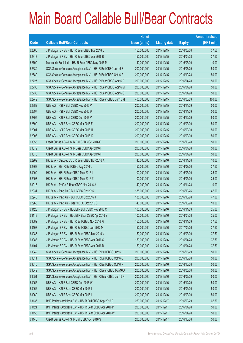|       |                                                                | No. of        |                     |               | <b>Amount raised</b> |
|-------|----------------------------------------------------------------|---------------|---------------------|---------------|----------------------|
| Code  | <b>Callable Bull/Bear Contracts</b>                            | issue (units) | <b>Listing date</b> | <b>Expiry</b> | (HK\$ mil.)          |
| 62806 | J P Morgan SP BV - HSI R Bear CBBC Mar 2016 U                  | 150,000,000   | 2015/12/15          | 2016/03/30    | 37.50                |
| 62813 | J P Morgan SP BV - HSI R Bear CBBC Apr 2016 B                  | 150,000,000   | 2015/12/15          | 2016/04/28    | 37.50                |
| 62790 | Macquarie Bank Ltd. - HSI R Bear CBBC May 2016 M               | 40,000,000    | 2015/12/15          | 2016/05/30    | 10.00                |
| 62689 | SGA Societe Generale Acceptance N.V. - HSI R Bull CBBC Jun16 S | 200,000,000   | 2015/12/15          | 2016/06/29    | 50.00                |
| 62680 | SGA Societe Generale Acceptance N.V. - HSI R Bull CBBC Oct16 P | 200,000,000   | 2015/12/15          | 2016/10/28    | 50.00                |
| 62727 | SGA Societe Generale Acceptance N.V. - HSI R Bear CBBC Apr16 F | 200,000,000   | 2015/12/15          | 2016/04/28    | 50.00                |
| 62733 | SGA Societe Generale Acceptance N.V. - HSI R Bear CBBC Apr16 M | 200,000,000   | 2015/12/15          | 2016/04/28    | 50.00                |
| 62736 | SGA Societe Generale Acceptance N.V. - HSI R Bear CBBC Apr16 O | 200,000,000   | 2015/12/15          | 2016/04/28    | 50.00                |
| 62749 | SGA Societe Generale Acceptance N.V. - HSI R Bear CBBC Jun16 M | 400,000,000   | 2015/12/15          | 2016/06/29    | 100.00               |
| 62889 | UBS AG - HSI R Bull CBBC Nov 2016 V                            | 200,000,000   | 2015/12/15          | 2016/11/29    | 50.00                |
| 62897 | UBS AG - HSI R Bull CBBC Nov 2016 W                            | 200,000,000   | 2015/12/15          | 2016/11/29    | 50.00                |
| 62895 | UBS AG - HSI R Bull CBBC Dec 2016 V                            | 200,000,000   | 2015/12/15          | 2016/12/29    | 50.00                |
| 62899 | UBS AG - HSI R Bear CBBC Mar 2016 F                            | 200,000,000   | 2015/12/15          | 2016/03/30    | 50.00                |
| 62901 | UBS AG - HSI R Bear CBBC Mar 2016 H                            | 200,000,000   | 2015/12/15          | 2016/03/30    | 50.00                |
| 62903 | UBS AG - HSI R Bear CBBC Mar 2016 K                            | 200,000,000   | 2015/12/15          | 2016/03/30    | 50.00                |
| 63053 | Credit Suisse AG - HSI R Bull CBBC Oct 2016 O                  | 200,000,000   | 2015/12/16          | 2016/10/28    | 50.00                |
| 63072 | Credit Suisse AG - HSI R Bear CBBC Apr 2016 F                  | 200,000,000   | 2015/12/16          | 2016/04/28    | 50.00                |
| 63073 | Credit Suisse AG - HSI R Bear CBBC Apr 2016 H                  | 200,000,000   | 2015/12/16          | 2016/04/28    | 50.00                |
| 62909 | HK Bank - Sinopec Corp R Bear CBBC Nov 2016 A                  | 40,000,000    | 2015/12/16          | 2016/11/28    | 10.00                |
| 62968 | HK Bank - HSI R Bull CBBC Aug 2016 U                           | 150,000,000   | 2015/12/16          | 2016/08/30    | 37.50                |
| 63009 | HK Bank - HSI R Bear CBBC May 2016 I                           | 100,000,000   | 2015/12/16          | 2016/05/30    | 25.00                |
| 62993 | HK Bank - HSI R Bear CBBC May 2016 Z                           | 100,000,000   | 2015/12/16          | 2016/05/30    | 25.00                |
| 63013 | HK Bank - PetCh R Bear CBBC Nov 2016 A                         | 40,000,000    | 2015/12/16          | 2016/11/28    | 10.00                |
| 62931 | HK Bank - Ping An R Bull CBBC Oct 2016 I                       | 188,000,000   | 2015/12/16          | 2016/10/26    | 47.00                |
| 62948 | HK Bank - Ping An R Bull CBBC Oct 2016 J                       | 188,000,000   | 2015/12/16          | 2016/10/28    | 47.00                |
| 62966 | HK Bank - Ping An R Bear CBBC Oct 2016 C                       | 40,000,000    | 2015/12/16          | 2016/10/28    | 10.00                |
| 63123 | J P Morgan SP BV - HSCEI R Bull CBBC Nov 2016 C                | 100,000,000   | 2015/12/16          | 2016/11/29    | 25.00                |
| 63118 | J P Morgan SP BV - HSCEI R Bear CBBC Apr 2016 Y                | 100,000,000   | 2015/12/16          | 2016/04/28    | 25.00                |
| 63082 | J P Morgan SP BV - HSI R Bull CBBC Nov 2016 W                  | 150,000,000   | 2015/12/16          | 2016/11/29    | 37.50                |
| 63108 | J P Morgan SP BV - HSI R Bull CBBC Jan 2017 M                  | 150,000,000   | 2015/12/16          | 2017/01/26    | 37.50                |
| 63083 | J P Morgan SP BV - HSI R Bear CBBC Mar 2016 V                  | 150,000,000   | 2015/12/16          | 2016/03/30    | 37.50                |
| 63088 | J P Morgan SP BV - HSI R Bear CBBC Apr 2016 C                  | 150,000,000   | 2015/12/16          | 2016/04/28    | 37.50                |
| 63104 | J P Morgan SP BV - HSI R Bear CBBC Apr 2016 D                  | 150,000,000   | 2015/12/16          | 2016/04/28    | 37.50                |
| 63042 | SGA Societe Generale Acceptance N.V. - HSI R Bull CBBC Jun16 H | 200,000,000   | 2015/12/16          | 2016/06/29    | 50.00                |
| 63014 | SGA Societe Generale Acceptance N.V. - HSI R Bull CBBC Oct16 Q | 200,000,000   | 2015/12/16          | 2016/10/28    | 50.00                |
| 63015 | SGA Societe Generale Acceptance N.V. - HSI R Bull CBBC Oct16 R | 200,000,000   | 2015/12/16          | 2016/10/28    | 50.00                |
| 63049 | SGA Societe Generale Acceptance N.V. - HSI R Bear CBBC May16 A | 200,000,000   | 2015/12/16          | 2016/05/30    | 50.00                |
| 63051 | SGA Societe Generale Acceptance N.V. - HSI R Bear CBBC Jun16 N | 200,000,000   | 2015/12/16          | 2016/06/29    | 50.00                |
| 63055 | UBS AG - HSI R Bull CBBC Dec 2016 W                            | 200,000,000   | 2015/12/16          | 2016/12/29    | 50.00                |
| 63062 | UBS AG - HSI R Bear CBBC Mar 2016 I                            | 200,000,000   | 2015/12/16          | 2016/03/30    | 50.00                |
| 63069 | UBS AG - HSI R Bear CBBC Mar 2016 L                            | 200,000,000   | 2015/12/16          | 2016/03/30    | 50.00                |
| 63135 | BNP Paribas Arbit Issu B.V. - HSI R Bull CBBC Sep 2016 B       | 250,000,000   | 2015/12/17          | 2016/09/29    | 62.50                |
| 63124 | BNP Paribas Arbit Issu B.V. - HSI R Bear CBBC Apr 2016 P       | 200,000,000   | 2015/12/17          | 2016/04/28    | 50.00                |
| 63153 | BNP Paribas Arbit Issu B.V. - HSI R Bear CBBC Apr 2016 W       | 200,000,000   | 2015/12/17          | 2016/04/28    | 50.00                |
| 63145 | Credit Suisse AG - HSI R Bull CBBC Oct 2016 S                  | 200,000,000   | 2015/12/17          | 2016/10/28    | 50.00                |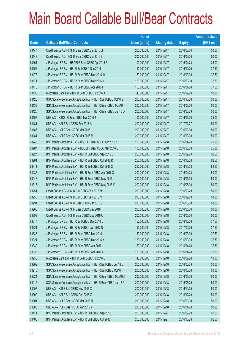|       |                                                                | No. of        |                     |               | <b>Amount raised</b> |
|-------|----------------------------------------------------------------|---------------|---------------------|---------------|----------------------|
| Code  | <b>Callable Bull/Bear Contracts</b>                            | issue (units) | <b>Listing date</b> | <b>Expiry</b> | (HK\$ mil.)          |
| 63147 | Credit Suisse AG - HSI R Bear CBBC Mar 2016 Q                  | 200,000,000   | 2015/12/17          | 2016/03/30    | 50.00                |
| 63148 | Credit Suisse AG - HSI R Bear CBBC Mar 2016 S                  | 200,000,000   | 2015/12/17          | 2016/03/30    | 50.00                |
| 63164 | J P Morgan SP BV - HSCEI R Bear CBBC Apr 2016 Z                | 100,000,000   | 2015/12/17          | 2016/04/28    | 25.00                |
| 63155 | J P Morgan SP BV - HSI R Bull CBBC Dec 2016 I                  | 150,000,000   | 2015/12/17          | 2016/12/29    | 37.50                |
| 63173 | J P Morgan SP BV - HSI R Bear CBBC Mar 2016 W                  | 150,000,000   | 2015/12/17          | 2016/03/30    | 37.50                |
| 63171 | J P Morgan SP BV - HSI R Bear CBBC Mar 2016 Y                  | 150,000,000   | 2015/12/17          | 2016/03/30    | 37.50                |
| 63178 | J P Morgan SP BV - HSI R Bear CBBC Apr 2016 I                  | 150,000,000   | 2015/12/17          | 2016/04/28    | 37.50                |
| 63136 | Macquarie Bank Ltd. - HSI R Bear CBBC Jul 2016 A               | 40,000,000    | 2015/12/17          | 2016/07/28    | 10.00                |
| 63125 | SGA Societe Generale Acceptance N.V. - HSI R Bull CBBC Oct16 S | 200,000,000   | 2015/12/17          | 2016/10/28    | 50.00                |
| 63133 | SGA Societe Generale Acceptance N.V. - HSI R Bear CBBC May16 T | 200,000,000   | 2015/12/17          | 2016/05/30    | 50.00                |
| 63126 | SGA Societe Generale Acceptance N.V. - HSI R Bear CBBC Jun16 O | 200,000,000   | 2015/12/17          | 2016/06/29    | 50.00                |
| 63197 | UBS AG - HSCEI R Bear CBBC Mar 2016 B                          | 100,000,000   | 2015/12/17          | 2016/03/30    | 25.00                |
| 63181 | UBS AG - HSI R Bull CBBC Feb 2017 A                            | 200,000,000   | 2015/12/17          | 2017/02/27    | 50.00                |
| 63186 | UBS AG - HSI R Bear CBBC Mar 2016 J                            | 200,000,000   | 2015/12/17          | 2016/03/30    | 50.00                |
| 63184 | UBS AG - HSI R Bear CBBC Mar 2016 M                            | 200,000,000   | 2015/12/17          | 2016/03/30    | 50.00                |
| 63248 | BNP Paribas Arbit Issu B.V. - HSCEI R Bear CBBC Apr 2016 K     | 100,000,000   | 2015/12/18          | 2016/04/28    | 25.00                |
| 63207 | BNP Paribas Arbit Issu B.V. - HSCEI R Bear CBBC May 2016 C     | 100,000,000   | 2015/12/18          | 2016/05/30    | 25.00                |
| 63227 | BNP Paribas Arbit Issu B.V. - HSI R Bull CBBC Sep 2016 C       | 250,000,000   | 2015/12/18          | 2016/09/29    | 62.50                |
| 63201 | BNP Paribas Arbit Issu B.V. - HSI R Bull CBBC Oct 2016 R       | 250,000,000   | 2015/12/18          | 2016/10/28    | 62.50                |
| 63311 | BNP Paribas Arbit Issu B.V. - HSI R Bull CBBC Oct 2016 S       | 250,000,000   | 2015/12/18          | 2016/10/28    | 62.50                |
| 63237 | BNP Paribas Arbit Issu B.V. - HSI R Bear CBBC Apr 2016 X       | 200,000,000   | 2015/12/18          | 2016/04/28    | 50.00                |
| 63246 | BNP Paribas Arbit Issu B.V. - HSI R Bear CBBC May 2016 J       | 200,000,000   | 2015/12/18          | 2016/05/30    | 50.00                |
| 63316 | BNP Paribas Arbit Issu B.V. - HSI R Bear CBBC May 2016 K       | 200,000,000   | 2015/12/18          | 2016/05/30    | 50.00                |
| 63251 | Credit Suisse AG - HSI R Bull CBBC Sep 2016 M                  | 200,000,000   | 2015/12/18          | 2016/09/29    | 50.00                |
| 63256 | Credit Suisse AG - HSI R Bull CBBC Sep 2016 N                  | 200,000,000   | 2015/12/18          | 2016/09/29    | 50.00                |
| 63294 | Credit Suisse AG - HSI R Bear CBBC Mar 2016 V                  | 200,000,000   | 2015/12/18          | 2016/03/30    | 50.00                |
| 63265 | Credit Suisse AG - HSI R Bear CBBC May 2016 T                  | 200,000,000   | 2015/12/18          | 2016/05/30    | 50.00                |
| 63293 | Credit Suisse AG - HSI R Bear CBBC May 2016 U                  | 200,000,000   | 2015/12/18          | 2016/05/30    | 50.00                |
| 63317 | J P Morgan SP BV - HSI R Bull CBBC Dec 2016 U                  | 150,000,000   | 2015/12/18          | 2016/12/29    | 37.50                |
| 63321 | J P Morgan SP BV - HSI R Bull CBBC Jan 2017 N                  | 150,000,000   | 2015/12/18          | 2017/01/26    | 37.50                |
| 63335 | J P Morgan SP BV - HSI R Bear CBBC Mar 2016 I                  | 150,000,000   | 2015/12/18          | 2016/03/30    | 37.50                |
| 63324 | J P Morgan SP BV - HSI R Bear CBBC Mar 2016 X                  | 150,000,000   | 2015/12/18          | 2016/03/30    | 37.50                |
| 63332 | J P Morgan SP BV - HSI R Bear CBBC Apr 2016 J                  | 150,000,000   | 2015/12/18          | 2016/04/28    | 37.50                |
| 63338 | J P Morgan SP BV - HSI R Bear CBBC Apr 2016 K                  | 150,000,000   | 2015/12/18          | 2016/04/28    | 37.50                |
| 63250 | Macquarie Bank Ltd. - HSI R Bear CBBC Jul 2016 B               | 40,000,000    | 2015/12/18          | 2016/07/28    | 10.00                |
| 63209 | SGA Societe Generale Acceptance N.V. - HSI R Bull CBBC Jun16 L | 200,000,000   | 2015/12/18          | 2016/06/29    | 50.00                |
| 63216 | SGA Societe Generale Acceptance N.V. - HSI R Bull CBBC Oct16 T | 200,000,000   | 2015/12/18          | 2016/10/28    | 50.00                |
| 63224 | SGA Societe Generale Acceptance N.V. - HSI R Bear CBBC May16 X | 200,000,000   | 2015/12/18          | 2016/05/30    | 50.00                |
| 63217 | SGA Societe Generale Acceptance N.V. - HSI R Bear CBBC Jun16 P | 200,000,000   | 2015/12/18          | 2016/06/29    | 50.00                |
| 63297 | UBS AG - HSI R Bull CBBC Nov 2016 X                            | 200,000,000   | 2015/12/18          | 2016/11/29    | 50.00                |
| 63300 | UBS AG - HSI R Bull CBBC Dec 2016 X                            | 200,000,000   | 2015/12/18          | 2016/12/29    | 50.00                |
| 63301 | UBS AG - HSI R Bear CBBC Mar 2016 N                            | 200,000,000   | 2015/12/18          | 2016/03/30    | 50.00                |
| 63305 | UBS AG - HSI R Bear CBBC Apr 2016 A                            | 200,000,000   | 2015/12/18          | 2016/04/28    | 50.00                |
| 63414 | BNP Paribas Arbit Issu B.V. - HSI R Bull CBBC Sep 2016 D       | 250,000,000   | 2015/12/21          | 2016/09/29    | 62.50                |
| 63405 | BNP Paribas Arbit Issu B.V. - HSI R Bull CBBC Oct 2016 T       | 250,000,000   | 2015/12/21          | 2016/10/28    | 62.50                |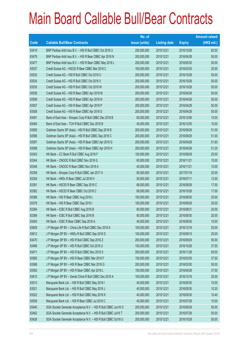|       |                                                                | No. of        |                     |               | <b>Amount raised</b> |
|-------|----------------------------------------------------------------|---------------|---------------------|---------------|----------------------|
| Code  | <b>Callable Bull/Bear Contracts</b>                            | issue (units) | <b>Listing date</b> | <b>Expiry</b> | $(HK$$ mil.)         |
| 63419 | BNP Paribas Arbit Issu B.V. - HSI R Bull CBBC Oct 2016 U       | 250,000,000   | 2015/12/21          | 2016/10/28    | 62.50                |
| 63479 | BNP Paribas Arbit Issu B.V. - HSI R Bear CBBC Apr 2016 N       | 200,000,000   | 2015/12/21          | 2016/04/28    | 50.00                |
| 63477 | BNP Paribas Arbit Issu B.V. - HSI R Bear CBBC May 2016 L       | 200,000,000   | 2015/12/21          | 2016/05/30    | 50.00                |
| 63537 | Credit Suisse AG - HSCEI R Bear CBBC Mar 2016 C                | 100,000,000   | 2015/12/21          | 2016/03/30    | 25.00                |
| 63532 | Credit Suisse AG - HSI R Bull CBBC Oct 2016 U                  | 200,000,000   | 2015/12/21          | 2016/10/28    | 50.00                |
| 63534 | Credit Suisse AG - HSI R Bull CBBC Oct 2016 V                  | 200,000,000   | 2015/12/21          | 2016/10/28    | 50.00                |
| 63535 | Credit Suisse AG - HSI R Bull CBBC Oct 2016 W                  | 200,000,000   | 2015/12/21          | 2016/10/28    | 50.00                |
| 63538 | Credit Suisse AG - HSI R Bear CBBC Apr 2016 M                  | 200,000,000   | 2015/12/21          | 2016/04/28    | 50.00                |
| 63556 | Credit Suisse AG - HSI R Bear CBBC Apr 2016 N                  | 200,000,000   | 2015/12/21          | 2016/04/28    | 50.00                |
| 63557 | Credit Suisse AG - HSI R Bear CBBC Apr 2016 P                  | 200,000,000   | 2015/12/21          | 2016/04/28    | 50.00                |
| 63558 | Credit Suisse AG - HSI R Bear CBBC Apr 2016 S                  | 200,000,000   | 2015/12/21          | 2016/04/28    | 50.00                |
| 63491 | Bank of East Asia - Sinopec Corp R Bull CBBC Dec 2016 B        | 60,000,000    | 2015/12/21          | 2016/12/06    | 15.00                |
| 63494 | Bank of East Asia - TCH R Bull CBBC Dec 2016 B                 | 40,000,000    | 2015/12/21          | 2016/12/05    | 10.00                |
| 63595 | Goldman Sachs SP (Asia) - HSI R Bull CBBC Sep 2016 B           | 200,000,000   | 2015/12/21          | 2016/09/29    | 51.00                |
| 63596 | Goldman Sachs SP (Asia) - HSI R Bull CBBC Sep 2016 C           | 200,000,000   | 2015/12/21          | 2016/09/29    | 51.00                |
| 63597 | Goldman Sachs SP (Asia) - HSI R Bear CBBC Apr 2016 G           | 200,000,000   | 2015/12/21          | 2016/04/28    | 51.60                |
| 63598 | Goldman Sachs SP (Asia) - HSI R Bear CBBC Apr 2016 H           | 200,000,000   | 2015/12/21          | 2016/04/28    | 51.20                |
| 63343 | HK Bank - CC Bank R Bull CBBC Aug 2016 F                       | 100,000,000   | 2015/12/21          | 2016/08/29    | 25.00                |
| 63344 | HK Bank - CNOOC R Bull CBBC Nov 2016 G                         | 60,000,000    | 2015/12/21          | 2016/11/21    | 15.00                |
| 63348 | HK Bank - CNOOC R Bear CBBC Nov 2016 A                         | 40,000,000    | 2015/12/21          | 2016/11/21    | 10.00                |
| 63358 | HK Bank - Sinopec Corp R Bull CBBC Jan 2017 A                  | 80,000,000    | 2015/12/21          | 2017/01/16    | 20.00                |
| 63354 | HK Bank - HKEx R Bear CBBC Jul 2016 H                          | 50,000,000    | 2015/12/21          | 2016/07/11    | 12.50                |
| 63381 | HK Bank - HSCEI R Bear CBBC Sep 2016 C                         | 68,000,000    | 2015/12/21          | 2016/09/29    | 17.00                |
| 63362 | HK Bank - HSCEI R Bear CBBC Oct 2016 C                         | 68,000,000    | 2015/12/21          | 2016/10/28    | 17.00                |
| 63386 | HK Bank - HSI R Bear CBBC Aug 2016 L                           | 100,000,000   | 2015/12/21          | 2016/08/30    | 25.00                |
| 63378 | HK Bank - HSI R Bear CBBC Sep 2016 I                           | 100,000,000   | 2015/12/21          | 2016/09/29    | 25.00                |
| 63384 | HK Bank - ICBC R Bull CBBC Aug 2016 B                          | 80,000,000    | 2015/12/21          | 2016/08/31    | 20.00                |
| 63389 | HK Bank - ICBC R Bull CBBC Sep 2016 B                          | 80,000,000    | 2015/12/21          | 2016/09/30    | 20.00                |
| 63400 | HK Bank - ICBC R Bear CBBC Sep 2016 A                          | 40,000,000    | 2015/12/21          | 2016/09/30    | 10.00                |
| 63609 | J P Morgan SP BV - China Life R Bull CBBC Dec 2016 A           | 100,000,000   | 2015/12/21          | 2016/12/16    | 25.00                |
| 63612 | J P Morgan SP BV - HKEx R Bull CBBC Sep 2016 D                 | 100,000,000   | 2015/12/21          | 2016/09/15    | 25.00                |
| 63470 | J P Morgan SP BV - HSI R Bull CBBC Sep 2016 Z                  | 200,000,000   | 2015/12/21          | 2016/09/29    | 50.00                |
| 63466 | J P Morgan SP BV - HSI R Bull CBBC Oct 2016 U                  | 150,000,000   | 2015/12/21          | 2016/10/28    | 37.50                |
| 63471 | J P Morgan SP BV - HSI R Bull CBBC Nov 2016 X                  | 200,000,000   | 2015/12/21          | 2016/11/29    | 50.00                |
| 63585 | J P Morgan SP BV - HSI R Bear CBBC Mar 2016 F                  | 150,000,000   | 2015/12/21          | 2016/03/30    | 37.50                |
| 63586 | J P Morgan SP BV - HSI R Bear CBBC Mar 2016 G                  | 200,000,000   | 2015/12/21          | 2016/03/30    | 50.00                |
| 63592 | J P Morgan SP BV - HSI R Bear CBBC Apr 2016 L                  | 150,000,000   | 2015/12/21          | 2016/04/28    | 37.50                |
| 63610 | J P Morgan SP BV - Sands China R Bull CBBC Dec 2016 A          | 100,000,000   | 2015/12/21          | 2016/12/16    | 25.00                |
| 63512 | Macquarie Bank Ltd. - HSI R Bull CBBC May 2016 I               | 40,000,000    | 2015/12/21          | 2016/05/30    | 10.00                |
| 63521 | Macquarie Bank Ltd. - HSI R Bull CBBC May 2016 J               | 40,000,000    | 2015/12/21          | 2016/05/30    | 10.20                |
| 63522 | Macquarie Bank Ltd. - HSI R Bull CBBC May 2016 K               | 40,000,000    | 2015/12/21          | 2016/05/30    | 10.40                |
| 63508 | Macquarie Bank Ltd. - HSI R Bear CBBC Jul 2016 C               | 40,000,000    | 2015/12/21          | 2016/07/28    | 10.00                |
| 63440 | SGA Societe Generale Acceptance N.V. - HSI R Bull CBBC Jun16 O | 200,000,000   | 2015/12/21          | 2016/06/29    | 50.00                |
| 63462 | SGA Societe Generale Acceptance N.V. - HSI R Bull CBBC Jul16 T | 200,000,000   | 2015/12/21          | 2016/07/28    | 50.00                |
| 63426 | SGA Societe Generale Acceptance N.V. - HSI R Bull CBBC Oct16 U | 200,000,000   | 2015/12/21          | 2016/10/28    | 50.00                |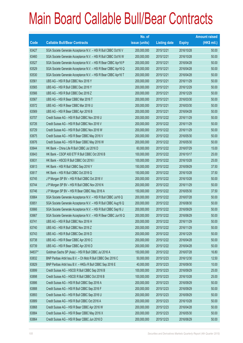|        |                                                                | No. of        |                     |               | <b>Amount raised</b> |
|--------|----------------------------------------------------------------|---------------|---------------------|---------------|----------------------|
| Code   | <b>Callable Bull/Bear Contracts</b>                            | issue (units) | <b>Listing date</b> | <b>Expiry</b> | $(HK$$ mil.)         |
| 63427  | SGA Societe Generale Acceptance N.V. - HSI R Bull CBBC Oct16 V | 200,000,000   | 2015/12/21          | 2016/10/28    | 50.00                |
| 63460  | SGA Societe Generale Acceptance N.V. - HSI R Bull CBBC Oct16 W | 200,000,000   | 2015/12/21          | 2016/10/28    | 50.00                |
| 63527  | SGA Societe Generale Acceptance N.V. - HSI R Bear CBBC Apr16 P | 200,000,000   | 2015/12/21          | 2016/04/28    | 50.00                |
| 63529  | SGA Societe Generale Acceptance N.V. - HSI R Bear CBBC Apr16 Q | 200,000,000   | 2015/12/21          | 2016/04/28    | 50.00                |
| 63530  | SGA Societe Generale Acceptance N.V. - HSI R Bear CBBC Apr16 T | 200,000,000   | 2015/12/21          | 2016/04/28    | 50.00                |
| 63561  | UBS AG - HSI R Bull CBBC Nov 2016 Y                            | 200,000,000   | 2015/12/21          | 2016/11/29    | 50.00                |
| 63565  | UBS AG - HSI R Bull CBBC Dec 2016 Y                            | 200,000,000   | 2015/12/21          | 2016/12/29    | 50.00                |
| 63566  | UBS AG - HSI R Bull CBBC Dec 2016 Z                            | 200,000,000   | 2015/12/21          | 2016/12/29    | 50.00                |
| 63567  | UBS AG - HSI R Bear CBBC Mar 2016 T                            | 200,000,000   | 2015/12/21          | 2016/03/30    | 50.00                |
| 63572  | UBS AG - HSI R Bear CBBC Mar 2016 U                            | 200,000,000   | 2015/12/21          | 2016/03/30    | 50.00                |
| 63569  | UBS AG - HSI R Bear CBBC Apr 2016 B                            | 200,000,000   | 2015/12/21          | 2016/04/28    | 50.00                |
| 63707  | Credit Suisse AG - HSI R Bull CBBC Nov 2016 U                  | 200,000,000   | 2015/12/22          | 2016/11/29    | 50.00                |
| 63726  | Credit Suisse AG - HSI R Bull CBBC Nov 2016 V                  | 200,000,000   | 2015/12/22          | 2016/11/29    | 50.00                |
| 63729  | Credit Suisse AG - HSI R Bull CBBC Nov 2016 W                  | 200,000,000   | 2015/12/22          | 2016/11/29    | 50.00                |
| 63675  | Credit Suisse AG - HSI R Bear CBBC May 2016 V                  | 200,000,000   | 2015/12/22          | 2016/05/30    | 50.00                |
| 63676  | Credit Suisse AG - HSI R Bear CBBC May 2016 W                  | 200,000,000   | 2015/12/22          | 2016/05/30    | 50.00                |
| 63644  | HK Bank - China Life R Bull CBBC Jul 2016 D                    | 60,000,000    | 2015/12/22          | 2016/07/29    | 15.00                |
| 63643  | HK Bank - CSOP A50 ETF R Bull CBBC Oct 2016 B                  | 100,000,000   | 2015/12/22          | 2016/10/17    | 25.00                |
| 63631  | HK Bank - HSCEI R Bull CBBC Oct 2016 I                         | 100,000,000   | 2015/12/22          | 2016/10/28    | 25.00                |
| 63613  | HK Bank - HSI R Bull CBBC Sep 2016 Y                           | 150,000,000   | 2015/12/22          | 2016/09/29    | 37.50                |
| 63617  | HK Bank - HSI R Bull CBBC Oct 2016 Q                           | 150,000,000   | 2015/12/22          | 2016/10/28    | 37.50                |
| 63745  | J P Morgan SP BV - HSI R Bull CBBC Oct 2016 V                  | 200,000,000   | 2015/12/22          | 2016/10/28    | 50.00                |
| 63744  | J P Morgan SP BV - HSI R Bull CBBC Nov 2016 N                  | 200,000,000   | 2015/12/22          | 2016/11/29    | 50.00                |
| 63746  | J P Morgan SP BV - HSI R Bear CBBC May 2016 A                  | 150,000,000   | 2015/12/22          | 2016/05/30    | 37.50                |
| 63664  | SGA Societe Generale Acceptance N.V. - HSI R Bull CBBC Jul16 Q | 200,000,000   | 2015/12/22          | 2016/07/28    | 50.00                |
| 63651  | SGA Societe Generale Acceptance N.V. - HSI R Bull CBBC Aug16 Q | 200,000,000   | 2015/12/22          | 2016/08/30    | 50.00                |
| 63666  | SGA Societe Generale Acceptance N.V. - HSI R Bull CBBC Sep16 J | 200,000,000   | 2015/12/22          | 2016/09/29    | 50.00                |
| 63667  | SGA Societe Generale Acceptance N.V. - HSI R Bear CBBC Jun16 Q | 200,000,000   | 2015/12/22          | 2016/06/29    | 50.00                |
| 63741  | UBS AG - HSI R Bull CBBC Nov 2016 H                            | 200,000,000   | 2015/12/22          | 2016/11/29    | 50.00                |
| 63740  | UBS AG - HSI R Bull CBBC Nov 2016 Z                            | 200,000,000   | 2015/12/22          | 2016/11/29    | 50.00                |
| 63743  | UBS AG - HSI R Bull CBBC Dec 2016 D                            | 200,000,000   | 2015/12/22          | 2016/12/29    | 50.00                |
| 63738  | UBS AG - HSI R Bear CBBC Apr 2016 C                            | 200,000,000   | 2015/12/22          | 2016/04/28    | 50.00                |
| 63739  | UBS AG - HSI R Bear CBBC Apr 2016 D                            | 200,000,000   | 2015/12/22          | 2016/04/28    | 50.00                |
| 64837# | Goldman Sachs SP (Asia) - HSI R Bull CBBC Jul 2016 A           | 150,000,000   | 2015/12/22          | 2016/07/28    | 16.80                |
| 63832  | BNP Paribas Arbit Issu B.V. - Ch Mob R Bull CBBC Dec 2016 C    | 50,000,000    | 2015/12/23          | 2016/12/30    | 12.50                |
| 63829  | BNP Paribas Arbit Issu B.V. - HKEx R Bull CBBC Sep 2016 E      | 40,000,000    | 2015/12/23          | 2016/09/30    | 10.00                |
| 63899  | Credit Suisse AG - HSCEI R Bull CBBC Sep 2016 B                | 100,000,000   | 2015/12/23          | 2016/09/29    | 25.00                |
| 63898  | Credit Suisse AG - HSCEI R Bull CBBC Oct 2016 B                | 100,000,000   | 2015/12/23          | 2016/10/28    | 25.00                |
| 63886  | Credit Suisse AG - HSI R Bull CBBC Sep 2016 A                  | 200,000,000   | 2015/12/23          | 2016/09/29    | 50.00                |
| 63888  | Credit Suisse AG - HSI R Bull CBBC Sep 2016 F                  | 200,000,000   | 2015/12/23          | 2016/09/29    | 50.00                |
| 63893  | Credit Suisse AG - HSI R Bull CBBC Sep 2016 U                  | 200,000,000   | 2015/12/23          | 2016/09/29    | 50.00                |
| 63889  | Credit Suisse AG - HSI R Bull CBBC Oct 2016 A                  | 200,000,000   | 2015/12/23          | 2016/10/28    | 50.00                |
| 63868  | Credit Suisse AG - HSI R Bear CBBC Apr 2016 W                  | 200,000,000   | 2015/12/23          | 2016/04/28    | 50.00                |
| 63884  | Credit Suisse AG - HSI R Bear CBBC May 2016 X                  | 200,000,000   | 2015/12/23          | 2016/05/30    | 50.00                |
| 63864  | Credit Suisse AG - HSI R Bear CBBC Jun 2016 D                  | 200,000,000   | 2015/12/23          | 2016/06/29    | 50.00                |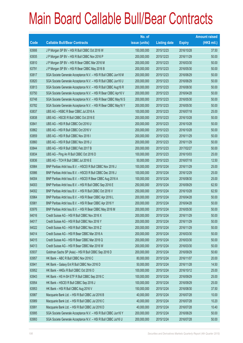|       |                                                                | No. of        |                     |               | <b>Amount raised</b> |
|-------|----------------------------------------------------------------|---------------|---------------------|---------------|----------------------|
| Code  | <b>Callable Bull/Bear Contracts</b>                            | issue (units) | <b>Listing date</b> | <b>Expiry</b> | (HK\$ mil.)          |
| 63906 | J P Morgan SP BV - HSI R Bull CBBC Oct 2016 W                  | 150,000,000   | 2015/12/23          | 2016/10/28    | 37.50                |
| 63935 | J P Morgan SP BV - HSI R Bull CBBC Nov 2016 P                  | 200,000,000   | 2015/12/23          | 2016/11/29    | 50.00                |
| 63810 | J P Morgan SP BV - HSI R Bear CBBC Mar 2016 M                  | 200,000,000   | 2015/12/23          | 2016/03/30    | 50.00                |
| 63791 | J P Morgan SP BV - HSI R Bear CBBC May 2016 B                  | 200,000,000   | 2015/12/23          | 2016/05/30    | 50.00                |
| 63817 | SGA Societe Generale Acceptance N.V. - HSI R Bull CBBC Jun16 M | 200,000,000   | 2015/12/23          | 2016/06/29    | 50.00                |
| 63820 | SGA Societe Generale Acceptance N.V. - HSI R Bull CBBC Jun16 U | 200,000,000   | 2015/12/23          | 2016/06/29    | 50.00                |
| 63813 | SGA Societe Generale Acceptance N.V. - HSI R Bull CBBC Aug16 R | 200,000,000   | 2015/12/23          | 2016/08/30    | 50.00                |
| 63750 | SGA Societe Generale Acceptance N.V. - HSI R Bear CBBC Apr16 V | 200,000,000   | 2015/12/23          | 2016/04/28    | 50.00                |
| 63748 | SGA Societe Generale Acceptance N.V. - HSI R Bear CBBC May16 S | 200,000,000   | 2015/12/23          | 2016/05/30    | 50.00                |
| 63782 | SGA Societe Generale Acceptance N.V. - HSI R Bear CBBC May16 Y | 200,000,000   | 2015/12/23          | 2016/05/30    | 50.00                |
| 63837 | UBS AG - HSBC R Bear CBBC Jul 2016 A                           | 100,000,000   | 2015/12/23          | 2016/07/18    | 25.00                |
| 63838 | UBS AG - HSCEI R Bull CBBC Oct 2016 E                          | 200,000,000   | 2015/12/23          | 2016/10/28    | 50.00                |
| 63841 | UBS AG - HSI R Bull CBBC Oct 2016 U                            | 200,000,000   | 2015/12/23          | 2016/10/28    | 50.00                |
| 63862 | UBS AG - HSI R Bull CBBC Oct 2016 V                            | 200,000,000   | 2015/12/23          | 2016/10/28    | 50.00                |
| 63859 | UBS AG - HSI R Bull CBBC Nov 2016 I                            | 200,000,000   | 2015/12/23          | 2016/11/29    | 50.00                |
| 63860 | UBS AG - HSI R Bull CBBC Nov 2016 J                            | 200,000,000   | 2015/12/23          | 2016/11/29    | 50.00                |
| 63844 | UBS AG - HSI R Bull CBBC Feb 2017 B                            | 200,000,000   | 2015/12/23          | 2017/02/27    | 50.00                |
| 63834 | UBS AG - Ping An R Bull CBBC Oct 2016 D                        | 100,000,000   | 2015/12/23          | 2016/10/03    | 25.00                |
| 63836 | UBS AG - TCH R Bull CBBC Jul 2016 E                            | 50,000,000    | 2015/12/23          | 2016/07/18    | 12.50                |
| 63984 | BNP Paribas Arbit Issu B.V. - HSCEI R Bull CBBC Nov 2016 J     | 100,000,000   | 2015/12/24          | 2016/11/29    | 25.00                |
| 63986 | BNP Paribas Arbit Issu B.V. - HSCEI R Bull CBBC Dec 2016 J     | 100,000,000   | 2015/12/24          | 2016/12/29    | 25.00                |
| 64004 | BNP Paribas Arbit Issu B.V. - HSCEI R Bear CBBC Aug 2016 A     | 100,000,000   | 2015/12/24          | 2016/08/30    | 25.00                |
| 64003 | BNP Paribas Arbit Issu B.V. - HSI R Bull CBBC Sep 2016 E       | 250,000,000   | 2015/12/24          | 2016/09/29    | 62.50                |
| 64002 | BNP Paribas Arbit Issu B.V. - HSI R Bull CBBC Oct 2016 V       | 250,000,000   | 2015/12/24          | 2016/10/28    | 62.50                |
| 63964 | BNP Paribas Arbit Issu B.V. - HSI R Bear CBBC Apr 2016 L       | 200,000,000   | 2015/12/24          | 2016/04/28    | 50.00                |
| 63981 | BNP Paribas Arbit Issu B.V. - HSI R Bear CBBC Apr 2016 Y       | 200,000,000   | 2015/12/24          | 2016/04/28    | 50.00                |
| 63976 | BNP Paribas Arbit Issu B.V. - HSI R Bear CBBC May 2016 M       | 200,000,000   | 2015/12/24          | 2016/05/30    | 50.00                |
| 64016 | Credit Suisse AG - HSI R Bull CBBC Nov 2016 X                  | 200,000,000   | 2015/12/24          | 2016/11/29    | 50.00                |
| 64017 | Credit Suisse AG - HSI R Bull CBBC Nov 2016 Y                  | 200,000,000   | 2015/12/24          | 2016/11/29    | 50.00                |
| 64022 | Credit Suisse AG - HSI R Bull CBBC Nov 2016 Z                  | 200,000,000   | 2015/12/24          | 2016/11/29    | 50.00                |
| 64014 | Credit Suisse AG - HSI R Bear CBBC Mar 2016 A                  | 200,000,000   | 2015/12/24          | 2016/03/30    | 50.00                |
| 64015 | Credit Suisse AG - HSI R Bear CBBC Mar 2016 Q                  | 200,000,000   | 2015/12/24          | 2016/03/30    | 50.00                |
| 64013 | Credit Suisse AG - HSI R Bear CBBC Mar 2016 W                  | 200,000,000   | 2015/12/24          | 2016/03/30    | 50.00                |
| 63937 | Goldman Sachs SP (Asia) - HSI R Bull CBBC Sep 2016 D           | 200,000,000   | 2015/12/24          | 2016/09/29    | 50.60                |
| 63957 | HK Bank - ABC R Bull CBBC Nov 2016 C                           | 80,000,000    | 2015/12/24          | 2016/11/07    | 20.00                |
| 63941 | HK Bank - Galaxy Ent R Bull CBBC Nov 2016 D                    | 50,000,000    | 2015/12/24          | 2016/11/28    | 14.50                |
| 63952 | HK Bank - HKEx R Bull CBBC Oct 2016 O                          | 100,000,000   | 2015/12/24          | 2016/10/12    | 25.00                |
| 63943 | HK Bank - HS H-SH ETF R Bull CBBC Sep 2016 C                   | 100,000,000   | 2015/12/24          | 2016/09/29    | 25.00                |
| 63954 | HK Bank - HSCEI R Bull CBBC Sep 2016 J                         | 100,000,000   | 2015/12/24          | 2016/09/29    | 25.00                |
| 63953 | HK Bank - HSI R Bull CBBC Aug 2016 V                           | 150,000,000   | 2015/12/24          | 2016/08/30    | 37.50                |
| 63987 | Macquarie Bank Ltd. - HSI R Bull CBBC Jul 2016 B               | 40,000,000    | 2015/12/24          | 2016/07/28    | 10.00                |
| 63989 | Macquarie Bank Ltd. - HSI R Bull CBBC Jul 2016 C               | 40,000,000    | 2015/12/24          | 2016/07/28    | 10.20                |
| 63991 | Macquarie Bank Ltd. - HSI R Bull CBBC Jul 2016 D               | 40,000,000    | 2015/12/24          | 2016/07/28    | 10.40                |
| 63995 | SGA Societe Generale Acceptance N.V. - HSI R Bull CBBC Jun16 Y | 200,000,000   | 2015/12/24          | 2016/06/29    | 50.00                |
| 63993 | SGA Societe Generale Acceptance N.V. - HSI R Bull CBBC Jul16 U | 200,000,000   | 2015/12/24          | 2016/07/28    | 50.00                |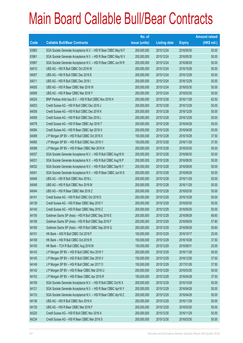|       |                                                                | No. of        |                     |               | <b>Amount raised</b> |
|-------|----------------------------------------------------------------|---------------|---------------------|---------------|----------------------|
| Code  | <b>Callable Bull/Bear Contracts</b>                            | issue (units) | <b>Listing date</b> | <b>Expiry</b> | $(HK$$ mil.)         |
| 63963 | SGA Societe Generale Acceptance N.V. - HSI R Bear CBBC May16 F | 200,000,000   | 2015/12/24          | 2016/05/30    | 50.00                |
| 63961 | SGA Societe Generale Acceptance N.V. - HSI R Bear CBBC May16 V | 200,000,000   | 2015/12/24          | 2016/05/30    | 50.00                |
| 63997 | SGA Societe Generale Acceptance N.V. - HSI R Bear CBBC Jun16 R | 200,000,000   | 2015/12/24          | 2016/06/29    | 50.00                |
| 64010 | UBS AG - HSI R Bull CBBC Oct 2016 W                            | 200,000,000   | 2015/12/24          | 2016/10/28    | 50.00                |
| 64007 | UBS AG - HSI R Bull CBBC Dec 2016 E                            | 200,000,000   | 2015/12/24          | 2016/12/29    | 50.00                |
| 64011 | UBS AG - HSI R Bull CBBC Dec 2016 I                            | 200,000,000   | 2015/12/24          | 2016/12/29    | 50.00                |
| 64005 | UBS AG - HSI R Bear CBBC Mar 2016 W                            | 200,000,000   | 2015/12/24          | 2016/03/30    | 50.00                |
| 64006 | UBS AG - HSI R Bear CBBC Mar 2016 Y                            | 200,000,000   | 2015/12/24          | 2016/03/30    | 50.00                |
| 64024 | BNP Paribas Arbit Issu B.V. - HSI R Bull CBBC Nov 2016 H       | 250,000,000   | 2015/12/28          | 2016/11/29    | 62.50                |
| 64053 | Credit Suisse AG - HSI R Bull CBBC Dec 2016 J                  | 200,000,000   | 2015/12/28          | 2016/12/29    | 50.00                |
| 64058 | Credit Suisse AG - HSI R Bull CBBC Dec 2016 K                  | 200,000,000   | 2015/12/28          | 2016/12/29    | 50.00                |
| 64059 | Credit Suisse AG - HSI R Bull CBBC Dec 2016 L                  | 200,000,000   | 2015/12/28          | 2016/12/29    | 50.00                |
| 64078 | Credit Suisse AG - HSI R Bear CBBC Apr 2016 T                  | 200,000,000   | 2015/12/28          | 2016/04/28    | 50.00                |
| 64084 | Credit Suisse AG - HSI R Bear CBBC Apr 2016 X                  | 200,000,000   | 2015/12/28          | 2016/04/28    | 50.00                |
| 64089 | J P Morgan SP BV - HSI R Bull CBBC Oct 2016 X                  | 150,000,000   | 2015/12/28          | 2016/10/28    | 37.50                |
| 64085 | J P Morgan SP BV - HSI R Bull CBBC Nov 2016 V                  | 150,000,000   | 2015/12/28          | 2016/11/29    | 37.50                |
| 64098 | J P Morgan SP BV - HSI R Bear CBBC Mar 2016 N                  | 200,000,000   | 2015/12/28          | 2016/03/30    | 50.00                |
| 64037 | SGA Societe Generale Acceptance N.V. - HSI R Bull CBBC Aug16 N | 200,000,000   | 2015/12/28          | 2016/08/30    | 50.00                |
| 64031 | SGA Societe Generale Acceptance N.V. - HSI R Bull CBBC Aug16 P | 200,000,000   | 2015/12/28          | 2016/08/30    | 50.00                |
| 64032 | SGA Societe Generale Acceptance N.V. - HSI R Bull CBBC Sep16 Y | 200,000,000   | 2015/12/28          | 2016/09/29    | 50.00                |
| 64041 | SGA Societe Generale Acceptance N.V. - HSI R Bear CBBC Jun16 S | 200,000,000   | 2015/12/28          | 2016/06/29    | 50.00                |
| 64046 | UBS AG - HSI R Bull CBBC Nov 2016 L                            | 200,000,000   | 2015/12/28          | 2016/11/29    | 50.00                |
| 64048 | UBS AG - HSI R Bull CBBC Nov 2016 M                            | 200,000,000   | 2015/12/28          | 2016/11/29    | 50.00                |
| 64044 | UBS AG - HSI R Bear CBBC Mar 2016 Z                            | 200,000,000   | 2015/12/28          | 2016/03/30    | 50.00                |
| 64141 | Credit Suisse AG - HSI R Bull CBBC Oct 2016 D                  | 200,000,000   | 2015/12/29          | 2016/10/28    | 50.00                |
| 64139 | Credit Suisse AG - HSI R Bear CBBC May 2016 Y                  | 200,000,000   | 2015/12/29          | 2016/05/30    | 50.00                |
| 64140 | Credit Suisse AG - HSI R Bear CBBC May 2016 Z                  | 200,000,000   | 2015/12/29          | 2016/05/30    | 50.00                |
| 64155 | Goldman Sachs SP (Asia) - HSI R Bull CBBC Sep 2016 E           | 200,000,000   | 2015/12/29          | 2016/09/29    | 69.60                |
| 64156 | Goldman Sachs SP (Asia) - HSI R Bull CBBC Sep 2016 F           | 200,000,000   | 2015/12/29          | 2016/09/29    | 57.80                |
| 64160 | Goldman Sachs SP (Asia) - HSI R Bull CBBC Sep 2016 G           | 200,000,000   | 2015/12/29          | 2016/09/29    | 50.60                |
| 64101 | HK Bank - A50 R Bull CBBC Oct 2016 F                           | 100,000,000   | 2015/12/29          | 2016/10/17    | 25.00                |
| 64108 | HK Bank - HSI R Bull CBBC Oct 2016 R                           | 150,000,000   | 2015/12/29          | 2016/10/28    | 37.50                |
| 64100 | HK Bank - TCH R Bull CBBC Aug 2016 M                           | 100,000,000   | 2015/12/29          | 2016/08/31    | 25.00                |
| 64143 | J P Morgan SP BV - HSI R Bull CBBC Nov 2016 Y                  | 200,000,000   | 2015/12/29          | 2016/11/29    | 50.00                |
| 64145 | J P Morgan SP BV - HSI R Bull CBBC Dec 2016 V                  | 150,000,000   | 2015/12/29          | 2016/12/29    | 37.50                |
| 64149 | J P Morgan SP BV - HSI R Bull CBBC Jan 2017 O                  | 150,000,000   | 2015/12/29          | 2017/01/26    | 37.50                |
| 64142 | J P Morgan SP BV - HSI R Bear CBBC Mar 2016 U                  | 200,000,000   | 2015/12/29          | 2016/03/30    | 50.00                |
| 64153 | J P Morgan SP BV - HSI R Bear CBBC Apr 2016 R                  | 150,000,000   | 2015/12/29          | 2016/04/28    | 37.50                |
| 64109 | SGA Societe Generale Acceptance N.V. - HSI R Bull CBBC Oct16 X | 200,000,000   | 2015/12/29          | 2016/10/28    | 50.00                |
| 64121 | SGA Societe Generale Acceptance N.V. - HSI R Bear CBBC Apr16 Y | 200,000,000   | 2015/12/29          | 2016/04/28    | 50.00                |
| 64133 | SGA Societe Generale Acceptance N.V. - HSI R Bear CBBC Apr16 Z | 200,000,000   | 2015/12/29          | 2016/04/28    | 50.00                |
| 64136 | UBS AG - HSI R Bull CBBC Nov 2016 K                            | 200,000,000   | 2015/12/29          | 2016/11/29    | 50.00                |
| 64135 | UBS AG - HSI R Bear CBBC Mar 2016 F                            | 200,000,000   | 2015/12/29          | 2016/03/30    | 50.00                |
| 64220 | Credit Suisse AG - HSI R Bull CBBC Nov 2016 A                  | 200,000,000   | 2015/12/30          | 2016/11/29    | 50.00                |
| 64234 | Credit Suisse AG - HSI R Bear CBBC Mar 2016 S                  | 200,000,000   | 2015/12/30          | 2016/03/30    | 50.00                |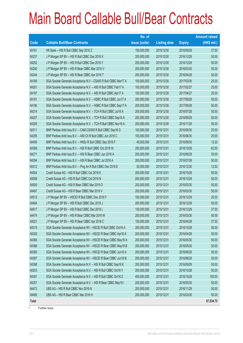|       |                                                                 | No. of        |                     |               | <b>Amount raised</b> |
|-------|-----------------------------------------------------------------|---------------|---------------------|---------------|----------------------|
| Code  | <b>Callable Bull/Bear Contracts</b>                             | issue (units) | <b>Listing date</b> | <b>Expiry</b> | $(HK$$ mil.)         |
| 64161 | HK Bank - HSI R Bull CBBC Sep 2016 Z                            | 150,000,000   | 2015/12/30          | 2016/09/29    | 37.50                |
| 64237 | J P Morgan SP BV - HSI R Bull CBBC Dec 2016 X                   | 200,000,000   | 2015/12/30          | 2016/12/29    | 50.00                |
| 64252 | J P Morgan SP BV - HSI R Bull CBBC Dec 2016 Y                   | 200,000,000   | 2015/12/30          | 2016/12/29    | 50.00                |
| 64240 | J P Morgan SP BV - HSI R Bear CBBC Mar 2016 V                   | 200,000,000   | 2015/12/30          | 2016/03/30    | 50.00                |
| 64244 | J P Morgan SP BV - HSI R Bear CBBC Apr 2016 T                   | 200,000,000   | 2015/12/30          | 2016/04/28    | 50.00                |
| 64168 | SGA Societe Generale Acceptance N.V - CSA50 R Bull CBBC Mar17 A | 100,000,000   | 2015/12/30          | 2017/03/30    | 25.00                |
| 64201 | SGA Societe Generale Acceptance N.V. - A50 R Bull CBBC Feb17 A  | 100,000,000   | 2015/12/30          | 2017/02/27    | 25.00                |
| 64197 | SGA Societe Generale Acceptance N.V. - A50 R Bull CBBC Apr17 A  | 100,000,000   | 2015/12/30          | 2017/04/27    | 25.00                |
| 64191 | SGA Societe Generale Acceptance N.V. - HSBC R Bull CBBC Jun17 A | 200,000,000   | 2015/12/30          | 2017/06/29    | 50.00                |
| 64190 | SGA Societe Generale Acceptance N.V. - HSBC R Bull CBBC Sep17 A | 200,000,000   | 2015/12/30          | 2017/09/28    | 50.00                |
| 64214 | SGA Societe Generale Acceptance N.V. - TCH R Bull CBBC Jul16 A  | 200,000,000   | 2015/12/30          | 2016/07/28    | 50.00                |
| 64207 | SGA Societe Generale Acceptance N.V. - TCH R Bull CBBC Sep16 A  | 200,000,000   | 2015/12/30          | 2016/09/29    | 50.00                |
| 64205 | SGA Societe Generale Acceptance N.V. - TCH R Bull CBBC Nov16 A  | 200,000,000   | 2015/12/30          | 2016/11/29    | 50.00                |
| 64311 | BNP Paribas Arbit Issu B.V. - CAM CSI300 R Bull CBBC Sep16 G    | 100,000,000   | 2015/12/31          | 2016/09/30    | 25.00                |
| 64295 | BNP Paribas Arbit Issu B.V. - A50 Ch R Bull CBBC Jun 2016 C     | 100,000,000   | 2015/12/31          | 2016/06/30    | 25.00                |
| 64456 | BNP Paribas Arbit Issu B.V. - HKEx R Bull CBBC Sep 2016 F       | 40,000,000    | 2015/12/31          | 2016/09/30    | 13.20                |
| 64399 | BNP Paribas Arbit Issu B.V. - HSI R Bull CBBC Oct 2016 W        | 250,000,000   | 2015/12/31          | 2016/10/28    | 62.50                |
| 64271 | BNP Paribas Arbit Issu B.V. - HSI R Bear CBBC Jun 2016 A        | 200,000,000   | 2015/12/31          | 2016/06/29    | 50.00                |
| 64294 | BNP Paribas Arbit Issu B.V. - HSI R Bear CBBC Jul 2016 A        | 200,000,000   | 2015/12/31          | 2016/07/28    | 50.00                |
| 64312 | BNP Paribas Arbit Issu B.V. - Ping An R Bull CBBC Dec 2016 E    | 50,000,000    | 2015/12/31          | 2016/12/30    | 12.50                |
| 64504 | Credit Suisse AG - HSI R Bull CBBC Oct 2016 K                   | 200,000,000   | 2015/12/31          | 2016/10/28    | 50.00                |
| 64508 | Credit Suisse AG - HSI R Bull CBBC Oct 2016 N                   | 200,000,000   | 2015/12/31          | 2016/10/28    | 50.00                |
| 64500 | Credit Suisse AG - HSI R Bear CBBC Mar 2016 O                   | 200,000,000   | 2015/12/31          | 2016/03/30    | 50.00                |
| 64497 | Credit Suisse AG - HSI R Bear CBBC Mar 2016 V                   | 200,000,000   | 2015/12/31          | 2016/03/30    | 50.00                |
| 64512 | J P Morgan SP BV - HSCEI R Bull CBBC Dec 2016 F                 | 100,000,000   | 2015/12/31          | 2016/12/29    | 25.00                |
| 64494 | J P Morgan SP BV - HSI R Bull CBBC Dec 2016 J                   | 200,000,000   | 2015/12/31          | 2016/12/29    | 50.00                |
| 64517 | J P Morgan SP BV - HSI R Bull CBBC Dec 2016 L                   | 150,000,000   | 2015/12/31          | 2016/12/29    | 37.50                |
| 64474 | J P Morgan SP BV - HSI R Bear CBBC Mar 2016 W                   | 200,000,000   | 2015/12/31          | 2016/03/30    | 50.00                |
| 64521 | J P Morgan SP BV - HSI R Bear CBBC Apr 2016 C                   | 150,000,000   | 2015/12/31          | 2016/04/28    | 37.50                |
| 64315 | SGA Societe Generale Acceptance NV - HSCEI R Bull CBBC Oct16 A  | 200,000,000   | 2015/12/31          | 2016/10/28    | 50.00                |
| 64320 | SGA Societe Generale Acceptance NV - HSCEI R Bear CBBC Apr16 A  | 200,000,000   | 2015/12/31          | 2016/04/28    | 50.00                |
| 64366 | SGA Societe Generale Acceptance NV - HSCEI R Bear CBBC May16 A  | 200,000,000   | 2015/12/31          | 2016/05/30    | 50.00                |
| 64386 | SGA Societe Generale Acceptance NV - HSCEI R Bear CBBC May16 B  | 200,000,000   | 2015/12/31          | 2016/05/30    | 50.00                |
| 64385 | SGA Societe Generale Acceptance NV - HSCEI R Bear CBBC Jun16 A  | 200,000,000   | 2015/12/31          | 2016/06/29    | 50.00                |
| 64387 | SGA Societe Generale Acceptance NV - HSCEI R Bear CBBC Jun16 B  | 200,000,000   | 2015/12/31          | 2016/06/29    | 50.00                |
| 64398 | SGA Societe Generale Acceptance N.V. - HSI R Bull CBBC Sep16 K  | 200,000,000   | 2015/12/31          | 2016/09/29    | 50.00                |
| 64253 | SGA Societe Generale Acceptance N.V. - HSI R Bull CBBC Oct16 Y  | 200,000,000   | 2015/12/31          | 2016/10/28    | 50.00                |
| 64391 | SGA Societe Generale Acceptance N.V. - HSI R Bull CBBC Oct16 Z  | 400,000,000   | 2015/12/31          | 2016/10/28    | 100.00               |
| 64257 | SGA Societe Generale Acceptance N.V. - HSI R Bear CBBC May16 I  | 200,000,000   | 2015/12/31          | 2016/05/30    | 50.00                |
| 64473 | UBS AG - HSI R Bull CBBC Nov 2016 N                             | 200,000,000   | 2015/12/31          | 2016/11/29    | 50.00                |
| 64460 | UBS AG - HSI R Bear CBBC Mar 2016 H                             | 200,000,000   | 2015/12/31          | 2016/03/30    | 50.00                |
| Total |                                                                 |               |                     |               | 87,034.75            |

Further issue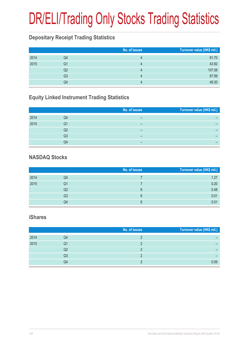# DR/ELI/Trading Only Stocks Trading Statistics

### **Depositary Receipt Trading Statistics**

|      |    | No. of issues | Turnover value (HK\$ mil.) |
|------|----|---------------|----------------------------|
| 2014 | Q4 | 4             | 81.70                      |
| 2015 | Q1 |               | 43.92                      |
|      | Q2 |               | 107.08                     |
|      | Q3 |               | 67.99                      |
|      | Q4 |               | 49.30                      |

## **Equity Linked Instrument Trading Statistics**

|      |    | No. of issues | Turnover value (HK\$ mil.) |
|------|----|---------------|----------------------------|
| 2014 | Q4 | –             |                            |
| 2015 | Q1 | -             | -                          |
|      | Q2 | -             | -                          |
|      | Q3 | -             | -                          |
|      | Q4 | -             |                            |

### **NASDAQ Stocks**

|      |    | No. of issues | Turnover value (HK\$ mil.) |
|------|----|---------------|----------------------------|
| 2014 | Q4 |               | 1.27                       |
| 2015 | Q1 |               | 0.20                       |
|      | Q2 | 6             | 0.48                       |
|      | Q3 | 6             | 0.01                       |
|      | Q4 | ิค            | 0.01                       |

#### **iShares**

|      |    | No. of issues | Turnover value (HK\$ mil.) |
|------|----|---------------|----------------------------|
| 2014 | Q4 |               |                            |
| 2015 | Q1 |               |                            |
|      | Q2 |               |                            |
|      | Q3 |               |                            |
|      | Q4 |               | 0.09                       |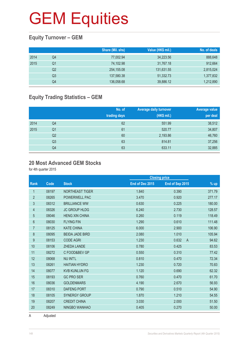## **Equity Turnover – GEM**

|      |    | Share (Mil. shs) | Value (HK\$ mil.) | No. of deals |
|------|----|------------------|-------------------|--------------|
| 2014 | Q4 | 77,002.94        | 34,223.56         | 888,648      |
| 2015 | Q1 | 74,102.98        | 31,767.18         | 912,664      |
|      | Q2 | 254,155.08       | 131,631.55        | 2,815,024    |
|      | Q3 | 137,580.38       | 51,332.73         | 1,377,832    |
|      | Q4 | 136,058.68       | 39,886.12         | 1,212,890    |

## **Equity Trading Statistics – GEM**

|      |                | No. of<br>trading days | <b>Average daily turnover</b><br>(HK\$ mil.) | Average value<br>per deal |
|------|----------------|------------------------|----------------------------------------------|---------------------------|
| 2014 | Q4             | 62                     | 551.99                                       | 38,512                    |
| 2015 | Q <sub>1</sub> | 61                     | 520.77                                       | 34,807                    |
|      | Q <sub>2</sub> | 60                     | 2,193.86                                     | 46,760                    |
|      | Q3             | 63                     | 814.81                                       | 37,256                    |
|      | Q4             | 63                     | 633.11                                       | 32,885                    |

#### **20 Most Advanced GEM Stocks**

for 4th quarter 2015

|                |       |                        |                 | <b>Closing price</b>    |        |
|----------------|-------|------------------------|-----------------|-------------------------|--------|
| Rank           | Code  | <b>Stock</b>           | End of Dec 2015 | End of Sep 2015         | $%$ up |
| 1              | 08197 | NORTHEAST TIGER        | 1.840           | 0.390                   | 371.79 |
| $\overline{2}$ | 08265 | POWERWELL PAC          | 3.470           | 0.920                   | 277.17 |
| $\sqrt{3}$     | 08312 | <b>BRILLIANCE WW</b>   | 0.630           | 0.225                   | 180.00 |
| 4              | 08326 | <b>JC GROUP HLDG</b>   | 6.240           | 2.730                   | 128.57 |
| 5              | 08046 | <b>HENG XIN CHINA</b>  | 0.260           | 0.119                   | 118.49 |
| 6              | 08030 | <b>FLYING FIN</b>      | 1.290           | 0.610                   | 111.48 |
| $\overline{7}$ | 08125 | <b>KATE CHINA</b>      | 6.000           | 2.900                   | 106.90 |
| 8              | 08095 | <b>BEIDA JADE BIRD</b> | 2.080           | 1.010                   | 105.94 |
| 9              | 08153 | <b>CODE AGRI</b>       | 1.230           | 0.632<br>$\overline{A}$ | 94.62  |
| 10             | 08106 | <b>ZHEDA LANDE</b>     | 0.780           | 0.425                   | 83.53  |
| 11             | 08272 | C FOOD&BEV GP          | 0.550           | 0.310                   | 77.42  |
| 12             | 08068 | <b>NU INT'L</b>        | 0.810           | 0.470                   | 72.34  |
| 13             | 08261 | <b>HAITIAN HYDRO</b>   | 1.230           | 0.720                   | 70.83  |
| 14             | 08077 | <b>KVB KUNLUN FG</b>   | 1.120           | 0.690                   | 62.32  |
| 15             | 08193 | <b>GC PRO SER</b>      | 0.760           | 0.470                   | 61.70  |
| 16             | 08036 | <b>GOLDENMARS</b>      | 4.190           | 2.670                   | 56.93  |
| 17             | 08310 | <b>DAFENG PORT</b>     | 0.790           | 0.510                   | 54.90  |
| 18             | 08105 | <b>SYNERGY GROUP</b>   | 1.870           | 1.210                   | 54.55  |
| 19             | 08207 | <b>CREDIT CHINA</b>    | 3.030           | 2.000                   | 51.50  |
| 20             | 08249 | NINGBO WANHAO          | 0.405           | 0.270                   | 50.00  |

A Adjusted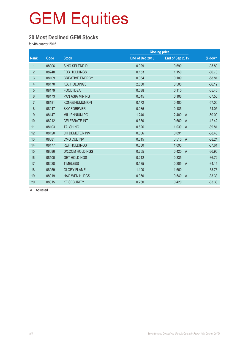### **20 Most Declined GEM Stocks**

for 4th quarter 2015

|                |       |                        |                 | <b>Closing price</b>    |          |
|----------------|-------|------------------------|-----------------|-------------------------|----------|
| Rank           | Code  | <b>Stock</b>           | End of Dec 2015 | End of Sep 2015         | % down   |
| 1              | 08006 | <b>SINO SPLENDID</b>   | 0.029           | 0.690                   | $-95.80$ |
| $\overline{2}$ | 08248 | <b>FDB HOLDINGS</b>    | 0.153           | 1.150                   | $-86.70$ |
| 3              | 08109 | <b>CREATIVE ENERGY</b> | 0.034           | 0.109                   | $-68.81$ |
| 4              | 08170 | <b>KSL HOLDINGS</b>    | 2.880           | 8.500                   | $-66.12$ |
| $\overline{5}$ | 08179 | <b>FOOD IDEA</b>       | 0.038           | 0.110                   | $-65.45$ |
| $6\phantom{.}$ | 08173 | <b>PAN ASIA MINING</b> | 0.045           | 0.106                   | $-57.55$ |
| $\overline{7}$ | 08181 | <b>KONGSHUMUNION</b>   | 0.172           | 0.400                   | $-57.00$ |
| 8              | 08047 | <b>SKY FOREVER</b>     | 0.085           | 0.185                   | $-54.05$ |
| 9              | 08147 | <b>MILLENNIUM PG</b>   | 1.240           | 2.480<br>$\overline{A}$ | $-50.00$ |
| 10             | 08212 | <b>CELEBRATE INT</b>   | 0.380           | 0.660<br>$\overline{A}$ | $-42.42$ |
| 11             | 08103 | <b>TAI SHING</b>       | 0.620           | 1.030<br>$\overline{A}$ | $-39.81$ |
| 12             | 08120 | CH DEMETER INV         | 0.056           | 0.091                   | $-38.46$ |
| 13             | 08081 | <b>CMG CUL INV</b>     | 0.315           | 0.510<br>$\overline{A}$ | $-38.24$ |
| 14             | 08177 | <b>REF HOLDINGS</b>    | 0.680           | 1.090                   | $-37.61$ |
| 15             | 08086 | DX.COM HOLDINGS        | 0.265           | 0.420<br>$\overline{A}$ | $-36.90$ |
| 16             | 08100 | <b>GET HOLDINGS</b>    | 0.212           | 0.335                   | $-36.72$ |
| 17             | 08028 | <b>TIMELESS</b>        | 0.135           | 0.205<br>$\overline{A}$ | $-34.15$ |
| 18             | 08059 | <b>GLORY FLAME</b>     | 1.100           | 1.660                   | $-33.73$ |
| 19             | 08019 | <b>HAO WEN HLDGS</b>   | 0.360           | 0.540<br>$\overline{A}$ | $-33.33$ |
| 20             | 08315 | <b>KF SECURITY</b>     | 0.280           | 0.420                   | $-33.33$ |

A Adjusted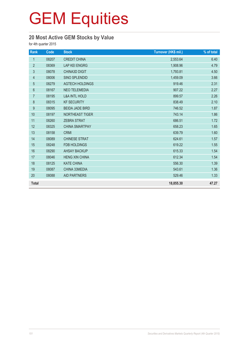## **20 Most Active GEM Stocks by Value**

for 4th quarter 2015

| Rank           | Code  | <b>Stock</b>             | Turnover (HK\$ mil.) | % of total |
|----------------|-------|--------------------------|----------------------|------------|
| 1              | 08207 | <b>CREDIT CHINA</b>      | 2,553.64             | 6.40       |
| $\overline{2}$ | 08369 | <b>LAP KEI ENGRG</b>     | 1,908.96             | 4.79       |
| $\mathfrak{S}$ | 08078 | <b>CHINA3D DIGIT</b>     | 1,793.81             | 4.50       |
| $\overline{4}$ | 08006 | SINO SPLENDID            | 1,459.09             | 3.66       |
| 5              | 08279 | <b>AGTECH HOLDINGS</b>   | 919.46               | 2.31       |
| $6\,$          | 08167 | <b>NEO TELEMEDIA</b>     | 907.22               | 2.27       |
| 7              | 08195 | <b>L&amp;A INTL HOLD</b> | 899.57               | 2.26       |
| 8              | 08315 | <b>KF SECURITY</b>       | 838.49               | 2.10       |
| 9              | 08095 | <b>BEIDA JADE BIRD</b>   | 746.52               | 1.87       |
| 10             | 08197 | NORTHEAST TIGER          | 743.14               | 1.86       |
| 11             | 08260 | <b>ZEBRA STRAT</b>       | 686.51               | 1.72       |
| 12             | 08325 | <b>CHINA SMARTPAY</b>    | 658.23               | 1.65       |
| 13             | 08158 | <b>CRMI</b>              | 639.79               | 1.60       |
| 14             | 08089 | <b>CHINESE STRAT</b>     | 624.61               | 1.57       |
| 15             | 08248 | <b>FDB HOLDINGS</b>      | 619.22               | 1.55       |
| 16             | 08290 | <b>AHSAY BACKUP</b>      | 615.33               | 1.54       |
| 17             | 08046 | <b>HENG XIN CHINA</b>    | 612.34               | 1.54       |
| 18             | 08125 | <b>KATE CHINA</b>        | 556.30               | 1.39       |
| 19             | 08087 | CHINA 33MEDIA            | 543.61               | 1.36       |
| 20             | 08088 | <b>AID PARTNERS</b>      | 529.46               | 1.33       |
| <b>Total</b>   |       |                          | 18,855.30            | 47.27      |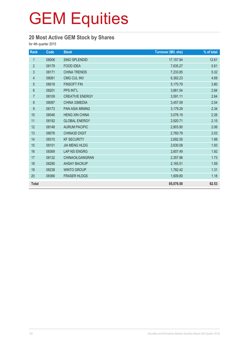## **20 Most Active GEM Stock by Shares**

for 4th quarter 2015

| Rank           | Code  | <b>Stock</b>           | <b>Turnover (Mil. shs)</b> | % of total |
|----------------|-------|------------------------|----------------------------|------------|
| $\mathbf{1}$   | 08006 | <b>SINO SPLENDID</b>   | 17,157.94                  | 12.61      |
| $\overline{2}$ | 08179 | <b>FOOD IDEA</b>       | 7,635.27                   | 5.61       |
| $\mathfrak{S}$ | 08171 | <b>CHINA TRENDS</b>    | 7,233.85                   | 5.32       |
| 4              | 08081 | <b>CMG CUL INV</b>     | 6,382.23                   | 4.69       |
| $\overline{5}$ | 08018 | <b>FINSOFT FIN</b>     | 5,170.79                   | 3.80       |
| $\,6\,$        | 08201 | PPS INT'L              | 3,861.54                   | 2.84       |
| $\overline{7}$ | 08109 | <b>CREATIVE ENERGY</b> | 3,591.11                   | 2.64       |
| 8              | 08087 | CHINA 33MEDIA          | 3,457.09                   | 2.54       |
| 9              | 08173 | <b>PAN ASIA MINING</b> | 3,179.29                   | 2.34       |
| 10             | 08046 | <b>HENG XIN CHINA</b>  | 3,076.19                   | 2.26       |
| 11             | 08192 | <b>GLOBAL ENERGY</b>   | 2,920.71                   | 2.15       |
| 12             | 08148 | <b>AURUM PACIFIC</b>   | 2,803.90                   | 2.06       |
| 13             | 08078 | <b>CHINA3D DIGIT</b>   | 2,760.79                   | 2.03       |
| 14             | 08315 | <b>KF SECURITY</b>     | 2,692.55                   | 1.98       |
| 15             | 08101 | <b>JIA MENG HLDG</b>   | 2,630.08                   | 1.93       |
| 16             | 08369 | <b>LAP KEI ENGRG</b>   | 2,607.49                   | 1.92       |
| 17             | 08132 | CHINAOILGANGRAN        | 2,357.96                   | 1.73       |
| 18             | 08290 | <b>AHSAY BACKUP</b>    | 2,165.51                   | 1.59       |
| 19             | 08238 | <b>WINTO GROUP</b>     | 1,782.42                   | 1.31       |
| 20             | 08366 | <b>FRASER HLDGS</b>    | 1,609.80                   | 1.18       |
| <b>Total</b>   |       |                        | 85,076.50                  | 62.53      |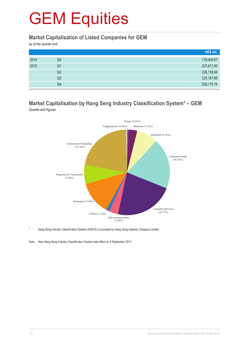#### **Market Capitalisation of Listed Companies for GEM**

as at the quarter end

|      |                | HK\$ mil.   |
|------|----------------|-------------|
| 2014 | Q4             | 179,409.87  |
| 2015 | Q1             | 207,611.93  |
|      | Q2             | 326,139.64  |
|      | Q <sub>3</sub> | 224, 157.68 |
|      | Q4             | 258,175.74  |

#### **Market Capitalisation by Hang Seng Industry Classification System\* – GEM** Quarter-end figures



Hang Seng Industry Classification System (HSICS) is provided by Hang Seng Indexes Company Limited.

Note: New Hang Seng Industry Classification System took effect on 9 September 2013.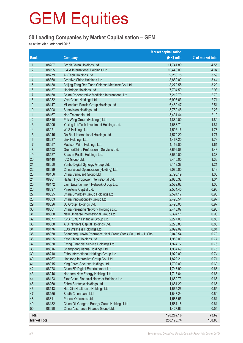### **50 Leading Companies by Market Capitalisation – GEM**

as at the 4th quarter end 2015

|                     |       |                                                              | <b>Market capitalisation</b> |                   |
|---------------------|-------|--------------------------------------------------------------|------------------------------|-------------------|
| Rank                |       | <b>Company</b>                                               | $(HK$$ mil.)                 | % of market total |
| 1                   | 08207 | Credit China Holdings Ltd.                                   | 11,741.89                    | 4.55              |
| 2                   | 08195 | L & A International Holdings Ltd.                            | 10,440.00                    | 4.04              |
| 3                   | 08279 | AGTech Holdings Ltd.                                         | 9,280.78                     | 3.59              |
| 4                   | 08368 | Creative China Holdings Ltd.                                 | 8,880.00                     | 3.44              |
| 5                   | 08138 | Beijing Tong Ren Tang Chinese Medicine Co. Ltd.              | 8,270.55                     | 3.20              |
| $6\phantom{a}$      | 08137 | Honbridge Holdings Ltd.                                      | 7,704.59                     | 2.98              |
| 7                   | 08158 | China Regenerative Medicine International Ltd.               | 7,212.79                     | 2.79              |
| 8                   | 08032 | Viva China Holdings Ltd.                                     | 6,998.63                     | 2.71              |
| 9                   | 08147 | Millennium Pacific Group Holdings Ltd.                       | 6,482.47                     | 2.51              |
| 10                  | 08008 | Sunevision Holdings Ltd.                                     | 5,759.48                     | 2.23              |
| 11                  | 08167 | Neo Telemedia Ltd.                                           | 5,431.44                     | 2.10              |
| 12                  | 08316 | Pak Wing Group (Holdings) Ltd.                               | 4,880.00                     | 1.89              |
| 13                  | 08005 | Yuxing InfoTech Investment Holdings Ltd.                     | 4,683.71                     | 1.81              |
| 14                  | 08021 | WLS Holdings Ltd.                                            | 4,596.16                     | 1.78              |
| 15                  | 08245 | On Real International Holdings Ltd.                          | 4,579.20                     | 1.77              |
| 16                  | 08237 | Link Holdings Ltd.                                           | 4,467.20                     | 1.73              |
| 17                  | 08057 | Madison Wine Holdings Ltd.                                   | 4,152.00                     | 1.61              |
| 18                  | 08193 | GreaterChina Professional Services Ltd.                      | 3,692.06                     | 1.43              |
| 19                  | 08127 | Season Pacific Holdings Ltd.                                 | 3,560.00                     | 1.38              |
| 20                  | 08140 | ICO Group Ltd.                                               | 3,440.00                     | 1.33              |
| 21                  | 08050 | Yunbo Digital Synergy Group Ltd.                             | 3,119.38                     | 1.21              |
| 22                  | 08099 | China Wood Optimization (Holding) Ltd.                       | 3,080.00                     | 1.19              |
| 23                  | 08156 | China Vanguard Group Ltd.                                    | 2,793.19                     | 1.08              |
| 24                  | 08261 | Haitian Hydropower International Ltd.                        | 2,686.32                     | 1.04              |
| 25                  | 08172 | Lajin Entertainment Network Group Ltd.                       | 2,589.62                     | 1.00              |
| 26                  | 08097 | Pinestone Captial Ltd.                                       | 2,534.40                     | 0.98              |
| 27                  | 08325 | China Smartpay Group Holdings Ltd.                           | 2,524.17                     | 0.98              |
| 28                  | 08083 | China Innovationpay Group Ltd.                               | 2,496.54                     | 0.97              |
| 29                  | 08326 | JC Group Holdings Ltd.                                       | 2,496.00                     | 0.97              |
| 30                  | 08361 | China Parenting Network Holdings Ltd.                        | 2,443.07                     | 0.95              |
| 31                  | 08068 | New Universe International Group Ltd.                        | 2,394.11                     | 0.93              |
| 32                  | 08077 | KVB Kunlun Financial Group Ltd.                              | 2,277.00                     | 0.88              |
| 33                  | 08088 | AID Partners Capital Holdings Ltd.                           | 2,275.83                     | 0.88              |
| 34                  | 08176 | EDS Wellness Holdings Ltd.                                   | 2,099.02                     | 0.81              |
| 35                  | 08058 | Shandong Luoxin Pharmaceutical Group Stock Co., Ltd. - H Shs | 2,040.54                     | 0.79              |
| 36                  | 08125 | Kate China Holdings Ltd.                                     | 1,980.00                     | 0.77              |
| 37                  | 08030 | Flying Financial Service Holdings Ltd.                       | 1,974.77                     | 0.76              |
| 38                  | 08016 | Changhong Jiahua Holdings Ltd.                               | 1,934.69                     | 0.75              |
| 39                  | 08218 | Echo International Holdings Group Ltd.                       | 1,920.00                     | 0.74              |
| 40                  | 08267 | Linekong Interactive Group Co., Ltd.                         | 1,822.21                     | 0.71              |
| 41                  | 08315 | King Force Security Holdings Ltd.                            | 1,792.00                     | 0.69              |
| 42                  | 08078 | China 3D Digital Entertainment Ltd.                          | 1,743.90                     | 0.68              |
| 43                  | 08246 | Northern New Energy Holdings Ltd.                            | 1,716.64                     | 0.66              |
| 44                  | 08123 | First China Financial Network Holdings Ltd.                  | 1,689.73                     | 0.65              |
| 45                  | 08260 | Zebra Strategic Holdings Ltd.                                | 1,681.20                     | 0.65              |
| 46                  | 08143 | Hua Xia Healthcare Holdings Ltd.                             | 1,665.26                     | 0.65              |
| 47                  | 08155 | South China Land Ltd.                                        | 1,643.24                     | 0.64              |
| 48                  | 08311 | Perfect Optronics Ltd.                                       | 1,587.55                     | 0.61              |
| 49                  | 08132 | China Oil Gangran Energy Group Holdings Ltd.                 | 1,581.18                     | 0.61              |
| 50                  | 08090 | China Assurance Finance Group Ltd.                           | 1,427.63                     | 0.55              |
| <b>Total</b>        |       |                                                              | 190,262.16                   | 73.69             |
| <b>Market Total</b> |       |                                                              | 258,175.74                   | 100.00            |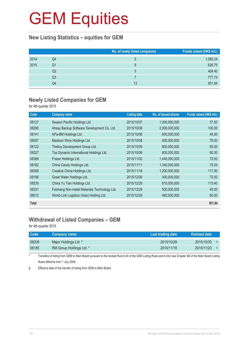### **New Listing Statistics – equities for GEM**

|      |    | No. of newly listed companies | Funds raised (HK\$ mil.) |
|------|----|-------------------------------|--------------------------|
| 2014 | Q4 | 5                             | 1,083.24                 |
| 2015 | Q1 | 9                             | 626.75                   |
|      | Q2 | 5                             | 404.40                   |
|      | Q3 |                               | 777.74                   |
|      | Q4 | 13                            | 931.94                   |

### **Newly Listed Companies for GEM**

for 4th quarter 2015

| Code         | <b>Company name</b>                          | <b>Listing date</b> | No. of issued shares | Funds raised (HK\$ mil.) |
|--------------|----------------------------------------------|---------------------|----------------------|--------------------------|
| 08127        | Season Pacific Holdings Ltd.                 | 2015/10/07          | 1,000,000,000        | 37.50                    |
| 08290        | Ahsay Backup Software Development Co. Ltd.   | 2015/10/08          | 2,000,000,000        | 100.00                   |
| 08141        | KPa-BM Holdings Ltd.                         | 2015/10/08          | 600,000,000          | 45.00                    |
| 08057        | Madison Wine Holdings Ltd.                   | 2015/10/08          | 400,000,000          | 75.00                    |
| 08122        | Thelloy Development Group Ltd.               | 2015/10/09          | 800,000,000          | 65.00                    |
| 08327        | Top Dynamic International Holdings Ltd.      | 2015/10/09          | 800,000,000          | 60.00                    |
| 08366        | Fraser Holdings Ltd.                         | 2015/11/02          | 1,440,000,000        | 72.00                    |
| 08182        | China Candy Holdings Ltd.                    | 2015/11/11          | 1,340,000,000        | 75.04                    |
| 08368        | Creative China Holdings Ltd.                 | 2015/11/18          | 1,200,000,000        | 117.00                   |
| 08196        | Great Water Holdings Ltd.                    | 2015/12/09          | 300,000,000          | 72.00                    |
| 08230        | China Yu Tian Holdings Ltd.                  | 2015/12/29          | 810,000,000          | 113.40                   |
| 08331        | Feishang Non-metal Materials Technology Ltd. | 2015/12/29          | 500,000,000          | 40.00                    |
| 08012        | World-Link Logistics (Asia) Holding Ltd.     | 2015/12/29          | 480,000,000          | 60.00                    |
| <b>Total</b> |                                              |                     |                      | 931.94                   |

### **Withdrawal of Listed Companies – GEM**

for 4th quarter 2015

| <b>Code</b> | <b>Company name</b>      | Last trading date | Delisted date |
|-------------|--------------------------|-------------------|---------------|
| 08209       | Major Holdings Ltd. *    | 2015/10/29        | 2015/10/30    |
| 08185       | RM Group Holdings Ltd. * | 2015/11/19        | 2015/11/20    |

\* Transfers of listing from GEM to Main Board pursuant to the revised Rule 9.24 of the GEM Listing Rules and to the new Chapter 9A of the Main Board Listing Rules effective from 1 July 2008.

§ Effective date of the transfer of listing from GEM to Main Board.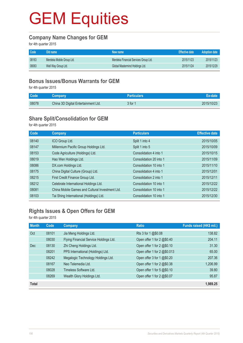## **GEM Equities**

#### **Company Name Changes for GEM**

for 4th quarter 2015

| Code  | Old name                  | New name                              | <b>Effective date</b> | Adoption date |
|-------|---------------------------|---------------------------------------|-----------------------|---------------|
| 08163 | Merdeka Mobile Group Ltd. | Merdeka Financial Services Group Ltd. | 2015/11/23            | 2015/11/23    |
| 08063 | Well Way Group Ltd.       | Global Mastermind Holdings Ltd.       | 2015/11/24            | 2015/12/29    |

#### **Bonus Issues/Bonus Warrants for GEM**

for 4th quarter 2015

| Code <sup>1</sup> | <b>Company</b>                      | <b>Particulars</b> | Ex-date    |
|-------------------|-------------------------------------|--------------------|------------|
| 08078             | China 3D Digital Entertainment Ltd. | 3 for 1            | 2015/10/23 |

### **Share Split/Consolidation for GEM**

for 4th quarter 2015

| Code  | Company                                         | <b>Particulars</b>      | <b>Effective date</b> |
|-------|-------------------------------------------------|-------------------------|-----------------------|
| 08140 | ICO Group Ltd.                                  | Split 1 into 4          | 2015/10/05            |
| 08147 | Millennium Pacific Group Holdings Ltd.          | Split 1 into 5          | 2015/10/09            |
| 08153 | Code Agriculture (Holdings) Ltd.                | Consolidation 4 into 1  | 2015/10/15            |
| 08019 | Hao Wen Holdings Ltd.                           | Consolidation 20 into 1 | 2015/11/09            |
| 08086 | DX.com Holdings Ltd.                            | Consolidation 10 into 1 | 2015/11/10            |
| 08175 | China Digital Culture (Group) Ltd.              | Consolidation 4 into 1  | 2015/12/01            |
| 08215 | First Credit Finance Group Ltd.                 | Consolidation 2 into 1  | 2015/12/11            |
| 08212 | Celebrate International Holdings Ltd.           | Consolidation 10 into 1 | 2015/12/22            |
| 08081 | China Mobile Games and Cultural Investment Ltd. | Consolidation 10 into 1 | 2015/12/22            |
| 08103 | Tai Shing International (Holdings) Ltd.         | Consolidation 10 into 1 | 2015/12/30            |

### **Rights Issues & Open Offers for GEM**

for 4th quarter 2015

| <b>Month</b> | Code  | <b>Company</b>                         | <b>Ratio</b>                | Funds raised (HK\$ mil.) |
|--------------|-------|----------------------------------------|-----------------------------|--------------------------|
| Oct          | 08101 | Jia Meng Holdings Ltd.                 | Rts 3 for 1 @\$0.08         | 138.82                   |
|              | 08030 | Flying Financial Service Holdings Ltd. | Open offer 1 for 2 @\$0.40  | 204.11                   |
| Dec          | 08130 | Zhi Cheng Holdings Ltd.                | Open offer 1 for 2 @\$0.10  | 31.30                    |
|              | 08201 | PPS International (Holdings) Ltd.      | Open offer 1 for 2 @\$0.013 | 65.00                    |
|              | 08242 | Megalogic Technology Holdings Ltd.     | Open offer 3 for 1 @\$0.20  | 207.36                   |
|              | 08167 | Neo Telemedia Ltd.                     | Open offer 1 for 2 @\$0.38  | 1,206.99                 |
|              | 08028 | Timeless Software Ltd.                 | Open offer 1 for 5 @\$0.10  | 39.80                    |
|              | 08269 | Wealth Glory Holdings Ltd.             | Open offer 1 for 2 @\$0.07  | 95.87                    |
| <b>Total</b> |       |                                        |                             | 1,989.25                 |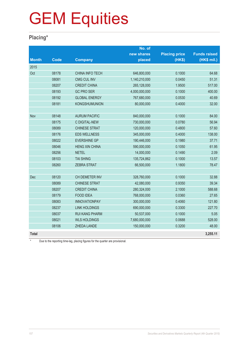# GEM Equities

### **Placing\***

|              |             |                        | No. of        |                      |                     |
|--------------|-------------|------------------------|---------------|----------------------|---------------------|
|              |             |                        | new shares    | <b>Placing price</b> | <b>Funds raised</b> |
| <b>Month</b> | <b>Code</b> | <b>Company</b>         | placed        | (HK\$)               | (HK\$ mil.)         |
| 2015         |             |                        |               |                      |                     |
| Oct          | 08178       | <b>CHINA INFO TECH</b> | 646,800,000   | 0.1000               | 64.68               |
|              | 08081       | <b>CMG CUL INV</b>     | 1,140,210,000 | 0.0450               | 51.31               |
|              | 08207       | <b>CREDIT CHINA</b>    | 265,128,000   | 1.9500               | 517.00              |
|              | 08193       | <b>GC PRO SER</b>      | 4,000,000,000 | 0.1000               | 400.00              |
|              | 08192       | <b>GLOBAL ENERGY</b>   | 767,680,000   | 0.0530               | 40.69               |
|              | 08181       | KONGSHUMUNION          | 80,000,000    | 0.4000               | 32.00               |
|              |             |                        |               |                      |                     |
| Nov          | 08148       | <b>AURUM PACIFIC</b>   | 840,000,000   | 0.1000               | 84.00               |
|              | 08175       | <b>C DIGITAL-NEW</b>   | 730,000,000   | 0.0780               | 56.94               |
|              | 08089       | <b>CHINESE STRAT</b>   | 120,000,000   | 0.4800               | 57.60               |
|              | 08176       | <b>EDS WELLNESS</b>    | 345,000,000   | 0.4000               | 138.00              |
|              | 08022       | <b>EVERSHINE GP</b>    | 190,446,000   | 0.1980               | 37.71               |
|              | 08046       | <b>HENG XIN CHINA</b>  | 590,000,000   | 0.1050               | 61.95               |
|              | 08256       | <b>NETEL</b>           | 14,000,000    | 0.1490               | 2.09                |
|              | 08103       | <b>TAI SHING</b>       | 135,724,862   | 0.1000               | 13.57               |
|              | 08260       | <b>ZEBRA STRAT</b>     | 66,500,000    | 1.1800               | 78.47               |
|              |             |                        |               |                      |                     |
| Dec          | 08120       | CH DEMETER INV         | 328,760,000   | 0.1000               | 32.88               |
|              | 08089       | <b>CHINESE STRAT</b>   | 42,080,000    | 0.9350               | 39.34               |
|              | 08207       | <b>CREDIT CHINA</b>    | 280,324,000   | 2.1000               | 588.68              |
|              | 08179       | <b>FOOD IDEA</b>       | 768,000,000   | 0.0360               | 27.65               |
|              | 08083       | <b>INNOVATIONPAY</b>   | 300,000,000   | 0.4060               | 121.80              |
|              | 08237       | <b>LINK HOLDINGS</b>   | 690,000,000   | 0.3300               | 227.70              |
|              | 08037       | <b>RUI KANG PHARM</b>  | 50,537,000    | 0.1000               | 5.05                |
|              | 08021       | <b>WLS HOLDINGS</b>    | 7,680,000,000 | 0.0688               | 528.00              |
|              | 08106       | ZHEDA LANDE            | 150,000,000   | 0.3200               | 48.00               |
| <b>Total</b> |             |                        |               |                      | 3,255.11            |

\* Due to the reporting time-lag, placing figures for the quarter are provisional.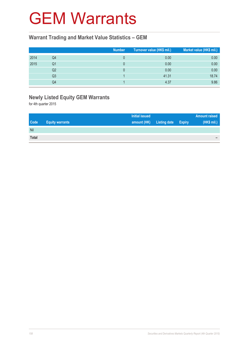### GEM Warrants

### **Warrant Trading and Market Value Statistics – GEM**

|      |    | <b>Number</b> | Turnover value (HK\$ mil.) | Market value (HK\$ mil.) |
|------|----|---------------|----------------------------|--------------------------|
| 2014 | Q4 |               | 0.00                       | 0.00                     |
| 2015 | Q1 |               | 0.00                       | 0.00                     |
|      | Q2 |               | 0.00                       | 0.00                     |
|      | Q3 |               | 41.31                      | 18.74                    |
|      | Q4 |               | 4.37                       | 9.86                     |

### **Newly Listed Equity GEM Warrants**

for 4th quarter 2015

|              |                        | <b>Initial issued</b> |                     |               | <b>Amount raised</b> |
|--------------|------------------------|-----------------------|---------------------|---------------|----------------------|
| <b>Code</b>  | <b>Equity warrants</b> | amount (HK)           | <b>Listing date</b> | <b>Expiry</b> | (HK\$ mil.)          |
| Nil          |                        |                       |                     |               |                      |
| <b>Total</b> |                        |                       |                     |               | -                    |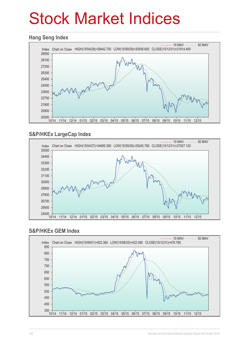## Stock Market Indices

#### **Hang Seng Index**



### **S&P/HKEx LargeCap Index**



#### **S&P/HKEx GEM Index**

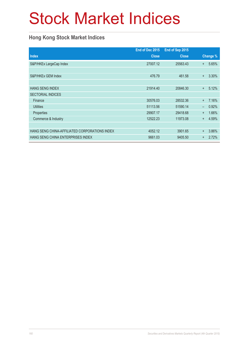# Stock Market Indices

### **Hong Kong Stock Market Indices**

|                                               | End of Dec 2015 | End of Sep 2015 |           |          |
|-----------------------------------------------|-----------------|-----------------|-----------|----------|
| <b>Index</b>                                  | <b>Close</b>    | <b>Close</b>    |           | Change % |
| S&P/HKEx LargeCap Index                       | 27007.12        | 25563.43        | $+$       | 5.65%    |
|                                               |                 |                 |           |          |
| S&P/HKEx GEM Index                            | 476.79          | 461.58          | $\ddot{}$ | 3.30%    |
|                                               |                 |                 |           |          |
| <b>HANG SENG INDEX</b>                        | 21914.40        | 20846.30        | $+$       | 5.12%    |
| <b>SECTORIAL INDICES</b>                      |                 |                 |           |          |
| Finance                                       | 30576.03        | 28532.36        | $\ddot{}$ | 7.16%    |
| <b>Utilities</b>                              | 51113.56        | 51590.14        | -         | 0.92%    |
| Properties                                    | 29907.17        | 29418.68        | $\ddot{}$ | 1.66%    |
| Commerce & Industry                           | 12522.23        | 11973.08        | $\ddot{}$ | 4.59%    |
|                                               |                 |                 |           |          |
| HANG SENG CHINA-AFFILIATED CORPORATIONS INDEX | 4052.12         | 3901.65         | $\ddot{}$ | 3.86%    |
| HANG SENG CHINA ENTERPRISES INDEX             | 9661.03         | 9405.50         | $\ddot{}$ | 2.72%    |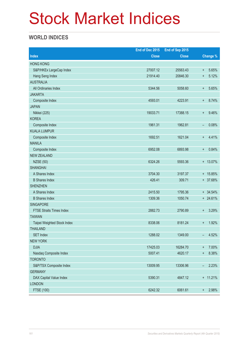## Stock Market Indices

### **WORLD INDICES**

|                                 | End of Dec 2015<br>End of Sep 2015 |              |                          |            |
|---------------------------------|------------------------------------|--------------|--------------------------|------------|
| <b>Index</b>                    | <b>Close</b>                       | <b>Close</b> |                          | Change %   |
| <b>HONG KONG</b>                |                                    |              |                          |            |
| S&P/HKEx LargeCap Index         | 27007.12                           | 25563.43     | $\ddot{}$                | 5.65%      |
| Hang Seng Index                 | 21914.40                           | 20846.30     | $\ddot{}$                | 5.12%      |
| <b>AUSTRALIA</b>                |                                    |              |                          |            |
| All Ordinaries Index            | 5344.56                            | 5058.60      | $\boldsymbol{+}$         | 5.65%      |
| <b>JAKARTA</b>                  |                                    |              |                          |            |
| Composite Index                 | 4593.01                            | 4223.91      | $\ddot{}$                | 8.74%      |
| <b>JAPAN</b>                    |                                    |              |                          |            |
| Nikkei (225)                    | 19033.71                           | 17388.15     | $\ddot{}$                | 9.46%      |
| <b>KOREA</b>                    |                                    |              |                          |            |
| Composite Index                 | 1961.31                            | 1962.81      | -                        | 0.08%      |
| <b>KUALA LUMPUR</b>             |                                    |              |                          |            |
| Composite Index                 | 1692.51                            | 1621.04      | $\ddot{}$                | 4.41%      |
| <b>MANILA</b>                   |                                    |              |                          |            |
| Composite Index                 | 6952.08                            | 6893.98      | $\ddot{}$                | 0.84%      |
| <b>NEW ZEALAND</b>              |                                    |              |                          |            |
| <b>NZSE (50)</b>                | 6324.26                            | 5593.36      |                          | + 13.07%   |
| <b>SHANGHAI</b>                 |                                    |              |                          |            |
| A Shares Index                  | 3704.30                            | 3197.37      |                          | + 15.85%   |
| <b>B</b> Shares Index           | 426.41                             | 309.71       |                          | + 37.68%   |
| <b>SHENZHEN</b>                 |                                    |              |                          |            |
| A Shares Index                  | 2415.50                            | 1795.36      |                          | $+ 34.54%$ |
| <b>B</b> Shares Index           | 1309.36                            | 1050.74      |                          | + 24.61%   |
| <b>SINGAPORE</b>                |                                    |              |                          |            |
| <b>FTSE Straits Times Index</b> | 2882.73                            | 2790.89      | $\ddot{}$                | 3.29%      |
| <b>TAIWAN</b>                   |                                    |              |                          |            |
| Taipei Weighted Stock Index     | 8338.06                            | 8181.24      | $\ddot{}$                | 1.92%      |
| <b>THAILAND</b>                 |                                    |              |                          |            |
| <b>SET Index</b>                | 1288.02                            | 1349.00      | -                        | 4.52%      |
| <b>NEW YORK</b>                 |                                    |              |                          |            |
| <b>DJIA</b>                     | 17425.03                           | 16284.70     | $\ddagger$               | 7.00%      |
| Nasdaq Composite Index          | 5007.41                            | 4620.17      | $\ddot{}$                | 8.38%      |
| <b>TORONTO</b>                  |                                    |              |                          |            |
| S&P/TSX Composite Index         | 13009.95                           | 13306.96     | $\overline{\phantom{a}}$ | 2.23%      |
| <b>GERMANY</b>                  |                                    |              |                          |            |
| DAX Capital Value Index         | 5390.31                            | 4847.12      |                          | + 11.21%   |
| <b>LONDON</b>                   |                                    |              |                          |            |
| FTSE (100)                      | 6242.32                            | 6061.61      | $\ddagger$               | 2.98%      |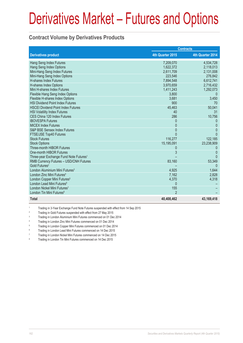### **Contract Volume by Derivatives Products**

|                                                    |                  | <b>Contracts</b> |
|----------------------------------------------------|------------------|------------------|
| <b>Derivatives product</b>                         | 4th Quarter 2015 | 4th Quarter 2014 |
| Hang Seng Index Futures                            | 7,209,070        | 4,534,728        |
| Hang Seng Index Options                            | 1,622,372        | 2,118,013        |
| Mini-Hang Seng Index Futures                       | 2,611,709        | 2,131,008        |
| Mini-Hang Seng Index Options                       | 223,546          | 276,842          |
| <b>H-shares Index Futures</b>                      | 7,894,548        | 6,612,741        |
| H-shares Index Options                             | 3,970,659        | 2,716,432        |
| Mini H-shares Index Futures                        | 1,411,243        | 1,292,073        |
| Flexible Hang Seng Index Options                   | 3,800            |                  |
| Flexible H-shares Index Options                    | 3,681            | 3,450            |
| <b>HSI Dividend Point Index Futures</b>            | 900              | 70               |
| <b>HSCEI Dividend Point Index Futures</b>          | 45,463           | 50,041           |
| <b>HSI Volatility Index Futures</b>                | 40               | 31               |
| CES China 120 Index Futures                        | 286              | 10,756           |
| <b>IBOVESPA Futures</b>                            | 0                | 0                |
| <b>MICEX Index Futures</b>                         | 0                | $\Omega$         |
| S&P BSE Sensex Index Futures                       | $\Omega$         | $\Omega$         |
| FTSE/JSE Top40 Futures                             | $\Omega$         | <sup>0</sup>     |
| <b>Stock Futures</b>                               | 116,277          | 122,185          |
| <b>Stock Options</b>                               | 15,195,091       | 23,238,909       |
| Three-month HIBOR Futures                          | $\left( \right)$ | $\left($         |
| One-month HIBOR Futures                            | 3                | $\Omega$         |
| Three-year Exchange Fund Note Futures <sup>1</sup> |                  |                  |
| RMB Currency Futures - USD/CNH Futures             | 83,160           | 53,349           |
| Gold Futures <sup>2</sup>                          |                  | $\Omega$         |
| London Aluminium Mini Futures <sup>3</sup>         | 4,925            | 1,644            |
| London Zinc Mini Futures <sup>4</sup>              | 7,162            | 2,828            |
| London Copper Mini Futures <sup>5</sup>            | 4,370            | 4,318            |
| London Lead Mini Futures <sup>6</sup>              | $\Omega$         |                  |
| London Nickel Mini Futures <sup>7</sup>            | 155              |                  |
| London Tin Mini Futures <sup>8</sup>               | $\mathfrak{p}$   |                  |
| <b>Total</b>                                       | 40,408,462       | 43, 169, 418     |

1 Trading in 3-Year Exchange Fund Note Futures suspended with effect from 14 Sep 2015

2 Trading in Gold Futures suspended with effect from 27 May 2015

3 Trading in London Aluminium Mini Futures commenced on 01 Dec 2014

4 Trading in London Zinc Mini Futures commenced on 01 Dec 2014

Trading in London Copper Mini Futures commenced on 01 Dec 2014

6 Trading in London Lead Mini Futures commenced on 14 Dec 2015

7 Trading in London Nickel Mini Futures commenced on 14 Dec 2015

8 Trading in London Tin Mini Futures commenced on 14 Dec 2015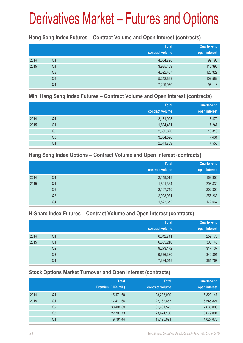### **Hang Seng Index Futures – Contract Volume and Open Interest (contracts)**

|      |                | <b>Total</b><br>contract volume | <b>Quarter-end</b><br>open interest |
|------|----------------|---------------------------------|-------------------------------------|
| 2014 | Q4             | 4,534,728                       | 99,195                              |
| 2015 | Q <sub>1</sub> | 3,925,409                       | 115,396                             |
|      | Q <sub>2</sub> | 4,892,457                       | 120,329                             |
|      | Q <sub>3</sub> | 5,212,839                       | 102,582                             |
|      | Q4             | 7,209,070                       | 97,118                              |

#### **Mini Hang Seng Index Futures – Contract Volume and Open Interest (contracts)**

|      |                | <b>Total</b><br>contract volume | Quarter-end<br>open interest |
|------|----------------|---------------------------------|------------------------------|
| 2014 | Q4             | 2,131,008                       | 7,472                        |
| 2015 | Q <sub>1</sub> | 1,834,431                       | 7,247                        |
|      | Q <sub>2</sub> | 2,535,820                       | 10,316                       |
|      | Q3             | 3,064,596                       | 7,431                        |
|      | Q4             | 2,611,709                       | 7,556                        |

### **Hang Seng Index Options – Contract Volume and Open Interest (contracts)**

|      |                | <b>Total</b>    | Quarter-end   |
|------|----------------|-----------------|---------------|
|      |                | contract volume | open interest |
| 2014 | Q4             | 2,118,013       | 169,950       |
| 2015 | Q <sub>1</sub> | 1,691,364       | 203,839       |
|      | Q <sub>2</sub> | 2,107,749       | 202,300       |
|      | Q <sub>3</sub> | 2,093,981       | 257,268       |
|      | Q4             | 1,622,372       | 172,564       |

### **H-Share Index Futures – Contract Volume and Open Interest (contracts)**

|      |                | <b>Total</b>    | <b>Quarter-end</b> |
|------|----------------|-----------------|--------------------|
|      |                | contract volume | open interest      |
| 2014 | Q4             | 6,612,741       | 259,173            |
| 2015 | Q <sub>1</sub> | 6,635,210       | 303,145            |
|      | Q <sub>2</sub> | 9,273,172       | 317,137            |
|      | Q3             | 9,576,380       | 349,891            |
|      | Q4             | 7,894,548       | 384,767            |

### **Stock Options Market Turnover and Open Interest (contracts)**

|      |    | <b>Total</b>        | <b>Total</b>    | Quarter-end   |
|------|----|---------------------|-----------------|---------------|
|      |    | Premium (HK\$ mil.) | contract volume | open interest |
| 2014 | Q4 | 15,471.60           | 23,238,909      | 6,320,147     |
| 2015 | Q1 | 17,410.66           | 22,162,657      | 6,545,827     |
|      | Q2 | 30,404.09           | 31,431,575      | 7,635,003     |
|      | Q3 | 22,706.73           | 23,674,156      | 6,679,004     |
|      | Q4 | 9,781.44            | 15,195,091      | 4,827,678     |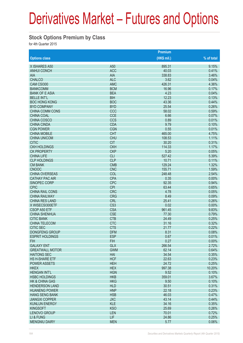### **Stock Options Premium by Class**

for 4th Quarter 2015

|                           | <b>Premium</b>  |              |            |  |  |
|---------------------------|-----------------|--------------|------------|--|--|
| <b>Options class</b>      |                 | $(HK$$ mil.) | % of total |  |  |
| X ISHARES A50             | A <sub>50</sub> | 895.31       | 9.15%      |  |  |
| <b>ANHUI CONCH</b>        | <b>ACC</b>      | 40.03        | 0.41%      |  |  |
| <b>AIA</b>                | <b>AIA</b>      | 338.83       | 3.46%      |  |  |
| <b>CHALCO</b>             | <b>ALC</b>      | 3.62         | 0.04%      |  |  |
| CAM CSI300                | <b>AMC</b>      | 426.31       | 4.36%      |  |  |
| <b>BANKCOMM</b>           | <b>BCM</b>      | 16.96        | 0.17%      |  |  |
| <b>BANK OF E ASIA</b>     | <b>BEA</b>      | 4.23         | 0.04%      |  |  |
| <b>BELLE INT'L</b>        | <b>BIH</b>      | 12.23        | 0.13%      |  |  |
| <b>BOC HONG KONG</b>      | <b>BOC</b>      | 43.36        | 0.44%      |  |  |
| <b>BYD COMPANY</b>        | <b>BYD</b>      | 25.54        | 0.26%      |  |  |
| CHINA COMM CONS           | CCC             | 58.02        | 0.59%      |  |  |
| <b>CHINA COAL</b>         | <b>CCE</b>      | 6.66         | 0.07%      |  |  |
| <b>CHINA COSCO</b>        | <b>CCS</b>      | 0.89         | 0.01%      |  |  |
| <b>CHINA CINDA</b>        | <b>CDA</b>      | 9.79         | 0.10%      |  |  |
| <b>CGN POWER</b>          | <b>CGN</b>      | 0.55         | 0.01%      |  |  |
| <b>CHINA MOBILE</b>       | <b>CHT</b>      | 465.00       | 4.75%      |  |  |
| <b>CHINA UNICOM</b>       | <b>CHU</b>      | 108.53       | 1.11%      |  |  |
| <b>CITIC</b>              | <b>CIT</b>      | 30.20        | 0.31%      |  |  |
| <b>CKH HOLDINGS</b>       | <b>CKH</b>      | 114.33       | 1.17%      |  |  |
| <b>CK PROPERTY</b>        | <b>CKP</b>      | 5.20         | 0.05%      |  |  |
| <b>CHINA LIFE</b>         | <b>CLI</b>      | 527.42       | 5.39%      |  |  |
| <b>CLP HOLDINGS</b>       | <b>CLP</b>      | 10.71        | 0.11%      |  |  |
| <b>CM BANK</b>            | <b>CMB</b>      | 129.24       | 1.32%      |  |  |
| <b>CNOOC</b>              | <b>CNC</b>      | 155.71       | 1.59%      |  |  |
| <b>CHINA OVERSEAS</b>     | COL             | 248.48       | 2.54%      |  |  |
| <b>CATHAY PAC AIR</b>     | <b>CPA</b>      | 0.35         | 0.00%      |  |  |
| SINOPEC CORP              | <b>CPC</b>      | 92.35        | 0.94%      |  |  |
| <b>CPIC</b>               | <b>CPI</b>      | 63.44        | 0.65%      |  |  |
| <b>CHINA RAIL CONS</b>    | <b>CRC</b>      | 4.78         | 0.05%      |  |  |
| <b>CHINA RAILWAY</b>      | <b>CRG</b>      | 8.49         | 0.09%      |  |  |
| <b>CHINA RES LAND</b>     | <b>CRL</b>      | 25.41        | 0.26%      |  |  |
| X WISECSI300ETF           | CS <sub>3</sub> | 0.02         | 0.00%      |  |  |
| CSOP A50 ETF              | <b>CSA</b>      | 961.45       | 9.83%      |  |  |
| <b>CHINA SHENHUA</b>      | <b>CSE</b>      | 77.30        | 0.79%      |  |  |
| <b>CITIC BANK</b>         | <b>CTB</b>      | 24.49        | 0.25%      |  |  |
| <b>CHINA TELECOM</b>      | <b>CTC</b>      | 31.16        | 0.32%      |  |  |
| <b>CITIC SEC</b>          | <b>CTS</b>      | 21.77        | 0.22%      |  |  |
| <b>DONGFENG GROUP</b>     | <b>DFM</b>      | 8.31         | 0.08%      |  |  |
| <b>ESPRIT HOLDINGS</b>    | <b>ESP</b>      | 0.67         | 0.01%      |  |  |
| <b>FIH</b>                | <b>FIH</b>      | 0.27         | 0.00%      |  |  |
| <b>GALAXY ENT</b>         | <b>GLX</b>      | 266.54       | 2.72%      |  |  |
| <b>GREATWALL MOTOR</b>    | <b>GWM</b>      | 62.14        | 0.64%      |  |  |
| <b>HAITONG SEC</b>        | HAI             | 34.54        | 0.35%      |  |  |
| HS H-SHARE ETF            | <b>HCF</b>      | 22.63        | 0.23%      |  |  |
| <b>POWER ASSETS</b>       | <b>HEH</b>      | 24.72        | 0.25%      |  |  |
| <b>HKEX</b>               | <b>HEX</b>      | 997.38       | 10.20%     |  |  |
| <b>HENGAN INT'L</b>       | <b>HGN</b>      | 9.52         | 0.10%      |  |  |
| <b>HSBC HOLDINGS</b>      | <b>HKB</b>      | 359.01       | 3.67%      |  |  |
| <b>HK &amp; CHINA GAS</b> | <b>HKG</b>      | 9.50         | 0.10%      |  |  |
| <b>HENDERSON LAND</b>     | <b>HLD</b>      | 30.51        | 0.31%      |  |  |
| <b>HUANENG POWER</b>      | <b>HNP</b>      | 22.18        | 0.23%      |  |  |
| <b>HANG SENG BANK</b>     | <b>HSB</b>      | 46.03        | 0.47%      |  |  |
| <b>JIANGXI COPPER</b>     | <b>JXC</b>      | 43.14        | 0.44%      |  |  |
| <b>KUNLUN ENERGY</b>      | <b>KLE</b>      | 34.16        | 0.35%      |  |  |
| <b>KINGSOFT</b>           | <b>KSO</b>      | 25.69        | 0.26%      |  |  |
| LENOVO GROUP              | <b>LEN</b>      | 70.01        | 0.72%      |  |  |
| LI & FUNG                 | <b>LIF</b>      | 24.86        | 0.25%      |  |  |
| <b>MENGNIU DAIRY</b>      | <b>MEN</b>      | 5.77         | 0.06%      |  |  |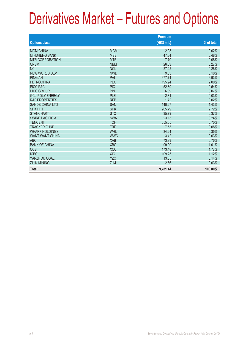|                           |            | <b>Premium</b> |            |
|---------------------------|------------|----------------|------------|
| <b>Options class</b>      |            | (HK\$ mil.)    | % of total |
| <b>MGM CHINA</b>          | <b>MGM</b> | 2.03           | 0.02%      |
| <b>MINSHENG BANK</b>      | <b>MSB</b> | 47.34          | 0.48%      |
| <b>MTR CORPORATION</b>    | <b>MTR</b> | 7.70           | 0.08%      |
| <b>CNBM</b>               | <b>NBM</b> | 26.53          | 0.27%      |
| <b>NCI</b>                | <b>NCL</b> | 27.22          | 0.28%      |
| <b>NEW WORLD DEV</b>      | <b>NWD</b> | 9.33           | 0.10%      |
| <b>PING AN</b>            | PAI        | 677.74         | 6.93%      |
| <b>PFTROCHINA</b>         | <b>PEC</b> | 195.94         | 2.00%      |
| PICC P&C                  | <b>PIC</b> | 52.89          | 0.54%      |
| <b>PICC GROUP</b>         | <b>PIN</b> | 6.89           | 0.07%      |
| <b>GCL-POLY ENERGY</b>    | PLE        | 2.81           | 0.03%      |
| <b>R&amp;F PROPERTIES</b> | <b>RFP</b> | 1.72           | 0.02%      |
| <b>SANDS CHINA LTD</b>    | <b>SAN</b> | 140.27         | 1.43%      |
| <b>SHK PPT</b>            | <b>SHK</b> | 265.79         | 2.72%      |
| <b>STANCHART</b>          | <b>STC</b> | 35.79          | 0.37%      |
| <b>SWIRE PACIFIC A</b>    | <b>SWA</b> | 23.13          | 0.24%      |
| <b>TENCENT</b>            | <b>TCH</b> | 655.55         | 6.70%      |
| <b>TRACKER FUND</b>       | <b>TRF</b> | 7.53           | 0.08%      |
| <b>WHARF HOLDINGS</b>     | <b>WHL</b> | 34.24          | 0.35%      |
| <b>WANT WANT CHINA</b>    | <b>WWC</b> | 3.42           | 0.03%      |
| <b>ABC</b>                | <b>XAB</b> | 73.93          | 0.76%      |
| <b>BANK OF CHINA</b>      | <b>XBC</b> | 99.09          | 1.01%      |
| <b>CCB</b>                | <b>XCC</b> | 173.48         | 1.77%      |
| <b>ICBC</b>               | <b>XIC</b> | 109.25         | 1.12%      |
| YANZHOU COAL              | <b>YZC</b> | 13.35          | 0.14%      |
| <b>ZIJIN MINING</b>       | <b>ZJM</b> | 2.66           | 0.03%      |
| <b>Total</b>              |            | 9,781.44       | 100.00%    |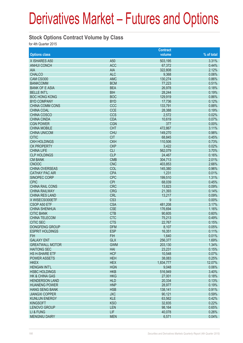### **Stock Options Contract Volume by Class**

for 4th Quarter 2015

|                           |                 | <b>Contract</b> |            |
|---------------------------|-----------------|-----------------|------------|
| <b>Options class</b>      |                 | volume          | % of total |
| X ISHARES A50             | A50             | 503,195         | 3.31%      |
| <b>ANHUI CONCH</b>        | <b>ACC</b>      | 67,372          | 0.44%      |
| <b>AIA</b>                | <b>AIA</b>      | 322,808         | 2.12%      |
| <b>CHALCO</b>             | <b>ALC</b>      | 9,368           | 0.06%      |
| CAM CSI300                | <b>AMC</b>      | 130,274         | 0.86%      |
| <b>BANKCOMM</b>           | <b>BCM</b>      | 77,223          | 0.51%      |
| <b>BANK OF E ASIA</b>     | <b>BEA</b>      | 26,978          | 0.18%      |
| <b>BELLE INT'L</b>        | <b>BIH</b>      | 28,244          | 0.19%      |
| <b>BOC HONG KONG</b>      | <b>BOC</b>      | 129,919         | 0.86%      |
| <b>BYD COMPANY</b>        | <b>BYD</b>      | 17,736          | 0.12%      |
| <b>CHINA COMM CONS</b>    | CCC             | 133,791         | 0.88%      |
| <b>CHINA COAL</b>         | <b>CCE</b>      | 28,388          | 0.19%      |
| <b>CHINA COSCO</b>        | CCS             | 2,572           | 0.02%      |
| <b>CHINA CINDA</b>        | <b>CDA</b>      | 10,619          | 0.07%      |
| <b>CGN POWER</b>          | <b>CGN</b>      | 377             | 0.00%      |
| <b>CHINA MOBILE</b>       | <b>CHT</b>      | 472,867         | 3.11%      |
| <b>CHINA UNICOM</b>       | <b>CHU</b>      | 149,270         | 0.98%      |
| <b>CITIC</b>              | <b>CIT</b>      | 68,845          | 0.45%      |
| <b>CKH HOLDINGS</b>       | <b>CKH</b>      | 110,506         | 0.73%      |
| <b>CK PROPERTY</b>        | <b>CKP</b>      | 3,422           | 0.02%      |
| <b>CHINA LIFE</b>         | <b>CLI</b>      | 562,079         | 3.70%      |
| <b>CLP HOLDINGS</b>       | <b>CLP</b>      | 24,467          | 0.16%      |
| <b>CM BANK</b>            | <b>CMB</b>      | 304,713         | 2.01%      |
| <b>CNOOC</b>              | <b>CNC</b>      | 403,853         | 2.66%      |
| <b>CHINA OVERSEAS</b>     | COL             | 145,380         | 0.96%      |
| <b>CATHAY PAC AIR</b>     | <b>CPA</b>      | 1,231           | 0.01%      |
| SINOPEC CORP              | <b>CPC</b>      | 199,510         | 1.31%      |
| <b>CPIC</b>               | <b>CPI</b>      | 68,039          | 0.45%      |
| <b>CHINA RAIL CONS</b>    | <b>CRC</b>      | 13,823          | 0.09%      |
| <b>CHINA RAILWAY</b>      | <b>CRG</b>      | 21,393          | 0.14%      |
| <b>CHINA RES LAND</b>     | <b>CRL</b>      | 13,217          | 0.09%      |
| X WISECSI300ETF           | CS <sub>3</sub> | 9               | 0.00%      |
| CSOP A50 ETF              | <b>CSA</b>      | 481,208         | 3.17%      |
| <b>CHINA SHENHUA</b>      | <b>CSE</b>      | 176,694         | 1.16%      |
| <b>CITIC BANK</b>         | <b>CTB</b>      | 90,605          | 0.60%      |
| <b>CHINA TELECOM</b>      | <b>CTC</b>      | 75,213          | 0.49%      |
| <b>CITIC SEC</b>          | <b>CTS</b>      | 22,767          | 0.15%      |
| <b>DONGFENG GROUP</b>     | <b>DFM</b>      | 8,107           | 0.05%      |
| <b>ESPRIT HOLDINGS</b>    | <b>ESP</b>      | 16,351          | 0.11%      |
| <b>FIH</b>                | <b>FIH</b>      | 1,640           | 0.01%      |
| <b>GALAXY ENT</b>         | <b>GLX</b>      | 256,377         | 1.69%      |
| <b>GREATWALL MOTOR</b>    | <b>GWM</b>      | 203,130         | 1.34%      |
| <b>HAITONG SEC</b>        | <b>HAI</b>      | 23,231          | 0.15%      |
| HS H-SHARE ETF            | <b>HCF</b>      | 10,548          | 0.07%      |
| POWER ASSETS              | <b>HEH</b>      | 38,083          | 0.25%      |
| <b>HKEX</b>               | <b>HEX</b>      | 1,834,777       | 12.07%     |
| <b>HENGAN INT'L</b>       | <b>HGN</b>      | 9,048           | 0.06%      |
| <b>HSBC HOLDINGS</b>      | <b>HKB</b>      | 516,949         | 3.40%      |
| <b>HK &amp; CHINA GAS</b> | <b>HKG</b>      | 27,001          | 0.18%      |
| <b>HENDERSON LAND</b>     | <b>HLD</b>      | 20,334          | 0.13%      |
| <b>HUANENG POWER</b>      | <b>HNP</b>      | 28,977          | 0.19%      |
| <b>HANG SENG BANK</b>     | <b>HSB</b>      | 138,141         | 0.91%      |
| <b>JIANGXI COPPER</b>     | <b>JXC</b>      | 90,121          | 0.59%      |
| <b>KUNLUN ENERGY</b>      | <b>KLE</b>      | 63,562          | 0.42%      |
| <b>KINGSOFT</b>           | <b>KSO</b>      | 32,835          | 0.22%      |
| <b>LENOVO GROUP</b>       | <b>LEN</b>      | 98,164          | 0.65%      |
| LI & FUNG                 | <b>LIF</b>      | 40,078          | 0.26%      |
| <b>MENGNIU DAIRY</b>      | <b>MEN</b>      | 6,571           | 0.04%      |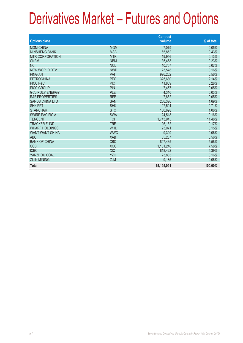|                           |            | <b>Contract</b> |            |
|---------------------------|------------|-----------------|------------|
| <b>Options class</b>      |            | volume          | % of total |
| <b>MGM CHINA</b>          | <b>MGM</b> | 7,079           | 0.05%      |
| <b>MINSHENG BANK</b>      |            |                 |            |
|                           | <b>MSB</b> | 65,852          | 0.43%      |
| <b>MTR CORPORATION</b>    | <b>MTR</b> | 19,956          | 0.13%      |
| <b>CNBM</b>               | <b>NBM</b> | 35,468          | 0.23%      |
| <b>NCI</b>                | <b>NCL</b> | 10.707          | 0.07%      |
| <b>NEW WORLD DEV</b>      | <b>NWD</b> | 23,578          | 0.16%      |
| <b>PING AN</b>            | PAI        | 996,262         | 6.56%      |
| <b>PETROCHINA</b>         | <b>PEC</b> | 325,680         | 2.14%      |
| PICC P&C                  | <b>PIC</b> | 41,859          | 0.28%      |
| <b>PICC GROUP</b>         | <b>PIN</b> | 7.457           | 0.05%      |
| <b>GCL-POLY ENERGY</b>    | PLE        | 4,316           | 0.03%      |
| <b>R&amp;F PROPERTIES</b> | <b>RFP</b> | 7,852           | 0.05%      |
| <b>SANDS CHINA LTD</b>    | <b>SAN</b> | 256,326         | 1.69%      |
| <b>SHK PPT</b>            | <b>SHK</b> | 107,594         | 0.71%      |
| <b>STANCHART</b>          | <b>STC</b> | 160,698         | 1.06%      |
| <b>SWIRE PACIFIC A</b>    | <b>SWA</b> | 24,518          | 0.16%      |
| <b>TENCENT</b>            | <b>TCH</b> | 1,743,945       | 11.48%     |
| <b>TRACKER FUND</b>       | <b>TRF</b> | 26,152          | 0.17%      |
| <b>WHARF HOLDINGS</b>     | <b>WHL</b> | 23,071          | 0.15%      |
| <b>WANT WANT CHINA</b>    | <b>WWC</b> | 9,309           | 0.06%      |
| <b>ABC</b>                | <b>XAB</b> | 85,287          | 0.56%      |
| <b>BANK OF CHINA</b>      | <b>XBC</b> | 847,435         | 5.58%      |
| <b>CCB</b>                | <b>XCC</b> | 1,151,248       | 7.58%      |
| <b>ICBC</b>               | <b>XIC</b> | 818,422         | 5.39%      |
| YANZHOU COAL              | <b>YZC</b> | 23.835          | 0.16%      |
| <b>ZIJIN MINING</b>       | <b>ZJM</b> | 9,185           | 0.06%      |
|                           |            |                 |            |
| <b>Total</b>              |            | 15,195,091      | 100.00%    |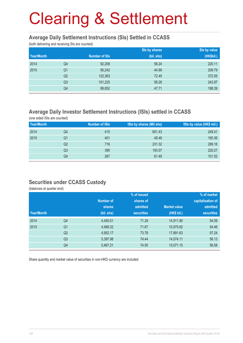#### **Average Daily Settlement Instructions (SIs) Settled in CCASS**

(both delivering and receiving SIs are counted)

|            |                |                      | Sis by shares | Sis by value |
|------------|----------------|----------------------|---------------|--------------|
| Year/Month |                | <b>Number of SIs</b> | (bil. shs)    | (HK\$bil.)   |
| 2014       | Q4             | 92,208               | 58.24         | 220.11       |
| 2015       | Q <sub>1</sub> | 90,242               | 44.99         | 209.79       |
|            | Q <sub>2</sub> | 122,363              | 72.45         | 372.55       |
|            | Q <sub>3</sub> | 101,225              | 58.26         | 243.97       |
|            | Q4             | 89,652               | 47.71         | 188.39       |

### **Average Daily Investor Settlement Instructions (ISIs) settled in CCASS**

(one sided ISIs are counted)

| Year/Month |                | <b>Number of ISIs</b> | ISIs by shares (Mil shs) | ISIs by value (HK\$ mil.) |
|------------|----------------|-----------------------|--------------------------|---------------------------|
| 2014       | Q4             | 415                   | 651.43                   | 249.41                    |
| 2015       | Q1             | 401                   | 49.48                    | 165.36                    |
|            | Q2             | 716                   | 231.32                   | 289.16                    |
|            | Q <sub>3</sub> | 390                   | 193.07                   | 220.27                    |
|            | Q4             | 267                   | 61.49                    | 101.52                    |

### **Securities under CCASS Custody**

(balances at quarter end)

|            |                |            | % of issued       |                     | % of market       |
|------------|----------------|------------|-------------------|---------------------|-------------------|
|            |                | Number of  | shares of         |                     | capitalisation of |
|            |                | shares     | admitted          | <b>Market value</b> | admitted          |
| Year/Month |                | (bil. shs) | <b>securities</b> | (HK\$ bil.)         | <b>securities</b> |
| 2014       | Q4             | 4,450.01   | 71.29             | 14,911.90           | 54.09             |
| 2015       | Q <sub>1</sub> | 4,489.32   | 71.67             | 15,975.62           | 54.46             |
|            | Q <sub>2</sub> | 4,952.17   | 73.78             | 17,891.63           | 57.24             |
|            | Q <sub>3</sub> | 5,397.98   | 74.44             | 14,074.11           | 56.13             |
|            | Q4             | 5,467.21   | 74.50             | 15,071.15           | 56.58             |

Share quantity and market value of securities in non-HKD currency are included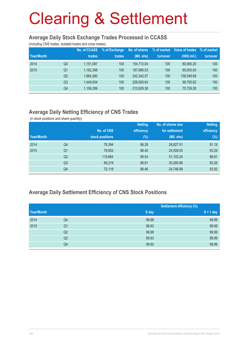#### **Average Daily Stock Exchange Trades Processed in CCASS**

(including CNS trades, isolated trades and cross trades)

|            |                | No. of CCASS | % of Exchange    | No. of shares | % of market | Value of trades | % of market |
|------------|----------------|--------------|------------------|---------------|-------------|-----------------|-------------|
| Year/Month |                | trades       | trades           | (Mil. shs)    | turnover    | (HK\$ mil.)     | turnover    |
| 2014       | Q4             | 1,151,087    | 100              | 154.712.04    | 100         | 80.060.20       | 100         |
| 2015       | Q1             | 1,182,398    | 100              | 187,686.03    | 100         | 85,005.00       | 100         |
|            | Q <sub>2</sub> | 1,864,260    | 100              | 242.342.57    | 100         | 158,049.69      | 100         |
|            | Q3             | 1,449,054    | 100              | 226,605.64    | 100         | 98,705.62       | 100         |
|            | Q4             | 1,106,299    | 100 <sup>°</sup> | 210,829.38    | 100         | 70,729.28       | 100         |

### **Average Daily Netting Efficiency of CNS Trades**

(in stock positions and share quantity)

|            |                |                 | <b>Netting</b> | No. of shares due | <b>Netting</b> |
|------------|----------------|-----------------|----------------|-------------------|----------------|
|            |                | No. of CNS      | efficiency     | for settlement    | efficiency     |
| Year/Month |                | stock positions | $(\%)$         | (Mil. shs)        | $(\%)$         |
| 2014       | Q4             | 79,394          | 96.28          | 26,827.51         | 91.18          |
| 2015       | Q <sub>1</sub> | 78,902          | 96.40          | 24,508.05         | 93.29          |
|            | Q <sub>2</sub> | 119,864         | 96.54          | 51,102.24         | 88.81          |
|            | Q <sub>3</sub> | 85,219          | 96.81          | 30,285.88         | 93.26          |
|            | Q4             | 72,118          | 96.46          | 24,746.99         | 93.92          |

### **Average Daily Settlement Efficiency of CNS Stock Positions**

| Year/Month |                |       | <b>Settlement efficiency (%)</b> |  |  |
|------------|----------------|-------|----------------------------------|--|--|
|            |                | S day | $S + 1$ day                      |  |  |
| 2014       | Q4             | 99.88 | 99.99                            |  |  |
| 2015       | Q <sub>1</sub> | 99.93 | 99.99                            |  |  |
|            | Q <sub>2</sub> | 99.96 | 99.99                            |  |  |
|            | Q <sub>3</sub> | 99.93 | 99.99                            |  |  |
|            | Q4             | 99.92 | 99.99                            |  |  |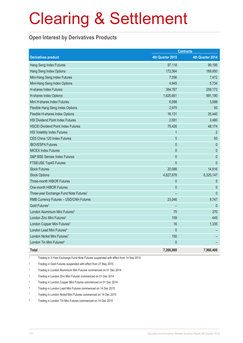### **Open Interest by Derivatives Products**

| <b>Contracts</b>                                   |                  |                  |
|----------------------------------------------------|------------------|------------------|
| <b>Derivatives product</b>                         | 4th Quarter 2015 | 4th Quarter 2014 |
| Hang Seng Index Futures                            | 97,118           | 99,195           |
| Hang Seng Index Options                            | 172,564          | 169,950          |
| Mini-Hang Seng Index Futures                       | 7,556            | 7,472            |
| Mini-Hang Seng Index Options                       | 4,945            | 5,734            |
| H-shares Index Futures                             | 384,767          | 259,173          |
| <b>H-shares Index Options</b>                      | 1,625,661        | 991,190          |
| Mini H-shares Index Futures                        | 6,088            | 3,588            |
| Flexible Hang Seng Index Options                   | 2,975            | 50               |
| Flexible H-shares Index Options                    | 16,131           | 25,440           |
| <b>HSI Dividend Point Index Futures</b>            | 2,581            | 3,480            |
| <b>HSCEI Dividend Point Index Futures</b>          | 75,426           | 48,174           |
| <b>HSI Volatility Index Futures</b>                | $\mathbf{1}$     | $\overline{2}$   |
| CES China 120 Index Futures                        | 5                | 93               |
| <b>IBOVESPA Futures</b>                            | $\mathbf{0}$     | $\mathbf{0}$     |
| <b>MICEX Index Futures</b>                         | $\overline{0}$   | $\mathbf 0$      |
| S&P BSE Sensex Index Futures                       | $\theta$         | $\theta$         |
| FTSE/JSE Top40 Futures                             | $\mathbf{0}$     | $\mathbf{0}$     |
| <b>Stock Futures</b>                               | 20,088           | 14,916           |
| <b>Stock Options</b>                               | 4,827,678        | 6,320,147        |
| Three-month HIBOR Futures                          | $\theta$         | 5                |
| One-month HIBOR Futures                            | $\mathbf{0}$     | $\mathbf{0}$     |
| Three-year Exchange Fund Note Futures <sup>1</sup> |                  | $\mathbf{0}$     |
| RMB Currency Futures - USD/CNH Futures             | 23,046           | 9,747            |
| Gold Futures <sup>2</sup>                          |                  | $\theta$         |
| London Aluminium Mini Futures <sup>3</sup>         | 75               | 270              |
| London Zinc Mini Futures <sup>4</sup>              | 109              | 445              |
| London Copper Mini Futures <sup>5</sup>            | 16               | 1,335            |
| London Lead Mini Futures <sup>6</sup>              | $\theta$         |                  |
| London Nickel Mini Futures7                        | 150              |                  |
| London Tin Mini Futures <sup>8</sup>               | $\mathbf{0}$     |                  |
| <b>Total</b>                                       | 7,266,980        | 7,960,406        |

1 Trading in 3-Year Exchange Fund Note Futures suspended with effect from 14 Sep 2015

- 2 Trading in Gold Futures suspended with effect from 27 May 2015
- 3 Trading in London Aluminium Mini Futures commenced on 01 Dec 2014
- 4 Trading in London Zinc Mini Futures commenced on 01 Dec 2014
- 5 Trading in London Copper Mini Futures commenced on 01 Dec 2014
- 6 Trading in London Lead Mini Futures commenced on 14 Dec 2015
- 7 Trading in London Nickel Mini Futures commenced on 14 Dec 2015
- 8 Trading in London Tin Mini Futures commenced on 14 Dec 2015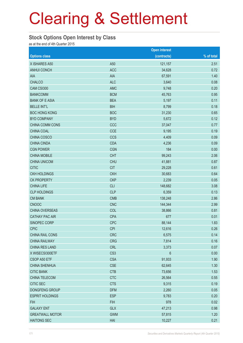#### **Stock Options Open Interest by Class**

as at the end of 4th Quarter 2015

|                        |                 | <b>Open interest</b> |            |
|------------------------|-----------------|----------------------|------------|
| <b>Options class</b>   |                 | (contracts)          | % of total |
| X ISHARES A50          | A50             | 121,157              | 2.51       |
| <b>ANHUI CONCH</b>     | <b>ACC</b>      | 34,628               | 0.72       |
| AIA                    | <b>AIA</b>      | 67,591               | 1.40       |
| <b>CHALCO</b>          | <b>ALC</b>      | 3,640                | 0.08       |
| CAM CSI300             | <b>AMC</b>      | 9,748                | 0.20       |
| <b>BANKCOMM</b>        | <b>BCM</b>      | 45,763               | 0.95       |
| <b>BANK OF E ASIA</b>  | <b>BEA</b>      | 5,197                | 0.11       |
| <b>BELLE INT'L</b>     | <b>BIH</b>      | 8,799                | 0.18       |
| <b>BOC HONG KONG</b>   | <b>BOC</b>      | 31,230               | 0.65       |
| <b>BYD COMPANY</b>     | <b>BYD</b>      | 5,672                | 0.12       |
| CHINA COMM CONS        | CCC             | 37,047               | 0.77       |
| CHINA COAL             | <b>CCE</b>      | 9,195                | 0.19       |
| CHINA COSCO            | <b>CCS</b>      | 4,409                | 0.09       |
| <b>CHINA CINDA</b>     | <b>CDA</b>      | 4,236                | 0.09       |
| <b>CGN POWER</b>       | <b>CGN</b>      | 184                  | 0.00       |
| <b>CHINA MOBILE</b>    | <b>CHT</b>      | 99,243               | 2.06       |
| <b>CHINA UNICOM</b>    | <b>CHU</b>      | 41,881               | 0.87       |
| <b>CITIC</b>           | <b>CIT</b>      | 29,228               | 0.61       |
| <b>CKH HOLDINGS</b>    | <b>CKH</b>      | 30,683               | 0.64       |
| <b>CK PROPERTY</b>     | <b>CKP</b>      | 2,239                | 0.05       |
| <b>CHINA LIFE</b>      | <b>CLI</b>      | 148,682              | 3.08       |
| <b>CLP HOLDINGS</b>    | <b>CLP</b>      | 6,359                | 0.13       |
| <b>CM BANK</b>         | <b>CMB</b>      | 138,248              | 2.86       |
| <b>CNOOC</b>           | <b>CNC</b>      | 144,344              | 2.99       |
| <b>CHINA OVERSEAS</b>  | COL             | 38,866               | 0.81       |
| <b>CATHAY PAC AIR</b>  | <b>CPA</b>      | 677                  | 0.01       |
| SINOPEC CORP           | <b>CPC</b>      | 88,144               | 1.83       |
| <b>CPIC</b>            | <b>CPI</b>      | 12,616               | 0.26       |
| CHINA RAIL CONS        | <b>CRC</b>      | 6,575                | 0.14       |
| <b>CHINA RAILWAY</b>   | <b>CRG</b>      | 7,814                | 0.16       |
| <b>CHINA RES LAND</b>  | <b>CRL</b>      | 3,373                | 0.07       |
| X WISECSI300ETF        | CS <sub>3</sub> | 6                    | 0.00       |
| CSOP A50 ETF           | <b>CSA</b>      | 91,933               | 1.90       |
| <b>CHINA SHENHUA</b>   | <b>CSE</b>      | 62,645               | 1.30       |
| <b>CITIC BANK</b>      | <b>CTB</b>      | 73,656               | 1.53       |
| CHINA TELECOM          | <b>CTC</b>      | 26,564               | 0.55       |
| <b>CITIC SEC</b>       | <b>CTS</b>      | 9,315                | 0.19       |
| DONGFENG GROUP         | <b>DFM</b>      | 2,260                | 0.05       |
| <b>ESPRIT HOLDINGS</b> | <b>ESP</b>      | 9,783                | 0.20       |
| <b>FIH</b>             | <b>FIH</b>      | 978                  | 0.02       |
| <b>GALAXY ENT</b>      | <b>GLX</b>      | 47,213               | 0.98       |
| <b>GREATWALL MOTOR</b> | <b>GWM</b>      | 57,815               | 1.20       |
| <b>HAITONG SEC</b>     | HAI             | 10,227               | 0.21       |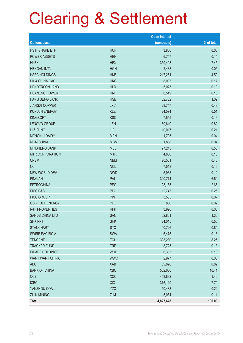|                           |            | <b>Open interest</b> |            |
|---------------------------|------------|----------------------|------------|
| <b>Options class</b>      |            | (contracts)          | % of total |
| HS H-SHARE ETF            | <b>HCF</b> | 3,830                | 0.08       |
| <b>POWER ASSETS</b>       | <b>HEH</b> | 6,747                | 0.14       |
| <b>HKEX</b>               | <b>HEX</b> | 359,498              | 7.45       |
| <b>HENGAN INT'L</b>       | <b>HGN</b> | 2,438                | 0.05       |
| <b>HSBC HOLDINGS</b>      | <b>HKB</b> | 217,251              | 4.50       |
| <b>HK &amp; CHINA GAS</b> | <b>HKG</b> | 8,003                | 0.17       |
| <b>HENDERSON LAND</b>     | <b>HLD</b> | 5,025                | 0.10       |
| <b>HUANENG POWER</b>      | <b>HNP</b> | 8,549                | 0.18       |
| <b>HANG SENG BANK</b>     | <b>HSB</b> | 52,732               | 1.09       |
| <b>JIANGXI COPPER</b>     | <b>JXC</b> | 23,747               | 0.49       |
| <b>KUNLUN ENERGY</b>      | <b>KLE</b> | 24,574               | 0.51       |
| <b>KINGSOFT</b>           | <b>KSO</b> | 7,555                | 0.16       |
| <b>LENOVO GROUP</b>       | <b>LEN</b> | 39,640               | 0.82       |
| LI & FUNG                 | LIF        | 10,017               | 0.21       |
| <b>MENGNIU DAIRY</b>      | <b>MEN</b> | 1,795                | 0.04       |
| <b>MGM CHINA</b>          | <b>MGM</b> | 1,838                | 0.04       |
| <b>MINSHENG BANK</b>      | <b>MSB</b> | 27,213               | 0.56       |
| <b>MTR CORPORATION</b>    | <b>MTR</b> | 4,866                | 0.10       |
| <b>CNBM</b>               | <b>NBM</b> | 20,551               | 0.43       |
| <b>NCI</b>                | <b>NCL</b> | 7,518                | 0.16       |
| NEW WORLD DEV             | <b>NWD</b> | 5,965                | 0.12       |
| <b>PING AN</b>            | PAI        | 320,774              | 6.64       |
| <b>PETROCHINA</b>         | PEC        | 128,185              | 2.66       |
| PICC P&C                  | <b>PIC</b> | 12,743               | 0.26       |
| PICC GROUP                | <b>PIN</b> | 3,565                | 0.07       |
| <b>GCL-POLY ENERGY</b>    | <b>PLE</b> | 850                  | 0.02       |
| <b>R&amp;F PROPERTIES</b> | <b>RFP</b> | 3,920                | 0.08       |
| SANDS CHINA LTD           | SAN        | 62,861               | 1.30       |
| <b>SHK PPT</b>            | <b>SHK</b> | 24,015               | 0.50       |
| <b>STANCHART</b>          | <b>STC</b> | 40,726               | 0.84       |
| <b>SWIRE PACIFIC A</b>    | <b>SWA</b> | 6,475                | 0.13       |
| <b>TENCENT</b>            | <b>TCH</b> | 398,280              | 8.25       |
| <b>TRACKER FUND</b>       | <b>TRF</b> | 8,725                | 0.18       |
| <b>WHARF HOLDINGS</b>     | <b>WHL</b> | 6,333                | 0.13       |
| <b>WANT WANT CHINA</b>    | <b>WWC</b> | 2,977                | 0.06       |
| ABC                       | <b>XAB</b> | 39,826               | 0.82       |
| <b>BANK OF CHINA</b>      | <b>XBC</b> | 502,630              | 10.41      |
| <b>CCB</b>                | <b>XCC</b> | 453,892              | 9.40       |
| <b>ICBC</b>               | <b>XIC</b> | 376,119              | 7.79       |
| YANZHOU COAL              | <b>YZC</b> | 10,483               | 0.22       |
| <b>ZIJIN MINING</b>       | <b>ZJM</b> | 5,084                | 0.11       |
| <b>Total</b>              |            | 4,827,678            | 100.00     |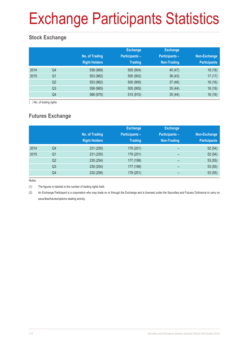# Exchange Participants Statistics

### **Stock Exchange**

|      |                | No. of Trading<br><b>Right Holders</b> | <b>Exchange</b><br><b>Participants -</b><br><b>Trading</b> | <b>Exchange</b><br><b>Participants -</b><br>Non-Trading | Non-Exchange<br><b>Participants</b> |
|------|----------------|----------------------------------------|------------------------------------------------------------|---------------------------------------------------------|-------------------------------------|
| 2014 | Q4             | 558 (969)                              | 500 (904)                                                  | 40 (47)                                                 | 18(18)                              |
| 2015 | Q <sub>1</sub> | 553 (962)                              | 500 (902)                                                  | 36(43)                                                  | 17(17)                              |
|      | Q <sub>2</sub> | 553 (962)                              | 500 (900)                                                  | 37(46)                                                  | 16(16)                              |
|      | Q <sub>3</sub> | 556 (965)                              | 505 (905)                                                  | 35(44)                                                  | 16(16)                              |
|      | Q4             | 566 (975)                              | 515 (915)                                                  | 35(44)                                                  | 16(16)                              |

( ) No. of trading rights

### **Futures Exchange**

|      |                | No. of Trading<br><b>Right Holders</b> | <b>Exchange</b><br><b>Participants-</b><br><b>Trading</b> | <b>Exchange</b><br><b>Participants -</b><br>Non-Trading | Non-Exchange<br><b>Participants</b> |
|------|----------------|----------------------------------------|-----------------------------------------------------------|---------------------------------------------------------|-------------------------------------|
| 2014 | Q4             | 231 (255)                              | 179 (201)                                                 | -                                                       | 52(54)                              |
| 2015 | Q <sub>1</sub> | 231 (255)                              | 179 (201)                                                 | -                                                       | 52(54)                              |
|      | Q <sub>2</sub> | 230 (254)                              | 177 (199)                                                 | $\overline{\phantom{0}}$                                | 53(55)                              |
|      | Q <sub>3</sub> | 230 (254)                              | 177 (199)                                                 | $\overline{\phantom{0}}$                                | 53(55)                              |
|      | Q4             | 232 (256)                              | 179 (201)                                                 |                                                         | 53(55)                              |

Notes:

(1) The figures in blanket is the number of trading rights held.

(2) An Exchange Participant is a corporation who may trade on or through the Exchange and is licensed under the Securities and Futures Ordinance to carry on securities/futures/options dealing activity.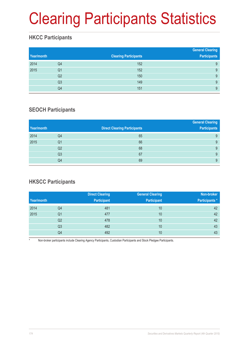# Clearing Participants Statistics

### **HKCC Participants**

| Year/month |                | <b>Clearing Participants</b> | <b>General Clearing</b><br><b>Participants</b> |
|------------|----------------|------------------------------|------------------------------------------------|
| 2014       | Q4             | 152                          | 9                                              |
| 2015       | Q1             | 152                          | 9                                              |
|            | Q <sub>2</sub> | 150                          | 9                                              |
|            | Q <sub>3</sub> | 149                          | 9                                              |
|            | Q4             | 151                          | 9                                              |

### **SEOCH Participants**

|            |                |                                     | <b>General Clearing</b> |
|------------|----------------|-------------------------------------|-------------------------|
| Year/month |                | <b>Direct Clearing Participants</b> | <b>Participants</b>     |
| 2014       | Q4             | 65                                  | 9                       |
| 2015       | Q1             | 66                                  | 9                       |
|            | Q <sub>2</sub> | 68                                  | 9                       |
|            | Q <sub>3</sub> | 67                                  | 9                       |
|            | Q4             | 69                                  | 9                       |

### **HKSCC Participants**

|            |                | <b>Direct Clearing</b> | <b>General Clearing</b> | Non-broker            |
|------------|----------------|------------------------|-------------------------|-----------------------|
| Year/month |                | <b>Participant</b>     | <b>Participant</b>      | <b>Participants</b> * |
| 2014       | Q4             | 481                    | 10                      | 42                    |
| 2015       | Q1             | 477                    | 10                      | 42                    |
|            | Q <sub>2</sub> | 478                    | 10                      | 42                    |
|            | Q <sub>3</sub> | 482                    | 10                      | 43                    |
|            | Q4             | 492                    | 10                      | 43                    |

Non-broker participants include Clearing Agency Participants, Custodian Participants and Stock Pledgee Participants.